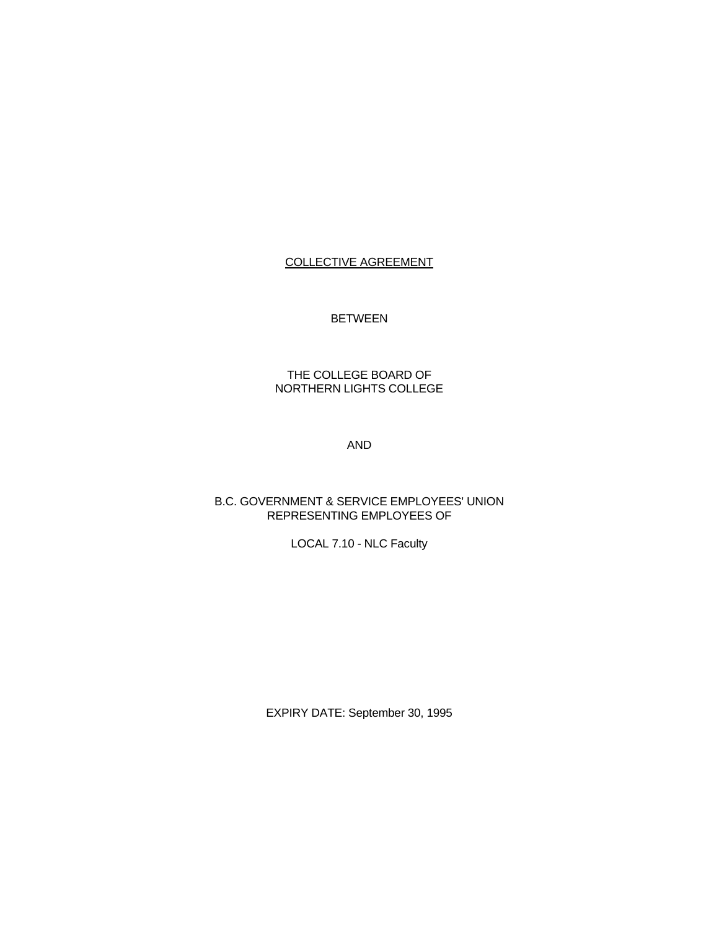# COLLECTIVE AGREEMENT

# BETWEEN

# THE COLLEGE BOARD OF NORTHERN LIGHTS COLLEGE

AND

# B.C. GOVERNMENT & SERVICE EMPLOYEES' UNION REPRESENTING EMPLOYEES OF

# LOCAL 7.10 - NLC Faculty

EXPIRY DATE: September 30, 1995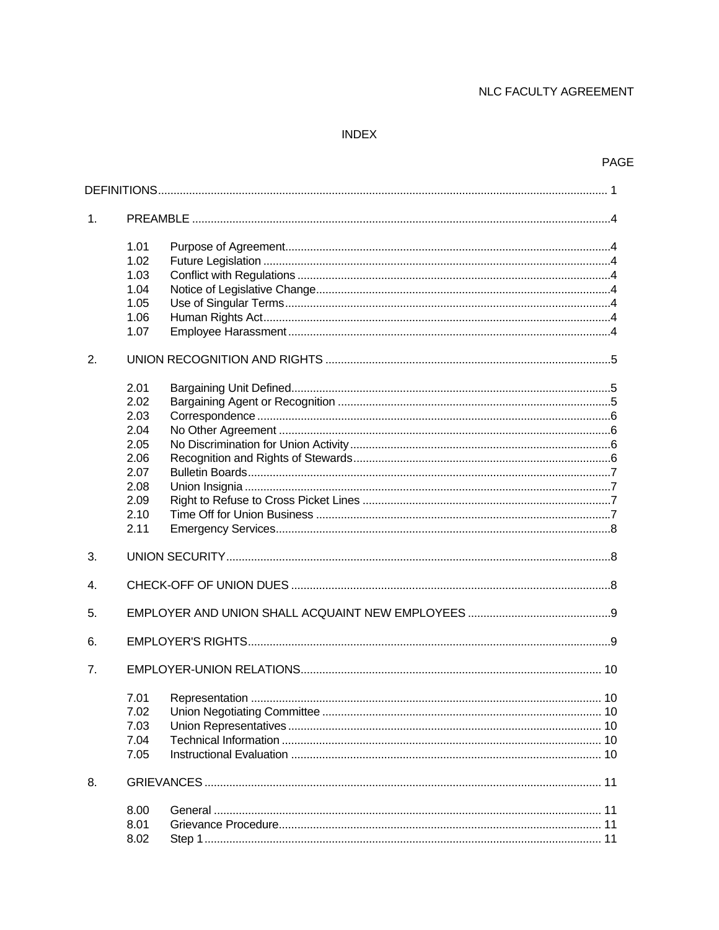# **INDEX**

# PAGE

| 1. |                                                                                      |
|----|--------------------------------------------------------------------------------------|
|    | 1.01<br>1.02<br>1.03<br>1.04<br>1.05<br>1.06<br>1.07                                 |
| 2. |                                                                                      |
|    | 2.01<br>2.02<br>2.03<br>2.04<br>2.05<br>2.06<br>2.07<br>2.08<br>2.09<br>2.10<br>2.11 |
| 3. |                                                                                      |
| 4. |                                                                                      |
| 5. |                                                                                      |
| 6. |                                                                                      |
| 7. |                                                                                      |
|    | 7.01<br>7.02<br>7.03<br>7.04<br>7.05                                                 |
| 8. |                                                                                      |
|    | 8.00<br>8.01<br>8.02                                                                 |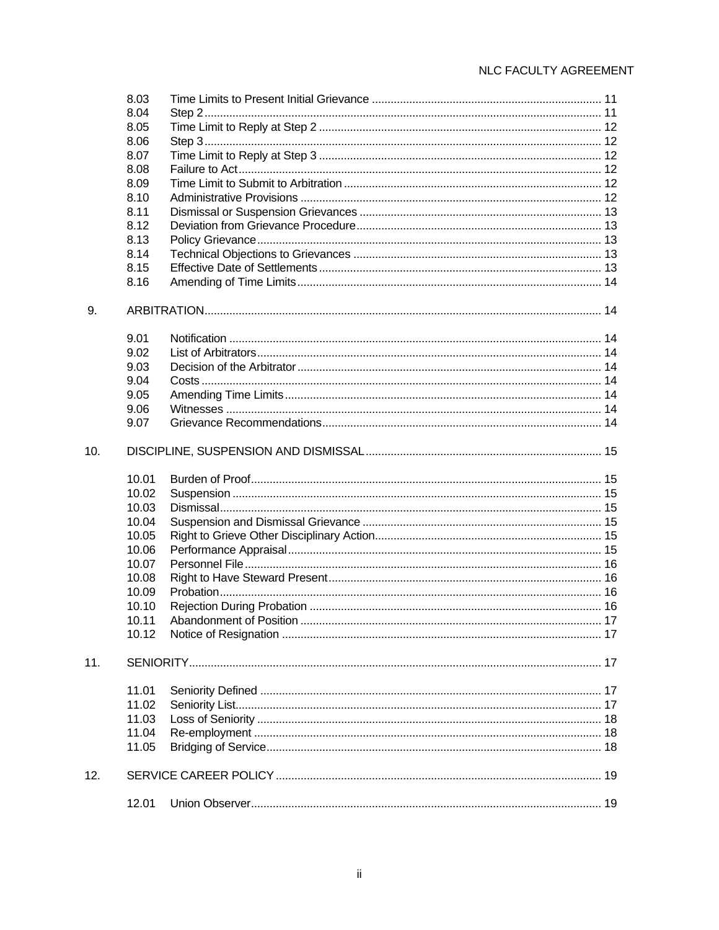|     | 8.03  |  |
|-----|-------|--|
|     | 8.04  |  |
|     | 8.05  |  |
|     | 8.06  |  |
|     | 8.07  |  |
|     | 8.08  |  |
|     | 8.09  |  |
|     | 8.10  |  |
|     | 8.11  |  |
|     | 8.12  |  |
|     | 8.13  |  |
|     | 8.14  |  |
|     | 8.15  |  |
|     | 8.16  |  |
|     |       |  |
| 9.  |       |  |
|     | 9.01  |  |
|     | 9.02  |  |
|     | 9.03  |  |
|     | 9.04  |  |
|     | 9.05  |  |
|     | 9.06  |  |
|     | 9.07  |  |
| 10. |       |  |
|     | 10.01 |  |
|     | 10.02 |  |
|     | 10.03 |  |
|     | 10.04 |  |
|     | 10.05 |  |
|     | 10.06 |  |
|     | 10.07 |  |
|     | 10.08 |  |
|     | 10.09 |  |
|     | 10.10 |  |
|     | 10.11 |  |
|     | 10.12 |  |
| 11. |       |  |
|     | 11.01 |  |
|     | 11.02 |  |
|     | 11.03 |  |
|     | 11.04 |  |
|     | 11.05 |  |
|     |       |  |
| 12. |       |  |
|     | 12.01 |  |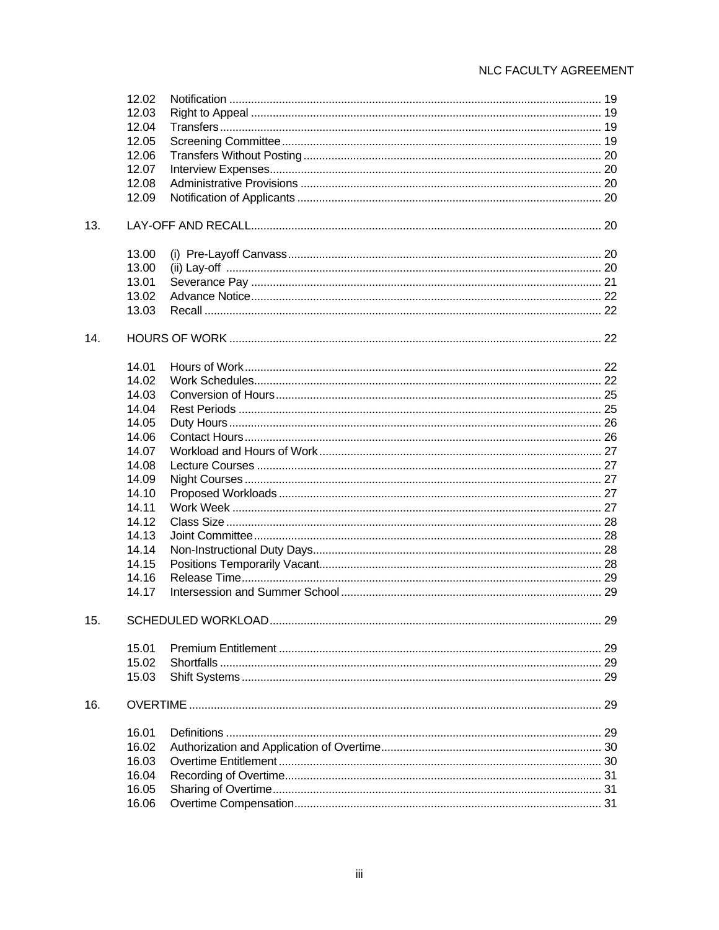|     | 12.02 |  |
|-----|-------|--|
|     | 12.03 |  |
|     | 12.04 |  |
|     | 12.05 |  |
|     | 12.06 |  |
|     | 12.07 |  |
|     | 12.08 |  |
|     | 12.09 |  |
| 13. |       |  |
|     | 13.00 |  |
|     | 13.00 |  |
|     | 13.01 |  |
|     | 13.02 |  |
|     | 13.03 |  |
| 14. |       |  |
|     | 14.01 |  |
|     | 14.02 |  |
|     | 14.03 |  |
|     | 14.04 |  |
|     | 14.05 |  |
|     | 14.06 |  |
|     | 14.07 |  |
|     | 14.08 |  |
|     | 14.09 |  |
|     | 14.10 |  |
|     | 14.11 |  |
|     | 14.12 |  |
|     | 14.13 |  |
|     | 14.14 |  |
|     | 14.15 |  |
|     | 14.16 |  |
|     | 14.17 |  |
| 15. |       |  |
|     | 15.01 |  |
|     | 15.02 |  |
|     | 15.03 |  |
| 16. |       |  |
|     | 16.01 |  |
|     | 16.02 |  |
|     | 16.03 |  |
|     | 16.04 |  |
|     | 16.05 |  |
|     | 16.06 |  |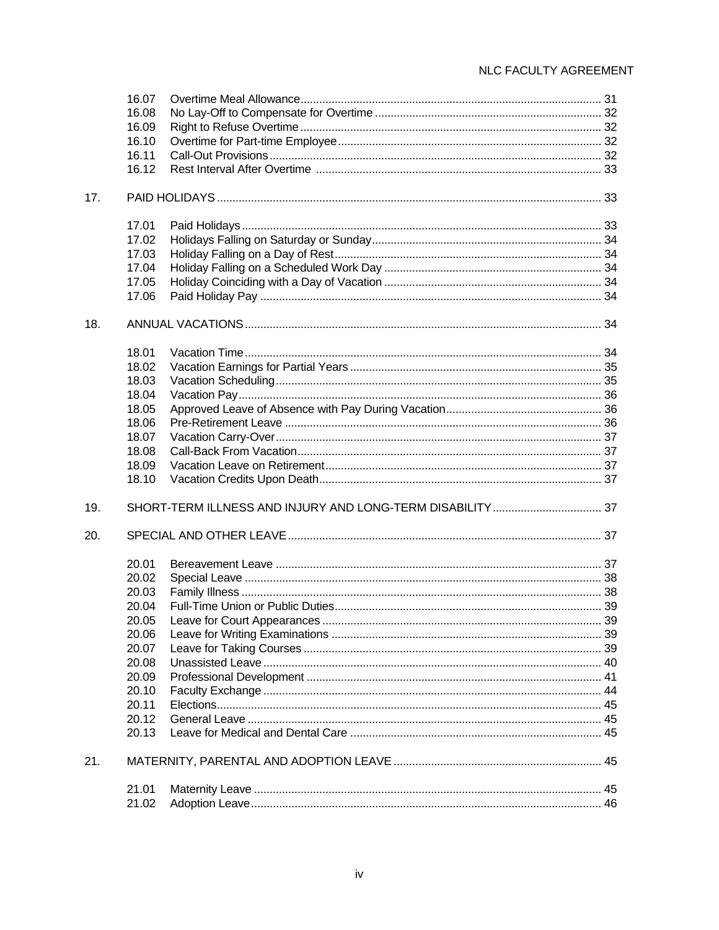| 16.09<br>16.10<br>16.11<br>16.12<br>17.<br>17.01<br>17.02<br>17.03<br>17.04<br>17.05<br>17.06<br>18.<br>18.01<br>18.02<br>18.03<br>18.04<br>18.05<br>18.06<br>18.07<br>18.08<br>18.09<br>18.10<br>SHORT-TERM ILLNESS AND INJURY AND LONG-TERM DISABILITY  37<br>19.<br>20.<br>20.01<br>20.02<br>20.03<br>20.04<br>20.05<br>20.06<br>20.07<br>20.08<br>20.09<br>20.10<br>20.11<br>20.12<br>20.13<br>21.<br>21.01<br>21.02 | 16.07 |  |
|--------------------------------------------------------------------------------------------------------------------------------------------------------------------------------------------------------------------------------------------------------------------------------------------------------------------------------------------------------------------------------------------------------------------------|-------|--|
|                                                                                                                                                                                                                                                                                                                                                                                                                          | 16.08 |  |
|                                                                                                                                                                                                                                                                                                                                                                                                                          |       |  |
|                                                                                                                                                                                                                                                                                                                                                                                                                          |       |  |
|                                                                                                                                                                                                                                                                                                                                                                                                                          |       |  |
|                                                                                                                                                                                                                                                                                                                                                                                                                          |       |  |
|                                                                                                                                                                                                                                                                                                                                                                                                                          |       |  |
|                                                                                                                                                                                                                                                                                                                                                                                                                          |       |  |
|                                                                                                                                                                                                                                                                                                                                                                                                                          |       |  |
|                                                                                                                                                                                                                                                                                                                                                                                                                          |       |  |
|                                                                                                                                                                                                                                                                                                                                                                                                                          |       |  |
|                                                                                                                                                                                                                                                                                                                                                                                                                          |       |  |
|                                                                                                                                                                                                                                                                                                                                                                                                                          |       |  |
|                                                                                                                                                                                                                                                                                                                                                                                                                          |       |  |
|                                                                                                                                                                                                                                                                                                                                                                                                                          |       |  |
|                                                                                                                                                                                                                                                                                                                                                                                                                          |       |  |
|                                                                                                                                                                                                                                                                                                                                                                                                                          |       |  |
|                                                                                                                                                                                                                                                                                                                                                                                                                          |       |  |
|                                                                                                                                                                                                                                                                                                                                                                                                                          |       |  |
|                                                                                                                                                                                                                                                                                                                                                                                                                          |       |  |
|                                                                                                                                                                                                                                                                                                                                                                                                                          |       |  |
|                                                                                                                                                                                                                                                                                                                                                                                                                          |       |  |
|                                                                                                                                                                                                                                                                                                                                                                                                                          |       |  |
|                                                                                                                                                                                                                                                                                                                                                                                                                          |       |  |
|                                                                                                                                                                                                                                                                                                                                                                                                                          |       |  |
|                                                                                                                                                                                                                                                                                                                                                                                                                          |       |  |
|                                                                                                                                                                                                                                                                                                                                                                                                                          |       |  |
|                                                                                                                                                                                                                                                                                                                                                                                                                          |       |  |
|                                                                                                                                                                                                                                                                                                                                                                                                                          |       |  |
|                                                                                                                                                                                                                                                                                                                                                                                                                          |       |  |
|                                                                                                                                                                                                                                                                                                                                                                                                                          |       |  |
|                                                                                                                                                                                                                                                                                                                                                                                                                          |       |  |
|                                                                                                                                                                                                                                                                                                                                                                                                                          |       |  |
|                                                                                                                                                                                                                                                                                                                                                                                                                          |       |  |
|                                                                                                                                                                                                                                                                                                                                                                                                                          |       |  |
|                                                                                                                                                                                                                                                                                                                                                                                                                          |       |  |
|                                                                                                                                                                                                                                                                                                                                                                                                                          |       |  |
|                                                                                                                                                                                                                                                                                                                                                                                                                          |       |  |
|                                                                                                                                                                                                                                                                                                                                                                                                                          |       |  |
|                                                                                                                                                                                                                                                                                                                                                                                                                          |       |  |
|                                                                                                                                                                                                                                                                                                                                                                                                                          |       |  |
|                                                                                                                                                                                                                                                                                                                                                                                                                          |       |  |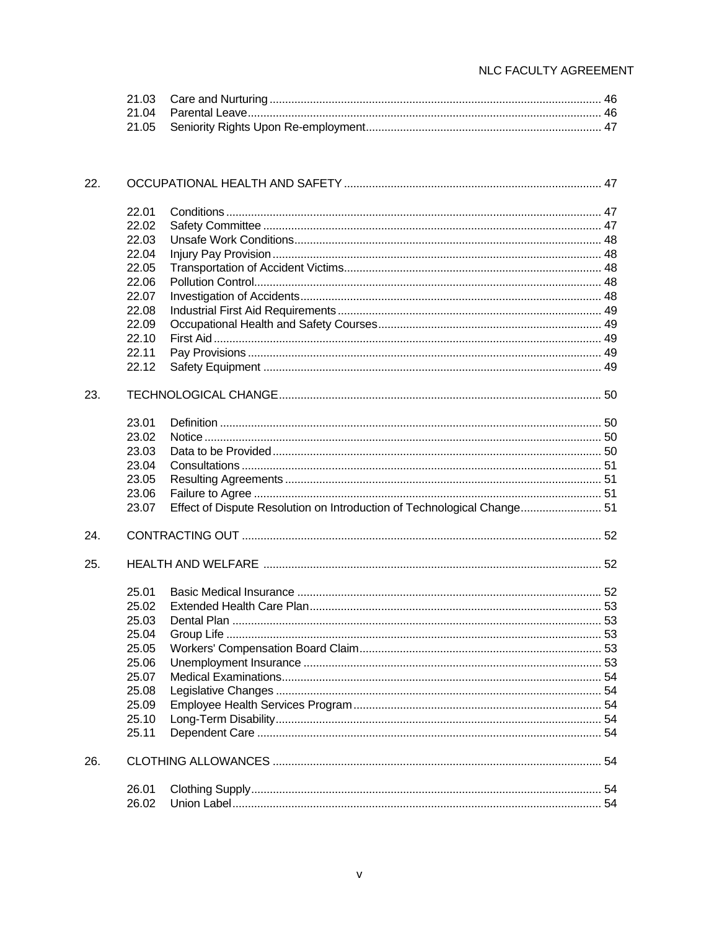| 22. |       |                                                                         |  |
|-----|-------|-------------------------------------------------------------------------|--|
|     | 22.01 |                                                                         |  |
|     | 22.02 |                                                                         |  |
|     | 22.03 |                                                                         |  |
|     | 22.04 |                                                                         |  |
|     | 22.05 |                                                                         |  |
|     | 22.06 |                                                                         |  |
|     | 22.07 |                                                                         |  |
|     | 22.08 |                                                                         |  |
|     | 22.09 |                                                                         |  |
|     | 22.10 |                                                                         |  |
|     | 22.11 |                                                                         |  |
|     | 22.12 |                                                                         |  |
| 23. |       |                                                                         |  |
|     | 23.01 |                                                                         |  |
|     | 23.02 |                                                                         |  |
|     | 23.03 |                                                                         |  |
|     | 23.04 |                                                                         |  |
|     | 23.05 |                                                                         |  |
|     | 23.06 |                                                                         |  |
|     | 23.07 | Effect of Dispute Resolution on Introduction of Technological Change 51 |  |
| 24. |       |                                                                         |  |
| 25. |       |                                                                         |  |
|     | 25.01 |                                                                         |  |
|     | 25.02 |                                                                         |  |
|     | 25.03 |                                                                         |  |
|     | 25.04 |                                                                         |  |
|     | 25.05 |                                                                         |  |
|     | 25.06 |                                                                         |  |
|     | 25.07 |                                                                         |  |
|     | 25.08 |                                                                         |  |
|     | 25.09 |                                                                         |  |
|     | 25.10 |                                                                         |  |
|     | 25.11 |                                                                         |  |
| 26. |       |                                                                         |  |
|     | 26.01 |                                                                         |  |
|     | 26.02 |                                                                         |  |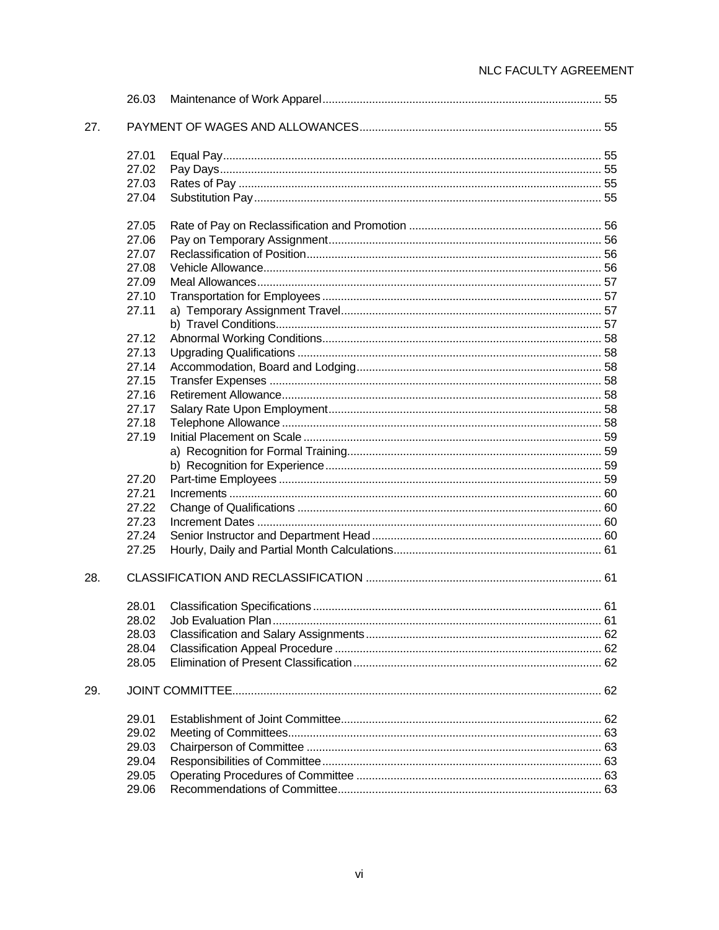|     | 26.03 |  |
|-----|-------|--|
| 27. |       |  |
|     | 27.01 |  |
|     | 27.02 |  |
|     | 27.03 |  |
|     | 27.04 |  |
|     | 27.05 |  |
|     | 27.06 |  |
|     | 27.07 |  |
|     | 27.08 |  |
|     | 27.09 |  |
|     | 27.10 |  |
|     | 27.11 |  |
|     |       |  |
|     | 27.12 |  |
|     | 27.13 |  |
|     | 27.14 |  |
|     | 27.15 |  |
|     | 27.16 |  |
|     | 27.17 |  |
|     | 27.18 |  |
|     | 27.19 |  |
|     |       |  |
|     |       |  |
|     | 27.20 |  |
|     | 27.21 |  |
|     | 27.22 |  |
|     | 27.23 |  |
|     | 27.24 |  |
|     | 27.25 |  |
| 28. |       |  |
|     | 28.01 |  |
|     |       |  |
|     | 28.03 |  |
|     | 28.04 |  |
|     | 28.05 |  |
| 29. |       |  |
|     | 29.01 |  |
|     | 29.02 |  |
|     | 29.03 |  |
|     | 29.04 |  |
|     | 29.05 |  |
|     | 29.06 |  |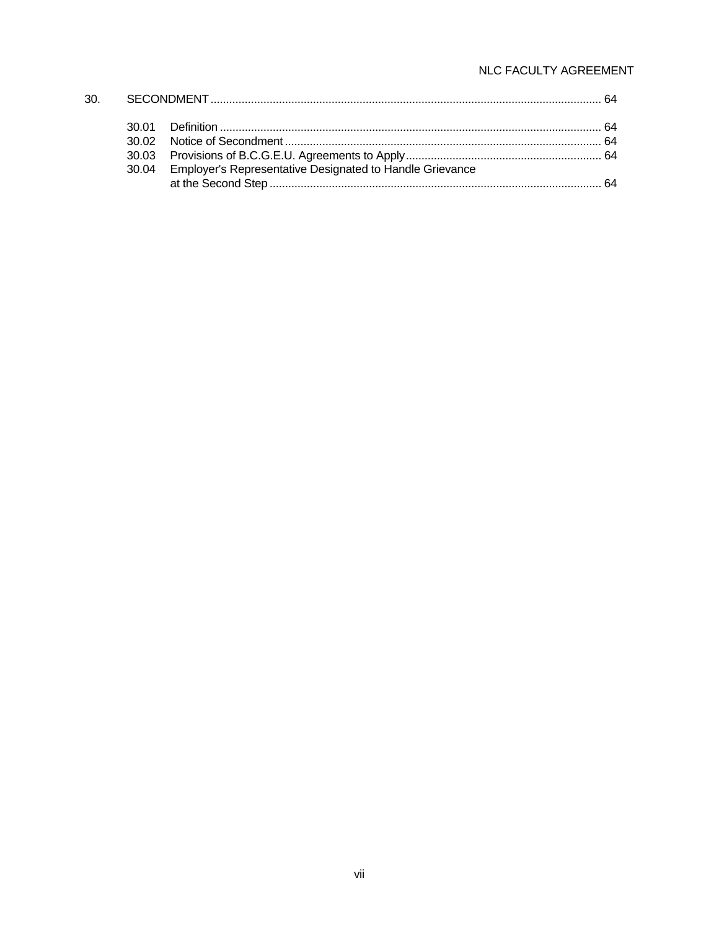|  | 30.04 Employer's Representative Designated to Handle Grievance |  |
|--|----------------------------------------------------------------|--|
|  |                                                                |  |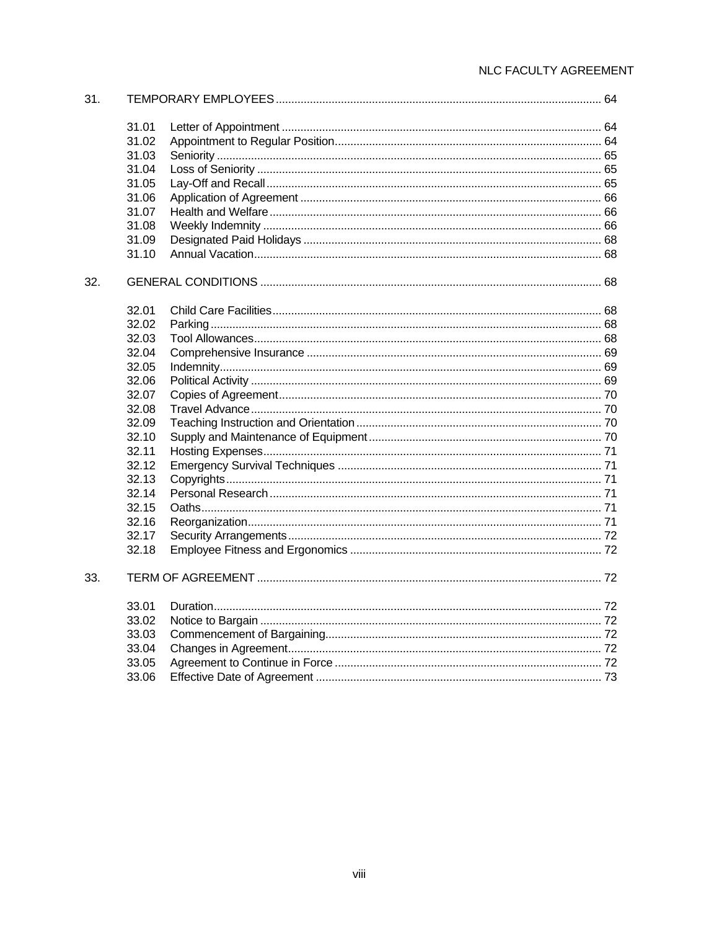| 31. |       |  |
|-----|-------|--|
|     | 31.01 |  |
|     | 31.02 |  |
|     | 31.03 |  |
|     | 31.04 |  |
|     | 31.05 |  |
|     | 31.06 |  |
|     | 31.07 |  |
|     | 31.08 |  |
|     | 31.09 |  |
|     | 31.10 |  |
| 32. |       |  |
|     | 32.01 |  |
|     | 32.02 |  |
|     | 32.03 |  |
|     | 32.04 |  |
|     | 32.05 |  |
|     | 32.06 |  |
|     | 32.07 |  |
|     | 32.08 |  |
|     | 32.09 |  |
|     | 32.10 |  |
|     | 32.11 |  |
|     | 32.12 |  |
|     | 32.13 |  |
|     | 32.14 |  |
|     | 32.15 |  |
|     | 32.16 |  |
|     | 32.17 |  |
|     | 32.18 |  |
| 33. |       |  |
|     | 33.01 |  |
|     | 33.02 |  |
|     | 33.03 |  |
|     | 33.04 |  |
|     | 33.05 |  |
|     | 33.06 |  |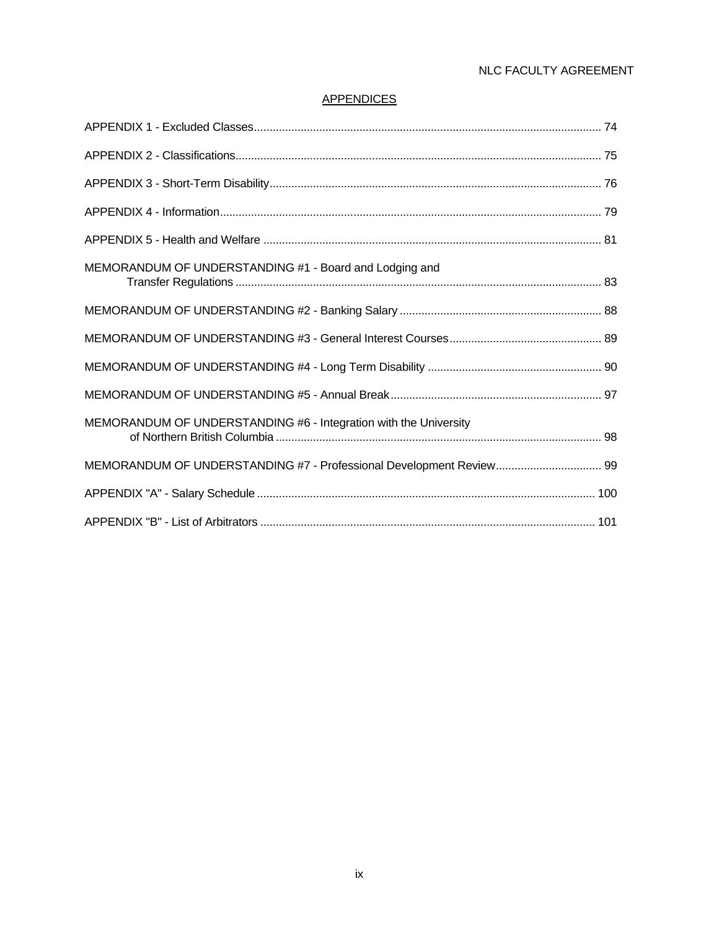# **APPENDICES**

| MEMORANDUM OF UNDERSTANDING #1 - Board and Lodging and           |  |
|------------------------------------------------------------------|--|
|                                                                  |  |
|                                                                  |  |
|                                                                  |  |
|                                                                  |  |
| MEMORANDUM OF UNDERSTANDING #6 - Integration with the University |  |
|                                                                  |  |
|                                                                  |  |
|                                                                  |  |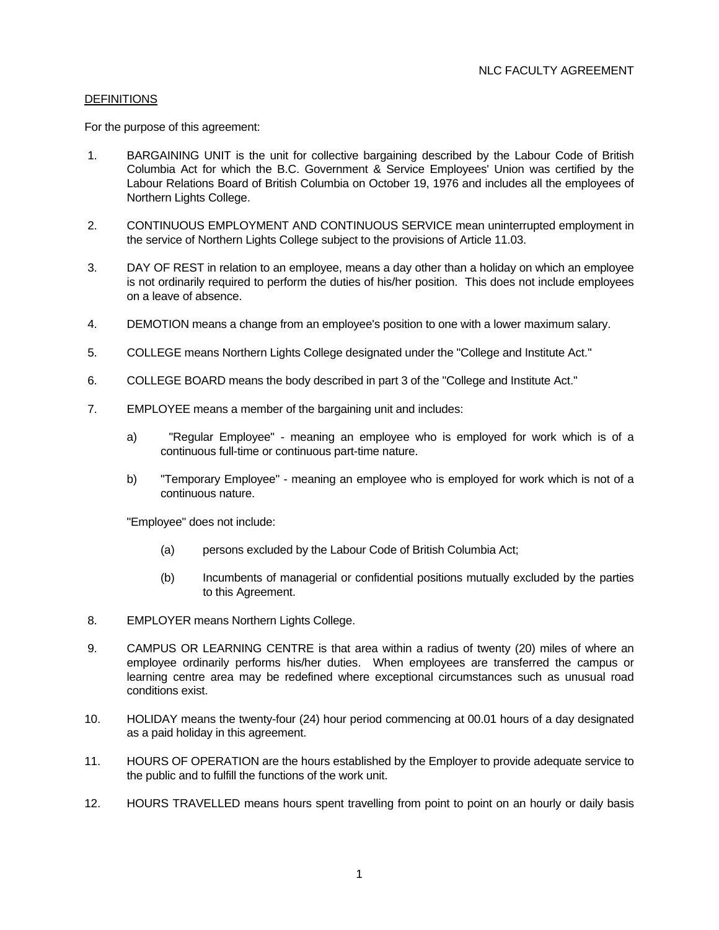# **DEFINITIONS**

For the purpose of this agreement:

- 1. BARGAINING UNIT is the unit for collective bargaining described by the Labour Code of British Columbia Act for which the B.C. Government & Service Employees' Union was certified by the Labour Relations Board of British Columbia on October 19, 1976 and includes all the employees of Northern Lights College.
- 2. CONTINUOUS EMPLOYMENT AND CONTINUOUS SERVICE mean uninterrupted employment in the service of Northern Lights College subject to the provisions of Article 11.03.
- 3. DAY OF REST in relation to an employee, means a day other than a holiday on which an employee is not ordinarily required to perform the duties of his/her position. This does not include employees on a leave of absence.
- 4. DEMOTION means a change from an employee's position to one with a lower maximum salary.
- 5. COLLEGE means Northern Lights College designated under the "College and Institute Act."
- 6. COLLEGE BOARD means the body described in part 3 of the "College and Institute Act."
- 7. EMPLOYEE means a member of the bargaining unit and includes:
	- a) "Regular Employee" meaning an employee who is employed for work which is of a continuous full-time or continuous part-time nature.
	- b) "Temporary Employee" meaning an employee who is employed for work which is not of a continuous nature.

"Employee" does not include:

- (a) persons excluded by the Labour Code of British Columbia Act;
- (b) Incumbents of managerial or confidential positions mutually excluded by the parties to this Agreement.
- 8. EMPLOYER means Northern Lights College.
- 9. CAMPUS OR LEARNING CENTRE is that area within a radius of twenty (20) miles of where an employee ordinarily performs his/her duties. When employees are transferred the campus or learning centre area may be redefined where exceptional circumstances such as unusual road conditions exist.
- 10. HOLIDAY means the twenty-four (24) hour period commencing at 00.01 hours of a day designated as a paid holiday in this agreement.
- 11. HOURS OF OPERATION are the hours established by the Employer to provide adequate service to the public and to fulfill the functions of the work unit.
- 12. HOURS TRAVELLED means hours spent travelling from point to point on an hourly or daily basis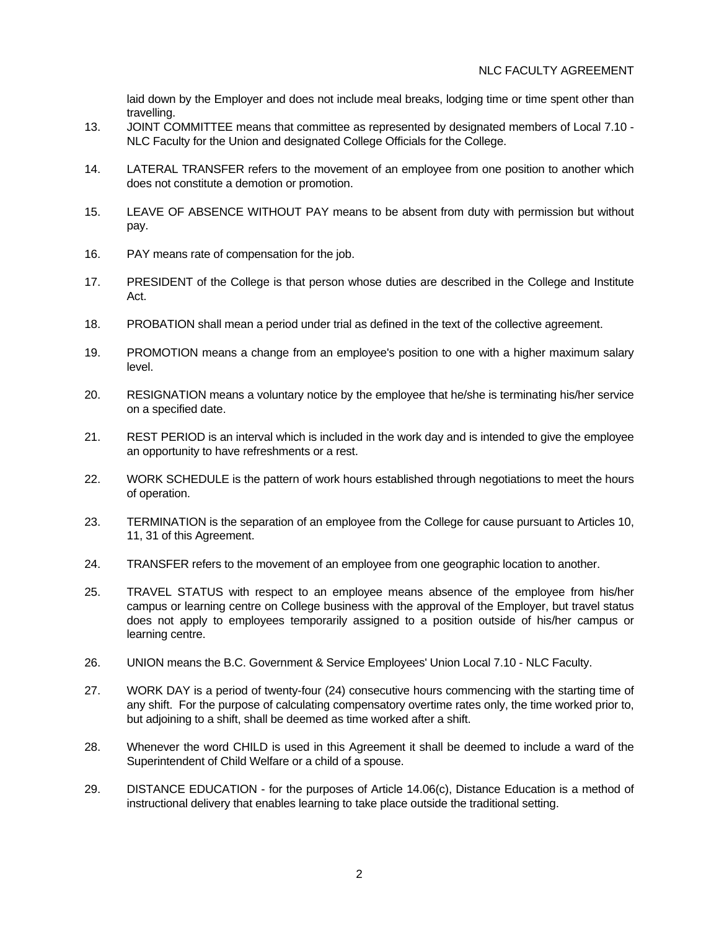laid down by the Employer and does not include meal breaks, lodging time or time spent other than travelling.

- 13. JOINT COMMITTEE means that committee as represented by designated members of Local 7.10 NLC Faculty for the Union and designated College Officials for the College.
- 14. LATERAL TRANSFER refers to the movement of an employee from one position to another which does not constitute a demotion or promotion.
- 15. LEAVE OF ABSENCE WITHOUT PAY means to be absent from duty with permission but without pay.
- 16. PAY means rate of compensation for the job.
- 17. PRESIDENT of the College is that person whose duties are described in the College and Institute Act.
- 18. PROBATION shall mean a period under trial as defined in the text of the collective agreement.
- 19. PROMOTION means a change from an employee's position to one with a higher maximum salary level.
- 20. RESIGNATION means a voluntary notice by the employee that he/she is terminating his/her service on a specified date.
- 21. REST PERIOD is an interval which is included in the work day and is intended to give the employee an opportunity to have refreshments or a rest.
- 22. WORK SCHEDULE is the pattern of work hours established through negotiations to meet the hours of operation.
- 23. TERMINATION is the separation of an employee from the College for cause pursuant to Articles 10, 11, 31 of this Agreement.
- 24. TRANSFER refers to the movement of an employee from one geographic location to another.
- 25. TRAVEL STATUS with respect to an employee means absence of the employee from his/her campus or learning centre on College business with the approval of the Employer, but travel status does not apply to employees temporarily assigned to a position outside of his/her campus or learning centre.
- 26. UNION means the B.C. Government & Service Employees' Union Local 7.10 NLC Faculty.
- 27. WORK DAY is a period of twenty-four (24) consecutive hours commencing with the starting time of any shift. For the purpose of calculating compensatory overtime rates only, the time worked prior to, but adjoining to a shift, shall be deemed as time worked after a shift.
- 28. Whenever the word CHILD is used in this Agreement it shall be deemed to include a ward of the Superintendent of Child Welfare or a child of a spouse.
- 29. DISTANCE EDUCATION for the purposes of Article 14.06(c), Distance Education is a method of instructional delivery that enables learning to take place outside the traditional setting.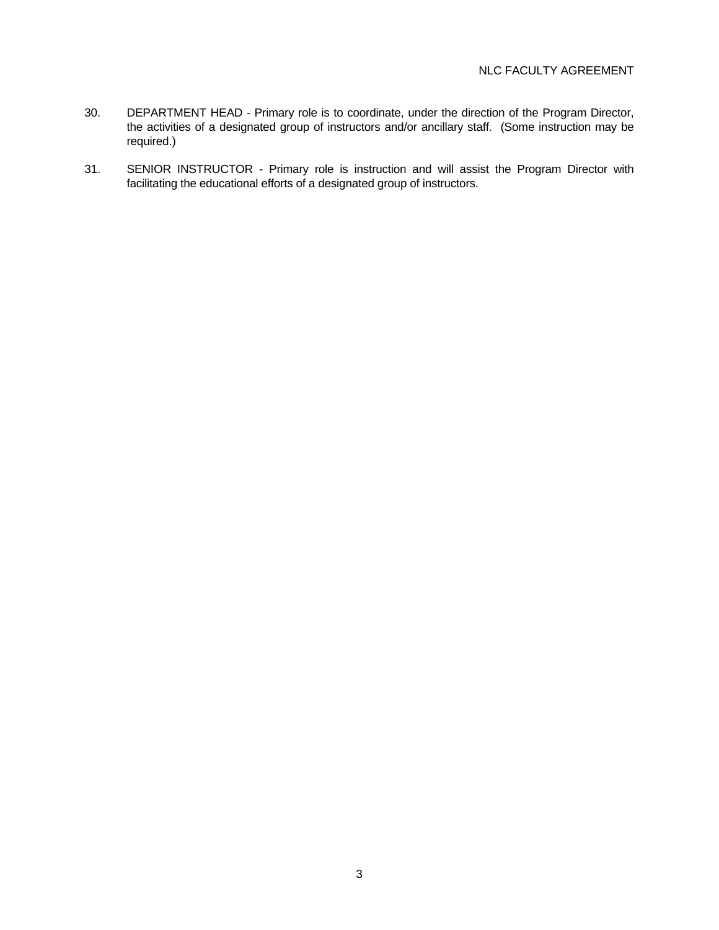- 30. DEPARTMENT HEAD Primary role is to coordinate, under the direction of the Program Director, the activities of a designated group of instructors and/or ancillary staff. (Some instruction may be required.)
- 31. SENIOR INSTRUCTOR Primary role is instruction and will assist the Program Director with facilitating the educational efforts of a designated group of instructors.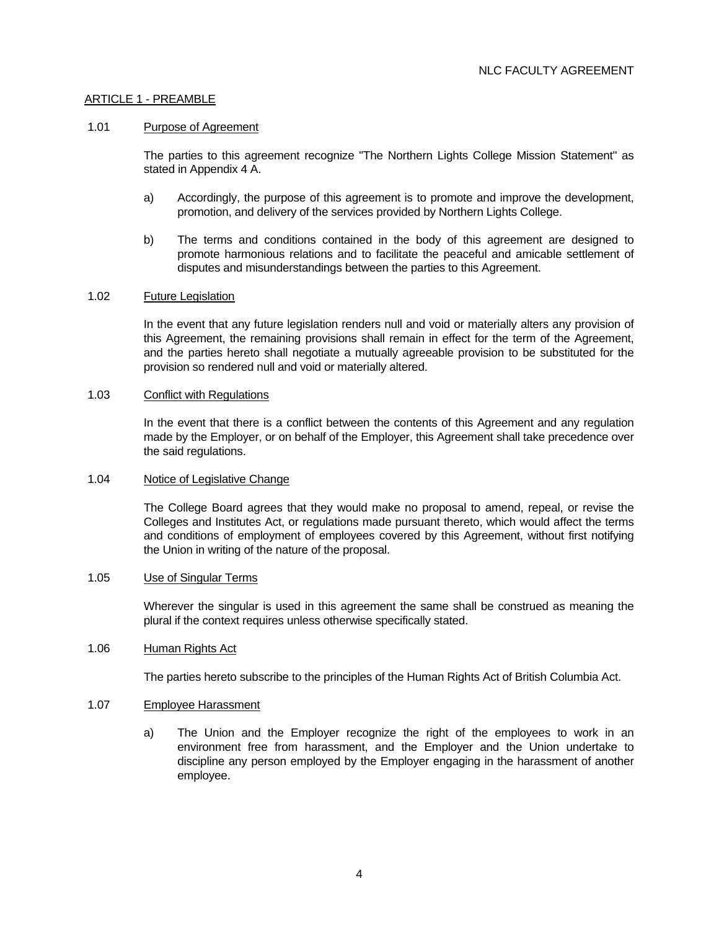# ARTICLE 1 - PREAMBLE

#### 1.01 Purpose of Agreement

 The parties to this agreement recognize "The Northern Lights College Mission Statement" as stated in Appendix 4 A.

- a) Accordingly, the purpose of this agreement is to promote and improve the development, promotion, and delivery of the services provided by Northern Lights College.
- b) The terms and conditions contained in the body of this agreement are designed to promote harmonious relations and to facilitate the peaceful and amicable settlement of disputes and misunderstandings between the parties to this Agreement.

#### 1.02 Future Legislation

 In the event that any future legislation renders null and void or materially alters any provision of this Agreement, the remaining provisions shall remain in effect for the term of the Agreement, and the parties hereto shall negotiate a mutually agreeable provision to be substituted for the provision so rendered null and void or materially altered.

#### 1.03 Conflict with Regulations

 In the event that there is a conflict between the contents of this Agreement and any regulation made by the Employer, or on behalf of the Employer, this Agreement shall take precedence over the said regulations.

## 1.04 Notice of Legislative Change

 The College Board agrees that they would make no proposal to amend, repeal, or revise the Colleges and Institutes Act, or regulations made pursuant thereto, which would affect the terms and conditions of employment of employees covered by this Agreement, without first notifying the Union in writing of the nature of the proposal.

#### 1.05 Use of Singular Terms

 Wherever the singular is used in this agreement the same shall be construed as meaning the plural if the context requires unless otherwise specifically stated.

## 1.06 Human Rights Act

The parties hereto subscribe to the principles of the Human Rights Act of British Columbia Act.

#### 1.07 Employee Harassment

 a) The Union and the Employer recognize the right of the employees to work in an environment free from harassment, and the Employer and the Union undertake to discipline any person employed by the Employer engaging in the harassment of another employee.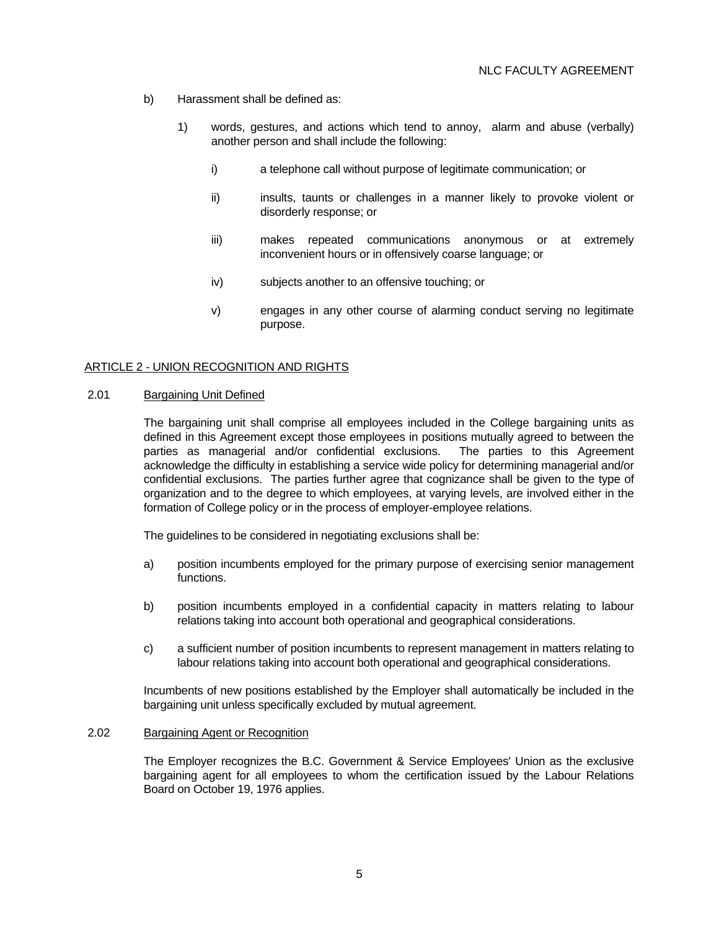- b) Harassment shall be defined as:
	- 1) words, gestures, and actions which tend to annoy, alarm and abuse (verbally) another person and shall include the following:
		- i) a telephone call without purpose of legitimate communication; or
		- ii) insults, taunts or challenges in a manner likely to provoke violent or disorderly response; or
		- iii) makes repeated communications anonymous or at extremely inconvenient hours or in offensively coarse language; or
		- iv) subjects another to an offensive touching; or
		- v) engages in any other course of alarming conduct serving no legitimate purpose.

#### ARTICLE 2 - UNION RECOGNITION AND RIGHTS

# 2.01 Bargaining Unit Defined

 The bargaining unit shall comprise all employees included in the College bargaining units as defined in this Agreement except those employees in positions mutually agreed to between the parties as managerial and/or confidential exclusions. The parties to this Agreement acknowledge the difficulty in establishing a service wide policy for determining managerial and/or confidential exclusions. The parties further agree that cognizance shall be given to the type of organization and to the degree to which employees, at varying levels, are involved either in the formation of College policy or in the process of employer-employee relations.

The guidelines to be considered in negotiating exclusions shall be:

- a) position incumbents employed for the primary purpose of exercising senior management functions.
- b) position incumbents employed in a confidential capacity in matters relating to labour relations taking into account both operational and geographical considerations.
- c) a sufficient number of position incumbents to represent management in matters relating to labour relations taking into account both operational and geographical considerations.

 Incumbents of new positions established by the Employer shall automatically be included in the bargaining unit unless specifically excluded by mutual agreement.

#### 2.02 Bargaining Agent or Recognition

 The Employer recognizes the B.C. Government & Service Employees' Union as the exclusive bargaining agent for all employees to whom the certification issued by the Labour Relations Board on October 19, 1976 applies.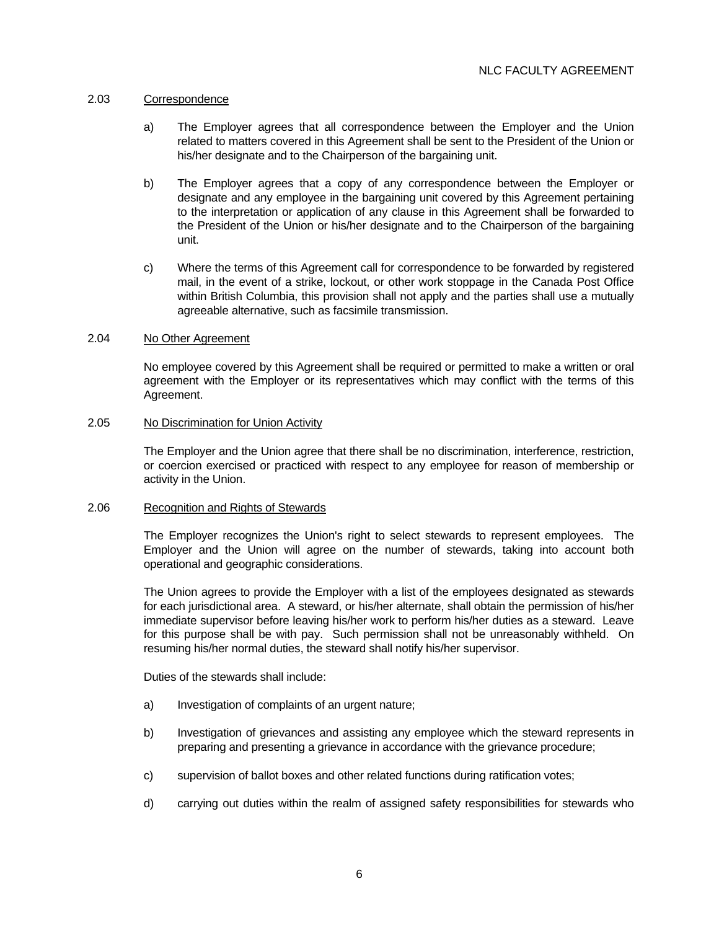## 2.03 Correspondence

- a) The Employer agrees that all correspondence between the Employer and the Union related to matters covered in this Agreement shall be sent to the President of the Union or his/her designate and to the Chairperson of the bargaining unit.
- b) The Employer agrees that a copy of any correspondence between the Employer or designate and any employee in the bargaining unit covered by this Agreement pertaining to the interpretation or application of any clause in this Agreement shall be forwarded to the President of the Union or his/her designate and to the Chairperson of the bargaining unit.
- c) Where the terms of this Agreement call for correspondence to be forwarded by registered mail, in the event of a strike, lockout, or other work stoppage in the Canada Post Office within British Columbia, this provision shall not apply and the parties shall use a mutually agreeable alternative, such as facsimile transmission.

#### 2.04 No Other Agreement

 No employee covered by this Agreement shall be required or permitted to make a written or oral agreement with the Employer or its representatives which may conflict with the terms of this Agreement.

#### 2.05 No Discrimination for Union Activity

 The Employer and the Union agree that there shall be no discrimination, interference, restriction, or coercion exercised or practiced with respect to any employee for reason of membership or activity in the Union.

#### 2.06 Recognition and Rights of Stewards

 The Employer recognizes the Union's right to select stewards to represent employees. The Employer and the Union will agree on the number of stewards, taking into account both operational and geographic considerations.

 The Union agrees to provide the Employer with a list of the employees designated as stewards for each jurisdictional area. A steward, or his/her alternate, shall obtain the permission of his/her immediate supervisor before leaving his/her work to perform his/her duties as a steward. Leave for this purpose shall be with pay. Such permission shall not be unreasonably withheld. On resuming his/her normal duties, the steward shall notify his/her supervisor.

Duties of the stewards shall include:

- a) Investigation of complaints of an urgent nature;
- b) Investigation of grievances and assisting any employee which the steward represents in preparing and presenting a grievance in accordance with the grievance procedure;
- c) supervision of ballot boxes and other related functions during ratification votes;
- d) carrying out duties within the realm of assigned safety responsibilities for stewards who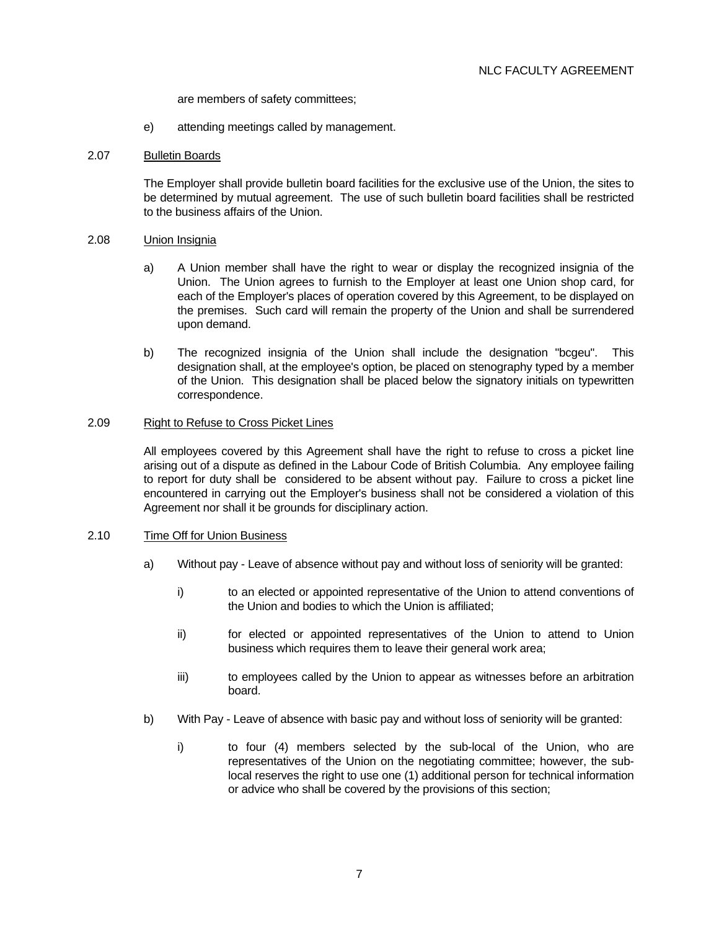are members of safety committees;

e) attending meetings called by management.

#### 2.07 Bulletin Boards

 The Employer shall provide bulletin board facilities for the exclusive use of the Union, the sites to be determined by mutual agreement. The use of such bulletin board facilities shall be restricted to the business affairs of the Union.

#### 2.08 Union Insignia

- a) A Union member shall have the right to wear or display the recognized insignia of the Union. The Union agrees to furnish to the Employer at least one Union shop card, for each of the Employer's places of operation covered by this Agreement, to be displayed on the premises. Such card will remain the property of the Union and shall be surrendered upon demand.
- b) The recognized insignia of the Union shall include the designation "bcgeu". This designation shall, at the employee's option, be placed on stenography typed by a member of the Union. This designation shall be placed below the signatory initials on typewritten correspondence.

#### 2.09 Right to Refuse to Cross Picket Lines

 All employees covered by this Agreement shall have the right to refuse to cross a picket line arising out of a dispute as defined in the Labour Code of British Columbia. Any employee failing to report for duty shall be considered to be absent without pay. Failure to cross a picket line encountered in carrying out the Employer's business shall not be considered a violation of this Agreement nor shall it be grounds for disciplinary action.

## 2.10 Time Off for Union Business

- a) Without pay Leave of absence without pay and without loss of seniority will be granted:
	- i) to an elected or appointed representative of the Union to attend conventions of the Union and bodies to which the Union is affiliated;
	- ii) for elected or appointed representatives of the Union to attend to Union business which requires them to leave their general work area;
	- iii) to employees called by the Union to appear as witnesses before an arbitration board.
- b) With Pay Leave of absence with basic pay and without loss of seniority will be granted:
	- i) to four (4) members selected by the sub-local of the Union, who are representatives of the Union on the negotiating committee; however, the sublocal reserves the right to use one (1) additional person for technical information or advice who shall be covered by the provisions of this section;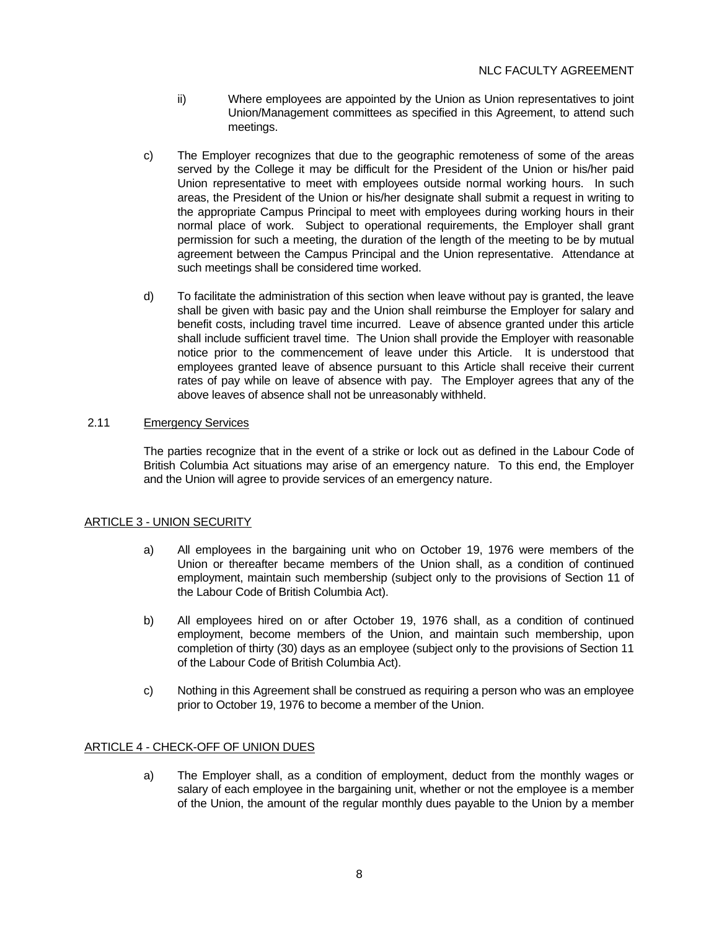- ii) Where employees are appointed by the Union as Union representatives to joint Union/Management committees as specified in this Agreement, to attend such meetings.
- c) The Employer recognizes that due to the geographic remoteness of some of the areas served by the College it may be difficult for the President of the Union or his/her paid Union representative to meet with employees outside normal working hours. In such areas, the President of the Union or his/her designate shall submit a request in writing to the appropriate Campus Principal to meet with employees during working hours in their normal place of work. Subject to operational requirements, the Employer shall grant permission for such a meeting, the duration of the length of the meeting to be by mutual agreement between the Campus Principal and the Union representative. Attendance at such meetings shall be considered time worked.
- d) To facilitate the administration of this section when leave without pay is granted, the leave shall be given with basic pay and the Union shall reimburse the Employer for salary and benefit costs, including travel time incurred. Leave of absence granted under this article shall include sufficient travel time. The Union shall provide the Employer with reasonable notice prior to the commencement of leave under this Article. It is understood that employees granted leave of absence pursuant to this Article shall receive their current rates of pay while on leave of absence with pay. The Employer agrees that any of the above leaves of absence shall not be unreasonably withheld.

# 2.11 Emergency Services

 The parties recognize that in the event of a strike or lock out as defined in the Labour Code of British Columbia Act situations may arise of an emergency nature. To this end, the Employer and the Union will agree to provide services of an emergency nature.

# ARTICLE 3 - UNION SECURITY

- a) All employees in the bargaining unit who on October 19, 1976 were members of the Union or thereafter became members of the Union shall, as a condition of continued employment, maintain such membership (subject only to the provisions of Section 11 of the Labour Code of British Columbia Act).
- b) All employees hired on or after October 19, 1976 shall, as a condition of continued employment, become members of the Union, and maintain such membership, upon completion of thirty (30) days as an employee (subject only to the provisions of Section 11 of the Labour Code of British Columbia Act).
- c) Nothing in this Agreement shall be construed as requiring a person who was an employee prior to October 19, 1976 to become a member of the Union.

## ARTICLE 4 - CHECK-OFF OF UNION DUES

 a) The Employer shall, as a condition of employment, deduct from the monthly wages or salary of each employee in the bargaining unit, whether or not the employee is a member of the Union, the amount of the regular monthly dues payable to the Union by a member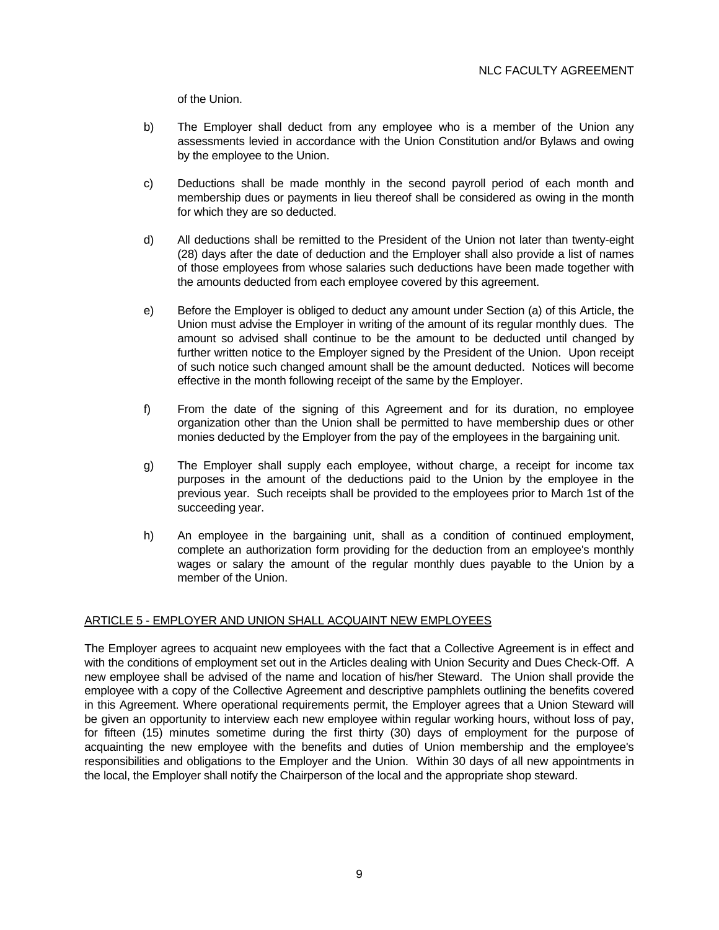of the Union.

- b) The Employer shall deduct from any employee who is a member of the Union any assessments levied in accordance with the Union Constitution and/or Bylaws and owing by the employee to the Union.
- c) Deductions shall be made monthly in the second payroll period of each month and membership dues or payments in lieu thereof shall be considered as owing in the month for which they are so deducted.
- d) All deductions shall be remitted to the President of the Union not later than twenty-eight (28) days after the date of deduction and the Employer shall also provide a list of names of those employees from whose salaries such deductions have been made together with the amounts deducted from each employee covered by this agreement.
- e) Before the Employer is obliged to deduct any amount under Section (a) of this Article, the Union must advise the Employer in writing of the amount of its regular monthly dues. The amount so advised shall continue to be the amount to be deducted until changed by further written notice to the Employer signed by the President of the Union. Upon receipt of such notice such changed amount shall be the amount deducted. Notices will become effective in the month following receipt of the same by the Employer.
- f) From the date of the signing of this Agreement and for its duration, no employee organization other than the Union shall be permitted to have membership dues or other monies deducted by the Employer from the pay of the employees in the bargaining unit.
- g) The Employer shall supply each employee, without charge, a receipt for income tax purposes in the amount of the deductions paid to the Union by the employee in the previous year. Such receipts shall be provided to the employees prior to March 1st of the succeeding year.
- h) An employee in the bargaining unit, shall as a condition of continued employment, complete an authorization form providing for the deduction from an employee's monthly wages or salary the amount of the regular monthly dues payable to the Union by a member of the Union.

# ARTICLE 5 - EMPLOYER AND UNION SHALL ACQUAINT NEW EMPLOYEES

The Employer agrees to acquaint new employees with the fact that a Collective Agreement is in effect and with the conditions of employment set out in the Articles dealing with Union Security and Dues Check-Off. A new employee shall be advised of the name and location of his/her Steward. The Union shall provide the employee with a copy of the Collective Agreement and descriptive pamphlets outlining the benefits covered in this Agreement. Where operational requirements permit, the Employer agrees that a Union Steward will be given an opportunity to interview each new employee within regular working hours, without loss of pay, for fifteen (15) minutes sometime during the first thirty (30) days of employment for the purpose of acquainting the new employee with the benefits and duties of Union membership and the employee's responsibilities and obligations to the Employer and the Union. Within 30 days of all new appointments in the local, the Employer shall notify the Chairperson of the local and the appropriate shop steward.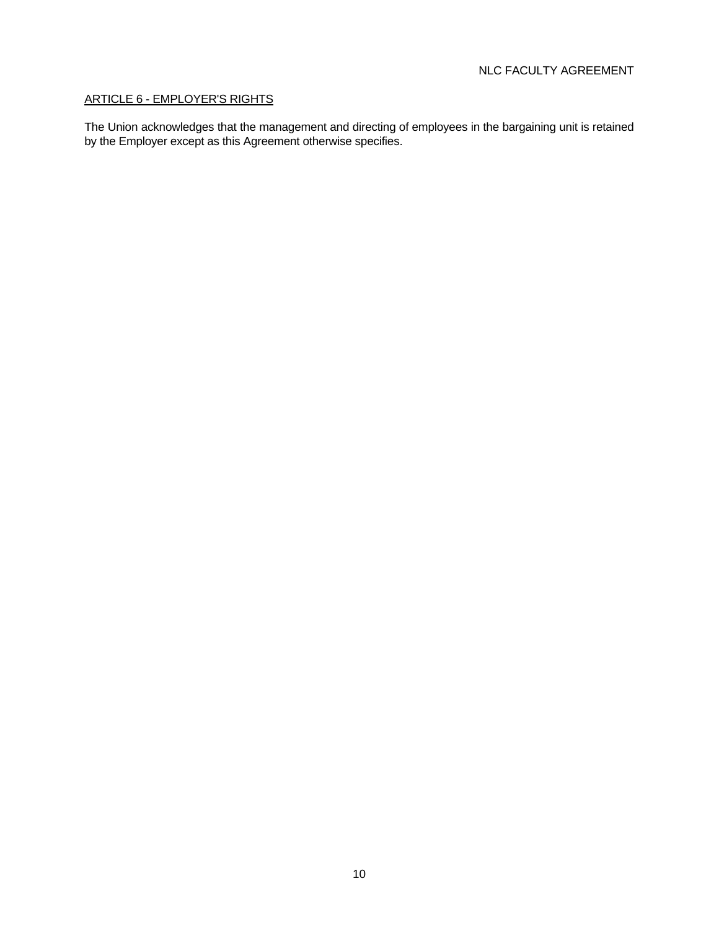# ARTICLE 6 - EMPLOYER'S RIGHTS

The Union acknowledges that the management and directing of employees in the bargaining unit is retained by the Employer except as this Agreement otherwise specifies.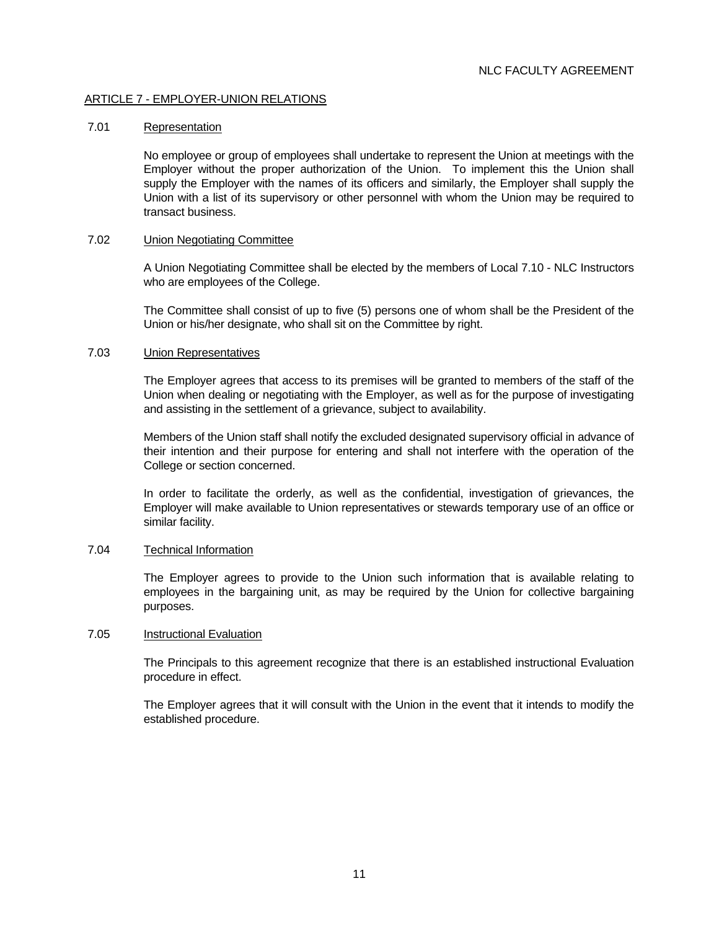# ARTICLE 7 - EMPLOYER-UNION RELATIONS

#### 7.01 Representation

 No employee or group of employees shall undertake to represent the Union at meetings with the Employer without the proper authorization of the Union. To implement this the Union shall supply the Employer with the names of its officers and similarly, the Employer shall supply the Union with a list of its supervisory or other personnel with whom the Union may be required to transact business.

#### 7.02 Union Negotiating Committee

 A Union Negotiating Committee shall be elected by the members of Local 7.10 - NLC Instructors who are employees of the College.

 The Committee shall consist of up to five (5) persons one of whom shall be the President of the Union or his/her designate, who shall sit on the Committee by right.

#### 7.03 Union Representatives

 The Employer agrees that access to its premises will be granted to members of the staff of the Union when dealing or negotiating with the Employer, as well as for the purpose of investigating and assisting in the settlement of a grievance, subject to availability.

 Members of the Union staff shall notify the excluded designated supervisory official in advance of their intention and their purpose for entering and shall not interfere with the operation of the College or section concerned.

 In order to facilitate the orderly, as well as the confidential, investigation of grievances, the Employer will make available to Union representatives or stewards temporary use of an office or similar facility.

## 7.04 Technical Information

 The Employer agrees to provide to the Union such information that is available relating to employees in the bargaining unit, as may be required by the Union for collective bargaining purposes.

## 7.05 Instructional Evaluation

 The Principals to this agreement recognize that there is an established instructional Evaluation procedure in effect.

 The Employer agrees that it will consult with the Union in the event that it intends to modify the established procedure.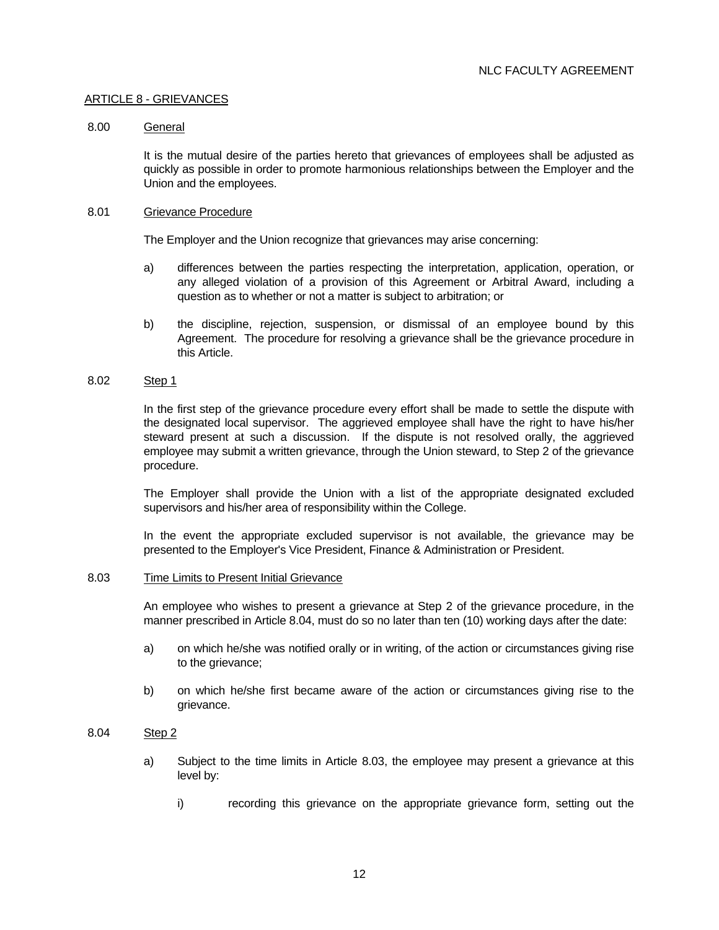## ARTICLE 8 - GRIEVANCES

## 8.00 General

 It is the mutual desire of the parties hereto that grievances of employees shall be adjusted as quickly as possible in order to promote harmonious relationships between the Employer and the Union and the employees.

#### 8.01 Grievance Procedure

The Employer and the Union recognize that grievances may arise concerning:

- a) differences between the parties respecting the interpretation, application, operation, or any alleged violation of a provision of this Agreement or Arbitral Award, including a question as to whether or not a matter is subject to arbitration; or
- b) the discipline, rejection, suspension, or dismissal of an employee bound by this Agreement. The procedure for resolving a grievance shall be the grievance procedure in this Article.

# 8.02 Step 1

 In the first step of the grievance procedure every effort shall be made to settle the dispute with the designated local supervisor. The aggrieved employee shall have the right to have his/her steward present at such a discussion. If the dispute is not resolved orally, the aggrieved employee may submit a written grievance, through the Union steward, to Step 2 of the grievance procedure.

 The Employer shall provide the Union with a list of the appropriate designated excluded supervisors and his/her area of responsibility within the College.

 In the event the appropriate excluded supervisor is not available, the grievance may be presented to the Employer's Vice President, Finance & Administration or President.

## 8.03 Time Limits to Present Initial Grievance

 An employee who wishes to present a grievance at Step 2 of the grievance procedure, in the manner prescribed in Article 8.04, must do so no later than ten (10) working days after the date:

- a) on which he/she was notified orally or in writing, of the action or circumstances giving rise to the grievance;
- b) on which he/she first became aware of the action or circumstances giving rise to the grievance.

# 8.04 Step 2

- a) Subject to the time limits in Article 8.03, the employee may present a grievance at this level by:
	- i) recording this grievance on the appropriate grievance form, setting out the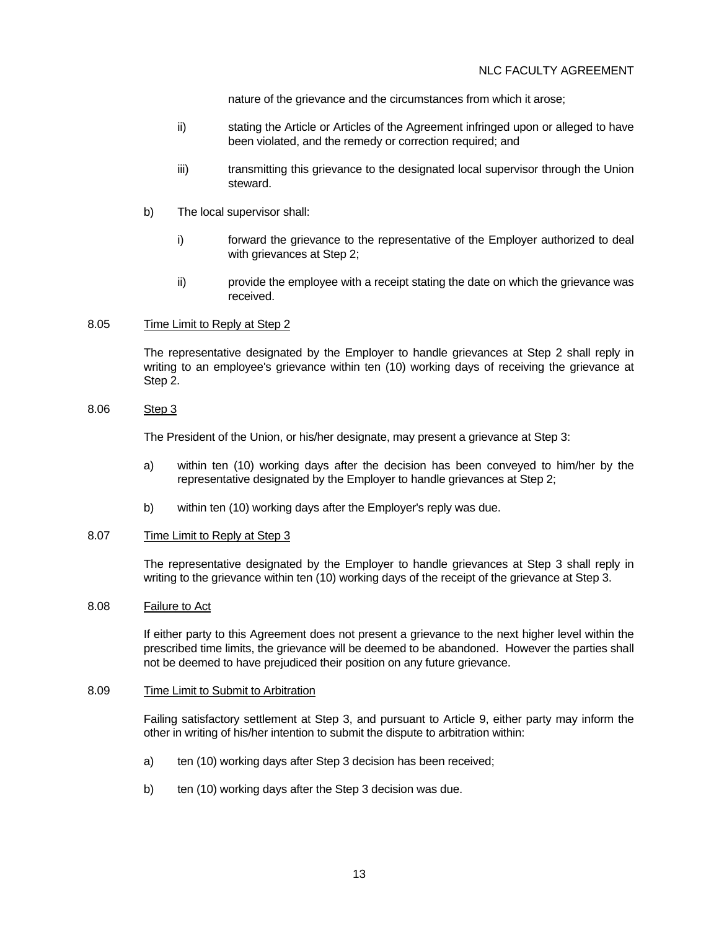nature of the grievance and the circumstances from which it arose;

- ii) stating the Article or Articles of the Agreement infringed upon or alleged to have been violated, and the remedy or correction required; and
- iii) transmitting this grievance to the designated local supervisor through the Union steward.
- b) The local supervisor shall:
	- i) forward the grievance to the representative of the Employer authorized to deal with grievances at Step 2:
	- ii) provide the employee with a receipt stating the date on which the grievance was received.

# 8.05 Time Limit to Reply at Step 2

 The representative designated by the Employer to handle grievances at Step 2 shall reply in writing to an employee's grievance within ten (10) working days of receiving the grievance at Step 2.

# 8.06 Step 3

The President of the Union, or his/her designate, may present a grievance at Step 3:

- a) within ten (10) working days after the decision has been conveyed to him/her by the representative designated by the Employer to handle grievances at Step 2;
- b) within ten (10) working days after the Employer's reply was due.

# 8.07 Time Limit to Reply at Step 3

 The representative designated by the Employer to handle grievances at Step 3 shall reply in writing to the grievance within ten (10) working days of the receipt of the grievance at Step 3.

#### 8.08 Failure to Act

 If either party to this Agreement does not present a grievance to the next higher level within the prescribed time limits, the grievance will be deemed to be abandoned. However the parties shall not be deemed to have prejudiced their position on any future grievance.

# 8.09 Time Limit to Submit to Arbitration

 Failing satisfactory settlement at Step 3, and pursuant to Article 9, either party may inform the other in writing of his/her intention to submit the dispute to arbitration within:

- a) ten (10) working days after Step 3 decision has been received;
- b) ten (10) working days after the Step 3 decision was due.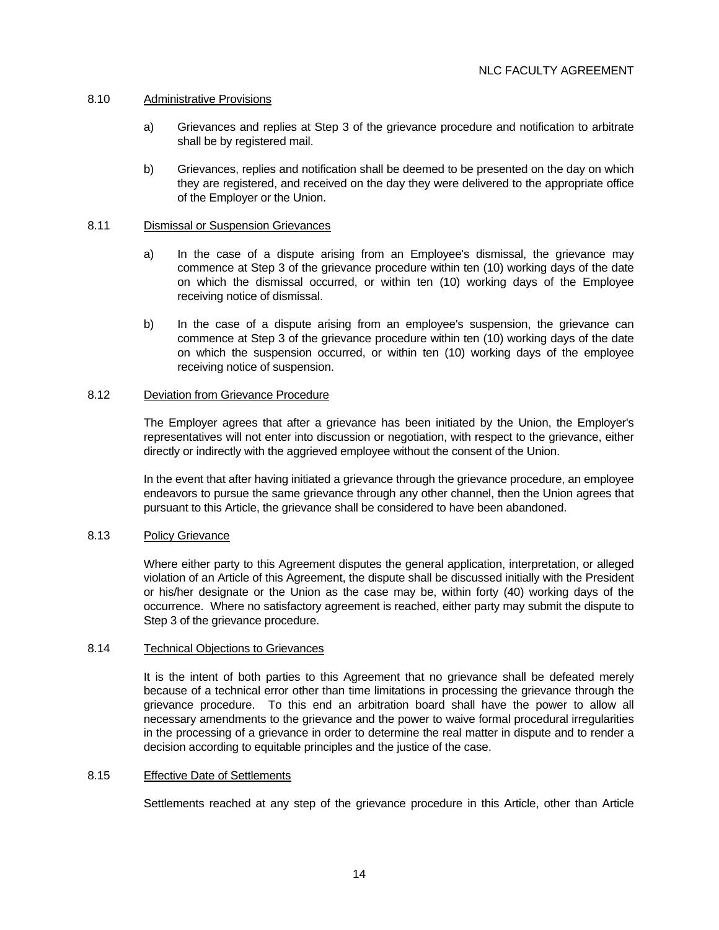## 8.10 Administrative Provisions

- a) Grievances and replies at Step 3 of the grievance procedure and notification to arbitrate shall be by registered mail.
- b) Grievances, replies and notification shall be deemed to be presented on the day on which they are registered, and received on the day they were delivered to the appropriate office of the Employer or the Union.

## 8.11 Dismissal or Suspension Grievances

- a) In the case of a dispute arising from an Employee's dismissal, the grievance may commence at Step 3 of the grievance procedure within ten (10) working days of the date on which the dismissal occurred, or within ten (10) working days of the Employee receiving notice of dismissal.
- b) In the case of a dispute arising from an employee's suspension, the grievance can commence at Step 3 of the grievance procedure within ten (10) working days of the date on which the suspension occurred, or within ten (10) working days of the employee receiving notice of suspension.

## 8.12 Deviation from Grievance Procedure

 The Employer agrees that after a grievance has been initiated by the Union, the Employer's representatives will not enter into discussion or negotiation, with respect to the grievance, either directly or indirectly with the aggrieved employee without the consent of the Union.

 In the event that after having initiated a grievance through the grievance procedure, an employee endeavors to pursue the same grievance through any other channel, then the Union agrees that pursuant to this Article, the grievance shall be considered to have been abandoned.

## 8.13 Policy Grievance

 Where either party to this Agreement disputes the general application, interpretation, or alleged violation of an Article of this Agreement, the dispute shall be discussed initially with the President or his/her designate or the Union as the case may be, within forty (40) working days of the occurrence. Where no satisfactory agreement is reached, either party may submit the dispute to Step 3 of the grievance procedure.

## 8.14 Technical Objections to Grievances

 It is the intent of both parties to this Agreement that no grievance shall be defeated merely because of a technical error other than time limitations in processing the grievance through the grievance procedure. To this end an arbitration board shall have the power to allow all necessary amendments to the grievance and the power to waive formal procedural irregularities in the processing of a grievance in order to determine the real matter in dispute and to render a decision according to equitable principles and the justice of the case.

## 8.15 Effective Date of Settlements

Settlements reached at any step of the grievance procedure in this Article, other than Article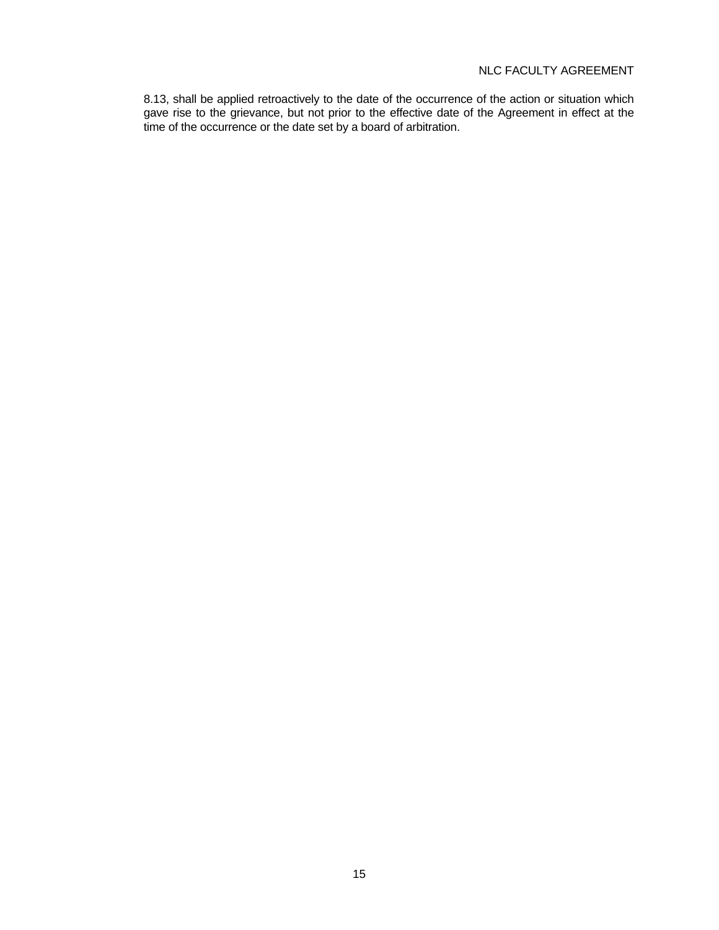8.13, shall be applied retroactively to the date of the occurrence of the action or situation which gave rise to the grievance, but not prior to the effective date of the Agreement in effect at the time of the occurrence or the date set by a board of arbitration.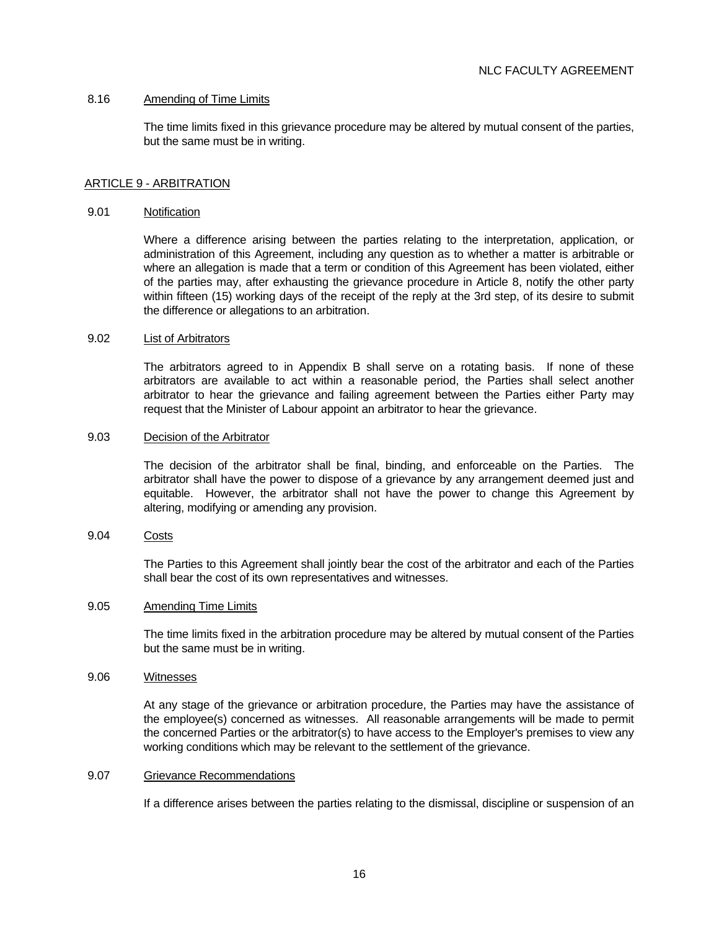## 8.16 Amending of Time Limits

 The time limits fixed in this grievance procedure may be altered by mutual consent of the parties, but the same must be in writing.

# ARTICLE 9 - ARBITRATION

#### 9.01 Notification

 Where a difference arising between the parties relating to the interpretation, application, or administration of this Agreement, including any question as to whether a matter is arbitrable or where an allegation is made that a term or condition of this Agreement has been violated, either of the parties may, after exhausting the grievance procedure in Article 8, notify the other party within fifteen (15) working days of the receipt of the reply at the 3rd step, of its desire to submit the difference or allegations to an arbitration.

## 9.02 List of Arbitrators

 The arbitrators agreed to in Appendix B shall serve on a rotating basis. If none of these arbitrators are available to act within a reasonable period, the Parties shall select another arbitrator to hear the grievance and failing agreement between the Parties either Party may request that the Minister of Labour appoint an arbitrator to hear the grievance.

#### 9.03 Decision of the Arbitrator

 The decision of the arbitrator shall be final, binding, and enforceable on the Parties. The arbitrator shall have the power to dispose of a grievance by any arrangement deemed just and equitable. However, the arbitrator shall not have the power to change this Agreement by altering, modifying or amending any provision.

# 9.04 Costs

 The Parties to this Agreement shall jointly bear the cost of the arbitrator and each of the Parties shall bear the cost of its own representatives and witnesses.

## 9.05 Amending Time Limits

 The time limits fixed in the arbitration procedure may be altered by mutual consent of the Parties but the same must be in writing.

#### 9.06 Witnesses

 At any stage of the grievance or arbitration procedure, the Parties may have the assistance of the employee(s) concerned as witnesses. All reasonable arrangements will be made to permit the concerned Parties or the arbitrator(s) to have access to the Employer's premises to view any working conditions which may be relevant to the settlement of the grievance.

#### 9.07 Grievance Recommendations

If a difference arises between the parties relating to the dismissal, discipline or suspension of an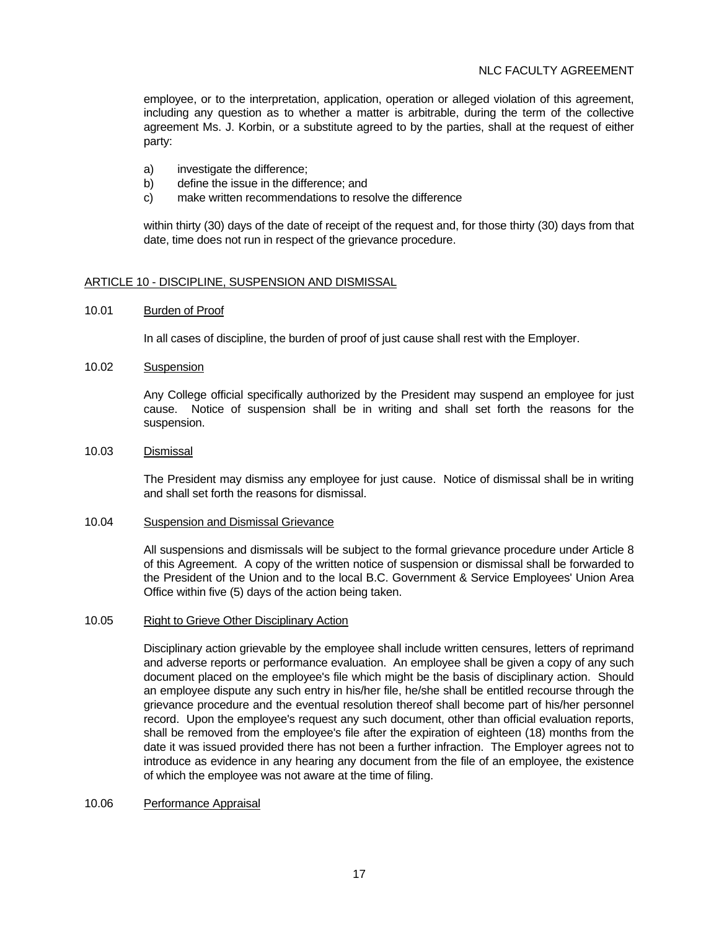employee, or to the interpretation, application, operation or alleged violation of this agreement, including any question as to whether a matter is arbitrable, during the term of the collective agreement Ms. J. Korbin, or a substitute agreed to by the parties, shall at the request of either party:

- a) investigate the difference;
- b) define the issue in the difference; and
- c) make written recommendations to resolve the difference

 within thirty (30) days of the date of receipt of the request and, for those thirty (30) days from that date, time does not run in respect of the grievance procedure.

# ARTICLE 10 - DISCIPLINE, SUSPENSION AND DISMISSAL

## 10.01 Burden of Proof

In all cases of discipline, the burden of proof of just cause shall rest with the Employer.

10.02 Suspension

 Any College official specifically authorized by the President may suspend an employee for just cause. Notice of suspension shall be in writing and shall set forth the reasons for the suspension.

## 10.03 Dismissal

 The President may dismiss any employee for just cause. Notice of dismissal shall be in writing and shall set forth the reasons for dismissal.

#### 10.04 Suspension and Dismissal Grievance

 All suspensions and dismissals will be subject to the formal grievance procedure under Article 8 of this Agreement. A copy of the written notice of suspension or dismissal shall be forwarded to the President of the Union and to the local B.C. Government & Service Employees' Union Area Office within five (5) days of the action being taken.

#### 10.05 Right to Grieve Other Disciplinary Action

 Disciplinary action grievable by the employee shall include written censures, letters of reprimand and adverse reports or performance evaluation. An employee shall be given a copy of any such document placed on the employee's file which might be the basis of disciplinary action. Should an employee dispute any such entry in his/her file, he/she shall be entitled recourse through the grievance procedure and the eventual resolution thereof shall become part of his/her personnel record. Upon the employee's request any such document, other than official evaluation reports, shall be removed from the employee's file after the expiration of eighteen (18) months from the date it was issued provided there has not been a further infraction. The Employer agrees not to introduce as evidence in any hearing any document from the file of an employee, the existence of which the employee was not aware at the time of filing.

## 10.06 Performance Appraisal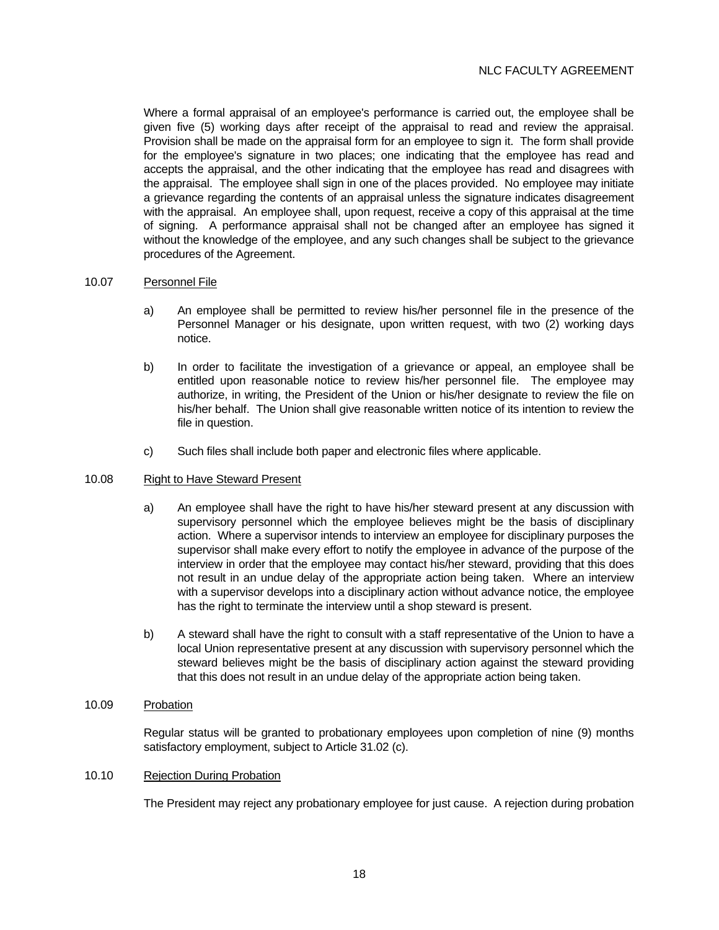Where a formal appraisal of an employee's performance is carried out, the employee shall be given five (5) working days after receipt of the appraisal to read and review the appraisal. Provision shall be made on the appraisal form for an employee to sign it. The form shall provide for the employee's signature in two places; one indicating that the employee has read and accepts the appraisal, and the other indicating that the employee has read and disagrees with the appraisal. The employee shall sign in one of the places provided. No employee may initiate a grievance regarding the contents of an appraisal unless the signature indicates disagreement with the appraisal. An employee shall, upon request, receive a copy of this appraisal at the time of signing. A performance appraisal shall not be changed after an employee has signed it without the knowledge of the employee, and any such changes shall be subject to the grievance procedures of the Agreement.

## 10.07 Personnel File

- a) An employee shall be permitted to review his/her personnel file in the presence of the Personnel Manager or his designate, upon written request, with two (2) working days notice.
- b) In order to facilitate the investigation of a grievance or appeal, an employee shall be entitled upon reasonable notice to review his/her personnel file. The employee may authorize, in writing, the President of the Union or his/her designate to review the file on his/her behalf. The Union shall give reasonable written notice of its intention to review the file in question.
- c) Such files shall include both paper and electronic files where applicable.

## 10.08 Right to Have Steward Present

- a) An employee shall have the right to have his/her steward present at any discussion with supervisory personnel which the employee believes might be the basis of disciplinary action. Where a supervisor intends to interview an employee for disciplinary purposes the supervisor shall make every effort to notify the employee in advance of the purpose of the interview in order that the employee may contact his/her steward, providing that this does not result in an undue delay of the appropriate action being taken. Where an interview with a supervisor develops into a disciplinary action without advance notice, the employee has the right to terminate the interview until a shop steward is present.
- b) A steward shall have the right to consult with a staff representative of the Union to have a local Union representative present at any discussion with supervisory personnel which the steward believes might be the basis of disciplinary action against the steward providing that this does not result in an undue delay of the appropriate action being taken.

# 10.09 Probation

 Regular status will be granted to probationary employees upon completion of nine (9) months satisfactory employment, subject to Article 31.02 (c).

# 10.10 Rejection During Probation

The President may reject any probationary employee for just cause. A rejection during probation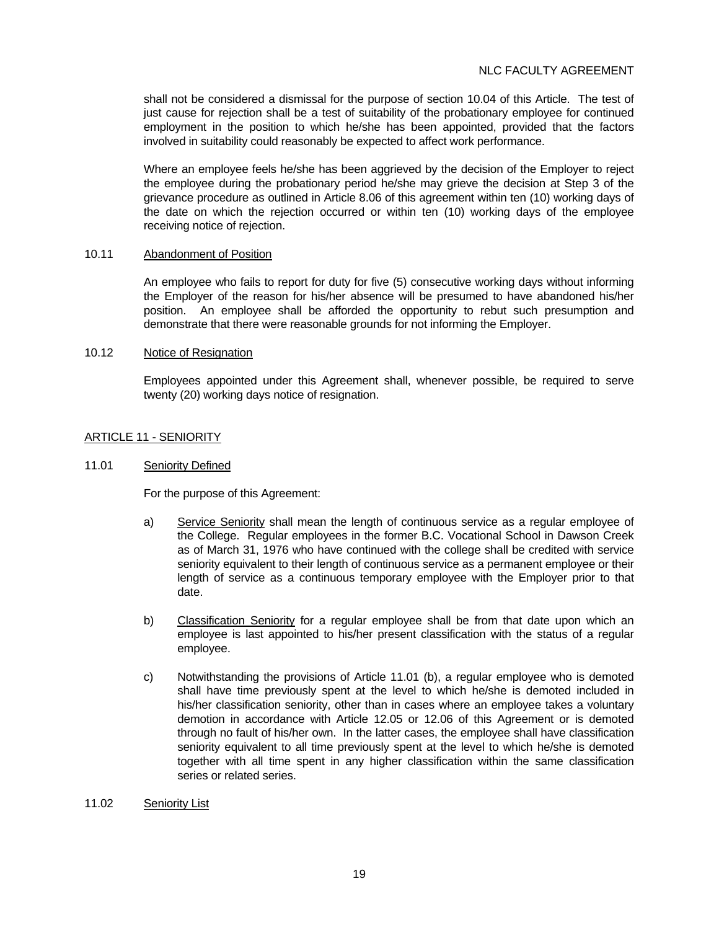shall not be considered a dismissal for the purpose of section 10.04 of this Article. The test of just cause for rejection shall be a test of suitability of the probationary employee for continued employment in the position to which he/she has been appointed, provided that the factors involved in suitability could reasonably be expected to affect work performance.

 Where an employee feels he/she has been aggrieved by the decision of the Employer to reject the employee during the probationary period he/she may grieve the decision at Step 3 of the grievance procedure as outlined in Article 8.06 of this agreement within ten (10) working days of the date on which the rejection occurred or within ten (10) working days of the employee receiving notice of rejection.

#### 10.11 Abandonment of Position

 An employee who fails to report for duty for five (5) consecutive working days without informing the Employer of the reason for his/her absence will be presumed to have abandoned his/her position. An employee shall be afforded the opportunity to rebut such presumption and demonstrate that there were reasonable grounds for not informing the Employer.

#### 10.12 Notice of Resignation

 Employees appointed under this Agreement shall, whenever possible, be required to serve twenty (20) working days notice of resignation.

## ARTICLE 11 - SENIORITY

#### 11.01 Seniority Defined

For the purpose of this Agreement:

- a) Service Seniority shall mean the length of continuous service as a regular employee of the College. Regular employees in the former B.C. Vocational School in Dawson Creek as of March 31, 1976 who have continued with the college shall be credited with service seniority equivalent to their length of continuous service as a permanent employee or their length of service as a continuous temporary employee with the Employer prior to that date.
- b) Classification Seniority for a regular employee shall be from that date upon which an employee is last appointed to his/her present classification with the status of a regular employee.
- c) Notwithstanding the provisions of Article 11.01 (b), a regular employee who is demoted shall have time previously spent at the level to which he/she is demoted included in his/her classification seniority, other than in cases where an employee takes a voluntary demotion in accordance with Article 12.05 or 12.06 of this Agreement or is demoted through no fault of his/her own. In the latter cases, the employee shall have classification seniority equivalent to all time previously spent at the level to which he/she is demoted together with all time spent in any higher classification within the same classification series or related series.
- 11.02 Seniority List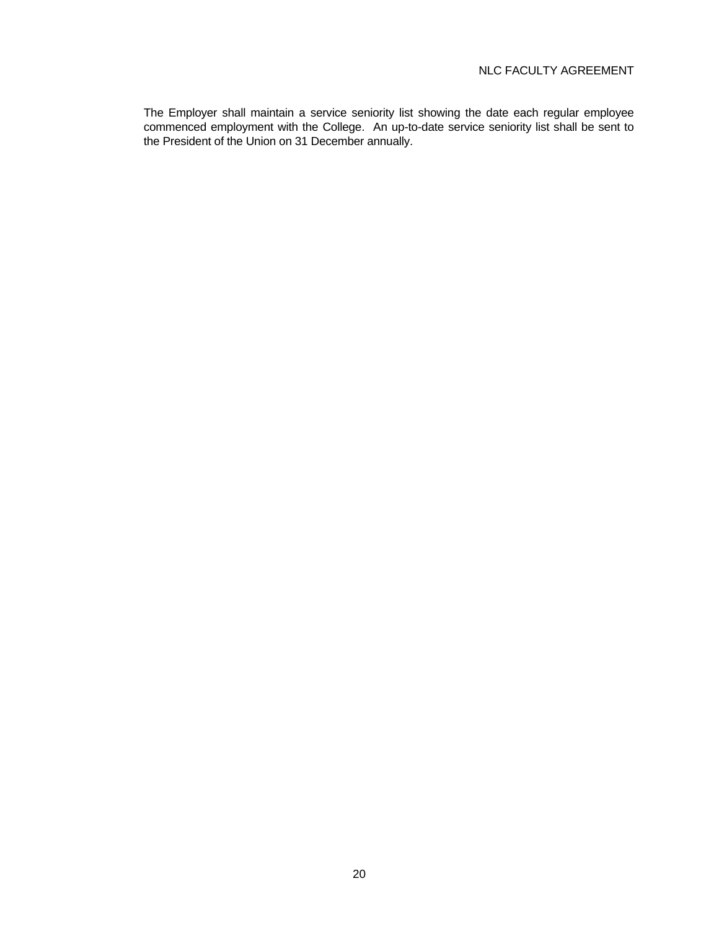The Employer shall maintain a service seniority list showing the date each regular employee commenced employment with the College. An up-to-date service seniority list shall be sent to the President of the Union on 31 December annually.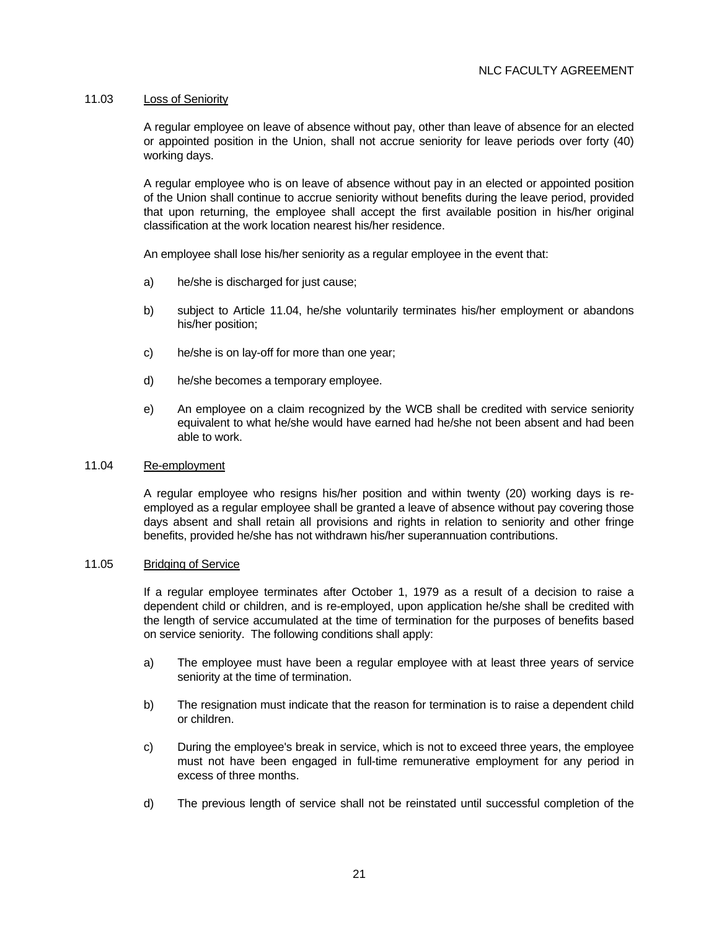## 11.03 Loss of Seniority

 A regular employee on leave of absence without pay, other than leave of absence for an elected or appointed position in the Union, shall not accrue seniority for leave periods over forty (40) working days.

 A regular employee who is on leave of absence without pay in an elected or appointed position of the Union shall continue to accrue seniority without benefits during the leave period, provided that upon returning, the employee shall accept the first available position in his/her original classification at the work location nearest his/her residence.

An employee shall lose his/her seniority as a regular employee in the event that:

- a) he/she is discharged for just cause;
- b) subject to Article 11.04, he/she voluntarily terminates his/her employment or abandons his/her position;
- c) he/she is on lay-off for more than one year;
- d) he/she becomes a temporary employee.
- e) An employee on a claim recognized by the WCB shall be credited with service seniority equivalent to what he/she would have earned had he/she not been absent and had been able to work.

#### 11.04 Re-employment

 A regular employee who resigns his/her position and within twenty (20) working days is reemployed as a regular employee shall be granted a leave of absence without pay covering those days absent and shall retain all provisions and rights in relation to seniority and other fringe benefits, provided he/she has not withdrawn his/her superannuation contributions.

#### 11.05 Bridging of Service

 If a regular employee terminates after October 1, 1979 as a result of a decision to raise a dependent child or children, and is re-employed, upon application he/she shall be credited with the length of service accumulated at the time of termination for the purposes of benefits based on service seniority. The following conditions shall apply:

- a) The employee must have been a regular employee with at least three years of service seniority at the time of termination.
- b) The resignation must indicate that the reason for termination is to raise a dependent child or children.
- c) During the employee's break in service, which is not to exceed three years, the employee must not have been engaged in full-time remunerative employment for any period in excess of three months.
- d) The previous length of service shall not be reinstated until successful completion of the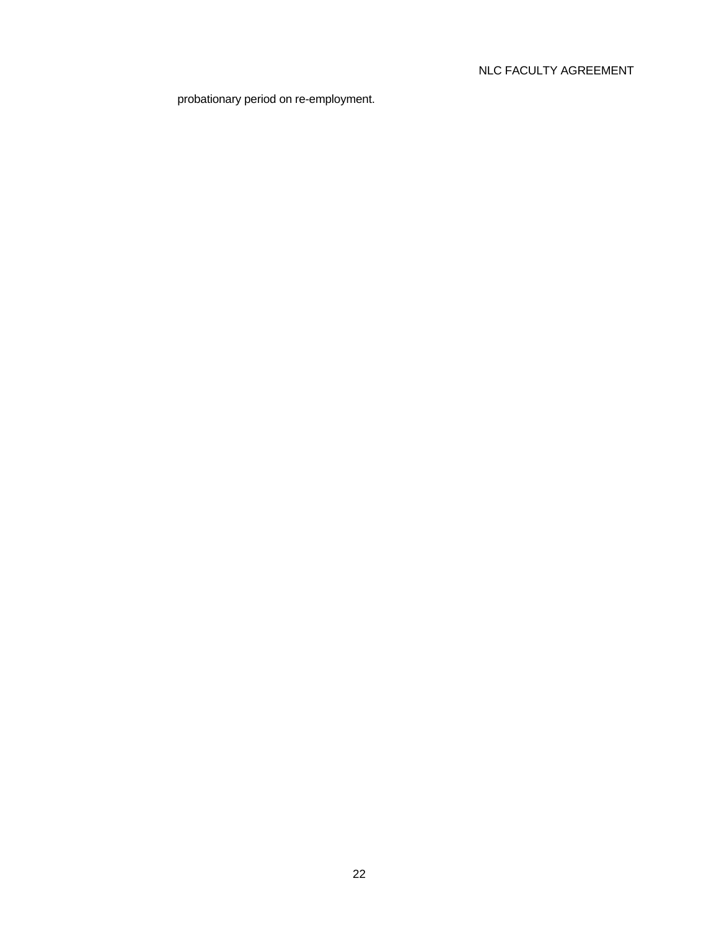probationary period on re-employment.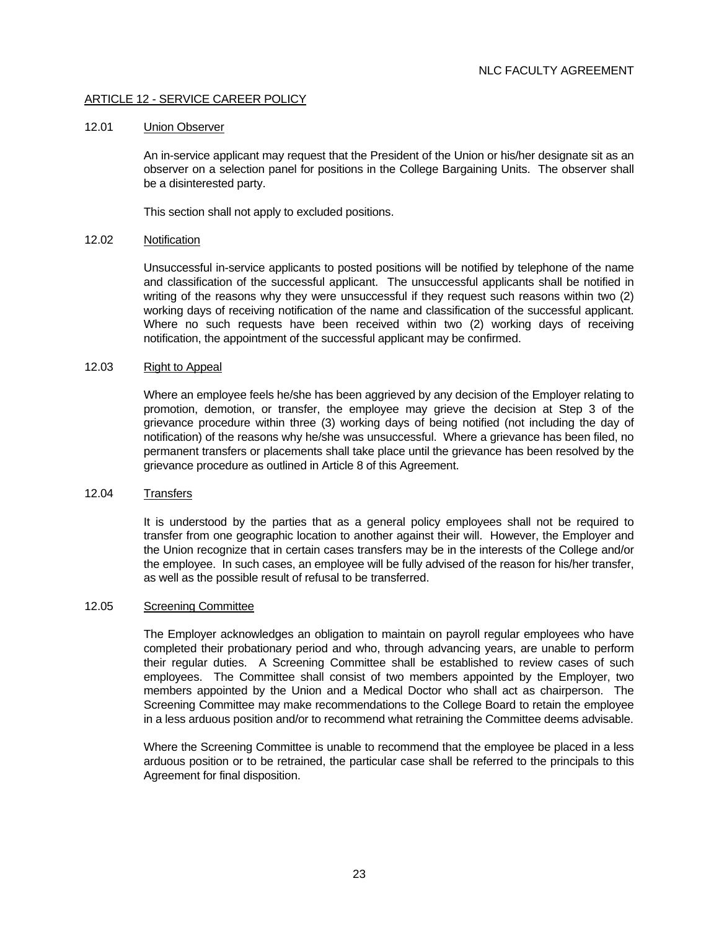# ARTICLE 12 - SERVICE CAREER POLICY

#### 12.01 Union Observer

 An in-service applicant may request that the President of the Union or his/her designate sit as an observer on a selection panel for positions in the College Bargaining Units. The observer shall be a disinterested party.

This section shall not apply to excluded positions.

#### 12.02 Notification

 Unsuccessful in-service applicants to posted positions will be notified by telephone of the name and classification of the successful applicant. The unsuccessful applicants shall be notified in writing of the reasons why they were unsuccessful if they request such reasons within two (2) working days of receiving notification of the name and classification of the successful applicant. Where no such requests have been received within two (2) working days of receiving notification, the appointment of the successful applicant may be confirmed.

#### 12.03 Right to Appeal

 Where an employee feels he/she has been aggrieved by any decision of the Employer relating to promotion, demotion, or transfer, the employee may grieve the decision at Step 3 of the grievance procedure within three (3) working days of being notified (not including the day of notification) of the reasons why he/she was unsuccessful. Where a grievance has been filed, no permanent transfers or placements shall take place until the grievance has been resolved by the grievance procedure as outlined in Article 8 of this Agreement.

#### 12.04 Transfers

 It is understood by the parties that as a general policy employees shall not be required to transfer from one geographic location to another against their will. However, the Employer and the Union recognize that in certain cases transfers may be in the interests of the College and/or the employee. In such cases, an employee will be fully advised of the reason for his/her transfer, as well as the possible result of refusal to be transferred.

#### 12.05 Screening Committee

 The Employer acknowledges an obligation to maintain on payroll regular employees who have completed their probationary period and who, through advancing years, are unable to perform their regular duties. A Screening Committee shall be established to review cases of such employees. The Committee shall consist of two members appointed by the Employer, two members appointed by the Union and a Medical Doctor who shall act as chairperson. The Screening Committee may make recommendations to the College Board to retain the employee in a less arduous position and/or to recommend what retraining the Committee deems advisable.

 Where the Screening Committee is unable to recommend that the employee be placed in a less arduous position or to be retrained, the particular case shall be referred to the principals to this Agreement for final disposition.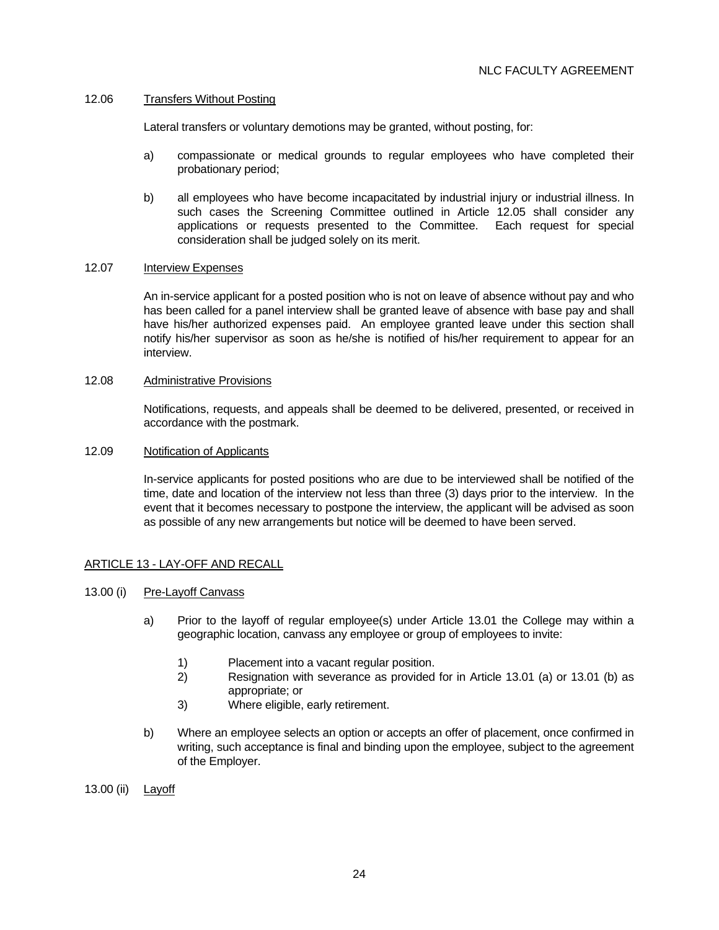## 12.06 Transfers Without Posting

Lateral transfers or voluntary demotions may be granted, without posting, for:

- a) compassionate or medical grounds to regular employees who have completed their probationary period;
- b) all employees who have become incapacitated by industrial injury or industrial illness. In such cases the Screening Committee outlined in Article 12.05 shall consider any applications or requests presented to the Committee. Each request for special consideration shall be judged solely on its merit.

## 12.07 Interview Expenses

 An in-service applicant for a posted position who is not on leave of absence without pay and who has been called for a panel interview shall be granted leave of absence with base pay and shall have his/her authorized expenses paid. An employee granted leave under this section shall notify his/her supervisor as soon as he/she is notified of his/her requirement to appear for an interview.

# 12.08 Administrative Provisions

 Notifications, requests, and appeals shall be deemed to be delivered, presented, or received in accordance with the postmark.

#### 12.09 Notification of Applicants

 In-service applicants for posted positions who are due to be interviewed shall be notified of the time, date and location of the interview not less than three (3) days prior to the interview. In the event that it becomes necessary to postpone the interview, the applicant will be advised as soon as possible of any new arrangements but notice will be deemed to have been served.

## ARTICLE 13 - LAY-OFF AND RECALL

## 13.00 (i) Pre-Layoff Canvass

- a) Prior to the layoff of regular employee(s) under Article 13.01 the College may within a geographic location, canvass any employee or group of employees to invite:
	- 1) Placement into a vacant regular position.
	- 2) Resignation with severance as provided for in Article 13.01 (a) or 13.01 (b) as appropriate; or
	- 3) Where eligible, early retirement.
- b) Where an employee selects an option or accepts an offer of placement, once confirmed in writing, such acceptance is final and binding upon the employee, subject to the agreement of the Employer.
- 13.00 (ii) Layoff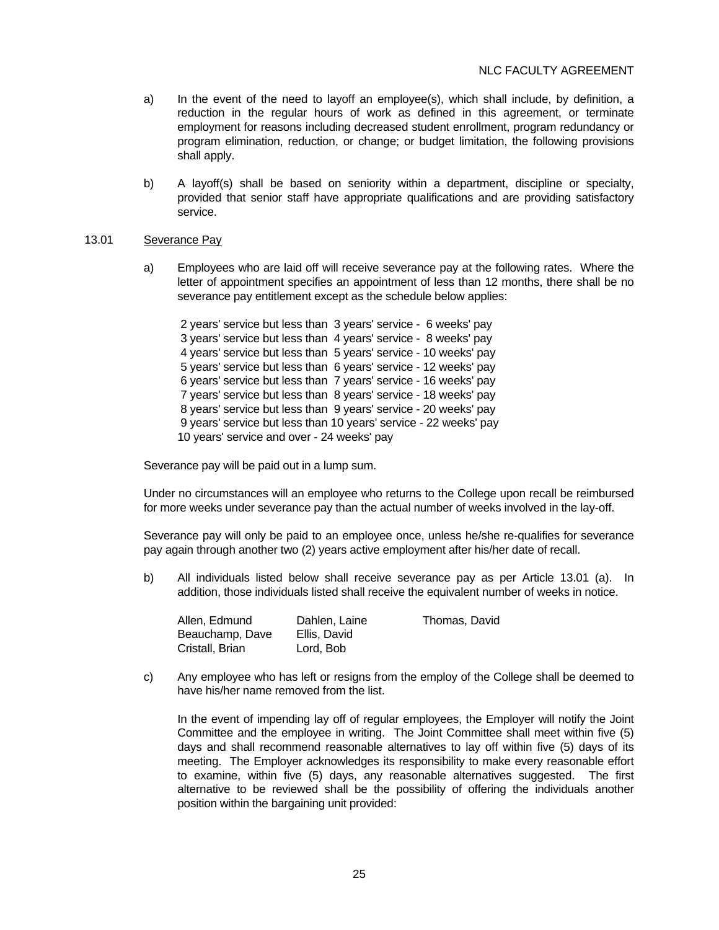- a) In the event of the need to layoff an employee(s), which shall include, by definition, a reduction in the regular hours of work as defined in this agreement, or terminate employment for reasons including decreased student enrollment, program redundancy or program elimination, reduction, or change; or budget limitation, the following provisions shall apply.
- b) A layoff(s) shall be based on seniority within a department, discipline or specialty, provided that senior staff have appropriate qualifications and are providing satisfactory service.

#### 13.01 Severance Pay

 a) Employees who are laid off will receive severance pay at the following rates. Where the letter of appointment specifies an appointment of less than 12 months, there shall be no severance pay entitlement except as the schedule below applies:

 2 years' service but less than 3 years' service - 6 weeks' pay 3 years' service but less than 4 years' service - 8 weeks' pay 4 years' service but less than 5 years' service - 10 weeks' pay 5 years' service but less than 6 years' service - 12 weeks' pay 6 years' service but less than 7 years' service - 16 weeks' pay 7 years' service but less than 8 years' service - 18 weeks' pay 8 years' service but less than 9 years' service - 20 weeks' pay 9 years' service but less than 10 years' service - 22 weeks' pay 10 years' service and over - 24 weeks' pay

Severance pay will be paid out in a lump sum.

 Under no circumstances will an employee who returns to the College upon recall be reimbursed for more weeks under severance pay than the actual number of weeks involved in the lay-off.

 Severance pay will only be paid to an employee once, unless he/she re-qualifies for severance pay again through another two (2) years active employment after his/her date of recall.

 b) All individuals listed below shall receive severance pay as per Article 13.01 (a). In addition, those individuals listed shall receive the equivalent number of weeks in notice.

| Allen, Edmund   | Dahlen, Laine | Thomas, David |
|-----------------|---------------|---------------|
| Beauchamp, Dave | Ellis. David  |               |
| Cristall, Brian | Lord. Bob     |               |

 c) Any employee who has left or resigns from the employ of the College shall be deemed to have his/her name removed from the list.

 In the event of impending lay off of regular employees, the Employer will notify the Joint Committee and the employee in writing. The Joint Committee shall meet within five (5) days and shall recommend reasonable alternatives to lay off within five (5) days of its meeting. The Employer acknowledges its responsibility to make every reasonable effort to examine, within five (5) days, any reasonable alternatives suggested. The first alternative to be reviewed shall be the possibility of offering the individuals another position within the bargaining unit provided: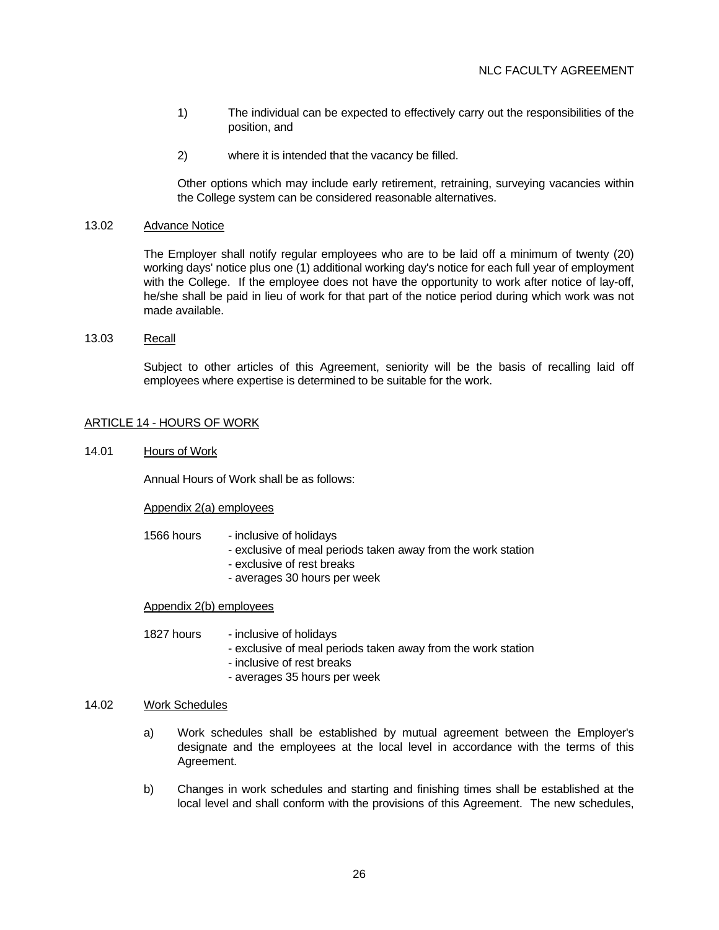- 1) The individual can be expected to effectively carry out the responsibilities of the position, and
- 2) where it is intended that the vacancy be filled.

 Other options which may include early retirement, retraining, surveying vacancies within the College system can be considered reasonable alternatives.

## 13.02 Advance Notice

 The Employer shall notify regular employees who are to be laid off a minimum of twenty (20) working days' notice plus one (1) additional working day's notice for each full year of employment with the College. If the employee does not have the opportunity to work after notice of lay-off, he/she shall be paid in lieu of work for that part of the notice period during which work was not made available.

13.03 Recall

 Subject to other articles of this Agreement, seniority will be the basis of recalling laid off employees where expertise is determined to be suitable for the work.

# ARTICLE 14 - HOURS OF WORK

14.01 Hours of Work

Annual Hours of Work shall be as follows:

#### Appendix 2(a) employees

- 1566 hours inclusive of holidays
	- exclusive of meal periods taken away from the work station
	- exclusive of rest breaks
	- averages 30 hours per week

## Appendix 2(b) employees

- 1827 hours inclusive of holidays
	- exclusive of meal periods taken away from the work station
	- inclusive of rest breaks
	- averages 35 hours per week

# 14.02 Work Schedules

- a) Work schedules shall be established by mutual agreement between the Employer's designate and the employees at the local level in accordance with the terms of this Agreement.
- b) Changes in work schedules and starting and finishing times shall be established at the local level and shall conform with the provisions of this Agreement. The new schedules,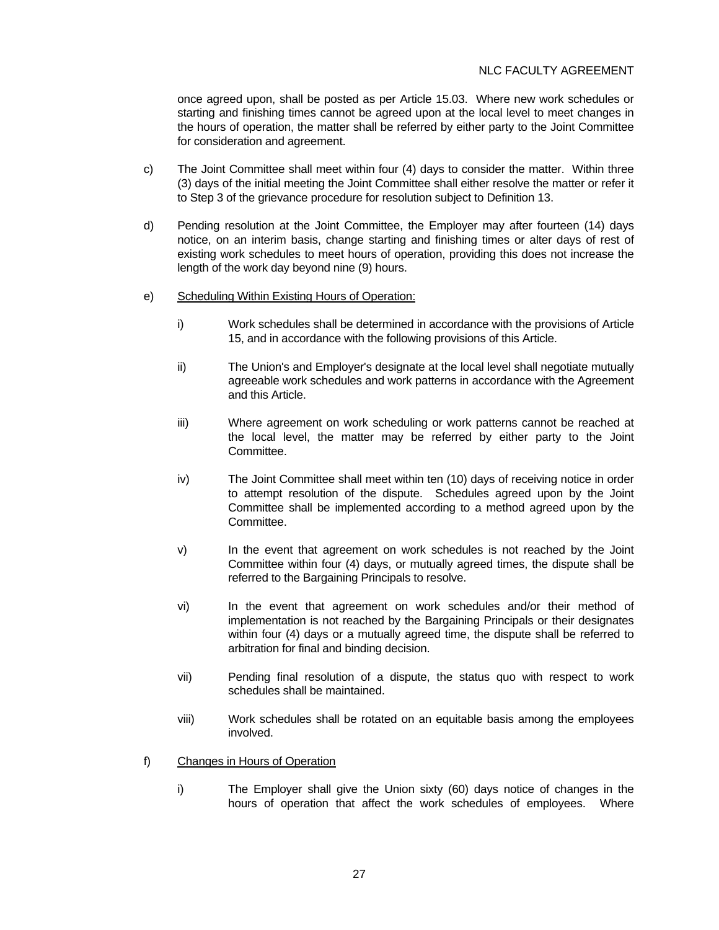once agreed upon, shall be posted as per Article 15.03. Where new work schedules or starting and finishing times cannot be agreed upon at the local level to meet changes in the hours of operation, the matter shall be referred by either party to the Joint Committee for consideration and agreement.

- c) The Joint Committee shall meet within four (4) days to consider the matter. Within three (3) days of the initial meeting the Joint Committee shall either resolve the matter or refer it to Step 3 of the grievance procedure for resolution subject to Definition 13.
- d) Pending resolution at the Joint Committee, the Employer may after fourteen (14) days notice, on an interim basis, change starting and finishing times or alter days of rest of existing work schedules to meet hours of operation, providing this does not increase the length of the work day beyond nine (9) hours.
- e) Scheduling Within Existing Hours of Operation:
	- i) Work schedules shall be determined in accordance with the provisions of Article 15, and in accordance with the following provisions of this Article.
	- ii) The Union's and Employer's designate at the local level shall negotiate mutually agreeable work schedules and work patterns in accordance with the Agreement and this Article.
	- iii) Where agreement on work scheduling or work patterns cannot be reached at the local level, the matter may be referred by either party to the Joint Committee.
	- iv) The Joint Committee shall meet within ten (10) days of receiving notice in order to attempt resolution of the dispute. Schedules agreed upon by the Joint Committee shall be implemented according to a method agreed upon by the Committee.
	- v) In the event that agreement on work schedules is not reached by the Joint Committee within four (4) days, or mutually agreed times, the dispute shall be referred to the Bargaining Principals to resolve.
	- vi) In the event that agreement on work schedules and/or their method of implementation is not reached by the Bargaining Principals or their designates within four (4) days or a mutually agreed time, the dispute shall be referred to arbitration for final and binding decision.
	- vii) Pending final resolution of a dispute, the status quo with respect to work schedules shall be maintained.
	- viii) Work schedules shall be rotated on an equitable basis among the employees involved.
- f) Changes in Hours of Operation
	- i) The Employer shall give the Union sixty (60) days notice of changes in the hours of operation that affect the work schedules of employees. Where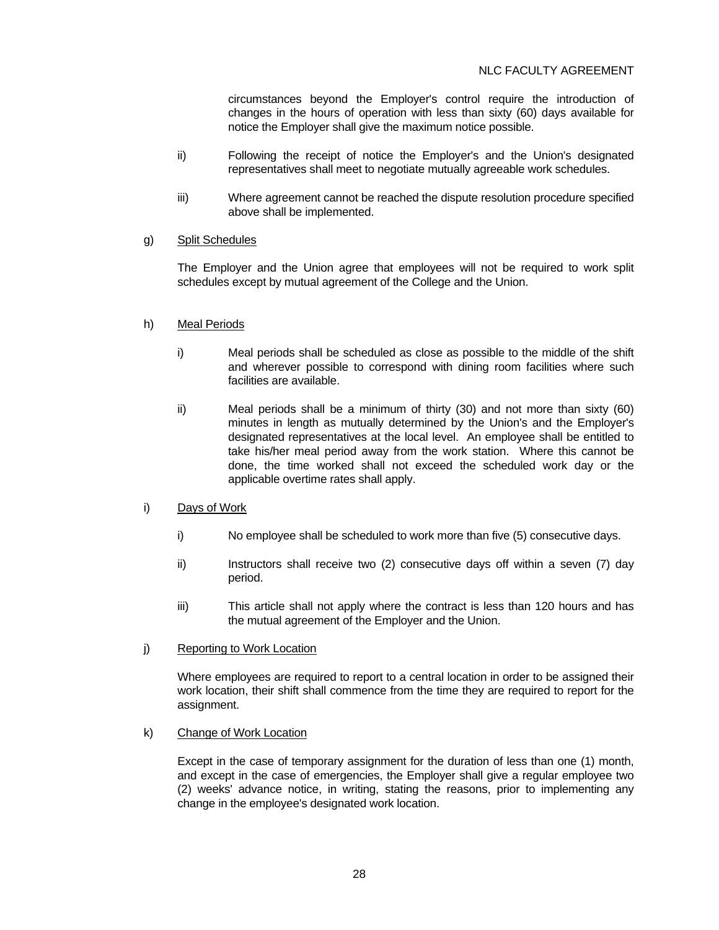circumstances beyond the Employer's control require the introduction of changes in the hours of operation with less than sixty (60) days available for notice the Employer shall give the maximum notice possible.

- ii) Following the receipt of notice the Employer's and the Union's designated representatives shall meet to negotiate mutually agreeable work schedules.
- iii) Where agreement cannot be reached the dispute resolution procedure specified above shall be implemented.

## g) Split Schedules

 The Employer and the Union agree that employees will not be required to work split schedules except by mutual agreement of the College and the Union.

### h) Meal Periods

- i) Meal periods shall be scheduled as close as possible to the middle of the shift and wherever possible to correspond with dining room facilities where such facilities are available.
- ii) Meal periods shall be a minimum of thirty (30) and not more than sixty (60) minutes in length as mutually determined by the Union's and the Employer's designated representatives at the local level. An employee shall be entitled to take his/her meal period away from the work station. Where this cannot be done, the time worked shall not exceed the scheduled work day or the applicable overtime rates shall apply.
- i) Days of Work
	- i) No employee shall be scheduled to work more than five (5) consecutive days.
	- ii) Instructors shall receive two (2) consecutive days off within a seven (7) day period.
	- iii) This article shall not apply where the contract is less than 120 hours and has the mutual agreement of the Employer and the Union.
- j) Reporting to Work Location

 Where employees are required to report to a central location in order to be assigned their work location, their shift shall commence from the time they are required to report for the assignment.

k) Change of Work Location

 Except in the case of temporary assignment for the duration of less than one (1) month, and except in the case of emergencies, the Employer shall give a regular employee two (2) weeks' advance notice, in writing, stating the reasons, prior to implementing any change in the employee's designated work location.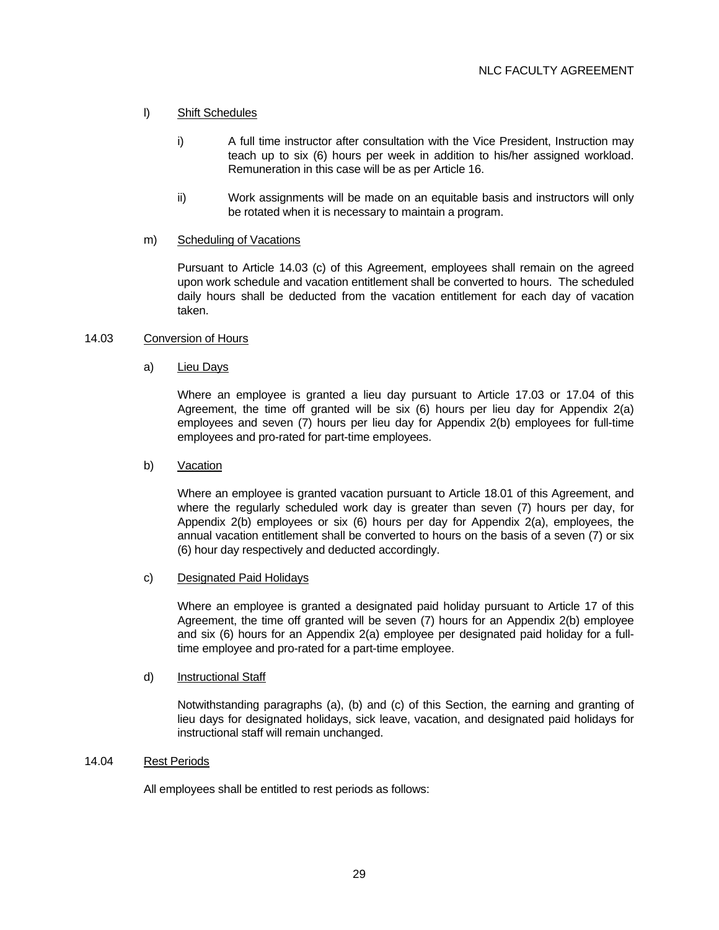## l) Shift Schedules

- i) A full time instructor after consultation with the Vice President, Instruction may teach up to six (6) hours per week in addition to his/her assigned workload. Remuneration in this case will be as per Article 16.
- ii) Work assignments will be made on an equitable basis and instructors will only be rotated when it is necessary to maintain a program.

### m) Scheduling of Vacations

 Pursuant to Article 14.03 (c) of this Agreement, employees shall remain on the agreed upon work schedule and vacation entitlement shall be converted to hours. The scheduled daily hours shall be deducted from the vacation entitlement for each day of vacation taken.

### 14.03 Conversion of Hours

### a) Lieu Days

 Where an employee is granted a lieu day pursuant to Article 17.03 or 17.04 of this Agreement, the time off granted will be six (6) hours per lieu day for Appendix 2(a) employees and seven (7) hours per lieu day for Appendix 2(b) employees for full-time employees and pro-rated for part-time employees.

#### b) Vacation

 Where an employee is granted vacation pursuant to Article 18.01 of this Agreement, and where the regularly scheduled work day is greater than seven (7) hours per day, for Appendix 2(b) employees or six (6) hours per day for Appendix 2(a), employees, the annual vacation entitlement shall be converted to hours on the basis of a seven (7) or six (6) hour day respectively and deducted accordingly.

### c) Designated Paid Holidays

 Where an employee is granted a designated paid holiday pursuant to Article 17 of this Agreement, the time off granted will be seven (7) hours for an Appendix 2(b) employee and six (6) hours for an Appendix 2(a) employee per designated paid holiday for a fulltime employee and pro-rated for a part-time employee.

### d) Instructional Staff

 Notwithstanding paragraphs (a), (b) and (c) of this Section, the earning and granting of lieu days for designated holidays, sick leave, vacation, and designated paid holidays for instructional staff will remain unchanged.

## 14.04 Rest Periods

All employees shall be entitled to rest periods as follows: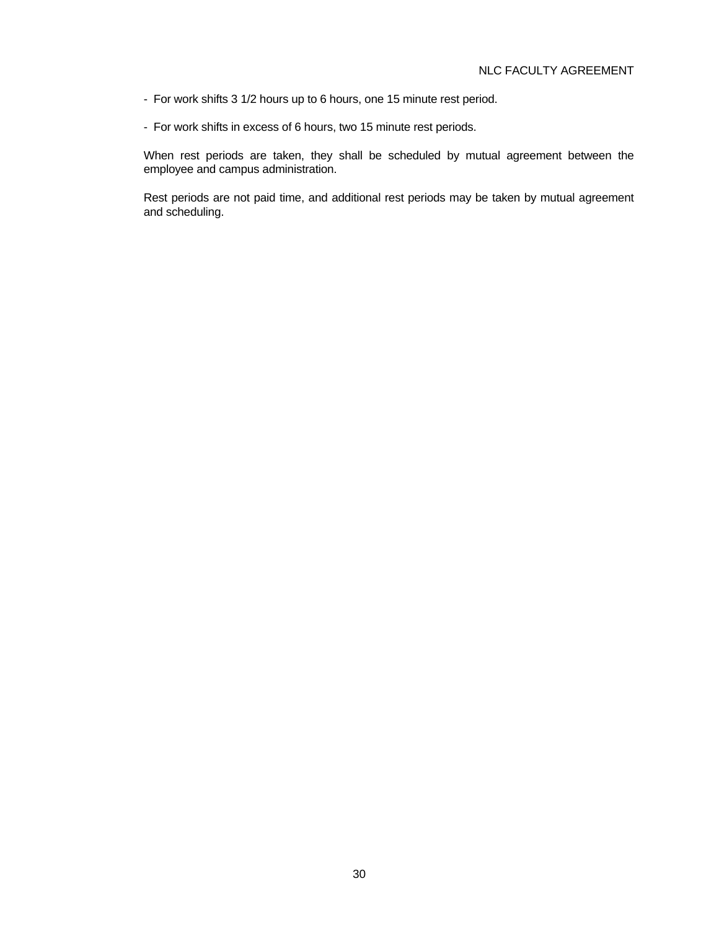- For work shifts 3 1/2 hours up to 6 hours, one 15 minute rest period.
- For work shifts in excess of 6 hours, two 15 minute rest periods.

 When rest periods are taken, they shall be scheduled by mutual agreement between the employee and campus administration.

 Rest periods are not paid time, and additional rest periods may be taken by mutual agreement and scheduling.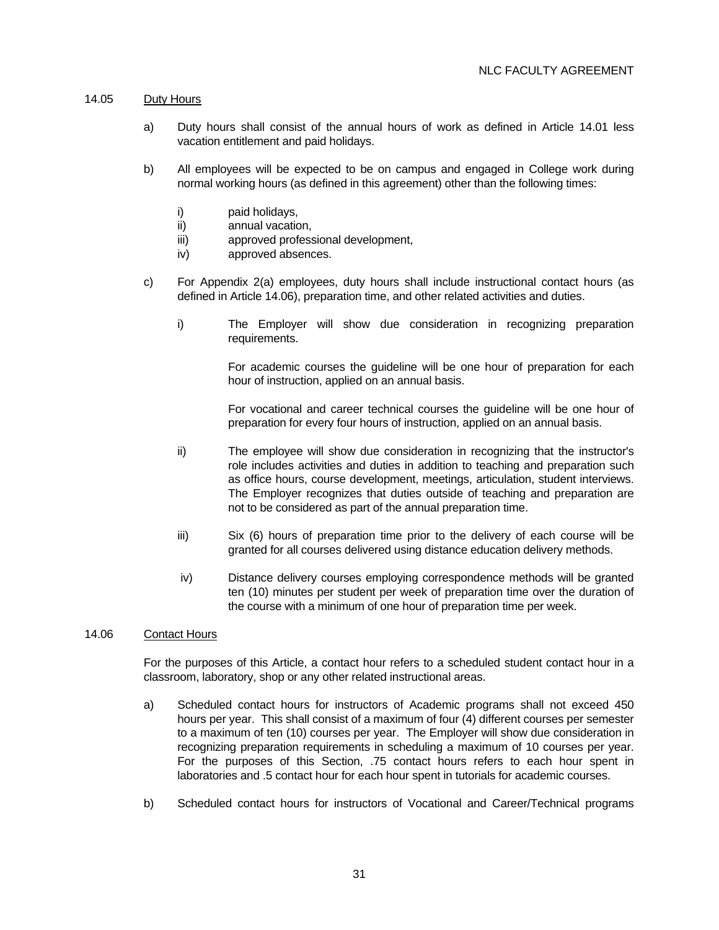### 14.05 Duty Hours

- a) Duty hours shall consist of the annual hours of work as defined in Article 14.01 less vacation entitlement and paid holidays.
- b) All employees will be expected to be on campus and engaged in College work during normal working hours (as defined in this agreement) other than the following times:
	- i) paid holidays,
	- ii) annual vacation,
	- iii) approved professional development,
	- iv) approved absences.
- c) For Appendix 2(a) employees, duty hours shall include instructional contact hours (as defined in Article 14.06), preparation time, and other related activities and duties.
	- i) The Employer will show due consideration in recognizing preparation requirements.

 For academic courses the guideline will be one hour of preparation for each hour of instruction, applied on an annual basis.

 For vocational and career technical courses the guideline will be one hour of preparation for every four hours of instruction, applied on an annual basis.

- ii) The employee will show due consideration in recognizing that the instructor's role includes activities and duties in addition to teaching and preparation such as office hours, course development, meetings, articulation, student interviews. The Employer recognizes that duties outside of teaching and preparation are not to be considered as part of the annual preparation time.
- iii) Six (6) hours of preparation time prior to the delivery of each course will be granted for all courses delivered using distance education delivery methods.
- iv) Distance delivery courses employing correspondence methods will be granted ten (10) minutes per student per week of preparation time over the duration of the course with a minimum of one hour of preparation time per week.

## 14.06 Contact Hours

 For the purposes of this Article, a contact hour refers to a scheduled student contact hour in a classroom, laboratory, shop or any other related instructional areas.

- a) Scheduled contact hours for instructors of Academic programs shall not exceed 450 hours per year. This shall consist of a maximum of four (4) different courses per semester to a maximum of ten (10) courses per year. The Employer will show due consideration in recognizing preparation requirements in scheduling a maximum of 10 courses per year. For the purposes of this Section, .75 contact hours refers to each hour spent in laboratories and .5 contact hour for each hour spent in tutorials for academic courses.
- b) Scheduled contact hours for instructors of Vocational and Career/Technical programs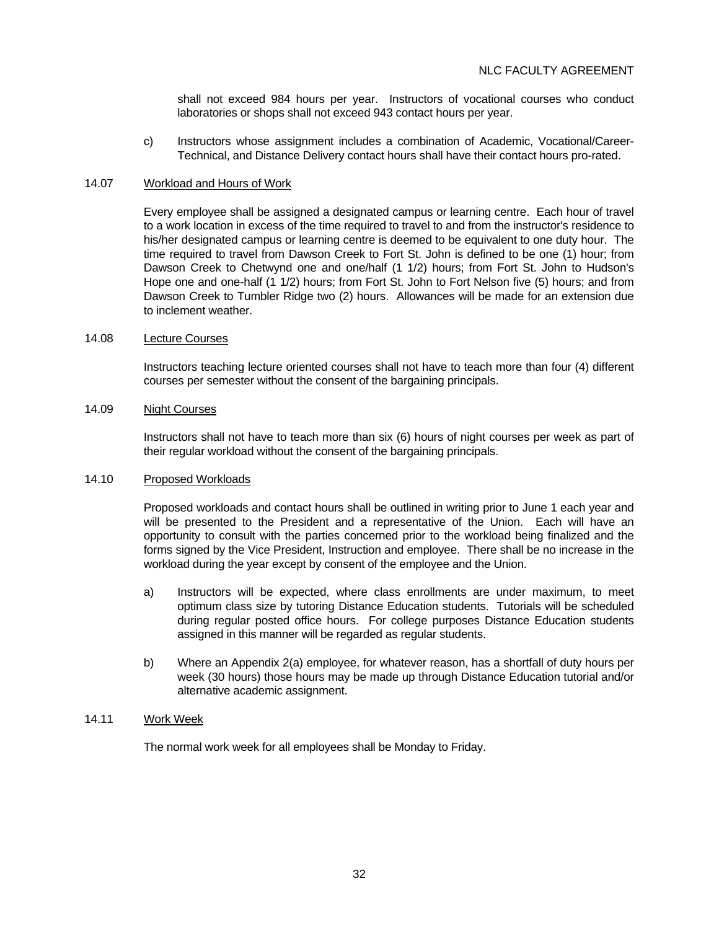shall not exceed 984 hours per year. Instructors of vocational courses who conduct laboratories or shops shall not exceed 943 contact hours per year.

 c) Instructors whose assignment includes a combination of Academic, Vocational/Career-Technical, and Distance Delivery contact hours shall have their contact hours pro-rated.

#### 14.07 Workload and Hours of Work

 Every employee shall be assigned a designated campus or learning centre. Each hour of travel to a work location in excess of the time required to travel to and from the instructor's residence to his/her designated campus or learning centre is deemed to be equivalent to one duty hour. The time required to travel from Dawson Creek to Fort St. John is defined to be one (1) hour; from Dawson Creek to Chetwynd one and one/half (1 1/2) hours; from Fort St. John to Hudson's Hope one and one-half (1 1/2) hours; from Fort St. John to Fort Nelson five (5) hours; and from Dawson Creek to Tumbler Ridge two (2) hours. Allowances will be made for an extension due to inclement weather.

#### 14.08 Lecture Courses

 Instructors teaching lecture oriented courses shall not have to teach more than four (4) different courses per semester without the consent of the bargaining principals.

### 14.09 Night Courses

 Instructors shall not have to teach more than six (6) hours of night courses per week as part of their regular workload without the consent of the bargaining principals.

#### 14.10 Proposed Workloads

 Proposed workloads and contact hours shall be outlined in writing prior to June 1 each year and will be presented to the President and a representative of the Union. Each will have an opportunity to consult with the parties concerned prior to the workload being finalized and the forms signed by the Vice President, Instruction and employee. There shall be no increase in the workload during the year except by consent of the employee and the Union.

- a) Instructors will be expected, where class enrollments are under maximum, to meet optimum class size by tutoring Distance Education students. Tutorials will be scheduled during regular posted office hours. For college purposes Distance Education students assigned in this manner will be regarded as regular students.
- b) Where an Appendix 2(a) employee, for whatever reason, has a shortfall of duty hours per week (30 hours) those hours may be made up through Distance Education tutorial and/or alternative academic assignment.

### 14.11 Work Week

The normal work week for all employees shall be Monday to Friday.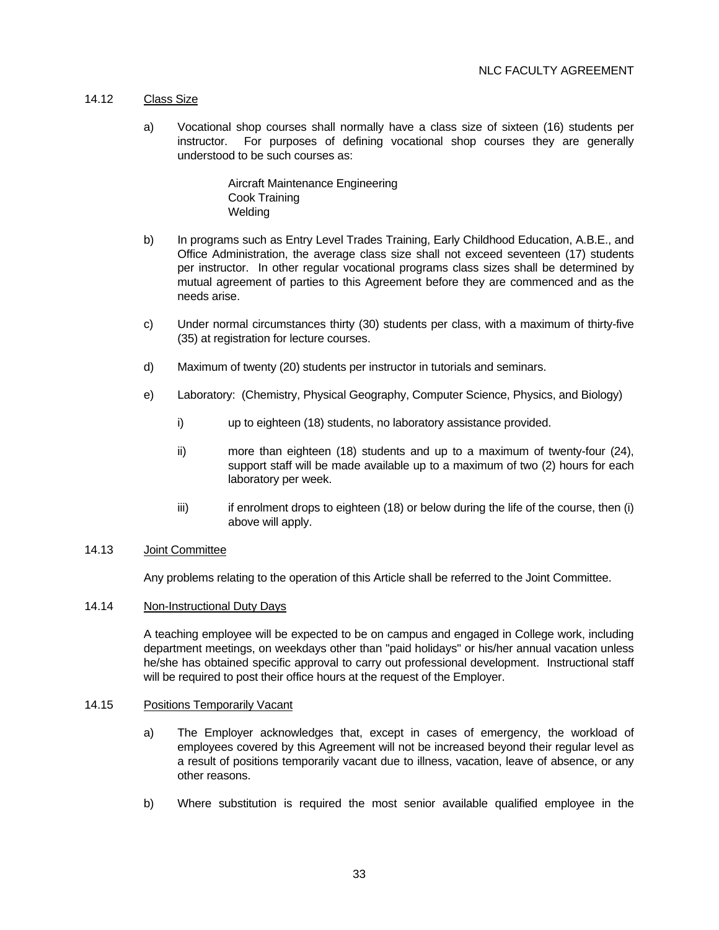### 14.12 Class Size

 a) Vocational shop courses shall normally have a class size of sixteen (16) students per instructor. For purposes of defining vocational shop courses they are generally understood to be such courses as:

> Aircraft Maintenance Engineering Cook Training **Welding**

- b) In programs such as Entry Level Trades Training, Early Childhood Education, A.B.E., and Office Administration, the average class size shall not exceed seventeen (17) students per instructor. In other regular vocational programs class sizes shall be determined by mutual agreement of parties to this Agreement before they are commenced and as the needs arise.
- c) Under normal circumstances thirty (30) students per class, with a maximum of thirty-five (35) at registration for lecture courses.
- d) Maximum of twenty (20) students per instructor in tutorials and seminars.
- e) Laboratory: (Chemistry, Physical Geography, Computer Science, Physics, and Biology)
	- i) up to eighteen (18) students, no laboratory assistance provided.
	- ii) more than eighteen (18) students and up to a maximum of twenty-four (24), support staff will be made available up to a maximum of two (2) hours for each laboratory per week.
	- $\overline{ii}$  if enrolment drops to eighteen (18) or below during the life of the course, then (i) above will apply.

## 14.13 Joint Committee

Any problems relating to the operation of this Article shall be referred to the Joint Committee.

### 14.14 Non-Instructional Duty Days

 A teaching employee will be expected to be on campus and engaged in College work, including department meetings, on weekdays other than "paid holidays" or his/her annual vacation unless he/she has obtained specific approval to carry out professional development. Instructional staff will be required to post their office hours at the request of the Employer.

### 14.15 Positions Temporarily Vacant

- a) The Employer acknowledges that, except in cases of emergency, the workload of employees covered by this Agreement will not be increased beyond their regular level as a result of positions temporarily vacant due to illness, vacation, leave of absence, or any other reasons.
- b) Where substitution is required the most senior available qualified employee in the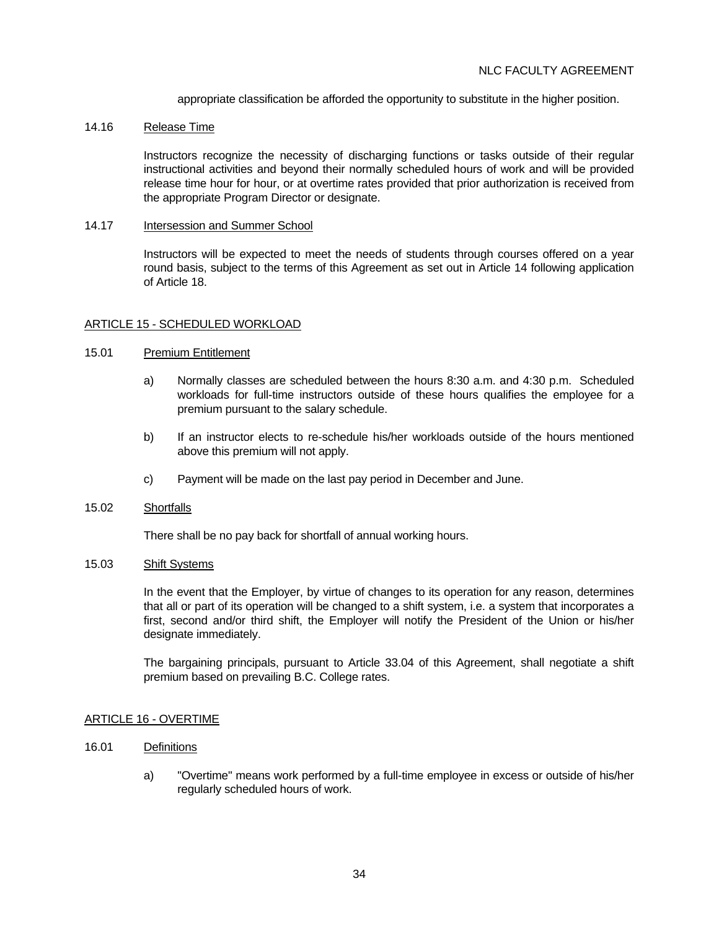appropriate classification be afforded the opportunity to substitute in the higher position.

### 14.16 Release Time

 Instructors recognize the necessity of discharging functions or tasks outside of their regular instructional activities and beyond their normally scheduled hours of work and will be provided release time hour for hour, or at overtime rates provided that prior authorization is received from the appropriate Program Director or designate.

### 14.17 Intersession and Summer School

 Instructors will be expected to meet the needs of students through courses offered on a year round basis, subject to the terms of this Agreement as set out in Article 14 following application of Article 18.

## ARTICLE 15 - SCHEDULED WORKLOAD

## 15.01 Premium Entitlement

- a) Normally classes are scheduled between the hours 8:30 a.m. and 4:30 p.m. Scheduled workloads for full-time instructors outside of these hours qualifies the employee for a premium pursuant to the salary schedule.
- b) If an instructor elects to re-schedule his/her workloads outside of the hours mentioned above this premium will not apply.
- c) Payment will be made on the last pay period in December and June.

### 15.02 Shortfalls

There shall be no pay back for shortfall of annual working hours.

### 15.03 Shift Systems

 In the event that the Employer, by virtue of changes to its operation for any reason, determines that all or part of its operation will be changed to a shift system, i.e. a system that incorporates a first, second and/or third shift, the Employer will notify the President of the Union or his/her designate immediately.

 The bargaining principals, pursuant to Article 33.04 of this Agreement, shall negotiate a shift premium based on prevailing B.C. College rates.

### ARTICLE 16 - OVERTIME

### 16.01 Definitions

 a) "Overtime" means work performed by a full-time employee in excess or outside of his/her regularly scheduled hours of work.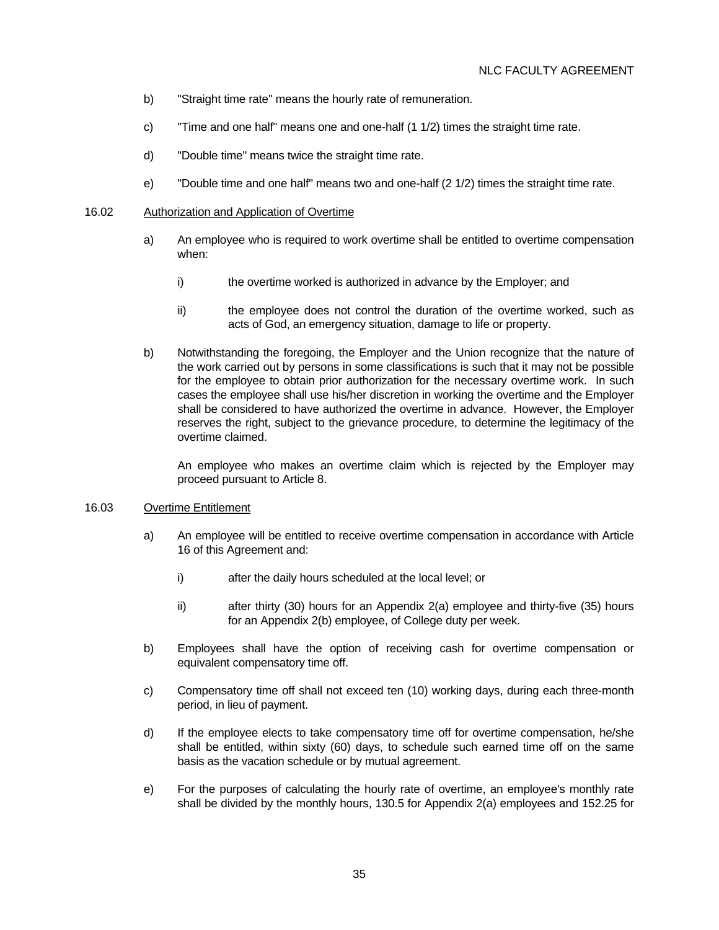- b) "Straight time rate" means the hourly rate of remuneration.
- c) "Time and one half" means one and one-half (1 1/2) times the straight time rate.
- d) "Double time" means twice the straight time rate.
- e) "Double time and one half" means two and one-half (2 1/2) times the straight time rate.

#### 16.02 Authorization and Application of Overtime

- a) An employee who is required to work overtime shall be entitled to overtime compensation when:
	- i) the overtime worked is authorized in advance by the Employer; and
	- ii) the employee does not control the duration of the overtime worked, such as acts of God, an emergency situation, damage to life or property.
- b) Notwithstanding the foregoing, the Employer and the Union recognize that the nature of the work carried out by persons in some classifications is such that it may not be possible for the employee to obtain prior authorization for the necessary overtime work. In such cases the employee shall use his/her discretion in working the overtime and the Employer shall be considered to have authorized the overtime in advance. However, the Employer reserves the right, subject to the grievance procedure, to determine the legitimacy of the overtime claimed.

 An employee who makes an overtime claim which is rejected by the Employer may proceed pursuant to Article 8.

### 16.03 Overtime Entitlement

- a) An employee will be entitled to receive overtime compensation in accordance with Article 16 of this Agreement and:
	- i) after the daily hours scheduled at the local level; or
	- ii) after thirty (30) hours for an Appendix 2(a) employee and thirty-five (35) hours for an Appendix 2(b) employee, of College duty per week.
- b) Employees shall have the option of receiving cash for overtime compensation or equivalent compensatory time off.
- c) Compensatory time off shall not exceed ten (10) working days, during each three-month period, in lieu of payment.
- d) If the employee elects to take compensatory time off for overtime compensation, he/she shall be entitled, within sixty (60) days, to schedule such earned time off on the same basis as the vacation schedule or by mutual agreement.
- e) For the purposes of calculating the hourly rate of overtime, an employee's monthly rate shall be divided by the monthly hours, 130.5 for Appendix 2(a) employees and 152.25 for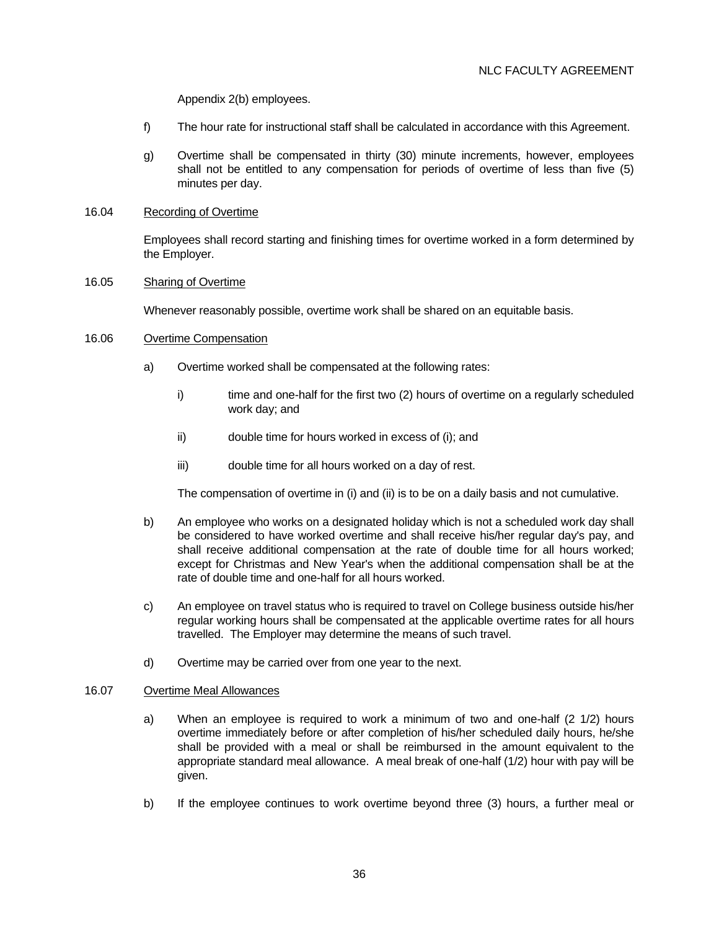Appendix 2(b) employees.

- f) The hour rate for instructional staff shall be calculated in accordance with this Agreement.
- g) Overtime shall be compensated in thirty (30) minute increments, however, employees shall not be entitled to any compensation for periods of overtime of less than five (5) minutes per day.

### 16.04 Recording of Overtime

 Employees shall record starting and finishing times for overtime worked in a form determined by the Employer.

### 16.05 Sharing of Overtime

Whenever reasonably possible, overtime work shall be shared on an equitable basis.

#### 16.06 Overtime Compensation

- a) Overtime worked shall be compensated at the following rates:
	- i) time and one-half for the first two (2) hours of overtime on a regularly scheduled work day; and
	- ii) double time for hours worked in excess of (i); and
	- iii) double time for all hours worked on a day of rest.

The compensation of overtime in (i) and (ii) is to be on a daily basis and not cumulative.

- b) An employee who works on a designated holiday which is not a scheduled work day shall be considered to have worked overtime and shall receive his/her regular day's pay, and shall receive additional compensation at the rate of double time for all hours worked; except for Christmas and New Year's when the additional compensation shall be at the rate of double time and one-half for all hours worked.
- c) An employee on travel status who is required to travel on College business outside his/her regular working hours shall be compensated at the applicable overtime rates for all hours travelled. The Employer may determine the means of such travel.
- d) Overtime may be carried over from one year to the next.

### 16.07 Overtime Meal Allowances

- a) When an employee is required to work a minimum of two and one-half (2 1/2) hours overtime immediately before or after completion of his/her scheduled daily hours, he/she shall be provided with a meal or shall be reimbursed in the amount equivalent to the appropriate standard meal allowance. A meal break of one-half (1/2) hour with pay will be given.
- b) If the employee continues to work overtime beyond three (3) hours, a further meal or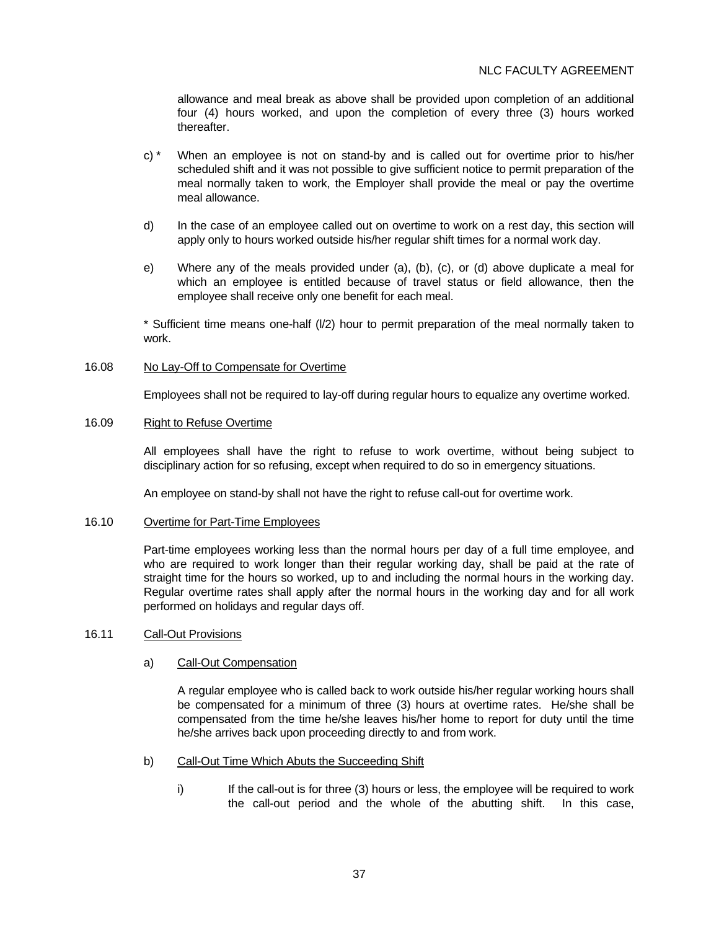allowance and meal break as above shall be provided upon completion of an additional four (4) hours worked, and upon the completion of every three (3) hours worked thereafter.

- c) \* When an employee is not on stand-by and is called out for overtime prior to his/her scheduled shift and it was not possible to give sufficient notice to permit preparation of the meal normally taken to work, the Employer shall provide the meal or pay the overtime meal allowance.
- d) In the case of an employee called out on overtime to work on a rest day, this section will apply only to hours worked outside his/her regular shift times for a normal work day.
- e) Where any of the meals provided under (a), (b), (c), or (d) above duplicate a meal for which an employee is entitled because of travel status or field allowance, then the employee shall receive only one benefit for each meal.

 \* Sufficient time means one-half (l/2) hour to permit preparation of the meal normally taken to work.

16.08 No Lay-Off to Compensate for Overtime

Employees shall not be required to lay-off during regular hours to equalize any overtime worked.

#### 16.09 Right to Refuse Overtime

 All employees shall have the right to refuse to work overtime, without being subject to disciplinary action for so refusing, except when required to do so in emergency situations.

An employee on stand-by shall not have the right to refuse call-out for overtime work.

#### 16.10 Overtime for Part-Time Employees

 Part-time employees working less than the normal hours per day of a full time employee, and who are required to work longer than their regular working day, shall be paid at the rate of straight time for the hours so worked, up to and including the normal hours in the working day. Regular overtime rates shall apply after the normal hours in the working day and for all work performed on holidays and regular days off.

## 16.11 Call-Out Provisions

### a) Call-Out Compensation

 A regular employee who is called back to work outside his/her regular working hours shall be compensated for a minimum of three (3) hours at overtime rates. He/she shall be compensated from the time he/she leaves his/her home to report for duty until the time he/she arrives back upon proceeding directly to and from work.

- b) Call-Out Time Which Abuts the Succeeding Shift
	- i) If the call-out is for three (3) hours or less, the employee will be required to work the call-out period and the whole of the abutting shift. In this case,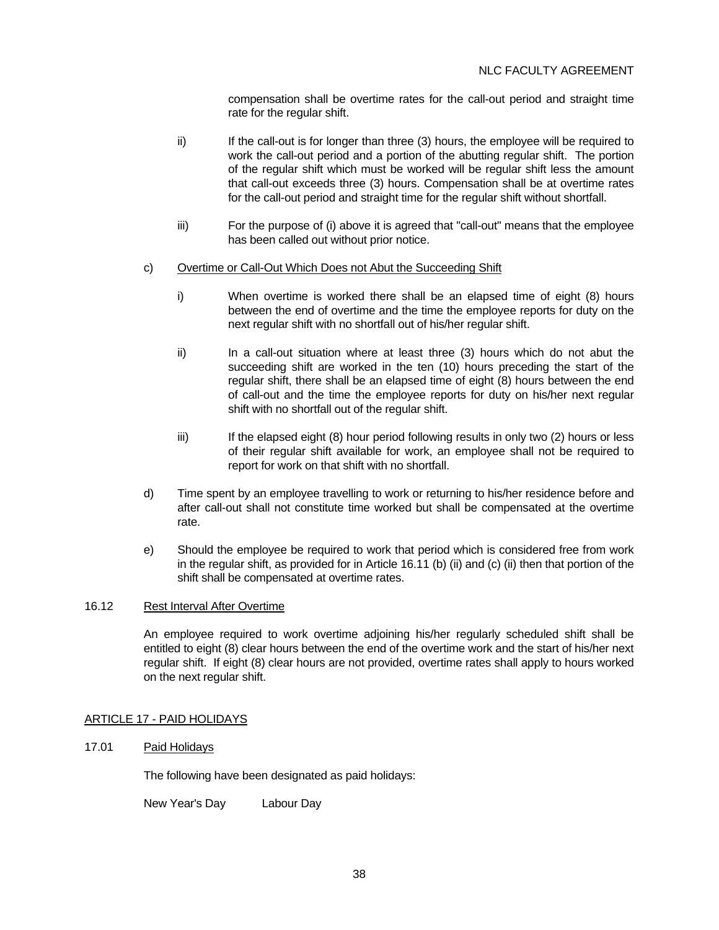compensation shall be overtime rates for the call-out period and straight time rate for the regular shift.

- ii) If the call-out is for longer than three (3) hours, the employee will be required to work the call-out period and a portion of the abutting regular shift. The portion of the regular shift which must be worked will be regular shift less the amount that call-out exceeds three (3) hours. Compensation shall be at overtime rates for the call-out period and straight time for the regular shift without shortfall.
- iii) For the purpose of (i) above it is agreed that "call-out" means that the employee has been called out without prior notice.

## c) Overtime or Call-Out Which Does not Abut the Succeeding Shift

- i) When overtime is worked there shall be an elapsed time of eight (8) hours between the end of overtime and the time the employee reports for duty on the next regular shift with no shortfall out of his/her regular shift.
- ii) In a call-out situation where at least three (3) hours which do not abut the succeeding shift are worked in the ten (10) hours preceding the start of the regular shift, there shall be an elapsed time of eight (8) hours between the end of call-out and the time the employee reports for duty on his/her next regular shift with no shortfall out of the regular shift.
- iii) If the elapsed eight (8) hour period following results in only two (2) hours or less of their regular shift available for work, an employee shall not be required to report for work on that shift with no shortfall.
- d) Time spent by an employee travelling to work or returning to his/her residence before and after call-out shall not constitute time worked but shall be compensated at the overtime rate.
- e) Should the employee be required to work that period which is considered free from work in the regular shift, as provided for in Article 16.11 (b) (ii) and (c) (ii) then that portion of the shift shall be compensated at overtime rates.

## 16.12 Rest Interval After Overtime

 An employee required to work overtime adjoining his/her regularly scheduled shift shall be entitled to eight (8) clear hours between the end of the overtime work and the start of his/her next regular shift. If eight (8) clear hours are not provided, overtime rates shall apply to hours worked on the next regular shift.

### ARTICLE 17 - PAID HOLIDAYS

### 17.01 Paid Holidays

The following have been designated as paid holidays:

New Year's Day Labour Day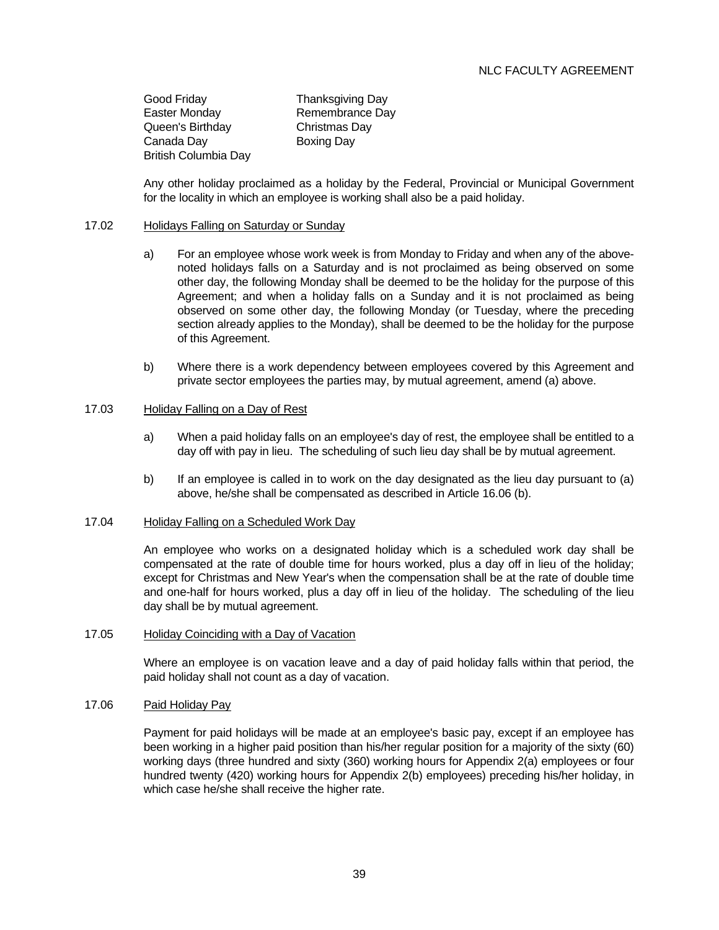Good Friday **Thanksgiving Day** Easter Monday Remembrance Day Queen's Birthday Christmas Day Canada Day Boxing Day British Columbia Day

 Any other holiday proclaimed as a holiday by the Federal, Provincial or Municipal Government for the locality in which an employee is working shall also be a paid holiday.

### 17.02 Holidays Falling on Saturday or Sunday

- a) For an employee whose work week is from Monday to Friday and when any of the abovenoted holidays falls on a Saturday and is not proclaimed as being observed on some other day, the following Monday shall be deemed to be the holiday for the purpose of this Agreement; and when a holiday falls on a Sunday and it is not proclaimed as being observed on some other day, the following Monday (or Tuesday, where the preceding section already applies to the Monday), shall be deemed to be the holiday for the purpose of this Agreement.
- b) Where there is a work dependency between employees covered by this Agreement and private sector employees the parties may, by mutual agreement, amend (a) above.

#### 17.03 Holiday Falling on a Day of Rest

- a) When a paid holiday falls on an employee's day of rest, the employee shall be entitled to a day off with pay in lieu. The scheduling of such lieu day shall be by mutual agreement.
- b) If an employee is called in to work on the day designated as the lieu day pursuant to (a) above, he/she shall be compensated as described in Article 16.06 (b).

### 17.04 Holiday Falling on a Scheduled Work Day

 An employee who works on a designated holiday which is a scheduled work day shall be compensated at the rate of double time for hours worked, plus a day off in lieu of the holiday; except for Christmas and New Year's when the compensation shall be at the rate of double time and one-half for hours worked, plus a day off in lieu of the holiday. The scheduling of the lieu day shall be by mutual agreement.

### 17.05 Holiday Coinciding with a Day of Vacation

 Where an employee is on vacation leave and a day of paid holiday falls within that period, the paid holiday shall not count as a day of vacation.

### 17.06 Paid Holiday Pay

 Payment for paid holidays will be made at an employee's basic pay, except if an employee has been working in a higher paid position than his/her regular position for a majority of the sixty (60) working days (three hundred and sixty (360) working hours for Appendix 2(a) employees or four hundred twenty (420) working hours for Appendix 2(b) employees) preceding his/her holiday, in which case he/she shall receive the higher rate.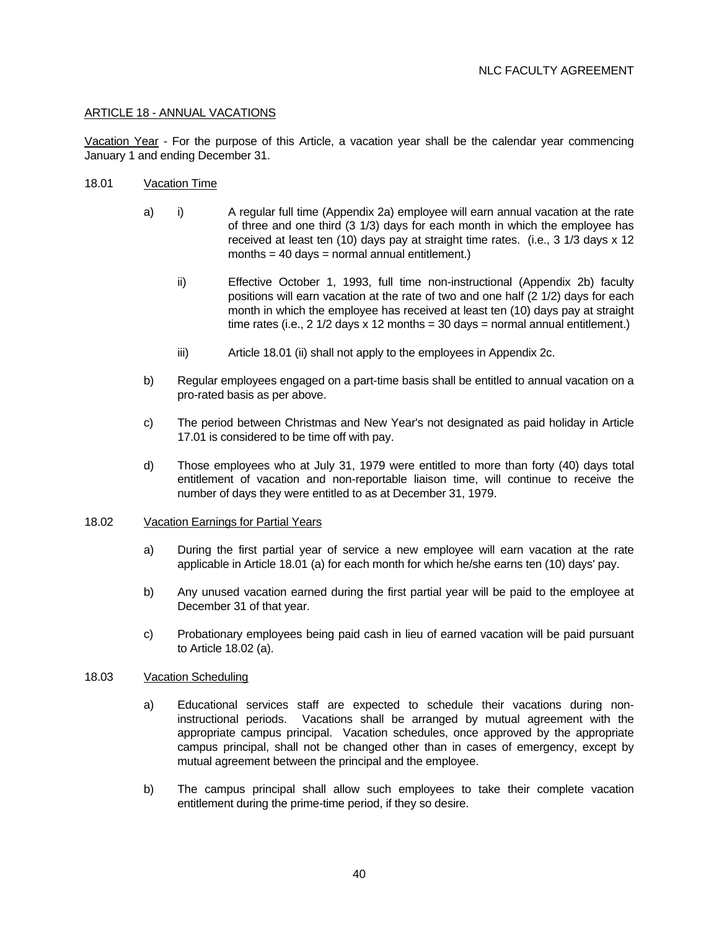## ARTICLE 18 - ANNUAL VACATIONS

Vacation Year - For the purpose of this Article, a vacation year shall be the calendar year commencing January 1 and ending December 31.

- 18.01 Vacation Time
	- a) i) A regular full time (Appendix 2a) employee will earn annual vacation at the rate of three and one third (3 1/3) days for each month in which the employee has received at least ten (10) days pay at straight time rates. (i.e., 3 1/3 days x 12 months =  $40$  days = normal annual entitlement.)
		- ii) Effective October 1, 1993, full time non-instructional (Appendix 2b) faculty positions will earn vacation at the rate of two and one half (2 1/2) days for each month in which the employee has received at least ten (10) days pay at straight time rates (i.e., 2 1/2 days x 12 months = 30 days = normal annual entitlement.)
		- iii) Article 18.01 (ii) shall not apply to the employees in Appendix 2c.
	- b) Regular employees engaged on a part-time basis shall be entitled to annual vacation on a pro-rated basis as per above.
	- c) The period between Christmas and New Year's not designated as paid holiday in Article 17.01 is considered to be time off with pay.
	- d) Those employees who at July 31, 1979 were entitled to more than forty (40) days total entitlement of vacation and non-reportable liaison time, will continue to receive the number of days they were entitled to as at December 31, 1979.

#### 18.02 Vacation Earnings for Partial Years

- a) During the first partial year of service a new employee will earn vacation at the rate applicable in Article 18.01 (a) for each month for which he/she earns ten (10) days' pay.
- b) Any unused vacation earned during the first partial year will be paid to the employee at December 31 of that year.
- c) Probationary employees being paid cash in lieu of earned vacation will be paid pursuant to Article 18.02 (a).

#### 18.03 Vacation Scheduling

- a) Educational services staff are expected to schedule their vacations during noninstructional periods. Vacations shall be arranged by mutual agreement with the appropriate campus principal. Vacation schedules, once approved by the appropriate campus principal, shall not be changed other than in cases of emergency, except by mutual agreement between the principal and the employee.
- b) The campus principal shall allow such employees to take their complete vacation entitlement during the prime-time period, if they so desire.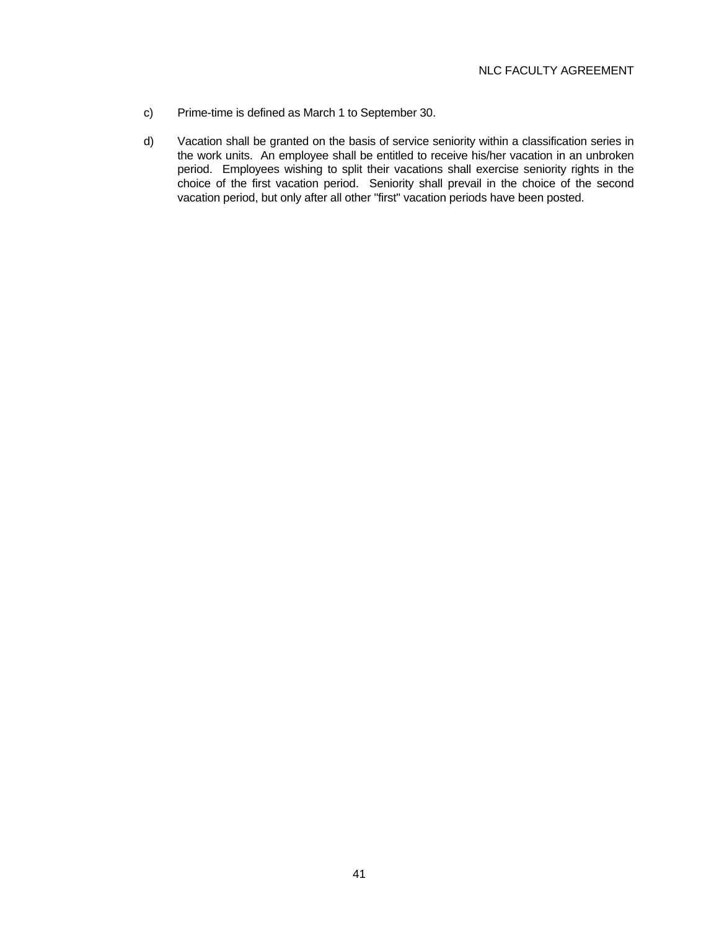- c) Prime-time is defined as March 1 to September 30.
- d) Vacation shall be granted on the basis of service seniority within a classification series in the work units. An employee shall be entitled to receive his/her vacation in an unbroken period. Employees wishing to split their vacations shall exercise seniority rights in the choice of the first vacation period. Seniority shall prevail in the choice of the second vacation period, but only after all other "first" vacation periods have been posted.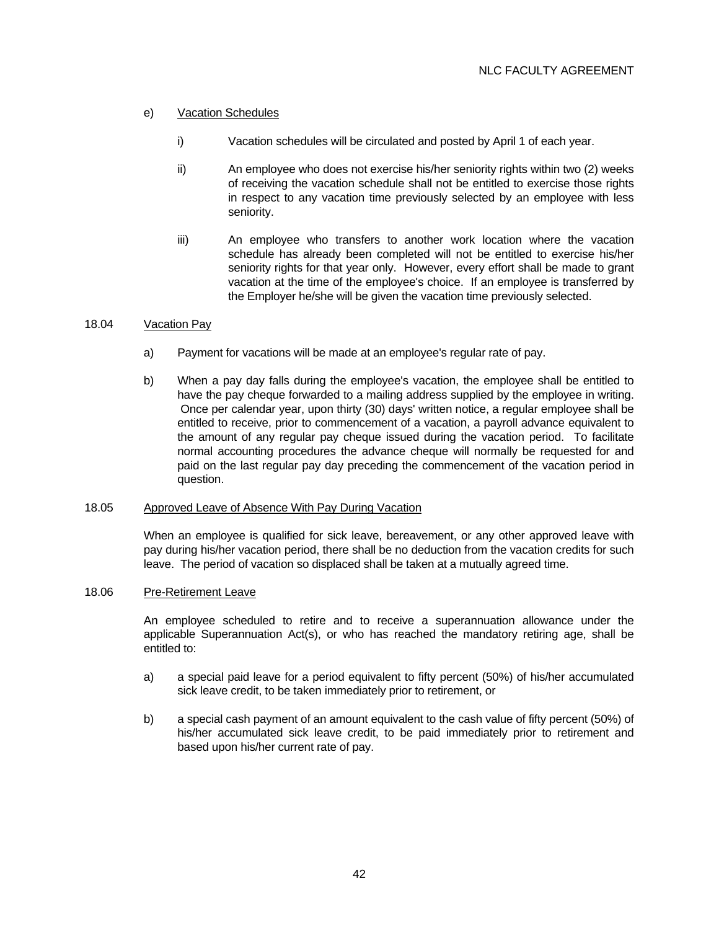## e) Vacation Schedules

- i) Vacation schedules will be circulated and posted by April 1 of each year.
- ii) An employee who does not exercise his/her seniority rights within two (2) weeks of receiving the vacation schedule shall not be entitled to exercise those rights in respect to any vacation time previously selected by an employee with less seniority.
- iii) An employee who transfers to another work location where the vacation schedule has already been completed will not be entitled to exercise his/her seniority rights for that year only. However, every effort shall be made to grant vacation at the time of the employee's choice. If an employee is transferred by the Employer he/she will be given the vacation time previously selected.

## 18.04 Vacation Pay

- a) Payment for vacations will be made at an employee's regular rate of pay.
- b) When a pay day falls during the employee's vacation, the employee shall be entitled to have the pay cheque forwarded to a mailing address supplied by the employee in writing. Once per calendar year, upon thirty (30) days' written notice, a regular employee shall be entitled to receive, prior to commencement of a vacation, a payroll advance equivalent to the amount of any regular pay cheque issued during the vacation period. To facilitate normal accounting procedures the advance cheque will normally be requested for and paid on the last regular pay day preceding the commencement of the vacation period in question.

### 18.05 Approved Leave of Absence With Pay During Vacation

 When an employee is qualified for sick leave, bereavement, or any other approved leave with pay during his/her vacation period, there shall be no deduction from the vacation credits for such leave. The period of vacation so displaced shall be taken at a mutually agreed time.

## 18.06 Pre-Retirement Leave

 An employee scheduled to retire and to receive a superannuation allowance under the applicable Superannuation Act(s), or who has reached the mandatory retiring age, shall be entitled to:

- a) a special paid leave for a period equivalent to fifty percent (50%) of his/her accumulated sick leave credit, to be taken immediately prior to retirement, or
- b) a special cash payment of an amount equivalent to the cash value of fifty percent (50%) of his/her accumulated sick leave credit, to be paid immediately prior to retirement and based upon his/her current rate of pay.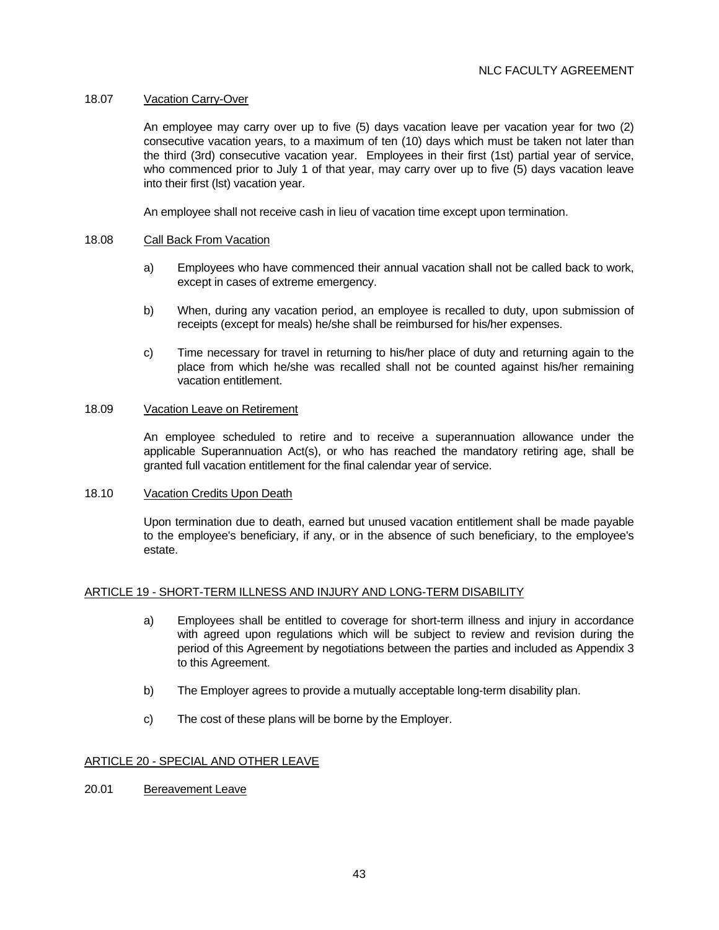### 18.07 Vacation Carry-Over

 An employee may carry over up to five (5) days vacation leave per vacation year for two (2) consecutive vacation years, to a maximum of ten (10) days which must be taken not later than the third (3rd) consecutive vacation year. Employees in their first (1st) partial year of service, who commenced prior to July 1 of that year, may carry over up to five (5) days vacation leave into their first (lst) vacation year.

An employee shall not receive cash in lieu of vacation time except upon termination.

### 18.08 Call Back From Vacation

- a) Employees who have commenced their annual vacation shall not be called back to work, except in cases of extreme emergency.
- b) When, during any vacation period, an employee is recalled to duty, upon submission of receipts (except for meals) he/she shall be reimbursed for his/her expenses.
- c) Time necessary for travel in returning to his/her place of duty and returning again to the place from which he/she was recalled shall not be counted against his/her remaining vacation entitlement.

#### 18.09 Vacation Leave on Retirement

 An employee scheduled to retire and to receive a superannuation allowance under the applicable Superannuation Act(s), or who has reached the mandatory retiring age, shall be granted full vacation entitlement for the final calendar year of service.

### 18.10 Vacation Credits Upon Death

 Upon termination due to death, earned but unused vacation entitlement shall be made payable to the employee's beneficiary, if any, or in the absence of such beneficiary, to the employee's estate.

### ARTICLE 19 - SHORT-TERM ILLNESS AND INJURY AND LONG-TERM DISABILITY

- a) Employees shall be entitled to coverage for short-term illness and injury in accordance with agreed upon regulations which will be subject to review and revision during the period of this Agreement by negotiations between the parties and included as Appendix 3 to this Agreement.
- b) The Employer agrees to provide a mutually acceptable long-term disability plan.
- c) The cost of these plans will be borne by the Employer.

### ARTICLE 20 - SPECIAL AND OTHER LEAVE

20.01 Bereavement Leave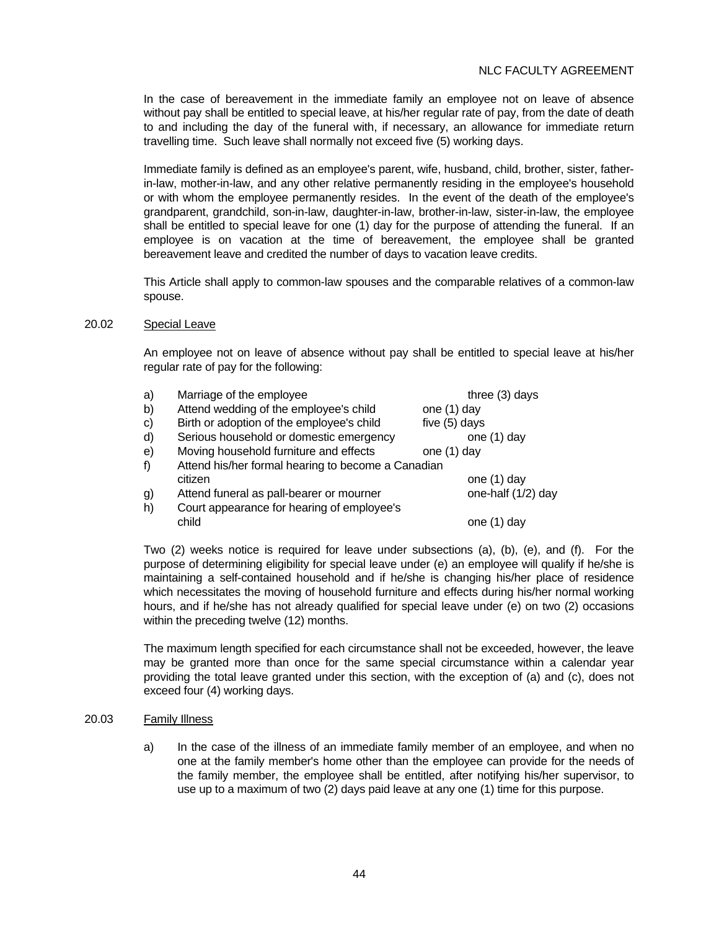In the case of bereavement in the immediate family an employee not on leave of absence without pay shall be entitled to special leave, at his/her regular rate of pay, from the date of death to and including the day of the funeral with, if necessary, an allowance for immediate return travelling time. Such leave shall normally not exceed five (5) working days.

 Immediate family is defined as an employee's parent, wife, husband, child, brother, sister, fatherin-law, mother-in-law, and any other relative permanently residing in the employee's household or with whom the employee permanently resides. In the event of the death of the employee's grandparent, grandchild, son-in-law, daughter-in-law, brother-in-law, sister-in-law, the employee shall be entitled to special leave for one (1) day for the purpose of attending the funeral. If an employee is on vacation at the time of bereavement, the employee shall be granted bereavement leave and credited the number of days to vacation leave credits.

 This Article shall apply to common-law spouses and the comparable relatives of a common-law spouse.

#### 20.02 Special Leave

 An employee not on leave of absence without pay shall be entitled to special leave at his/her regular rate of pay for the following:

| a) | Marriage of the employee                           | three $(3)$ days   |
|----|----------------------------------------------------|--------------------|
| b) | Attend wedding of the employee's child             | one $(1)$ day      |
| C) | Birth or adoption of the employee's child          | five (5) days      |
| d) | Serious household or domestic emergency            | one (1) day        |
| e) | Moving household furniture and effects             | one (1) day        |
| f) | Attend his/her formal hearing to become a Canadian |                    |
|    | citizen                                            | one (1) day        |
| g) | Attend funeral as pall-bearer or mourner           | one-half (1/2) day |
| h) | Court appearance for hearing of employee's         |                    |
|    | child                                              | dav<br>one (1      |

 Two (2) weeks notice is required for leave under subsections (a), (b), (e), and (f). For the purpose of determining eligibility for special leave under (e) an employee will qualify if he/she is maintaining a self-contained household and if he/she is changing his/her place of residence which necessitates the moving of household furniture and effects during his/her normal working hours, and if he/she has not already qualified for special leave under (e) on two (2) occasions within the preceding twelve (12) months.

 The maximum length specified for each circumstance shall not be exceeded, however, the leave may be granted more than once for the same special circumstance within a calendar year providing the total leave granted under this section, with the exception of (a) and (c), does not exceed four (4) working days.

### 20.03 Family Illness

 a) In the case of the illness of an immediate family member of an employee, and when no one at the family member's home other than the employee can provide for the needs of the family member, the employee shall be entitled, after notifying his/her supervisor, to use up to a maximum of two (2) days paid leave at any one (1) time for this purpose.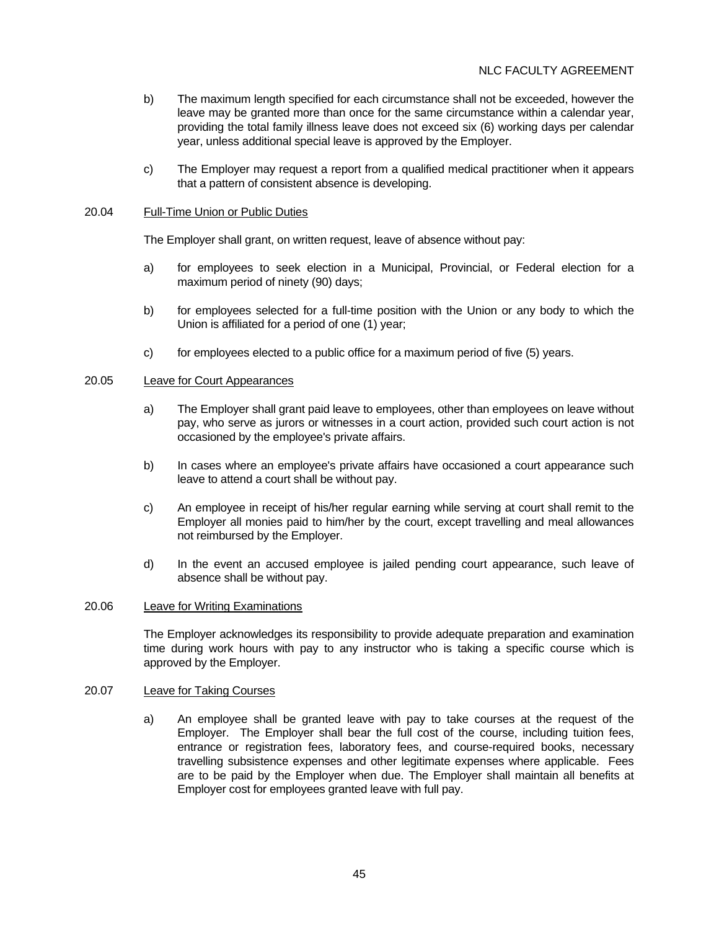- b) The maximum length specified for each circumstance shall not be exceeded, however the leave may be granted more than once for the same circumstance within a calendar year, providing the total family illness leave does not exceed six (6) working days per calendar year, unless additional special leave is approved by the Employer.
- c) The Employer may request a report from a qualified medical practitioner when it appears that a pattern of consistent absence is developing.

### 20.04 Full-Time Union or Public Duties

The Employer shall grant, on written request, leave of absence without pay:

- a) for employees to seek election in a Municipal, Provincial, or Federal election for a maximum period of ninety (90) days;
- b) for employees selected for a full-time position with the Union or any body to which the Union is affiliated for a period of one (1) year;
- c) for employees elected to a public office for a maximum period of five (5) years.

## 20.05 Leave for Court Appearances

- a) The Employer shall grant paid leave to employees, other than employees on leave without pay, who serve as jurors or witnesses in a court action, provided such court action is not occasioned by the employee's private affairs.
- b) In cases where an employee's private affairs have occasioned a court appearance such leave to attend a court shall be without pay.
- c) An employee in receipt of his/her regular earning while serving at court shall remit to the Employer all monies paid to him/her by the court, except travelling and meal allowances not reimbursed by the Employer.
- d) In the event an accused employee is jailed pending court appearance, such leave of absence shall be without pay.

### 20.06 Leave for Writing Examinations

 The Employer acknowledges its responsibility to provide adequate preparation and examination time during work hours with pay to any instructor who is taking a specific course which is approved by the Employer.

## 20.07 Leave for Taking Courses

 a) An employee shall be granted leave with pay to take courses at the request of the Employer. The Employer shall bear the full cost of the course, including tuition fees, entrance or registration fees, laboratory fees, and course-required books, necessary travelling subsistence expenses and other legitimate expenses where applicable. Fees are to be paid by the Employer when due. The Employer shall maintain all benefits at Employer cost for employees granted leave with full pay.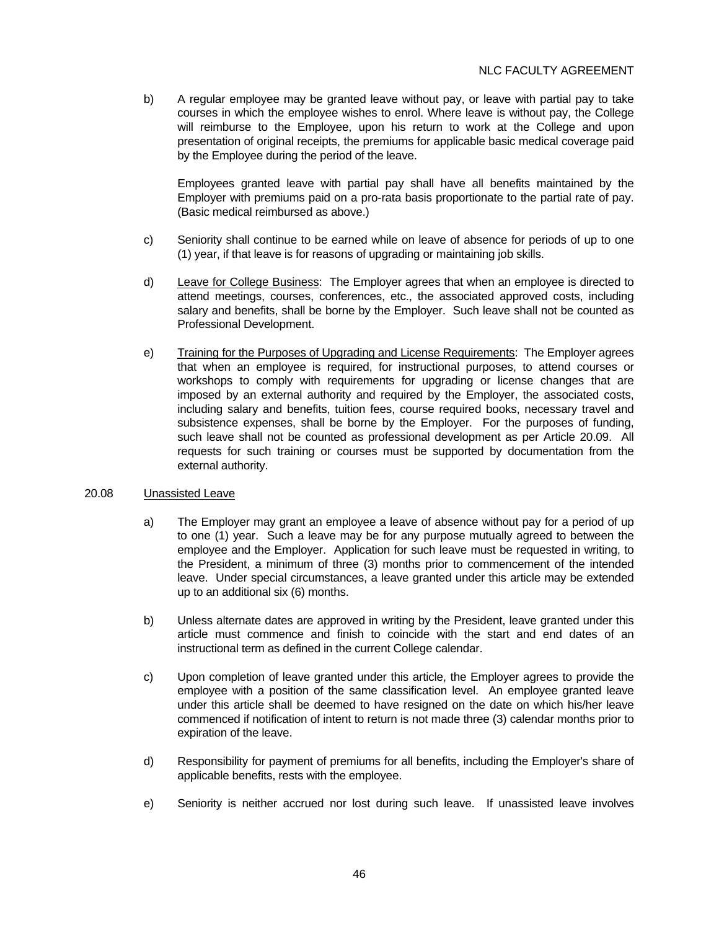b) A regular employee may be granted leave without pay, or leave with partial pay to take courses in which the employee wishes to enrol. Where leave is without pay, the College will reimburse to the Employee, upon his return to work at the College and upon presentation of original receipts, the premiums for applicable basic medical coverage paid by the Employee during the period of the leave.

 Employees granted leave with partial pay shall have all benefits maintained by the Employer with premiums paid on a pro-rata basis proportionate to the partial rate of pay. (Basic medical reimbursed as above.)

- c) Seniority shall continue to be earned while on leave of absence for periods of up to one (1) year, if that leave is for reasons of upgrading or maintaining job skills.
- d) Leave for College Business: The Employer agrees that when an employee is directed to attend meetings, courses, conferences, etc., the associated approved costs, including salary and benefits, shall be borne by the Employer. Such leave shall not be counted as Professional Development.
- e) Training for the Purposes of Upgrading and License Requirements: The Employer agrees that when an employee is required, for instructional purposes, to attend courses or workshops to comply with requirements for upgrading or license changes that are imposed by an external authority and required by the Employer, the associated costs, including salary and benefits, tuition fees, course required books, necessary travel and subsistence expenses, shall be borne by the Employer. For the purposes of funding, such leave shall not be counted as professional development as per Article 20.09. All requests for such training or courses must be supported by documentation from the external authority.

### 20.08 Unassisted Leave

- a) The Employer may grant an employee a leave of absence without pay for a period of up to one (1) year. Such a leave may be for any purpose mutually agreed to between the employee and the Employer. Application for such leave must be requested in writing, to the President, a minimum of three (3) months prior to commencement of the intended leave. Under special circumstances, a leave granted under this article may be extended up to an additional six (6) months.
- b) Unless alternate dates are approved in writing by the President, leave granted under this article must commence and finish to coincide with the start and end dates of an instructional term as defined in the current College calendar.
- c) Upon completion of leave granted under this article, the Employer agrees to provide the employee with a position of the same classification level. An employee granted leave under this article shall be deemed to have resigned on the date on which his/her leave commenced if notification of intent to return is not made three (3) calendar months prior to expiration of the leave.
- d) Responsibility for payment of premiums for all benefits, including the Employer's share of applicable benefits, rests with the employee.
- e) Seniority is neither accrued nor lost during such leave. If unassisted leave involves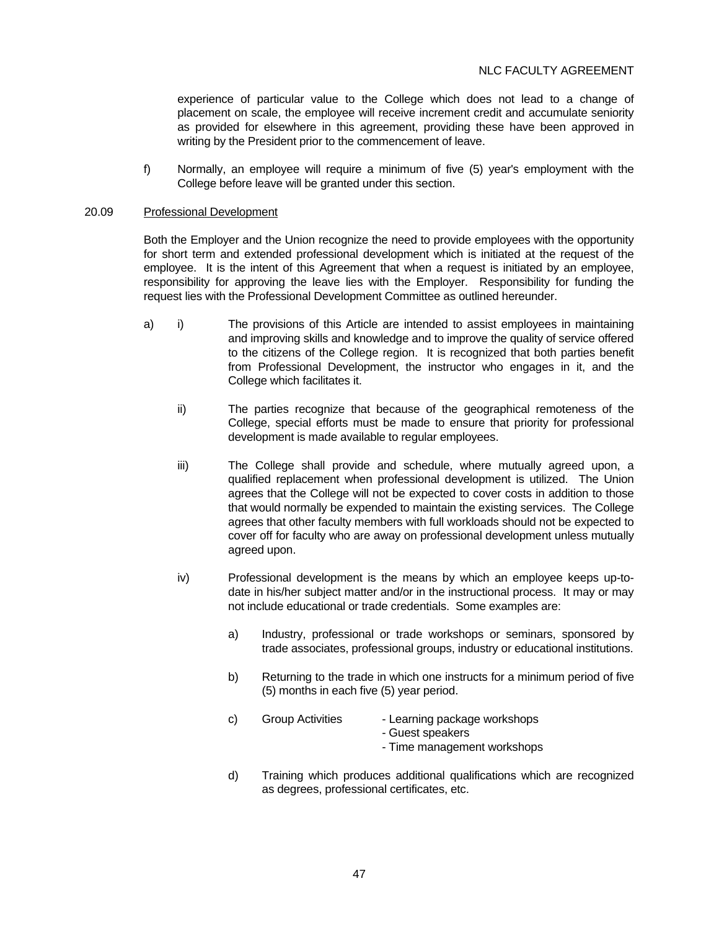experience of particular value to the College which does not lead to a change of placement on scale, the employee will receive increment credit and accumulate seniority as provided for elsewhere in this agreement, providing these have been approved in writing by the President prior to the commencement of leave.

 f) Normally, an employee will require a minimum of five (5) year's employment with the College before leave will be granted under this section.

#### 20.09 Professional Development

 Both the Employer and the Union recognize the need to provide employees with the opportunity for short term and extended professional development which is initiated at the request of the employee. It is the intent of this Agreement that when a request is initiated by an employee, responsibility for approving the leave lies with the Employer. Responsibility for funding the request lies with the Professional Development Committee as outlined hereunder.

- a) i) The provisions of this Article are intended to assist employees in maintaining and improving skills and knowledge and to improve the quality of service offered to the citizens of the College region. It is recognized that both parties benefit from Professional Development, the instructor who engages in it, and the College which facilitates it.
	- ii) The parties recognize that because of the geographical remoteness of the College, special efforts must be made to ensure that priority for professional development is made available to regular employees.
	- iii) The College shall provide and schedule, where mutually agreed upon, a qualified replacement when professional development is utilized. The Union agrees that the College will not be expected to cover costs in addition to those that would normally be expended to maintain the existing services. The College agrees that other faculty members with full workloads should not be expected to cover off for faculty who are away on professional development unless mutually agreed upon.
	- iv) Professional development is the means by which an employee keeps up-todate in his/her subject matter and/or in the instructional process. It may or may not include educational or trade credentials. Some examples are:
		- a) Industry, professional or trade workshops or seminars, sponsored by trade associates, professional groups, industry or educational institutions.
		- b) Returning to the trade in which one instructs for a minimum period of five (5) months in each five (5) year period.
		- c) Group Activities Learning package workshops
			- Guest speakers
			- Time management workshops
		- d) Training which produces additional qualifications which are recognized as degrees, professional certificates, etc.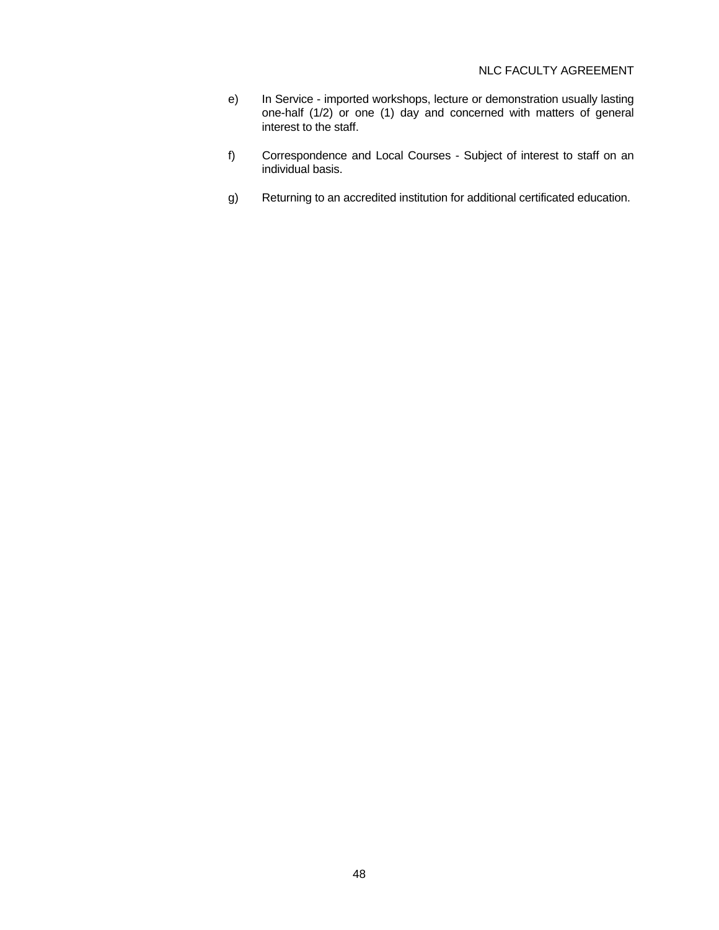- e) In Service imported workshops, lecture or demonstration usually lasting one-half (1/2) or one (1) day and concerned with matters of general interest to the staff.
- f) Correspondence and Local Courses Subject of interest to staff on an individual basis.
- g) Returning to an accredited institution for additional certificated education.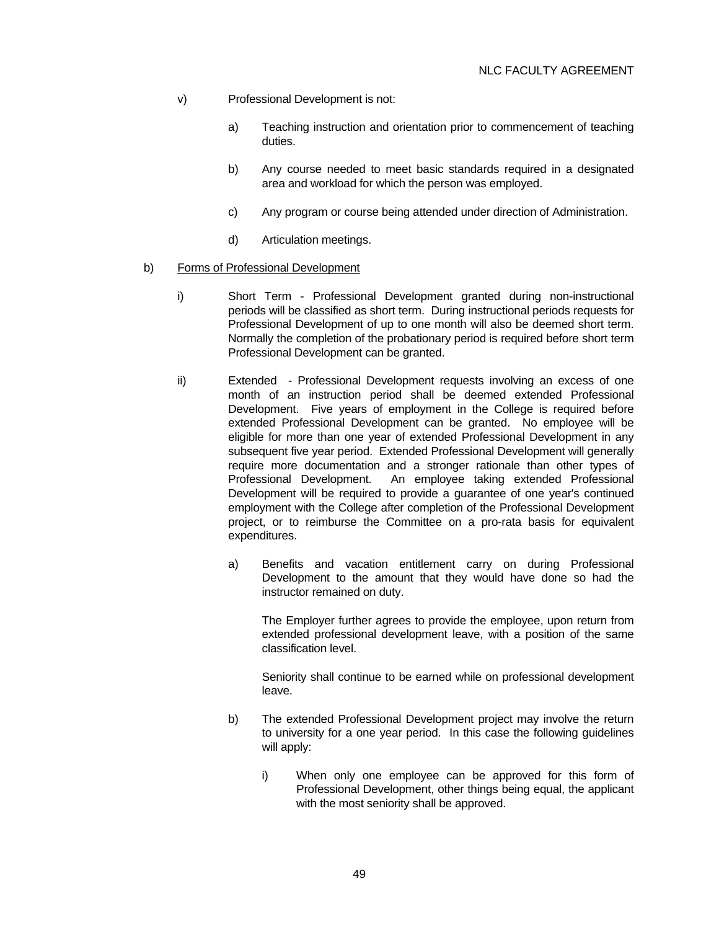- v) Professional Development is not:
	- a) Teaching instruction and orientation prior to commencement of teaching duties.
	- b) Any course needed to meet basic standards required in a designated area and workload for which the person was employed.
	- c) Any program or course being attended under direction of Administration.
	- d) Articulation meetings.
- b) Forms of Professional Development
	- i) Short Term Professional Development granted during non-instructional periods will be classified as short term. During instructional periods requests for Professional Development of up to one month will also be deemed short term. Normally the completion of the probationary period is required before short term Professional Development can be granted.
	- ii) Extended Professional Development requests involving an excess of one month of an instruction period shall be deemed extended Professional Development. Five years of employment in the College is required before extended Professional Development can be granted. No employee will be eligible for more than one year of extended Professional Development in any subsequent five year period. Extended Professional Development will generally require more documentation and a stronger rationale than other types of Professional Development. An employee taking extended Professional Development will be required to provide a guarantee of one year's continued employment with the College after completion of the Professional Development project, or to reimburse the Committee on a pro-rata basis for equivalent expenditures.
		- a) Benefits and vacation entitlement carry on during Professional Development to the amount that they would have done so had the instructor remained on duty.

 The Employer further agrees to provide the employee, upon return from extended professional development leave, with a position of the same classification level.

 Seniority shall continue to be earned while on professional development leave.

- b) The extended Professional Development project may involve the return to university for a one year period. In this case the following guidelines will apply:
	- i) When only one employee can be approved for this form of Professional Development, other things being equal, the applicant with the most seniority shall be approved.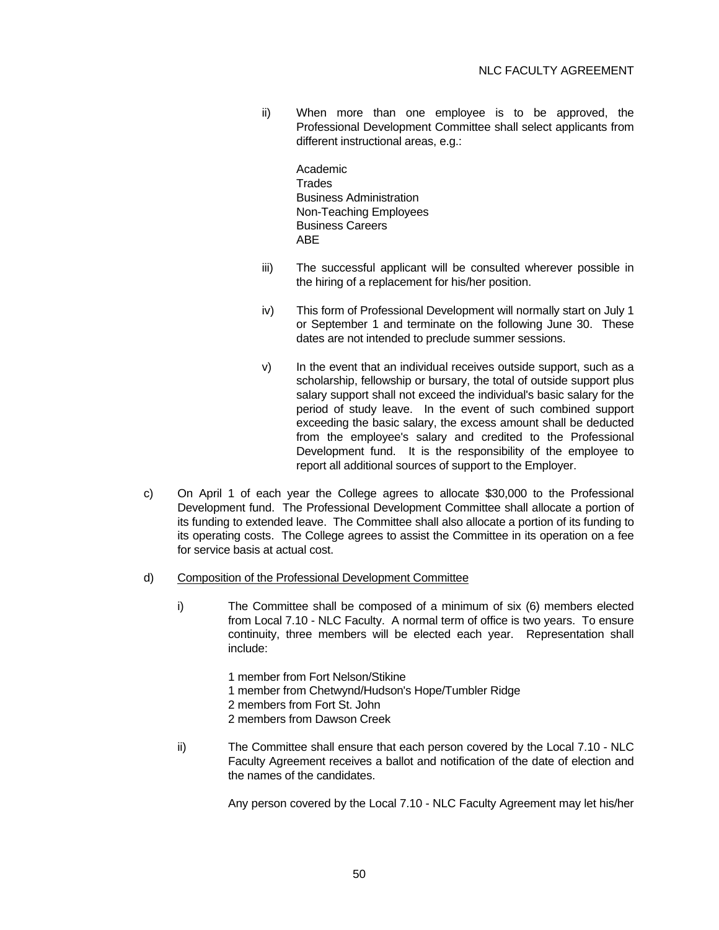ii) When more than one employee is to be approved, the Professional Development Committee shall select applicants from different instructional areas, e.g.:

 Academic **Trades**  Business Administration Non-Teaching Employees Business Careers **ABE** 

- iii) The successful applicant will be consulted wherever possible in the hiring of a replacement for his/her position.
- iv) This form of Professional Development will normally start on July 1 or September 1 and terminate on the following June 30. These dates are not intended to preclude summer sessions.
- v) In the event that an individual receives outside support, such as a scholarship, fellowship or bursary, the total of outside support plus salary support shall not exceed the individual's basic salary for the period of study leave. In the event of such combined support exceeding the basic salary, the excess amount shall be deducted from the employee's salary and credited to the Professional Development fund. It is the responsibility of the employee to report all additional sources of support to the Employer.
- c) On April 1 of each year the College agrees to allocate \$30,000 to the Professional Development fund. The Professional Development Committee shall allocate a portion of its funding to extended leave. The Committee shall also allocate a portion of its funding to its operating costs. The College agrees to assist the Committee in its operation on a fee for service basis at actual cost.
- d) Composition of the Professional Development Committee
	- i) The Committee shall be composed of a minimum of six (6) members elected from Local 7.10 - NLC Faculty. A normal term of office is two years. To ensure continuity, three members will be elected each year. Representation shall include:
		- 1 member from Fort Nelson/Stikine
		- 1 member from Chetwynd/Hudson's Hope/Tumbler Ridge
		- 2 members from Fort St. John
		- 2 members from Dawson Creek
	- ii) The Committee shall ensure that each person covered by the Local 7.10 NLC Faculty Agreement receives a ballot and notification of the date of election and the names of the candidates.

Any person covered by the Local 7.10 - NLC Faculty Agreement may let his/her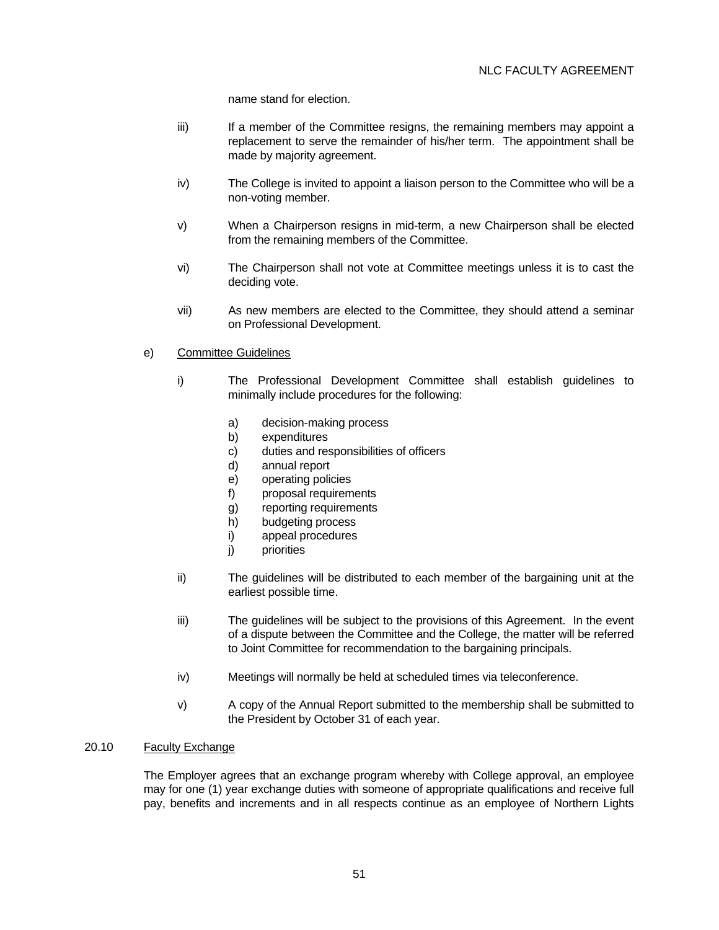name stand for election.

- iii) If a member of the Committee resigns, the remaining members may appoint a replacement to serve the remainder of his/her term. The appointment shall be made by majority agreement.
- iv) The College is invited to appoint a liaison person to the Committee who will be a non-voting member.
- v) When a Chairperson resigns in mid-term, a new Chairperson shall be elected from the remaining members of the Committee.
- vi) The Chairperson shall not vote at Committee meetings unless it is to cast the deciding vote.
- vii) As new members are elected to the Committee, they should attend a seminar on Professional Development.

### e) Committee Guidelines

- i) The Professional Development Committee shall establish guidelines to minimally include procedures for the following:
	- a) decision-making process
	- b) expenditures
	- c) duties and responsibilities of officers
	- d) annual report
	- e) operating policies
	- f) proposal requirements
	- g) reporting requirements
	- h) budgeting process
	- i) appeal procedures
	- j) priorities
- ii) The guidelines will be distributed to each member of the bargaining unit at the earliest possible time.
- iii) The guidelines will be subject to the provisions of this Agreement. In the event of a dispute between the Committee and the College, the matter will be referred to Joint Committee for recommendation to the bargaining principals.
- iv) Meetings will normally be held at scheduled times via teleconference.
- v) A copy of the Annual Report submitted to the membership shall be submitted to the President by October 31 of each year.

#### 20.10 Faculty Exchange

 The Employer agrees that an exchange program whereby with College approval, an employee may for one (1) year exchange duties with someone of appropriate qualifications and receive full pay, benefits and increments and in all respects continue as an employee of Northern Lights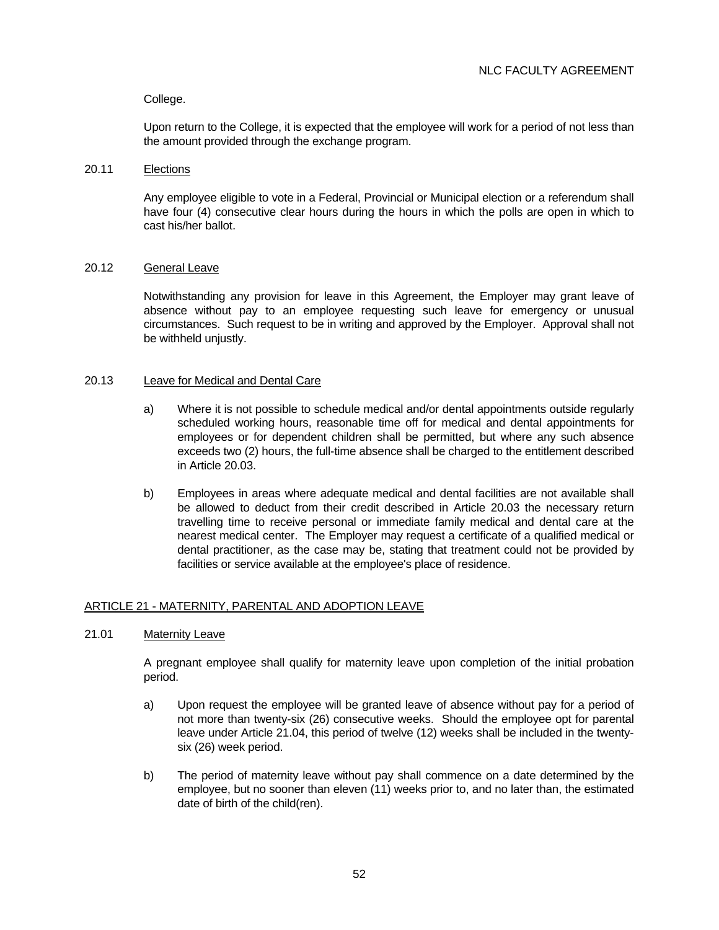## College.

 Upon return to the College, it is expected that the employee will work for a period of not less than the amount provided through the exchange program.

### 20.11 Elections

 Any employee eligible to vote in a Federal, Provincial or Municipal election or a referendum shall have four (4) consecutive clear hours during the hours in which the polls are open in which to cast his/her ballot.

### 20.12 General Leave

 Notwithstanding any provision for leave in this Agreement, the Employer may grant leave of absence without pay to an employee requesting such leave for emergency or unusual circumstances. Such request to be in writing and approved by the Employer. Approval shall not be withheld unjustly.

## 20.13 Leave for Medical and Dental Care

- a) Where it is not possible to schedule medical and/or dental appointments outside regularly scheduled working hours, reasonable time off for medical and dental appointments for employees or for dependent children shall be permitted, but where any such absence exceeds two (2) hours, the full-time absence shall be charged to the entitlement described in Article 20.03.
- b) Employees in areas where adequate medical and dental facilities are not available shall be allowed to deduct from their credit described in Article 20.03 the necessary return travelling time to receive personal or immediate family medical and dental care at the nearest medical center. The Employer may request a certificate of a qualified medical or dental practitioner, as the case may be, stating that treatment could not be provided by facilities or service available at the employee's place of residence.

### ARTICLE 21 - MATERNITY, PARENTAL AND ADOPTION LEAVE

## 21.01 Maternity Leave

 A pregnant employee shall qualify for maternity leave upon completion of the initial probation period.

- a) Upon request the employee will be granted leave of absence without pay for a period of not more than twenty-six (26) consecutive weeks. Should the employee opt for parental leave under Article 21.04, this period of twelve (12) weeks shall be included in the twentysix (26) week period.
- b) The period of maternity leave without pay shall commence on a date determined by the employee, but no sooner than eleven (11) weeks prior to, and no later than, the estimated date of birth of the child(ren).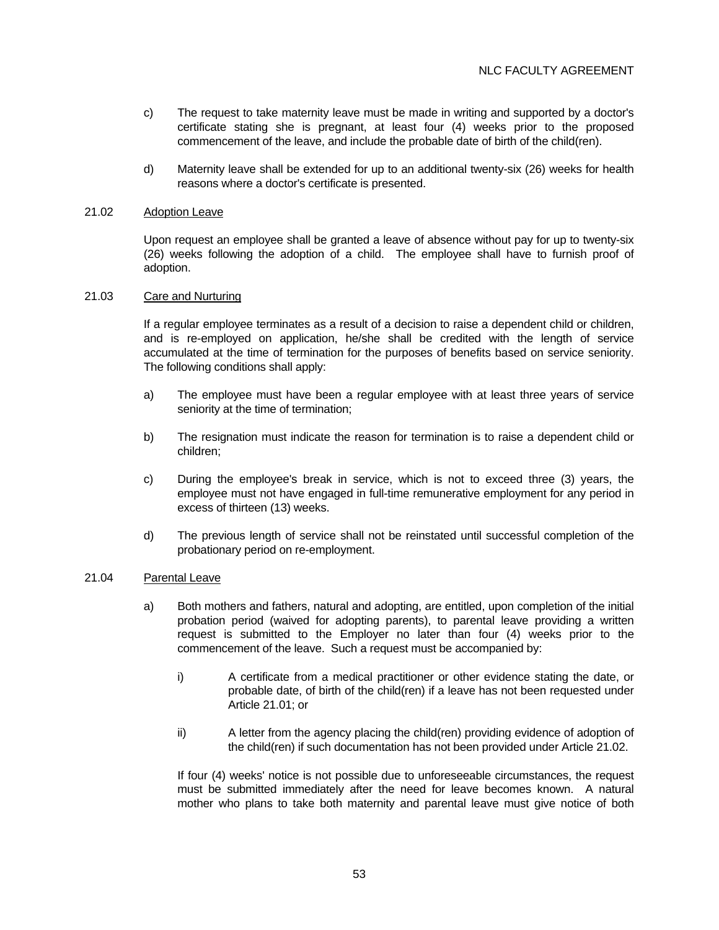- c) The request to take maternity leave must be made in writing and supported by a doctor's certificate stating she is pregnant, at least four (4) weeks prior to the proposed commencement of the leave, and include the probable date of birth of the child(ren).
- d) Maternity leave shall be extended for up to an additional twenty-six (26) weeks for health reasons where a doctor's certificate is presented.

#### 21.02 Adoption Leave

 Upon request an employee shall be granted a leave of absence without pay for up to twenty-six (26) weeks following the adoption of a child. The employee shall have to furnish proof of adoption.

### 21.03 Care and Nurturing

 If a regular employee terminates as a result of a decision to raise a dependent child or children, and is re-employed on application, he/she shall be credited with the length of service accumulated at the time of termination for the purposes of benefits based on service seniority. The following conditions shall apply:

- a) The employee must have been a regular employee with at least three years of service seniority at the time of termination;
- b) The resignation must indicate the reason for termination is to raise a dependent child or children;
- c) During the employee's break in service, which is not to exceed three (3) years, the employee must not have engaged in full-time remunerative employment for any period in excess of thirteen (13) weeks.
- d) The previous length of service shall not be reinstated until successful completion of the probationary period on re-employment.

#### 21.04 Parental Leave

- a) Both mothers and fathers, natural and adopting, are entitled, upon completion of the initial probation period (waived for adopting parents), to parental leave providing a written request is submitted to the Employer no later than four (4) weeks prior to the commencement of the leave. Such a request must be accompanied by:
	- i) A certificate from a medical practitioner or other evidence stating the date, or probable date, of birth of the child(ren) if a leave has not been requested under Article 21.01; or
	- ii) A letter from the agency placing the child(ren) providing evidence of adoption of the child(ren) if such documentation has not been provided under Article 21.02.

 If four (4) weeks' notice is not possible due to unforeseeable circumstances, the request must be submitted immediately after the need for leave becomes known. A natural mother who plans to take both maternity and parental leave must give notice of both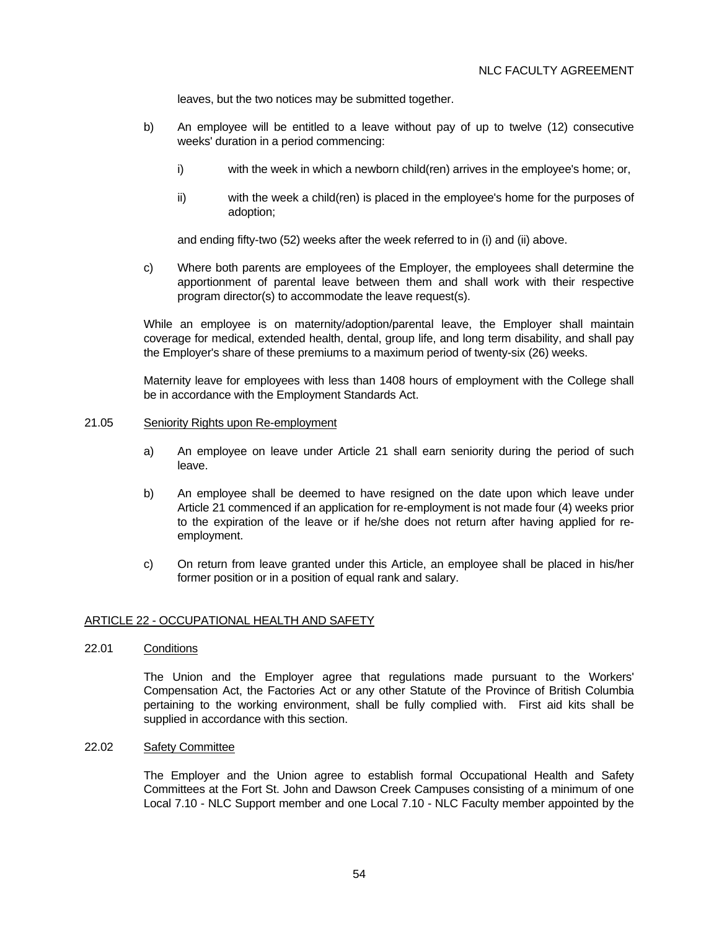leaves, but the two notices may be submitted together.

- b) An employee will be entitled to a leave without pay of up to twelve (12) consecutive weeks' duration in a period commencing:
	- i) with the week in which a newborn child(ren) arrives in the employee's home; or,
	- ii) with the week a child(ren) is placed in the employee's home for the purposes of adoption;

and ending fifty-two (52) weeks after the week referred to in (i) and (ii) above.

 c) Where both parents are employees of the Employer, the employees shall determine the apportionment of parental leave between them and shall work with their respective program director(s) to accommodate the leave request(s).

 While an employee is on maternity/adoption/parental leave, the Employer shall maintain coverage for medical, extended health, dental, group life, and long term disability, and shall pay the Employer's share of these premiums to a maximum period of twenty-six (26) weeks.

 Maternity leave for employees with less than 1408 hours of employment with the College shall be in accordance with the Employment Standards Act.

### 21.05 Seniority Rights upon Re-employment

- a) An employee on leave under Article 21 shall earn seniority during the period of such leave.
- b) An employee shall be deemed to have resigned on the date upon which leave under Article 21 commenced if an application for re-employment is not made four (4) weeks prior to the expiration of the leave or if he/she does not return after having applied for reemployment.
- c) On return from leave granted under this Article, an employee shall be placed in his/her former position or in a position of equal rank and salary.

### ARTICLE 22 - OCCUPATIONAL HEALTH AND SAFETY

22.01 Conditions

 The Union and the Employer agree that regulations made pursuant to the Workers' Compensation Act, the Factories Act or any other Statute of the Province of British Columbia pertaining to the working environment, shall be fully complied with. First aid kits shall be supplied in accordance with this section.

### 22.02 Safety Committee

 The Employer and the Union agree to establish formal Occupational Health and Safety Committees at the Fort St. John and Dawson Creek Campuses consisting of a minimum of one Local 7.10 - NLC Support member and one Local 7.10 - NLC Faculty member appointed by the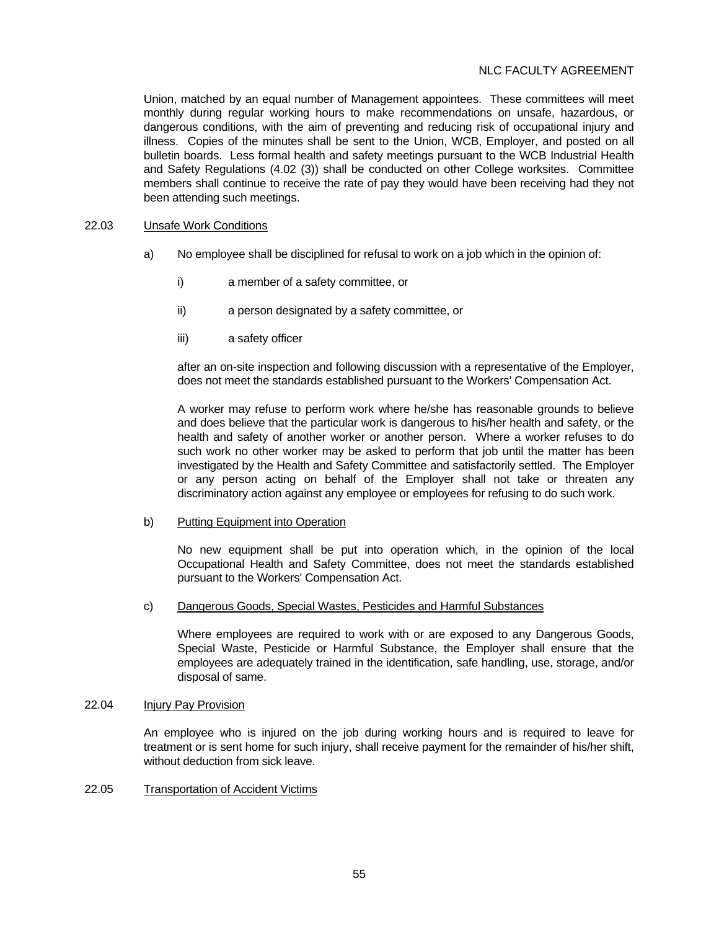## NLC FACULTY AGREEMENT

Union, matched by an equal number of Management appointees. These committees will meet monthly during regular working hours to make recommendations on unsafe, hazardous, or dangerous conditions, with the aim of preventing and reducing risk of occupational injury and illness. Copies of the minutes shall be sent to the Union, WCB, Employer, and posted on all bulletin boards. Less formal health and safety meetings pursuant to the WCB Industrial Health and Safety Regulations (4.02 (3)) shall be conducted on other College worksites. Committee members shall continue to receive the rate of pay they would have been receiving had they not been attending such meetings.

#### 22.03 Unsafe Work Conditions

- a) No employee shall be disciplined for refusal to work on a job which in the opinion of:
	- i) a member of a safety committee, or
	- ii) a person designated by a safety committee, or
	- iii) a safety officer

 after an on-site inspection and following discussion with a representative of the Employer, does not meet the standards established pursuant to the Workers' Compensation Act.

 A worker may refuse to perform work where he/she has reasonable grounds to believe and does believe that the particular work is dangerous to his/her health and safety, or the health and safety of another worker or another person. Where a worker refuses to do such work no other worker may be asked to perform that job until the matter has been investigated by the Health and Safety Committee and satisfactorily settled. The Employer or any person acting on behalf of the Employer shall not take or threaten any discriminatory action against any employee or employees for refusing to do such work.

#### b) Putting Equipment into Operation

 No new equipment shall be put into operation which, in the opinion of the local Occupational Health and Safety Committee, does not meet the standards established pursuant to the Workers' Compensation Act.

#### c) Dangerous Goods, Special Wastes, Pesticides and Harmful Substances

 Where employees are required to work with or are exposed to any Dangerous Goods, Special Waste, Pesticide or Harmful Substance, the Employer shall ensure that the employees are adequately trained in the identification, safe handling, use, storage, and/or disposal of same.

### 22.04 Injury Pay Provision

 An employee who is injured on the job during working hours and is required to leave for treatment or is sent home for such injury, shall receive payment for the remainder of his/her shift, without deduction from sick leave.

### 22.05 Transportation of Accident Victims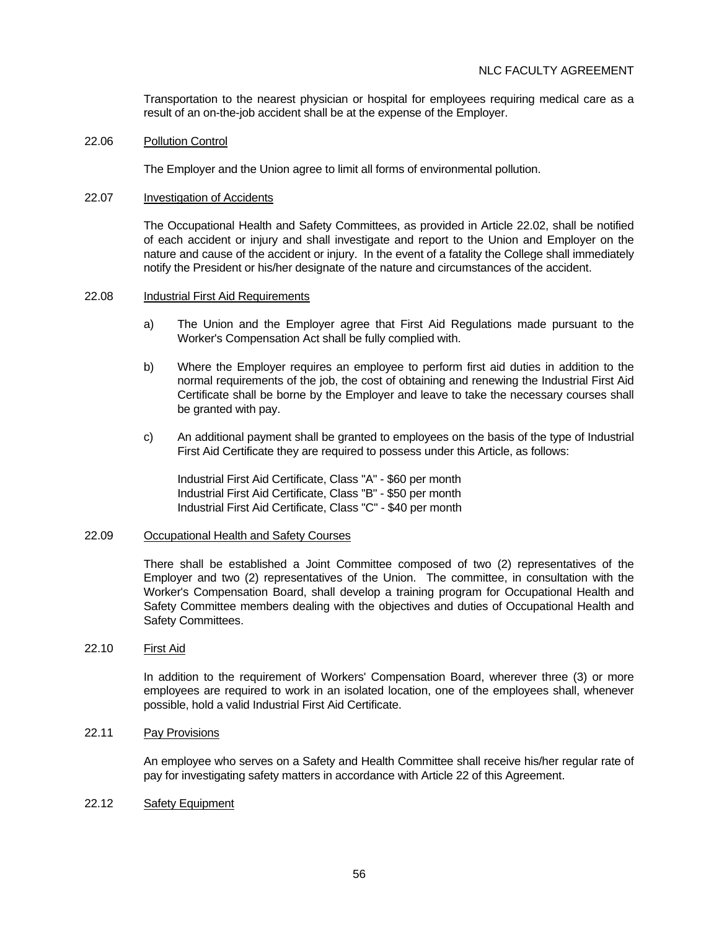Transportation to the nearest physician or hospital for employees requiring medical care as a result of an on-the-job accident shall be at the expense of the Employer.

#### 22.06 Pollution Control

The Employer and the Union agree to limit all forms of environmental pollution.

#### 22.07 Investigation of Accidents

 The Occupational Health and Safety Committees, as provided in Article 22.02, shall be notified of each accident or injury and shall investigate and report to the Union and Employer on the nature and cause of the accident or injury. In the event of a fatality the College shall immediately notify the President or his/her designate of the nature and circumstances of the accident.

#### 22.08 Industrial First Aid Requirements

- a) The Union and the Employer agree that First Aid Regulations made pursuant to the Worker's Compensation Act shall be fully complied with.
- b) Where the Employer requires an employee to perform first aid duties in addition to the normal requirements of the job, the cost of obtaining and renewing the Industrial First Aid Certificate shall be borne by the Employer and leave to take the necessary courses shall be granted with pay.
- c) An additional payment shall be granted to employees on the basis of the type of Industrial First Aid Certificate they are required to possess under this Article, as follows:

 Industrial First Aid Certificate, Class "A" - \$60 per month Industrial First Aid Certificate, Class "B" - \$50 per month Industrial First Aid Certificate, Class "C" - \$40 per month

## 22.09 Occupational Health and Safety Courses

 There shall be established a Joint Committee composed of two (2) representatives of the Employer and two (2) representatives of the Union. The committee, in consultation with the Worker's Compensation Board, shall develop a training program for Occupational Health and Safety Committee members dealing with the objectives and duties of Occupational Health and Safety Committees.

### 22.10 First Aid

 In addition to the requirement of Workers' Compensation Board, wherever three (3) or more employees are required to work in an isolated location, one of the employees shall, whenever possible, hold a valid Industrial First Aid Certificate.

### 22.11 Pay Provisions

 An employee who serves on a Safety and Health Committee shall receive his/her regular rate of pay for investigating safety matters in accordance with Article 22 of this Agreement.

#### 22.12 Safety Equipment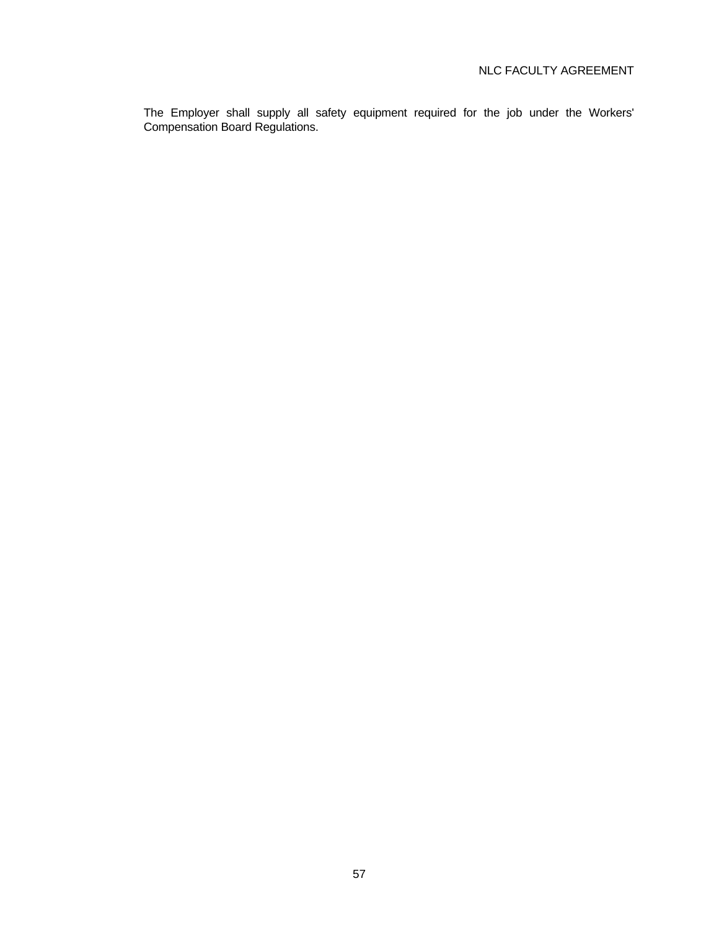The Employer shall supply all safety equipment required for the job under the Workers' Compensation Board Regulations.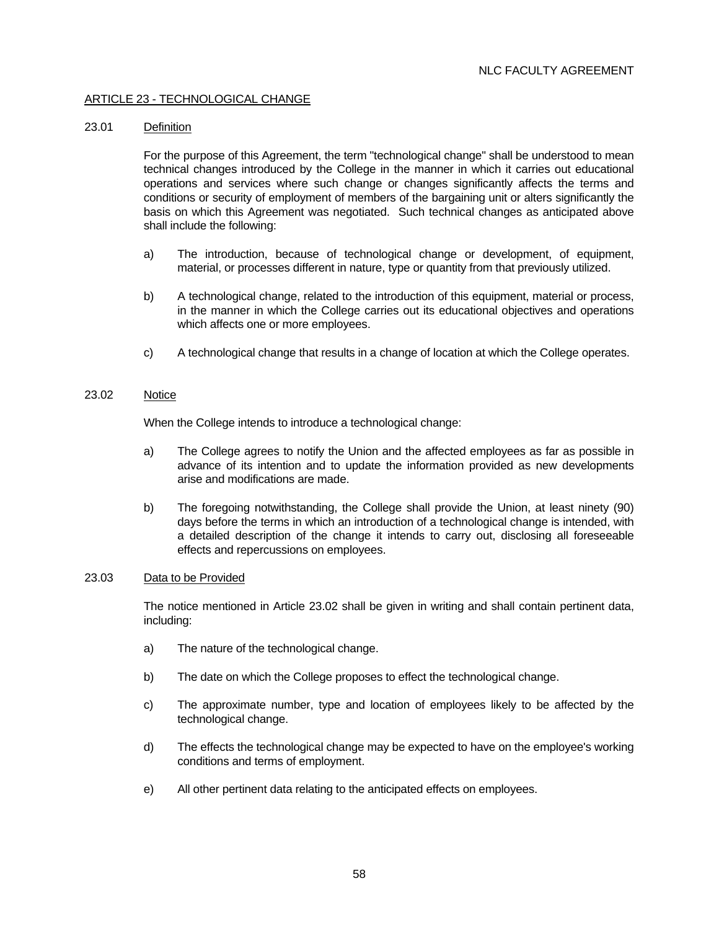### ARTICLE 23 - TECHNOLOGICAL CHANGE

### 23.01 Definition

 For the purpose of this Agreement, the term "technological change" shall be understood to mean technical changes introduced by the College in the manner in which it carries out educational operations and services where such change or changes significantly affects the terms and conditions or security of employment of members of the bargaining unit or alters significantly the basis on which this Agreement was negotiated. Such technical changes as anticipated above shall include the following:

- a) The introduction, because of technological change or development, of equipment, material, or processes different in nature, type or quantity from that previously utilized.
- b) A technological change, related to the introduction of this equipment, material or process, in the manner in which the College carries out its educational objectives and operations which affects one or more employees.
- c) A technological change that results in a change of location at which the College operates.

## 23.02 Notice

When the College intends to introduce a technological change:

- a) The College agrees to notify the Union and the affected employees as far as possible in advance of its intention and to update the information provided as new developments arise and modifications are made.
- b) The foregoing notwithstanding, the College shall provide the Union, at least ninety (90) days before the terms in which an introduction of a technological change is intended, with a detailed description of the change it intends to carry out, disclosing all foreseeable effects and repercussions on employees.

### 23.03 Data to be Provided

 The notice mentioned in Article 23.02 shall be given in writing and shall contain pertinent data, including:

- a) The nature of the technological change.
- b) The date on which the College proposes to effect the technological change.
- c) The approximate number, type and location of employees likely to be affected by the technological change.
- d) The effects the technological change may be expected to have on the employee's working conditions and terms of employment.
- e) All other pertinent data relating to the anticipated effects on employees.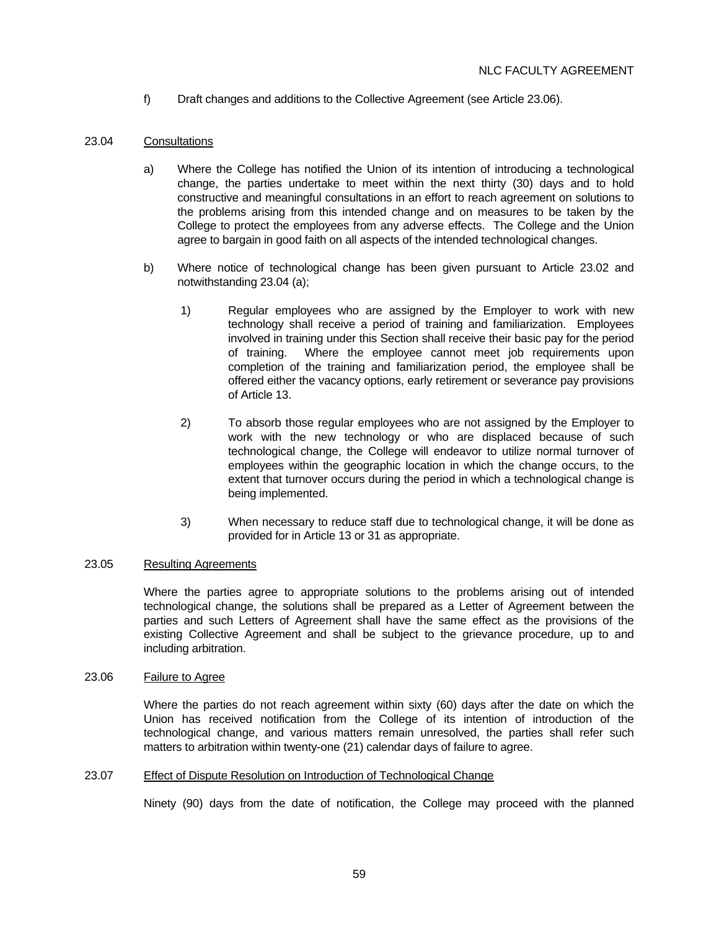f) Draft changes and additions to the Collective Agreement (see Article 23.06).

## 23.04 Consultations

- a) Where the College has notified the Union of its intention of introducing a technological change, the parties undertake to meet within the next thirty (30) days and to hold constructive and meaningful consultations in an effort to reach agreement on solutions to the problems arising from this intended change and on measures to be taken by the College to protect the employees from any adverse effects. The College and the Union agree to bargain in good faith on all aspects of the intended technological changes.
- b) Where notice of technological change has been given pursuant to Article 23.02 and notwithstanding 23.04 (a);
	- 1) Regular employees who are assigned by the Employer to work with new technology shall receive a period of training and familiarization. Employees involved in training under this Section shall receive their basic pay for the period of training. Where the employee cannot meet job requirements upon completion of the training and familiarization period, the employee shall be offered either the vacancy options, early retirement or severance pay provisions of Article 13.
	- 2) To absorb those regular employees who are not assigned by the Employer to work with the new technology or who are displaced because of such technological change, the College will endeavor to utilize normal turnover of employees within the geographic location in which the change occurs, to the extent that turnover occurs during the period in which a technological change is being implemented.
	- 3) When necessary to reduce staff due to technological change, it will be done as provided for in Article 13 or 31 as appropriate.

### 23.05 Resulting Agreements

 Where the parties agree to appropriate solutions to the problems arising out of intended technological change, the solutions shall be prepared as a Letter of Agreement between the parties and such Letters of Agreement shall have the same effect as the provisions of the existing Collective Agreement and shall be subject to the grievance procedure, up to and including arbitration.

### 23.06 Failure to Agree

 Where the parties do not reach agreement within sixty (60) days after the date on which the Union has received notification from the College of its intention of introduction of the technological change, and various matters remain unresolved, the parties shall refer such matters to arbitration within twenty-one (21) calendar days of failure to agree.

### 23.07 Effect of Dispute Resolution on Introduction of Technological Change

Ninety (90) days from the date of notification, the College may proceed with the planned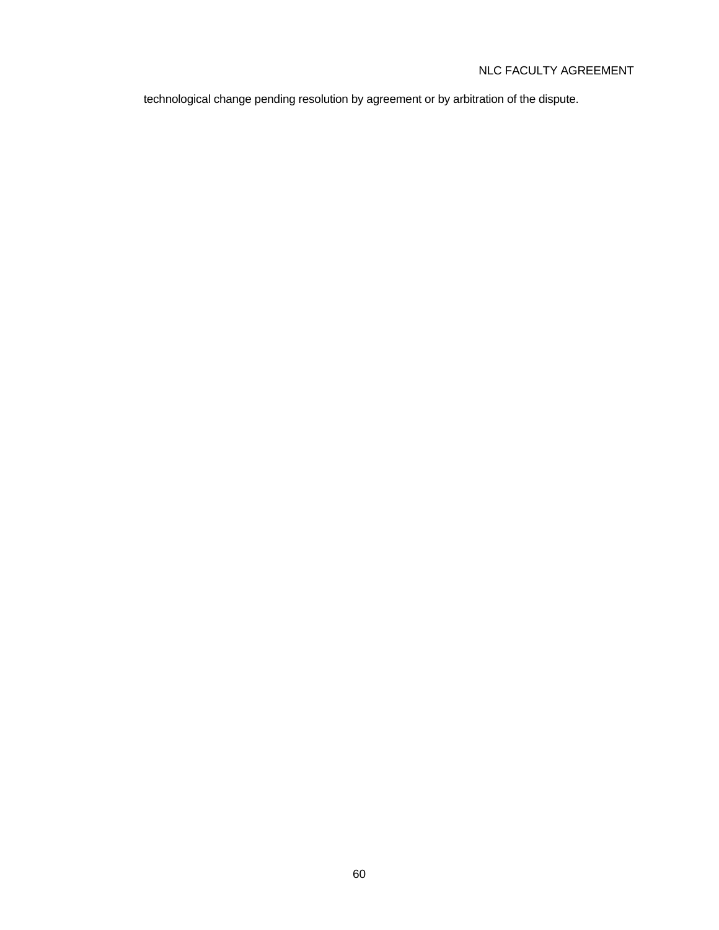# NLC FACULTY AGREEMENT

technological change pending resolution by agreement or by arbitration of the dispute.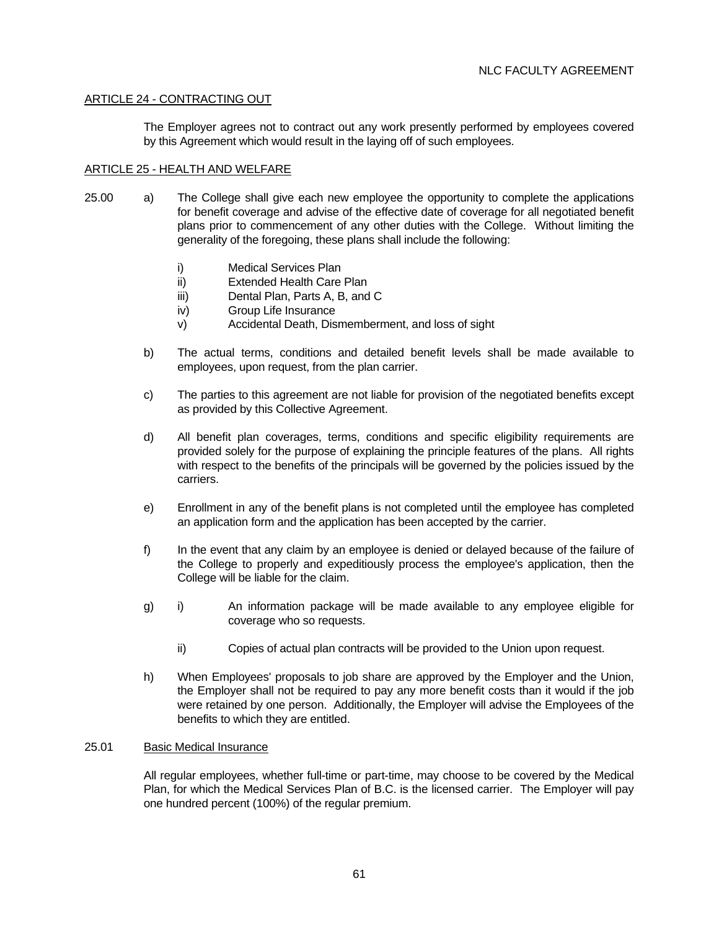## ARTICLE 24 - CONTRACTING OUT

 The Employer agrees not to contract out any work presently performed by employees covered by this Agreement which would result in the laying off of such employees.

## ARTICLE 25 - HEALTH AND WELFARE

- 25.00 a) The College shall give each new employee the opportunity to complete the applications for benefit coverage and advise of the effective date of coverage for all negotiated benefit plans prior to commencement of any other duties with the College. Without limiting the generality of the foregoing, these plans shall include the following:
	- i) Medical Services Plan
	- ii) Extended Health Care Plan
	- iii) Dental Plan, Parts A, B, and C
	- iv) Group Life Insurance
	- v) Accidental Death, Dismemberment, and loss of sight
	- b) The actual terms, conditions and detailed benefit levels shall be made available to employees, upon request, from the plan carrier.
	- c) The parties to this agreement are not liable for provision of the negotiated benefits except as provided by this Collective Agreement.
	- d) All benefit plan coverages, terms, conditions and specific eligibility requirements are provided solely for the purpose of explaining the principle features of the plans. All rights with respect to the benefits of the principals will be governed by the policies issued by the carriers.
	- e) Enrollment in any of the benefit plans is not completed until the employee has completed an application form and the application has been accepted by the carrier.
	- f) In the event that any claim by an employee is denied or delayed because of the failure of the College to properly and expeditiously process the employee's application, then the College will be liable for the claim.
	- g) i) An information package will be made available to any employee eligible for coverage who so requests.
		- ii) Copies of actual plan contracts will be provided to the Union upon request.
	- h) When Employees' proposals to job share are approved by the Employer and the Union, the Employer shall not be required to pay any more benefit costs than it would if the job were retained by one person. Additionally, the Employer will advise the Employees of the benefits to which they are entitled.

### 25.01 Basic Medical Insurance

 All regular employees, whether full-time or part-time, may choose to be covered by the Medical Plan, for which the Medical Services Plan of B.C. is the licensed carrier. The Employer will pay one hundred percent (100%) of the regular premium.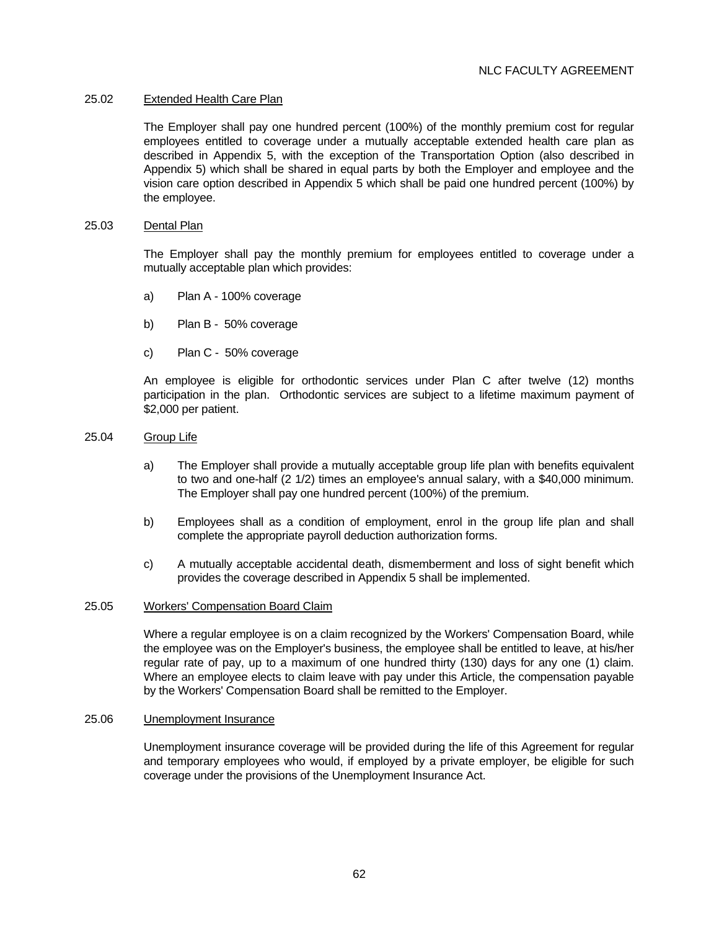### 25.02 Extended Health Care Plan

 The Employer shall pay one hundred percent (100%) of the monthly premium cost for regular employees entitled to coverage under a mutually acceptable extended health care plan as described in Appendix 5, with the exception of the Transportation Option (also described in Appendix 5) which shall be shared in equal parts by both the Employer and employee and the vision care option described in Appendix 5 which shall be paid one hundred percent (100%) by the employee.

### 25.03 Dental Plan

 The Employer shall pay the monthly premium for employees entitled to coverage under a mutually acceptable plan which provides:

- a) Plan A 100% coverage
- b) Plan B 50% coverage
- c) Plan C 50% coverage

 An employee is eligible for orthodontic services under Plan C after twelve (12) months participation in the plan. Orthodontic services are subject to a lifetime maximum payment of \$2,000 per patient.

### 25.04 Group Life

- a) The Employer shall provide a mutually acceptable group life plan with benefits equivalent to two and one-half (2 1/2) times an employee's annual salary, with a \$40,000 minimum. The Employer shall pay one hundred percent (100%) of the premium.
- b) Employees shall as a condition of employment, enrol in the group life plan and shall complete the appropriate payroll deduction authorization forms.
- c) A mutually acceptable accidental death, dismemberment and loss of sight benefit which provides the coverage described in Appendix 5 shall be implemented.

### 25.05 Workers' Compensation Board Claim

 Where a regular employee is on a claim recognized by the Workers' Compensation Board, while the employee was on the Employer's business, the employee shall be entitled to leave, at his/her regular rate of pay, up to a maximum of one hundred thirty (130) days for any one (1) claim. Where an employee elects to claim leave with pay under this Article, the compensation payable by the Workers' Compensation Board shall be remitted to the Employer.

#### 25.06 Unemployment Insurance

 Unemployment insurance coverage will be provided during the life of this Agreement for regular and temporary employees who would, if employed by a private employer, be eligible for such coverage under the provisions of the Unemployment Insurance Act.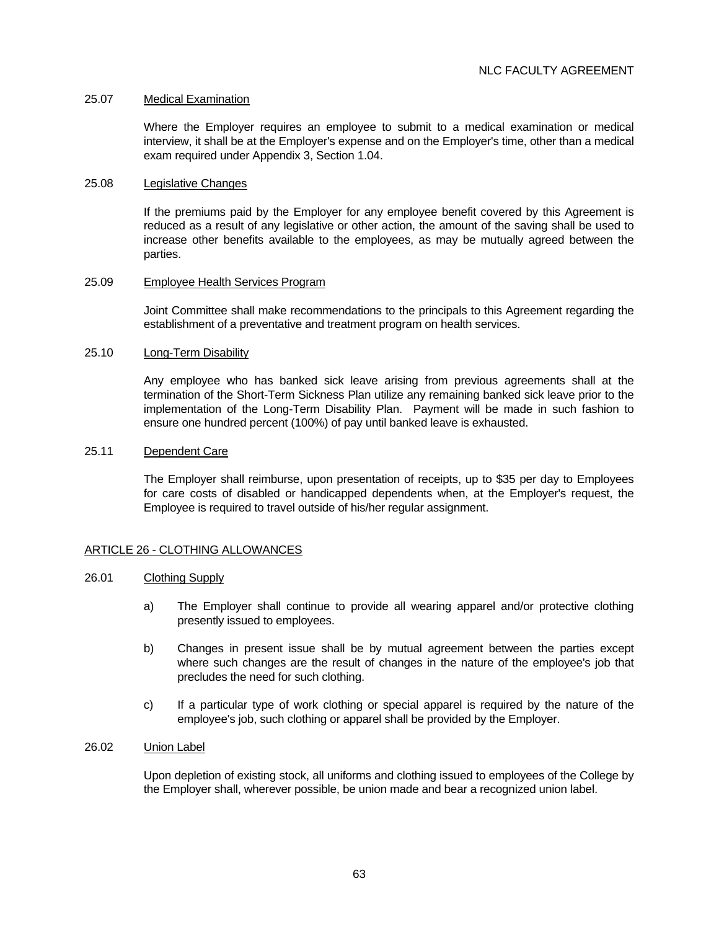### 25.07 Medical Examination

 Where the Employer requires an employee to submit to a medical examination or medical interview, it shall be at the Employer's expense and on the Employer's time, other than a medical exam required under Appendix 3, Section 1.04.

#### 25.08 Legislative Changes

 If the premiums paid by the Employer for any employee benefit covered by this Agreement is reduced as a result of any legislative or other action, the amount of the saving shall be used to increase other benefits available to the employees, as may be mutually agreed between the parties.

#### 25.09 Employee Health Services Program

 Joint Committee shall make recommendations to the principals to this Agreement regarding the establishment of a preventative and treatment program on health services.

#### 25.10 Long-Term Disability

 Any employee who has banked sick leave arising from previous agreements shall at the termination of the Short-Term Sickness Plan utilize any remaining banked sick leave prior to the implementation of the Long-Term Disability Plan. Payment will be made in such fashion to ensure one hundred percent (100%) of pay until banked leave is exhausted.

#### 25.11 Dependent Care

 The Employer shall reimburse, upon presentation of receipts, up to \$35 per day to Employees for care costs of disabled or handicapped dependents when, at the Employer's request, the Employee is required to travel outside of his/her regular assignment.

### ARTICLE 26 - CLOTHING ALLOWANCES

#### 26.01 Clothing Supply

- a) The Employer shall continue to provide all wearing apparel and/or protective clothing presently issued to employees.
- b) Changes in present issue shall be by mutual agreement between the parties except where such changes are the result of changes in the nature of the employee's job that precludes the need for such clothing.
- c) If a particular type of work clothing or special apparel is required by the nature of the employee's job, such clothing or apparel shall be provided by the Employer.

### 26.02 Union Label

 Upon depletion of existing stock, all uniforms and clothing issued to employees of the College by the Employer shall, wherever possible, be union made and bear a recognized union label.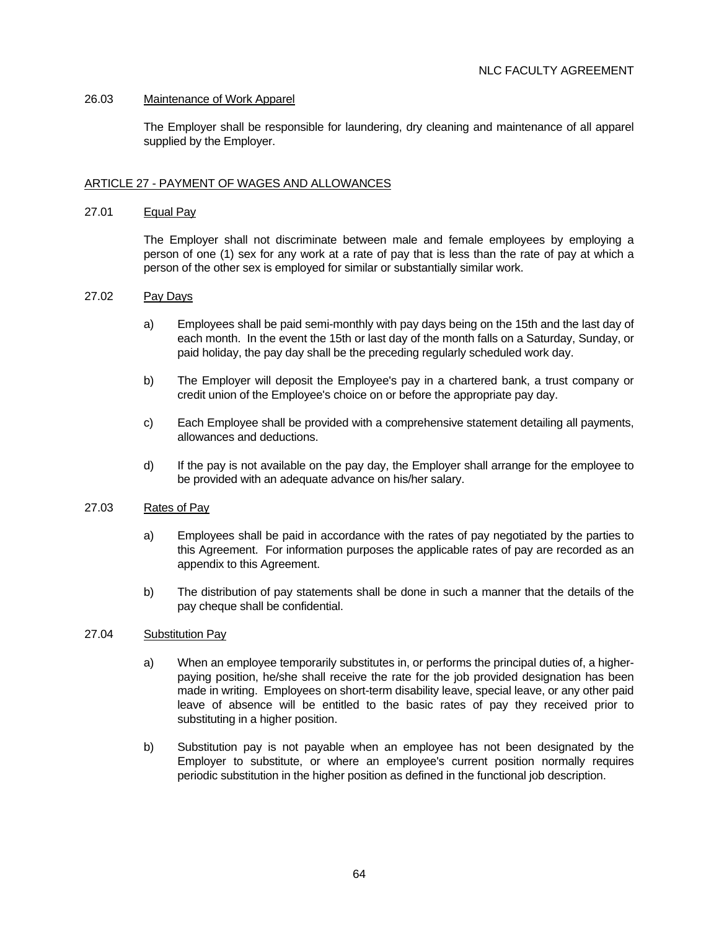## 26.03 Maintenance of Work Apparel

 The Employer shall be responsible for laundering, dry cleaning and maintenance of all apparel supplied by the Employer.

## ARTICLE 27 - PAYMENT OF WAGES AND ALLOWANCES

### 27.01 Equal Pay

 The Employer shall not discriminate between male and female employees by employing a person of one (1) sex for any work at a rate of pay that is less than the rate of pay at which a person of the other sex is employed for similar or substantially similar work.

### 27.02 Pay Days

- a) Employees shall be paid semi-monthly with pay days being on the 15th and the last day of each month. In the event the 15th or last day of the month falls on a Saturday, Sunday, or paid holiday, the pay day shall be the preceding regularly scheduled work day.
- b) The Employer will deposit the Employee's pay in a chartered bank, a trust company or credit union of the Employee's choice on or before the appropriate pay day.
- c) Each Employee shall be provided with a comprehensive statement detailing all payments, allowances and deductions.
- d) If the pay is not available on the pay day, the Employer shall arrange for the employee to be provided with an adequate advance on his/her salary.

# 27.03 Rates of Pav

- a) Employees shall be paid in accordance with the rates of pay negotiated by the parties to this Agreement. For information purposes the applicable rates of pay are recorded as an appendix to this Agreement.
- b) The distribution of pay statements shall be done in such a manner that the details of the pay cheque shall be confidential.

## 27.04 Substitution Pay

- a) When an employee temporarily substitutes in, or performs the principal duties of, a higherpaying position, he/she shall receive the rate for the job provided designation has been made in writing. Employees on short-term disability leave, special leave, or any other paid leave of absence will be entitled to the basic rates of pay they received prior to substituting in a higher position.
- b) Substitution pay is not payable when an employee has not been designated by the Employer to substitute, or where an employee's current position normally requires periodic substitution in the higher position as defined in the functional job description.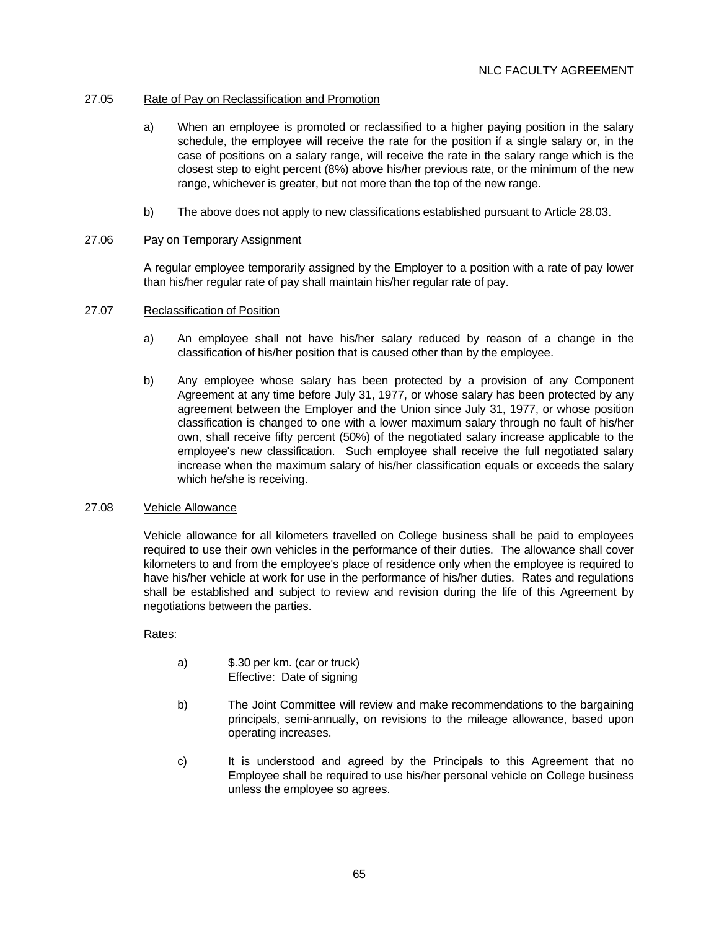# 27.05 Rate of Pay on Reclassification and Promotion

- a) When an employee is promoted or reclassified to a higher paying position in the salary schedule, the employee will receive the rate for the position if a single salary or, in the case of positions on a salary range, will receive the rate in the salary range which is the closest step to eight percent (8%) above his/her previous rate, or the minimum of the new range, whichever is greater, but not more than the top of the new range.
- b) The above does not apply to new classifications established pursuant to Article 28.03.

## 27.06 Pay on Temporary Assignment

 A regular employee temporarily assigned by the Employer to a position with a rate of pay lower than his/her regular rate of pay shall maintain his/her regular rate of pay.

## 27.07 Reclassification of Position

- a) An employee shall not have his/her salary reduced by reason of a change in the classification of his/her position that is caused other than by the employee.
- b) Any employee whose salary has been protected by a provision of any Component Agreement at any time before July 31, 1977, or whose salary has been protected by any agreement between the Employer and the Union since July 31, 1977, or whose position classification is changed to one with a lower maximum salary through no fault of his/her own, shall receive fifty percent (50%) of the negotiated salary increase applicable to the employee's new classification. Such employee shall receive the full negotiated salary increase when the maximum salary of his/her classification equals or exceeds the salary which he/she is receiving.

### 27.08 Vehicle Allowance

 Vehicle allowance for all kilometers travelled on College business shall be paid to employees required to use their own vehicles in the performance of their duties. The allowance shall cover kilometers to and from the employee's place of residence only when the employee is required to have his/her vehicle at work for use in the performance of his/her duties. Rates and regulations shall be established and subject to review and revision during the life of this Agreement by negotiations between the parties.

# Rates:

- a) \$.30 per km. (car or truck) Effective: Date of signing
- b) The Joint Committee will review and make recommendations to the bargaining principals, semi-annually, on revisions to the mileage allowance, based upon operating increases.
- c) It is understood and agreed by the Principals to this Agreement that no Employee shall be required to use his/her personal vehicle on College business unless the employee so agrees.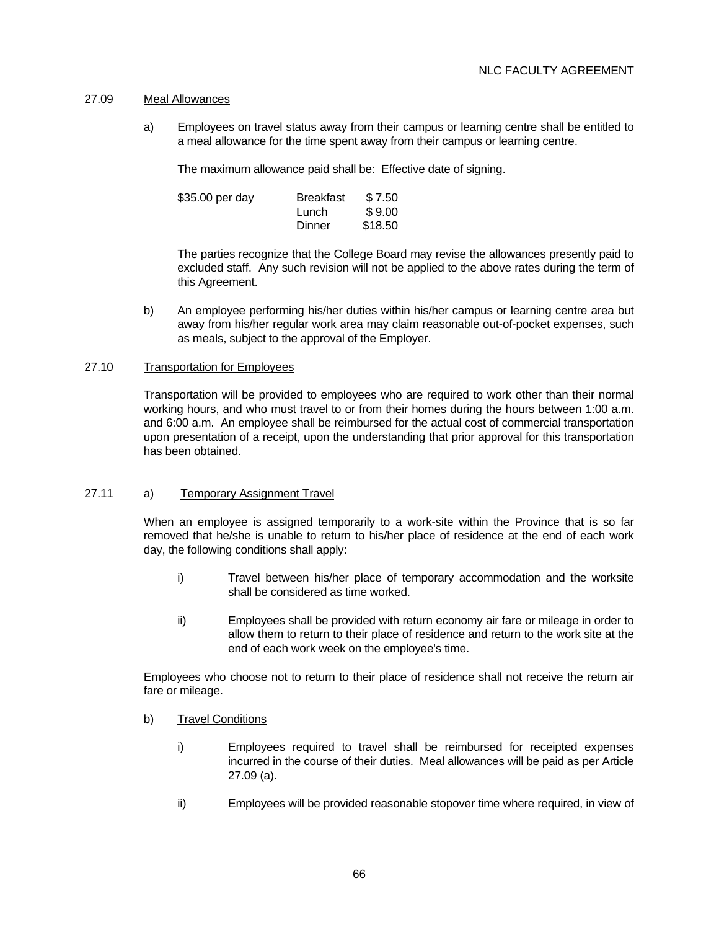### 27.09 Meal Allowances

 a) Employees on travel status away from their campus or learning centre shall be entitled to a meal allowance for the time spent away from their campus or learning centre.

The maximum allowance paid shall be: Effective date of signing.

| \$35.00 per day | Breakfast | \$7.50  |
|-----------------|-----------|---------|
|                 | Lunch     | \$9.00  |
|                 | Dinner    | \$18.50 |

 The parties recognize that the College Board may revise the allowances presently paid to excluded staff. Any such revision will not be applied to the above rates during the term of this Agreement.

 b) An employee performing his/her duties within his/her campus or learning centre area but away from his/her regular work area may claim reasonable out-of-pocket expenses, such as meals, subject to the approval of the Employer.

## 27.10 Transportation for Employees

 Transportation will be provided to employees who are required to work other than their normal working hours, and who must travel to or from their homes during the hours between 1:00 a.m. and 6:00 a.m. An employee shall be reimbursed for the actual cost of commercial transportation upon presentation of a receipt, upon the understanding that prior approval for this transportation has been obtained.

### 27.11 a) Temporary Assignment Travel

 When an employee is assigned temporarily to a work-site within the Province that is so far removed that he/she is unable to return to his/her place of residence at the end of each work day, the following conditions shall apply:

- i) Travel between his/her place of temporary accommodation and the worksite shall be considered as time worked.
- ii) Employees shall be provided with return economy air fare or mileage in order to allow them to return to their place of residence and return to the work site at the end of each work week on the employee's time.

 Employees who choose not to return to their place of residence shall not receive the return air fare or mileage.

### b) Travel Conditions

- i) Employees required to travel shall be reimbursed for receipted expenses incurred in the course of their duties. Meal allowances will be paid as per Article 27.09 (a).
- ii) Employees will be provided reasonable stopover time where required, in view of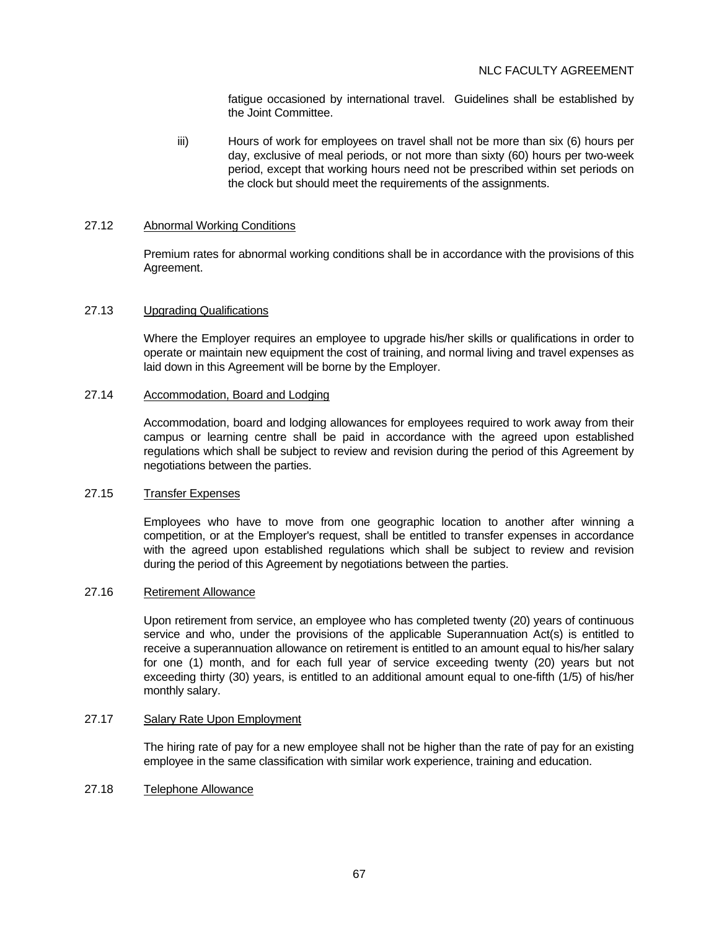fatigue occasioned by international travel. Guidelines shall be established by the Joint Committee.

 iii) Hours of work for employees on travel shall not be more than six (6) hours per day, exclusive of meal periods, or not more than sixty (60) hours per two-week period, except that working hours need not be prescribed within set periods on the clock but should meet the requirements of the assignments.

## 27.12 Abnormal Working Conditions

 Premium rates for abnormal working conditions shall be in accordance with the provisions of this Agreement.

#### 27.13 Upgrading Qualifications

 Where the Employer requires an employee to upgrade his/her skills or qualifications in order to operate or maintain new equipment the cost of training, and normal living and travel expenses as laid down in this Agreement will be borne by the Employer.

#### 27.14 Accommodation, Board and Lodging

 Accommodation, board and lodging allowances for employees required to work away from their campus or learning centre shall be paid in accordance with the agreed upon established regulations which shall be subject to review and revision during the period of this Agreement by negotiations between the parties.

### 27.15 Transfer Expenses

 Employees who have to move from one geographic location to another after winning a competition, or at the Employer's request, shall be entitled to transfer expenses in accordance with the agreed upon established regulations which shall be subject to review and revision during the period of this Agreement by negotiations between the parties.

### 27.16 Retirement Allowance

 Upon retirement from service, an employee who has completed twenty (20) years of continuous service and who, under the provisions of the applicable Superannuation Act(s) is entitled to receive a superannuation allowance on retirement is entitled to an amount equal to his/her salary for one (1) month, and for each full year of service exceeding twenty (20) years but not exceeding thirty (30) years, is entitled to an additional amount equal to one-fifth (1/5) of his/her monthly salary.

# 27.17 Salary Rate Upon Employment

 The hiring rate of pay for a new employee shall not be higher than the rate of pay for an existing employee in the same classification with similar work experience, training and education.

### 27.18 Telephone Allowance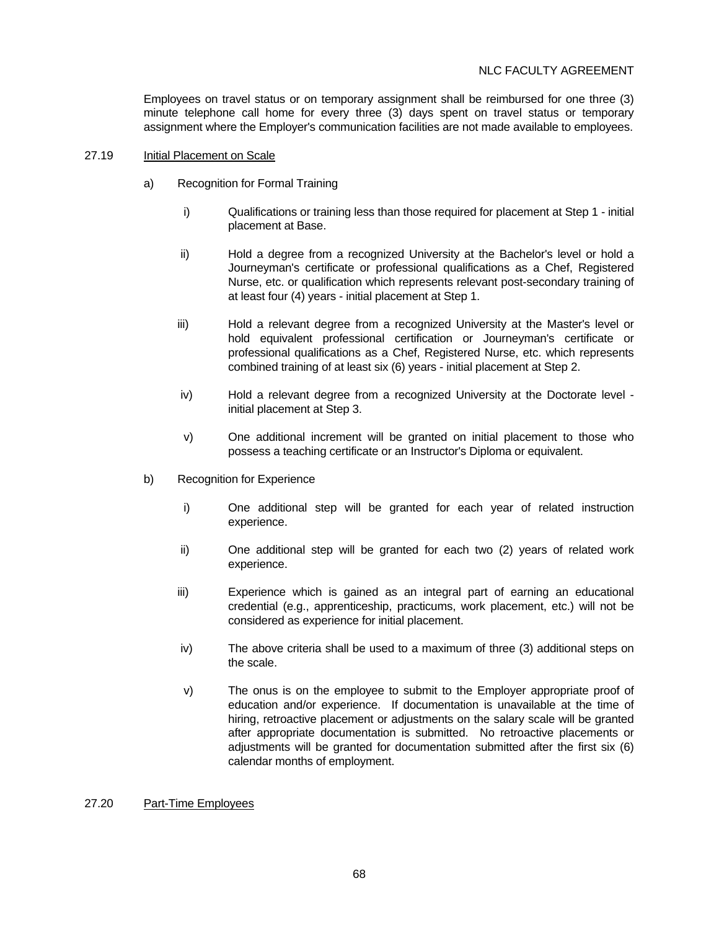Employees on travel status or on temporary assignment shall be reimbursed for one three (3) minute telephone call home for every three (3) days spent on travel status or temporary assignment where the Employer's communication facilities are not made available to employees.

### 27.19 Initial Placement on Scale

- a) Recognition for Formal Training
	- i) Qualifications or training less than those required for placement at Step 1 initial placement at Base.
	- ii) Hold a degree from a recognized University at the Bachelor's level or hold a Journeyman's certificate or professional qualifications as a Chef, Registered Nurse, etc. or qualification which represents relevant post-secondary training of at least four (4) years - initial placement at Step 1.
	- iii) Hold a relevant degree from a recognized University at the Master's level or hold equivalent professional certification or Journeyman's certificate or professional qualifications as a Chef, Registered Nurse, etc. which represents combined training of at least six (6) years - initial placement at Step 2.
	- iv) Hold a relevant degree from a recognized University at the Doctorate level initial placement at Step 3.
	- v) One additional increment will be granted on initial placement to those who possess a teaching certificate or an Instructor's Diploma or equivalent.
- b) Recognition for Experience
	- i) One additional step will be granted for each year of related instruction experience.
	- ii) One additional step will be granted for each two (2) years of related work experience.
	- iii) Experience which is gained as an integral part of earning an educational credential (e.g., apprenticeship, practicums, work placement, etc.) will not be considered as experience for initial placement.
	- iv) The above criteria shall be used to a maximum of three (3) additional steps on the scale.
	- v) The onus is on the employee to submit to the Employer appropriate proof of education and/or experience. If documentation is unavailable at the time of hiring, retroactive placement or adjustments on the salary scale will be granted after appropriate documentation is submitted. No retroactive placements or adjustments will be granted for documentation submitted after the first six (6) calendar months of employment.

### 27.20 Part-Time Employees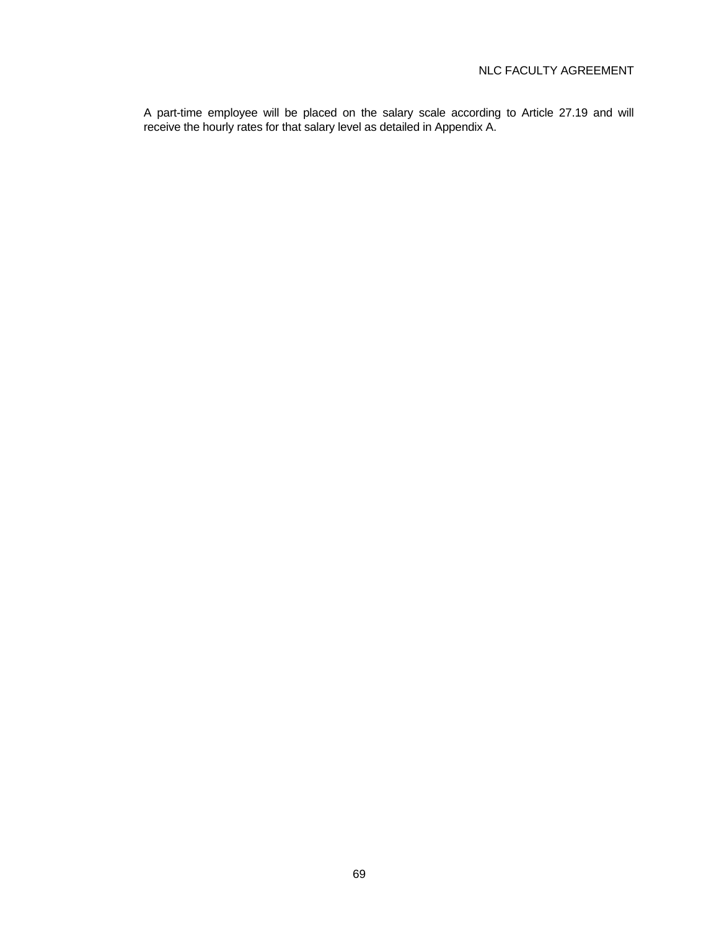A part-time employee will be placed on the salary scale according to Article 27.19 and will receive the hourly rates for that salary level as detailed in Appendix A.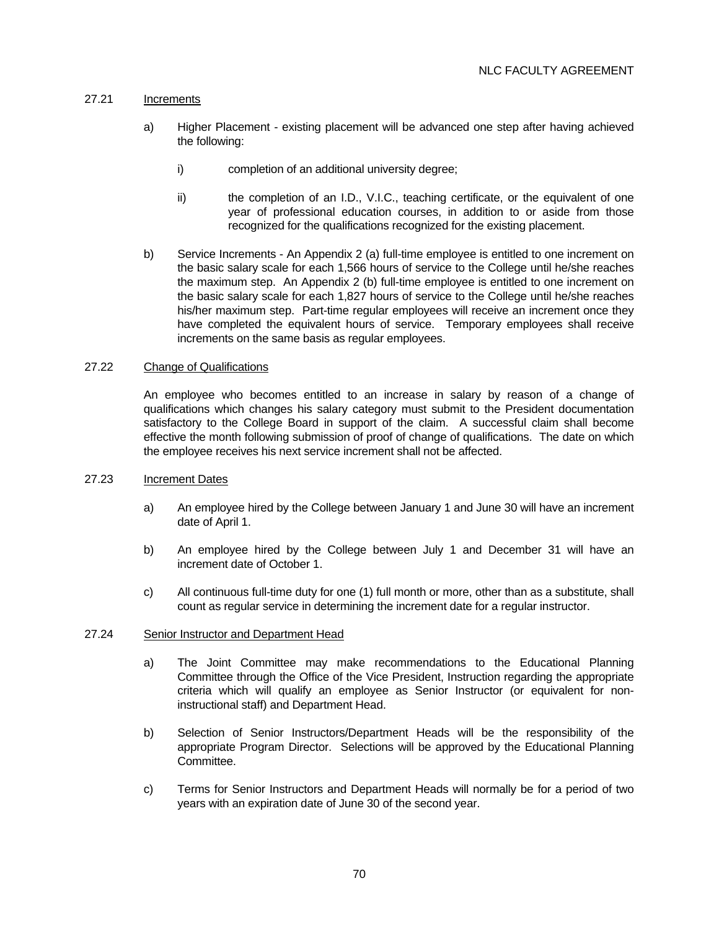# 27.21 Increments

- a) Higher Placement existing placement will be advanced one step after having achieved the following:
	- i) completion of an additional university degree;
	- ii) the completion of an I.D., V.I.C., teaching certificate, or the equivalent of one year of professional education courses, in addition to or aside from those recognized for the qualifications recognized for the existing placement.
- b) Service Increments An Appendix 2 (a) full-time employee is entitled to one increment on the basic salary scale for each 1,566 hours of service to the College until he/she reaches the maximum step. An Appendix 2 (b) full-time employee is entitled to one increment on the basic salary scale for each 1,827 hours of service to the College until he/she reaches his/her maximum step. Part-time regular employees will receive an increment once they have completed the equivalent hours of service. Temporary employees shall receive increments on the same basis as regular employees.

### 27.22 Change of Qualifications

 An employee who becomes entitled to an increase in salary by reason of a change of qualifications which changes his salary category must submit to the President documentation satisfactory to the College Board in support of the claim. A successful claim shall become effective the month following submission of proof of change of qualifications. The date on which the employee receives his next service increment shall not be affected.

## 27.23 Increment Dates

- a) An employee hired by the College between January 1 and June 30 will have an increment date of April 1.
- b) An employee hired by the College between July 1 and December 31 will have an increment date of October 1.
- c) All continuous full-time duty for one (1) full month or more, other than as a substitute, shall count as regular service in determining the increment date for a regular instructor.

### 27.24 Senior Instructor and Department Head

- a) The Joint Committee may make recommendations to the Educational Planning Committee through the Office of the Vice President, Instruction regarding the appropriate criteria which will qualify an employee as Senior Instructor (or equivalent for noninstructional staff) and Department Head.
- b) Selection of Senior Instructors/Department Heads will be the responsibility of the appropriate Program Director. Selections will be approved by the Educational Planning Committee.
- c) Terms for Senior Instructors and Department Heads will normally be for a period of two years with an expiration date of June 30 of the second year.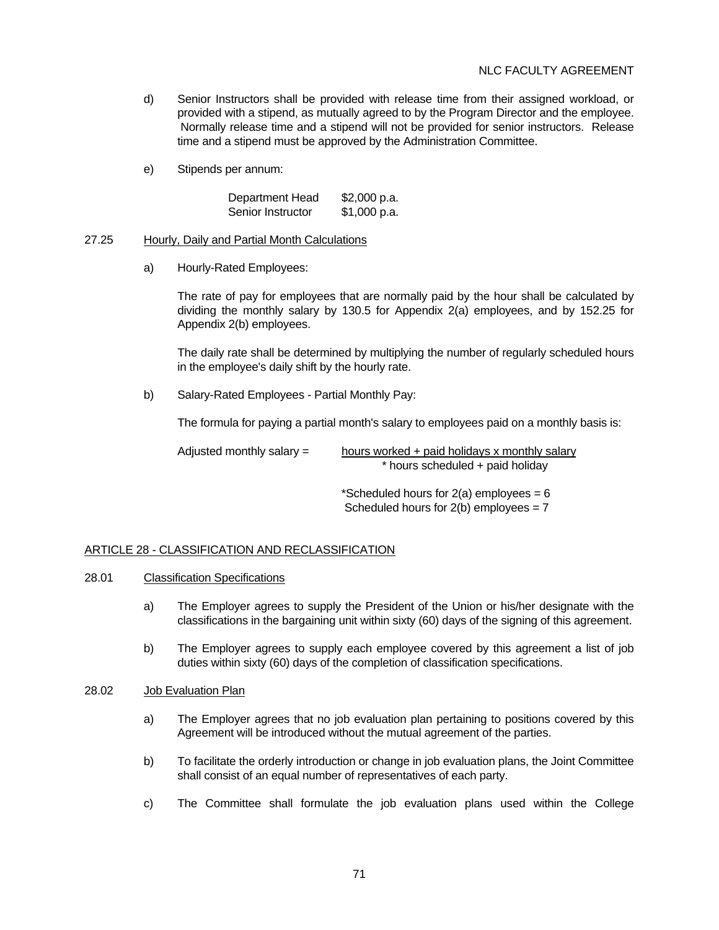- d) Senior Instructors shall be provided with release time from their assigned workload, or provided with a stipend, as mutually agreed to by the Program Director and the employee. Normally release time and a stipend will not be provided for senior instructors. Release time and a stipend must be approved by the Administration Committee.
- e) Stipends per annum:

| Department Head   | \$2,000 p.a. |
|-------------------|--------------|
| Senior Instructor | \$1,000 p.a. |

#### 27.25 Hourly, Daily and Partial Month Calculations

a) Hourly-Rated Employees:

 The rate of pay for employees that are normally paid by the hour shall be calculated by dividing the monthly salary by 130.5 for Appendix 2(a) employees, and by 152.25 for Appendix 2(b) employees.

 The daily rate shall be determined by multiplying the number of regularly scheduled hours in the employee's daily shift by the hourly rate.

b) Salary-Rated Employees - Partial Monthly Pay:

The formula for paying a partial month's salary to employees paid on a monthly basis is:

Adjusted monthly salary  $=$  hours worked + paid holidays x monthly salary \* hours scheduled + paid holiday

> \*Scheduled hours for  $2(a)$  employees = 6 Scheduled hours for  $2(b)$  employees =  $7$

### ARTICLE 28 - CLASSIFICATION AND RECLASSIFICATION

### 28.01 Classification Specifications

- a) The Employer agrees to supply the President of the Union or his/her designate with the classifications in the bargaining unit within sixty (60) days of the signing of this agreement.
- b) The Employer agrees to supply each employee covered by this agreement a list of job duties within sixty (60) days of the completion of classification specifications.

# 28.02 Job Evaluation Plan

- a) The Employer agrees that no job evaluation plan pertaining to positions covered by this Agreement will be introduced without the mutual agreement of the parties.
- b) To facilitate the orderly introduction or change in job evaluation plans, the Joint Committee shall consist of an equal number of representatives of each party.
- c) The Committee shall formulate the job evaluation plans used within the College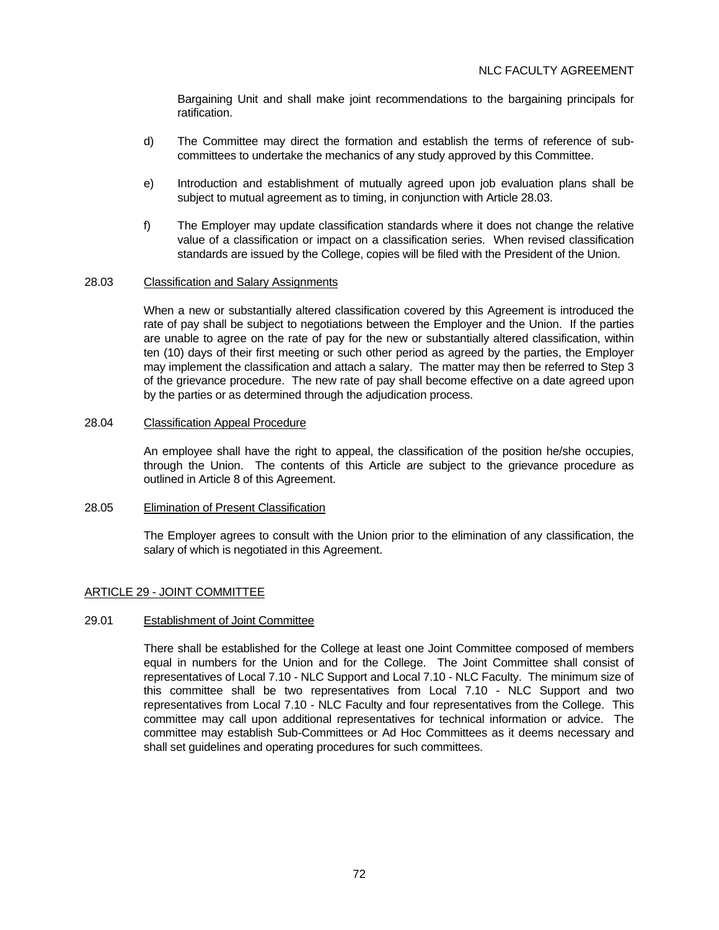Bargaining Unit and shall make joint recommendations to the bargaining principals for ratification.

- d) The Committee may direct the formation and establish the terms of reference of subcommittees to undertake the mechanics of any study approved by this Committee.
- e) Introduction and establishment of mutually agreed upon job evaluation plans shall be subject to mutual agreement as to timing, in conjunction with Article 28.03.
- f) The Employer may update classification standards where it does not change the relative value of a classification or impact on a classification series. When revised classification standards are issued by the College, copies will be filed with the President of the Union.

#### 28.03 Classification and Salary Assignments

 When a new or substantially altered classification covered by this Agreement is introduced the rate of pay shall be subject to negotiations between the Employer and the Union. If the parties are unable to agree on the rate of pay for the new or substantially altered classification, within ten (10) days of their first meeting or such other period as agreed by the parties, the Employer may implement the classification and attach a salary. The matter may then be referred to Step 3 of the grievance procedure. The new rate of pay shall become effective on a date agreed upon by the parties or as determined through the adjudication process.

#### 28.04 Classification Appeal Procedure

 An employee shall have the right to appeal, the classification of the position he/she occupies, through the Union. The contents of this Article are subject to the grievance procedure as outlined in Article 8 of this Agreement.

#### 28.05 Elimination of Present Classification

 The Employer agrees to consult with the Union prior to the elimination of any classification, the salary of which is negotiated in this Agreement.

### ARTICLE 29 - JOINT COMMITTEE

#### 29.01 Establishment of Joint Committee

 There shall be established for the College at least one Joint Committee composed of members equal in numbers for the Union and for the College. The Joint Committee shall consist of representatives of Local 7.10 - NLC Support and Local 7.10 - NLC Faculty. The minimum size of this committee shall be two representatives from Local 7.10 - NLC Support and two representatives from Local 7.10 - NLC Faculty and four representatives from the College. This committee may call upon additional representatives for technical information or advice. The committee may establish Sub-Committees or Ad Hoc Committees as it deems necessary and shall set guidelines and operating procedures for such committees.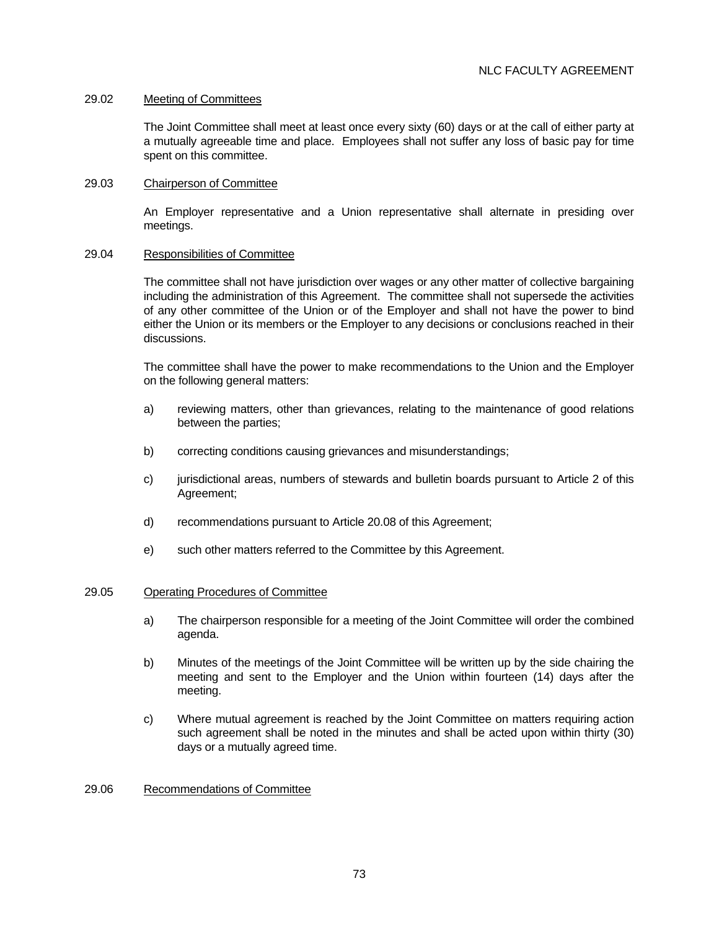### 29.02 Meeting of Committees

 The Joint Committee shall meet at least once every sixty (60) days or at the call of either party at a mutually agreeable time and place. Employees shall not suffer any loss of basic pay for time spent on this committee.

#### 29.03 Chairperson of Committee

 An Employer representative and a Union representative shall alternate in presiding over meetings.

#### 29.04 Responsibilities of Committee

 The committee shall not have jurisdiction over wages or any other matter of collective bargaining including the administration of this Agreement. The committee shall not supersede the activities of any other committee of the Union or of the Employer and shall not have the power to bind either the Union or its members or the Employer to any decisions or conclusions reached in their discussions.

 The committee shall have the power to make recommendations to the Union and the Employer on the following general matters:

- a) reviewing matters, other than grievances, relating to the maintenance of good relations between the parties;
- b) correcting conditions causing grievances and misunderstandings;
- c) jurisdictional areas, numbers of stewards and bulletin boards pursuant to Article 2 of this Agreement;
- d) recommendations pursuant to Article 20.08 of this Agreement;
- e) such other matters referred to the Committee by this Agreement.

#### 29.05 Operating Procedures of Committee

- a) The chairperson responsible for a meeting of the Joint Committee will order the combined agenda.
- b) Minutes of the meetings of the Joint Committee will be written up by the side chairing the meeting and sent to the Employer and the Union within fourteen (14) days after the meeting.
- c) Where mutual agreement is reached by the Joint Committee on matters requiring action such agreement shall be noted in the minutes and shall be acted upon within thirty (30) days or a mutually agreed time.

### 29.06 Recommendations of Committee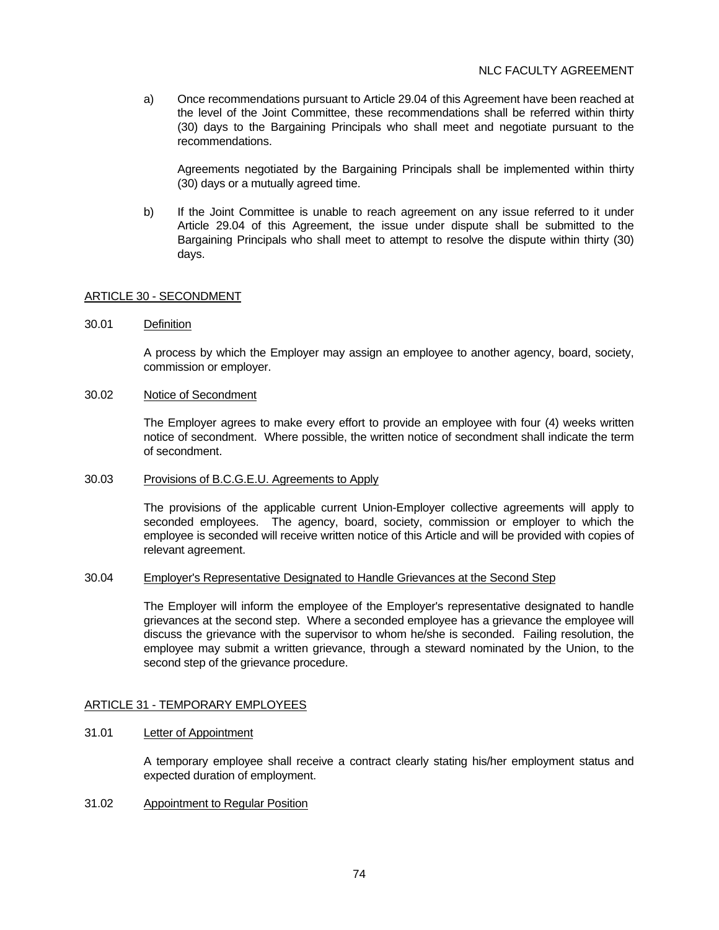a) Once recommendations pursuant to Article 29.04 of this Agreement have been reached at the level of the Joint Committee, these recommendations shall be referred within thirty (30) days to the Bargaining Principals who shall meet and negotiate pursuant to the recommendations.

 Agreements negotiated by the Bargaining Principals shall be implemented within thirty (30) days or a mutually agreed time.

b) If the Joint Committee is unable to reach agreement on any issue referred to it under Article 29.04 of this Agreement, the issue under dispute shall be submitted to the Bargaining Principals who shall meet to attempt to resolve the dispute within thirty (30) days.

## ARTICLE 30 - SECONDMENT

30.01 Definition

 A process by which the Employer may assign an employee to another agency, board, society, commission or employer.

### 30.02 Notice of Secondment

 The Employer agrees to make every effort to provide an employee with four (4) weeks written notice of secondment. Where possible, the written notice of secondment shall indicate the term of secondment.

30.03 Provisions of B.C.G.E.U. Agreements to Apply

 The provisions of the applicable current Union-Employer collective agreements will apply to seconded employees. The agency, board, society, commission or employer to which the employee is seconded will receive written notice of this Article and will be provided with copies of relevant agreement.

### 30.04 Employer's Representative Designated to Handle Grievances at the Second Step

 The Employer will inform the employee of the Employer's representative designated to handle grievances at the second step. Where a seconded employee has a grievance the employee will discuss the grievance with the supervisor to whom he/she is seconded. Failing resolution, the employee may submit a written grievance, through a steward nominated by the Union, to the second step of the grievance procedure.

### ARTICLE 31 - TEMPORARY EMPLOYEES

### 31.01 Letter of Appointment

 A temporary employee shall receive a contract clearly stating his/her employment status and expected duration of employment.

31.02 Appointment to Regular Position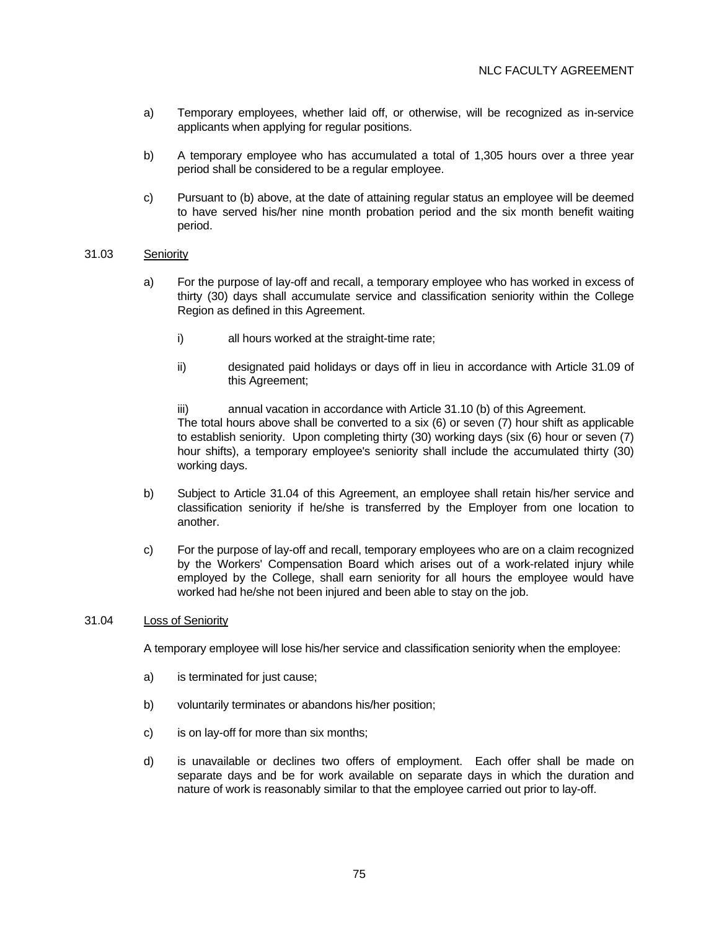- a) Temporary employees, whether laid off, or otherwise, will be recognized as in-service applicants when applying for regular positions.
- b) A temporary employee who has accumulated a total of 1,305 hours over a three year period shall be considered to be a regular employee.
- c) Pursuant to (b) above, at the date of attaining regular status an employee will be deemed to have served his/her nine month probation period and the six month benefit waiting period.

### 31.03 Seniority

- a) For the purpose of lay-off and recall, a temporary employee who has worked in excess of thirty (30) days shall accumulate service and classification seniority within the College Region as defined in this Agreement.
	- i) all hours worked at the straight-time rate;
	- ii) designated paid holidays or days off in lieu in accordance with Article 31.09 of this Agreement;
	- iii) annual vacation in accordance with Article 31.10 (b) of this Agreement. The total hours above shall be converted to a six (6) or seven (7) hour shift as applicable to establish seniority. Upon completing thirty (30) working days (six (6) hour or seven (7) hour shifts), a temporary employee's seniority shall include the accumulated thirty (30) working days.
- b) Subject to Article 31.04 of this Agreement, an employee shall retain his/her service and classification seniority if he/she is transferred by the Employer from one location to another.
- c) For the purpose of lay-off and recall, temporary employees who are on a claim recognized by the Workers' Compensation Board which arises out of a work-related injury while employed by the College, shall earn seniority for all hours the employee would have worked had he/she not been injured and been able to stay on the job.

### 31.04 Loss of Seniority

A temporary employee will lose his/her service and classification seniority when the employee:

- a) is terminated for just cause;
- b) voluntarily terminates or abandons his/her position;
- c) is on lay-off for more than six months;
- d) is unavailable or declines two offers of employment. Each offer shall be made on separate days and be for work available on separate days in which the duration and nature of work is reasonably similar to that the employee carried out prior to lay-off.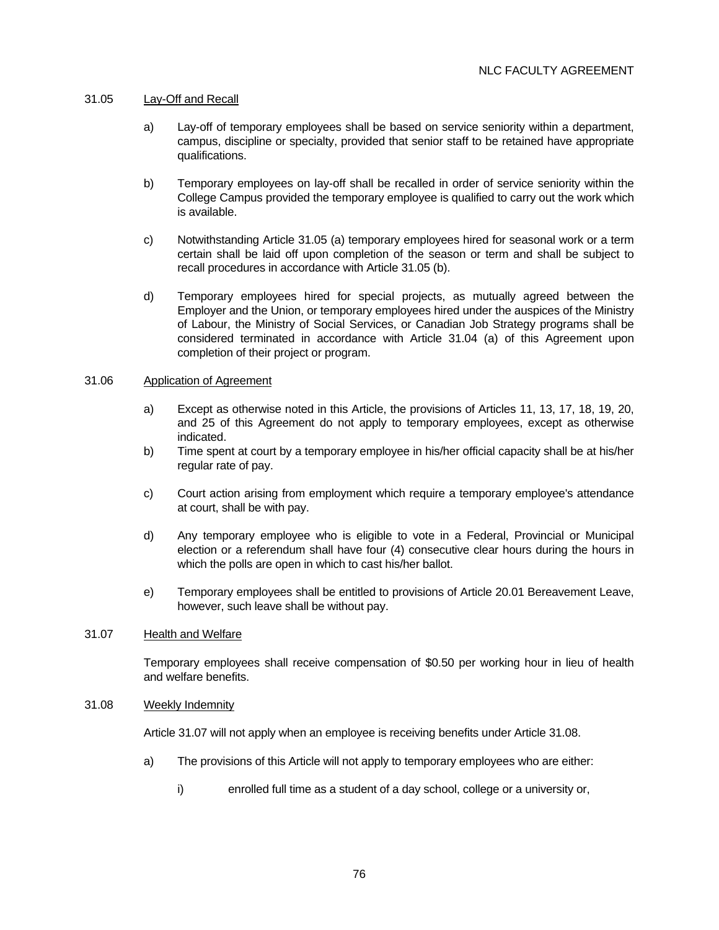## 31.05 Lay-Off and Recall

- a) Lay-off of temporary employees shall be based on service seniority within a department, campus, discipline or specialty, provided that senior staff to be retained have appropriate qualifications.
- b) Temporary employees on lay-off shall be recalled in order of service seniority within the College Campus provided the temporary employee is qualified to carry out the work which is available.
- c) Notwithstanding Article 31.05 (a) temporary employees hired for seasonal work or a term certain shall be laid off upon completion of the season or term and shall be subject to recall procedures in accordance with Article 31.05 (b).
- d) Temporary employees hired for special projects, as mutually agreed between the Employer and the Union, or temporary employees hired under the auspices of the Ministry of Labour, the Ministry of Social Services, or Canadian Job Strategy programs shall be considered terminated in accordance with Article 31.04 (a) of this Agreement upon completion of their project or program.

# 31.06 Application of Agreement

- a) Except as otherwise noted in this Article, the provisions of Articles 11, 13, 17, 18, 19, 20, and 25 of this Agreement do not apply to temporary employees, except as otherwise indicated.
- b) Time spent at court by a temporary employee in his/her official capacity shall be at his/her regular rate of pay.
- c) Court action arising from employment which require a temporary employee's attendance at court, shall be with pay.
- d) Any temporary employee who is eligible to vote in a Federal, Provincial or Municipal election or a referendum shall have four (4) consecutive clear hours during the hours in which the polls are open in which to cast his/her ballot.
- e) Temporary employees shall be entitled to provisions of Article 20.01 Bereavement Leave, however, such leave shall be without pay.

## 31.07 Health and Welfare

 Temporary employees shall receive compensation of \$0.50 per working hour in lieu of health and welfare benefits.

### 31.08 Weekly Indemnity

Article 31.07 will not apply when an employee is receiving benefits under Article 31.08.

- a) The provisions of this Article will not apply to temporary employees who are either:
	- i) enrolled full time as a student of a day school, college or a university or,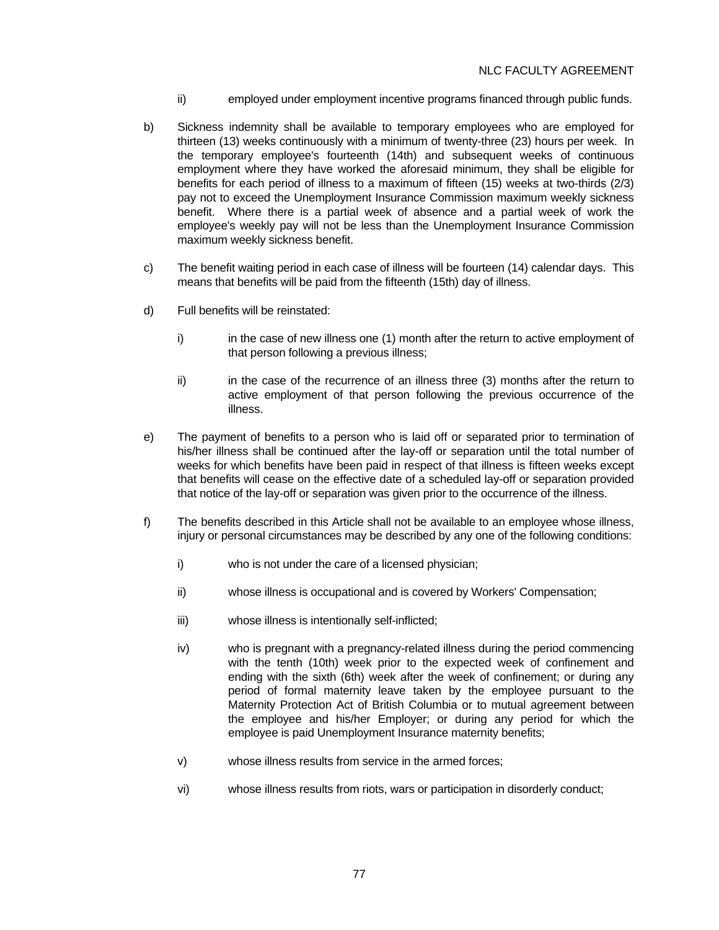- ii) employed under employment incentive programs financed through public funds.
- b) Sickness indemnity shall be available to temporary employees who are employed for thirteen (13) weeks continuously with a minimum of twenty-three (23) hours per week. In the temporary employee's fourteenth (14th) and subsequent weeks of continuous employment where they have worked the aforesaid minimum, they shall be eligible for benefits for each period of illness to a maximum of fifteen (15) weeks at two-thirds (2/3) pay not to exceed the Unemployment Insurance Commission maximum weekly sickness benefit. Where there is a partial week of absence and a partial week of work the employee's weekly pay will not be less than the Unemployment Insurance Commission maximum weekly sickness benefit.
- c) The benefit waiting period in each case of illness will be fourteen (14) calendar days. This means that benefits will be paid from the fifteenth (15th) day of illness.
- d) Full benefits will be reinstated:
	- i) in the case of new illness one (1) month after the return to active employment of that person following a previous illness;
	- ii) in the case of the recurrence of an illness three (3) months after the return to active employment of that person following the previous occurrence of the illness.
- e) The payment of benefits to a person who is laid off or separated prior to termination of his/her illness shall be continued after the lay-off or separation until the total number of weeks for which benefits have been paid in respect of that illness is fifteen weeks except that benefits will cease on the effective date of a scheduled lay-off or separation provided that notice of the lay-off or separation was given prior to the occurrence of the illness.
- f) The benefits described in this Article shall not be available to an employee whose illness, injury or personal circumstances may be described by any one of the following conditions:
	- i) who is not under the care of a licensed physician;
	- ii) whose illness is occupational and is covered by Workers' Compensation;
	- iii) whose illness is intentionally self-inflicted;
	- iv) who is pregnant with a pregnancy-related illness during the period commencing with the tenth (10th) week prior to the expected week of confinement and ending with the sixth (6th) week after the week of confinement; or during any period of formal maternity leave taken by the employee pursuant to the Maternity Protection Act of British Columbia or to mutual agreement between the employee and his/her Employer; or during any period for which the employee is paid Unemployment Insurance maternity benefits;
	- v) whose illness results from service in the armed forces;
	- vi) whose illness results from riots, wars or participation in disorderly conduct;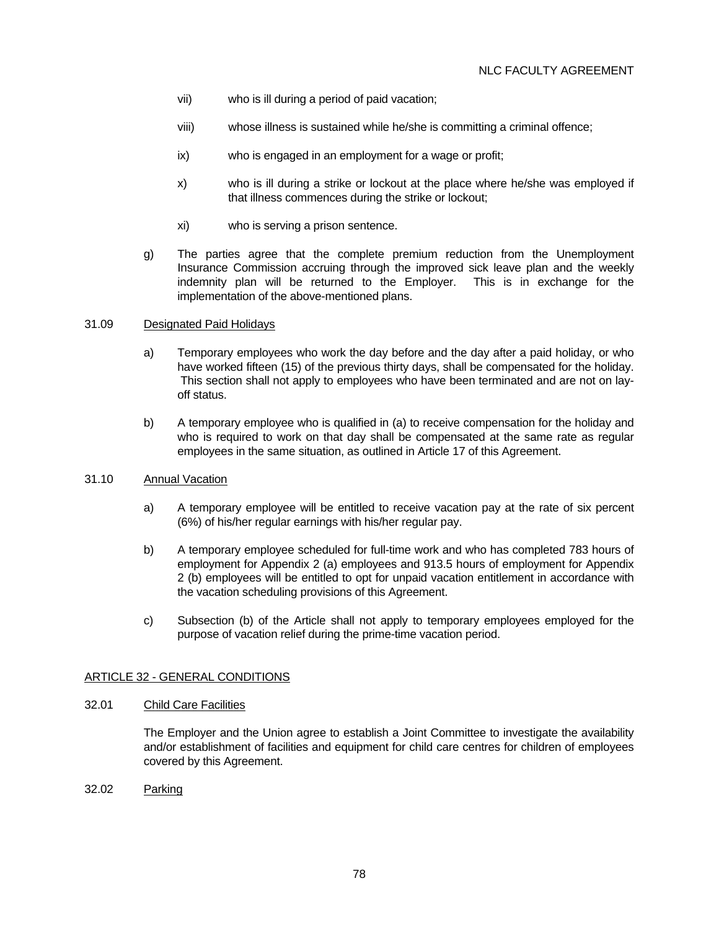- vii) who is ill during a period of paid vacation;
- viii) whose illness is sustained while he/she is committing a criminal offence;
- ix) who is engaged in an employment for a wage or profit;
- x) who is ill during a strike or lockout at the place where he/she was employed if that illness commences during the strike or lockout;
- xi) who is serving a prison sentence.
- g) The parties agree that the complete premium reduction from the Unemployment Insurance Commission accruing through the improved sick leave plan and the weekly indemnity plan will be returned to the Employer. This is in exchange for the implementation of the above-mentioned plans.

### 31.09 Designated Paid Holidays

- a) Temporary employees who work the day before and the day after a paid holiday, or who have worked fifteen (15) of the previous thirty days, shall be compensated for the holiday. This section shall not apply to employees who have been terminated and are not on layoff status.
- b) A temporary employee who is qualified in (a) to receive compensation for the holiday and who is required to work on that day shall be compensated at the same rate as regular employees in the same situation, as outlined in Article 17 of this Agreement.

## 31.10 Annual Vacation

- a) A temporary employee will be entitled to receive vacation pay at the rate of six percent (6%) of his/her regular earnings with his/her regular pay.
- b) A temporary employee scheduled for full-time work and who has completed 783 hours of employment for Appendix 2 (a) employees and 913.5 hours of employment for Appendix 2 (b) employees will be entitled to opt for unpaid vacation entitlement in accordance with the vacation scheduling provisions of this Agreement.
- c) Subsection (b) of the Article shall not apply to temporary employees employed for the purpose of vacation relief during the prime-time vacation period.

### ARTICLE 32 - GENERAL CONDITIONS

## 32.01 Child Care Facilities

 The Employer and the Union agree to establish a Joint Committee to investigate the availability and/or establishment of facilities and equipment for child care centres for children of employees covered by this Agreement.

32.02 Parking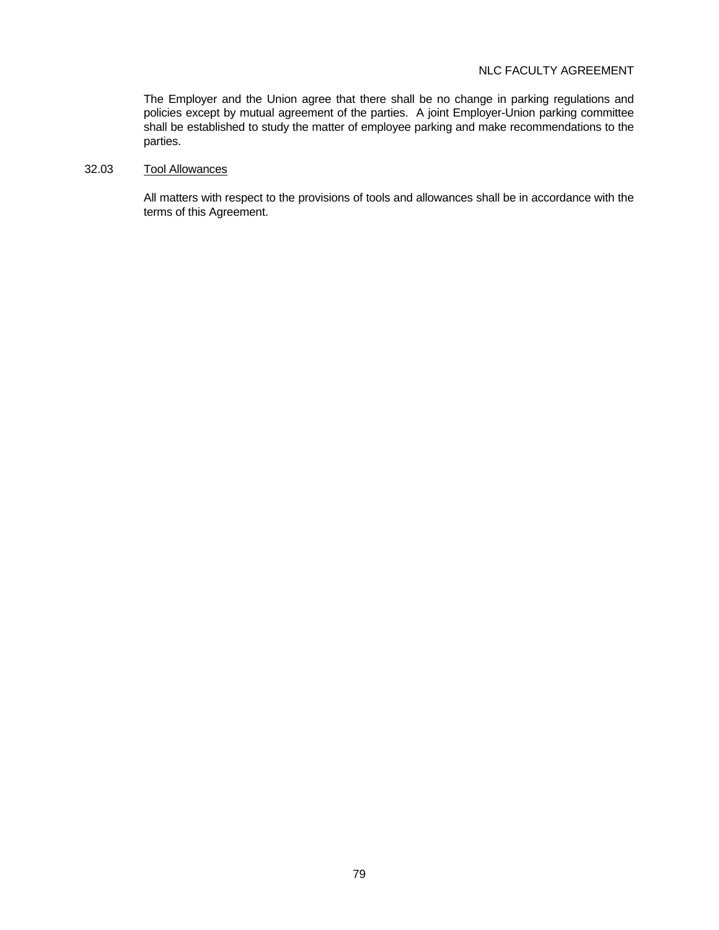# NLC FACULTY AGREEMENT

 The Employer and the Union agree that there shall be no change in parking regulations and policies except by mutual agreement of the parties. A joint Employer-Union parking committee shall be established to study the matter of employee parking and make recommendations to the parties.

# 32.03 Tool Allowances

 All matters with respect to the provisions of tools and allowances shall be in accordance with the terms of this Agreement.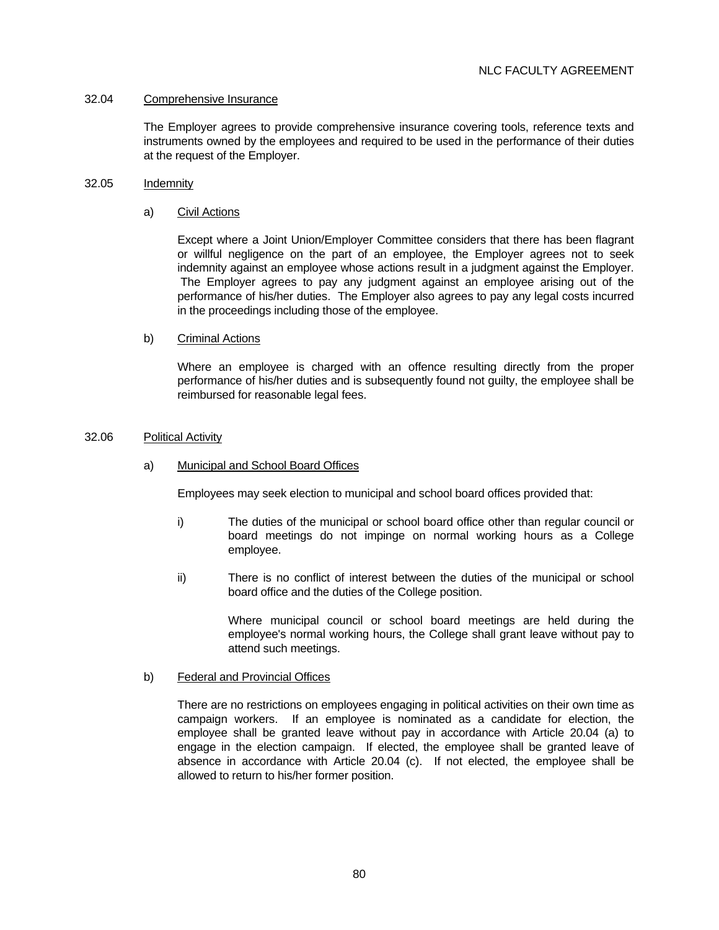### 32.04 Comprehensive Insurance

 The Employer agrees to provide comprehensive insurance covering tools, reference texts and instruments owned by the employees and required to be used in the performance of their duties at the request of the Employer.

## 32.05 Indemnity

## a) Civil Actions

 Except where a Joint Union/Employer Committee considers that there has been flagrant or willful negligence on the part of an employee, the Employer agrees not to seek indemnity against an employee whose actions result in a judgment against the Employer. The Employer agrees to pay any judgment against an employee arising out of the performance of his/her duties. The Employer also agrees to pay any legal costs incurred in the proceedings including those of the employee.

## b) Criminal Actions

 Where an employee is charged with an offence resulting directly from the proper performance of his/her duties and is subsequently found not guilty, the employee shall be reimbursed for reasonable legal fees.

## 32.06 Political Activity

## a) Municipal and School Board Offices

Employees may seek election to municipal and school board offices provided that:

- i) The duties of the municipal or school board office other than regular council or board meetings do not impinge on normal working hours as a College employee.
- ii) There is no conflict of interest between the duties of the municipal or school board office and the duties of the College position.

 Where municipal council or school board meetings are held during the employee's normal working hours, the College shall grant leave without pay to attend such meetings.

### b) Federal and Provincial Offices

 There are no restrictions on employees engaging in political activities on their own time as campaign workers. If an employee is nominated as a candidate for election, the employee shall be granted leave without pay in accordance with Article 20.04 (a) to engage in the election campaign. If elected, the employee shall be granted leave of absence in accordance with Article 20.04 (c). If not elected, the employee shall be allowed to return to his/her former position.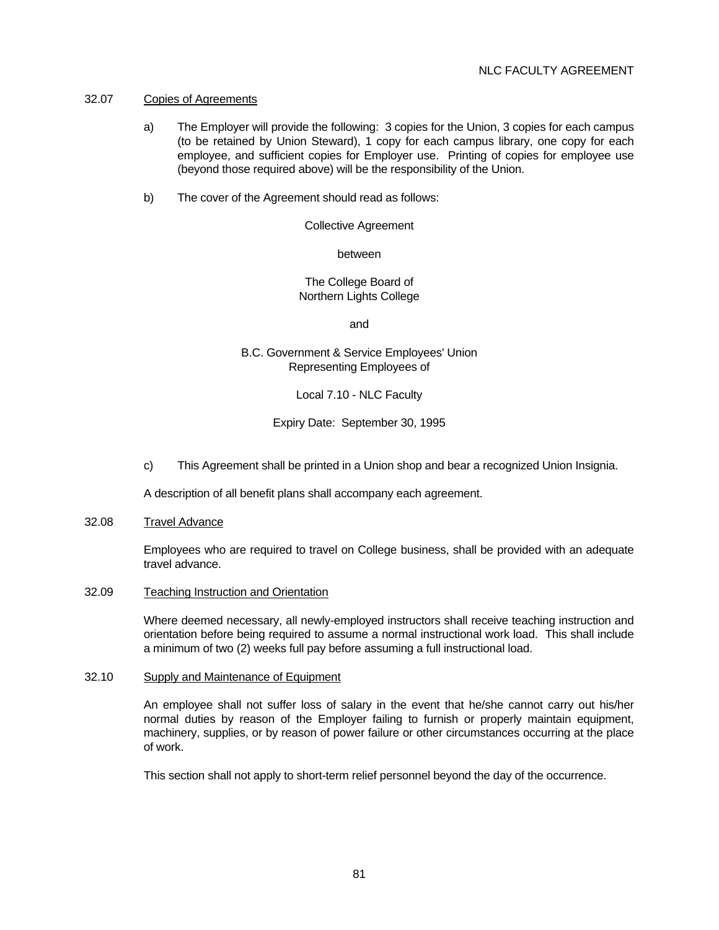### 32.07 Copies of Agreements

- a) The Employer will provide the following: 3 copies for the Union, 3 copies for each campus (to be retained by Union Steward), 1 copy for each campus library, one copy for each employee, and sufficient copies for Employer use. Printing of copies for employee use (beyond those required above) will be the responsibility of the Union.
- b) The cover of the Agreement should read as follows:

Collective Agreement

between

 The College Board of Northern Lights College

and the contract of the contract of the contract of the contract of the contract of the contract of the contract of the contract of the contract of the contract of the contract of the contract of the contract of the contra

 B.C. Government & Service Employees' Union Representing Employees of

Local 7.10 - NLC Faculty

Expiry Date: September 30, 1995

c) This Agreement shall be printed in a Union shop and bear a recognized Union Insignia.

A description of all benefit plans shall accompany each agreement.

### 32.08 Travel Advance

 Employees who are required to travel on College business, shall be provided with an adequate travel advance.

### 32.09 Teaching Instruction and Orientation

 Where deemed necessary, all newly-employed instructors shall receive teaching instruction and orientation before being required to assume a normal instructional work load. This shall include a minimum of two (2) weeks full pay before assuming a full instructional load.

### 32.10 Supply and Maintenance of Equipment

 An employee shall not suffer loss of salary in the event that he/she cannot carry out his/her normal duties by reason of the Employer failing to furnish or properly maintain equipment, machinery, supplies, or by reason of power failure or other circumstances occurring at the place of work.

This section shall not apply to short-term relief personnel beyond the day of the occurrence.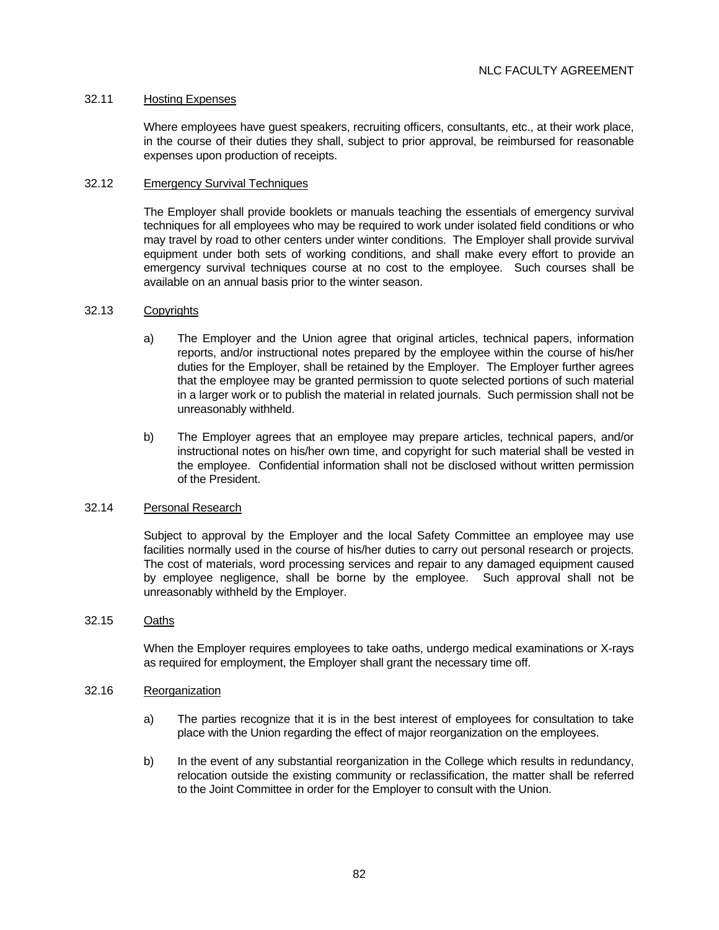## 32.11 Hosting Expenses

 Where employees have guest speakers, recruiting officers, consultants, etc., at their work place, in the course of their duties they shall, subject to prior approval, be reimbursed for reasonable expenses upon production of receipts.

## 32.12 Emergency Survival Techniques

 The Employer shall provide booklets or manuals teaching the essentials of emergency survival techniques for all employees who may be required to work under isolated field conditions or who may travel by road to other centers under winter conditions. The Employer shall provide survival equipment under both sets of working conditions, and shall make every effort to provide an emergency survival techniques course at no cost to the employee. Such courses shall be available on an annual basis prior to the winter season.

## 32.13 Copyrights

- a) The Employer and the Union agree that original articles, technical papers, information reports, and/or instructional notes prepared by the employee within the course of his/her duties for the Employer, shall be retained by the Employer. The Employer further agrees that the employee may be granted permission to quote selected portions of such material in a larger work or to publish the material in related journals. Such permission shall not be unreasonably withheld.
- b) The Employer agrees that an employee may prepare articles, technical papers, and/or instructional notes on his/her own time, and copyright for such material shall be vested in the employee. Confidential information shall not be disclosed without written permission of the President.

## 32.14 Personal Research

 Subject to approval by the Employer and the local Safety Committee an employee may use facilities normally used in the course of his/her duties to carry out personal research or projects. The cost of materials, word processing services and repair to any damaged equipment caused by employee negligence, shall be borne by the employee. Such approval shall not be unreasonably withheld by the Employer.

### 32.15 Oaths

 When the Employer requires employees to take oaths, undergo medical examinations or X-rays as required for employment, the Employer shall grant the necessary time off.

## 32.16 Reorganization

- a) The parties recognize that it is in the best interest of employees for consultation to take place with the Union regarding the effect of major reorganization on the employees.
- b) In the event of any substantial reorganization in the College which results in redundancy, relocation outside the existing community or reclassification, the matter shall be referred to the Joint Committee in order for the Employer to consult with the Union.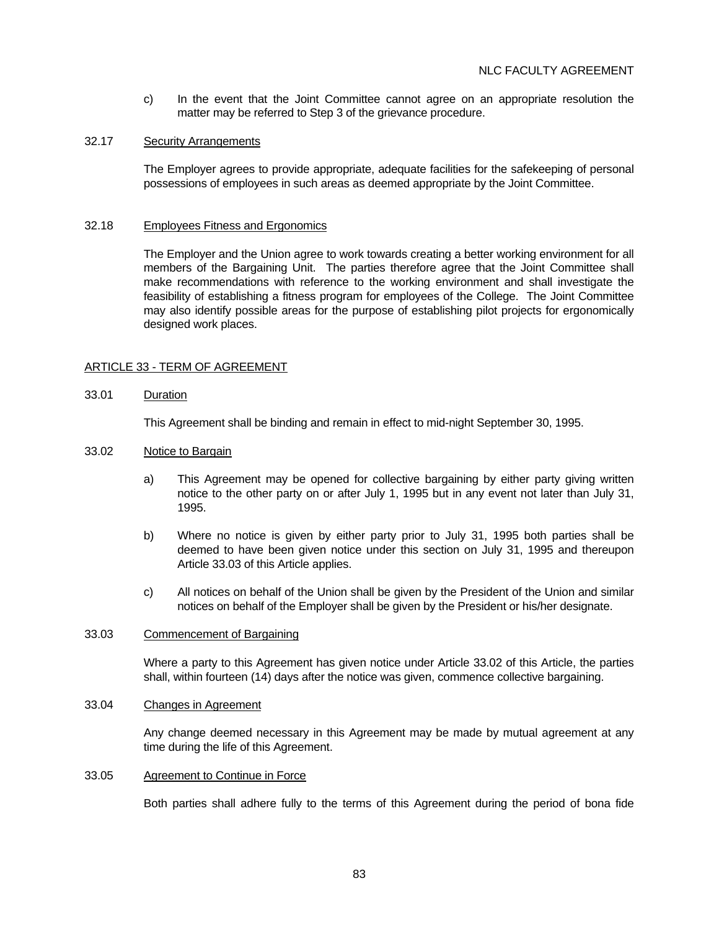c) In the event that the Joint Committee cannot agree on an appropriate resolution the matter may be referred to Step 3 of the grievance procedure.

### 32.17 Security Arrangements

 The Employer agrees to provide appropriate, adequate facilities for the safekeeping of personal possessions of employees in such areas as deemed appropriate by the Joint Committee.

## 32.18 Employees Fitness and Ergonomics

 The Employer and the Union agree to work towards creating a better working environment for all members of the Bargaining Unit. The parties therefore agree that the Joint Committee shall make recommendations with reference to the working environment and shall investigate the feasibility of establishing a fitness program for employees of the College. The Joint Committee may also identify possible areas for the purpose of establishing pilot projects for ergonomically designed work places.

# ARTICLE 33 - TERM OF AGREEMENT

## 33.01 Duration

This Agreement shall be binding and remain in effect to mid-night September 30, 1995.

## 33.02 Notice to Bargain

- a) This Agreement may be opened for collective bargaining by either party giving written notice to the other party on or after July 1, 1995 but in any event not later than July 31, 1995.
- b) Where no notice is given by either party prior to July 31, 1995 both parties shall be deemed to have been given notice under this section on July 31, 1995 and thereupon Article 33.03 of this Article applies.
- c) All notices on behalf of the Union shall be given by the President of the Union and similar notices on behalf of the Employer shall be given by the President or his/her designate.

### 33.03 Commencement of Bargaining

 Where a party to this Agreement has given notice under Article 33.02 of this Article, the parties shall, within fourteen (14) days after the notice was given, commence collective bargaining.

## 33.04 Changes in Agreement

 Any change deemed necessary in this Agreement may be made by mutual agreement at any time during the life of this Agreement.

### 33.05 Agreement to Continue in Force

Both parties shall adhere fully to the terms of this Agreement during the period of bona fide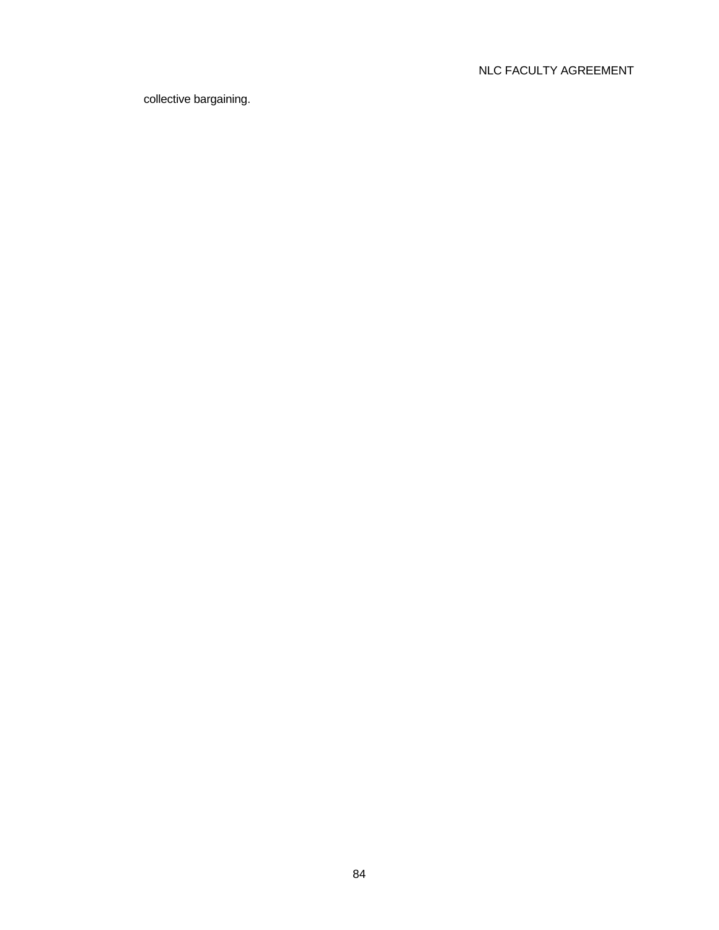# NLC FACULTY AGREEMENT

collective bargaining.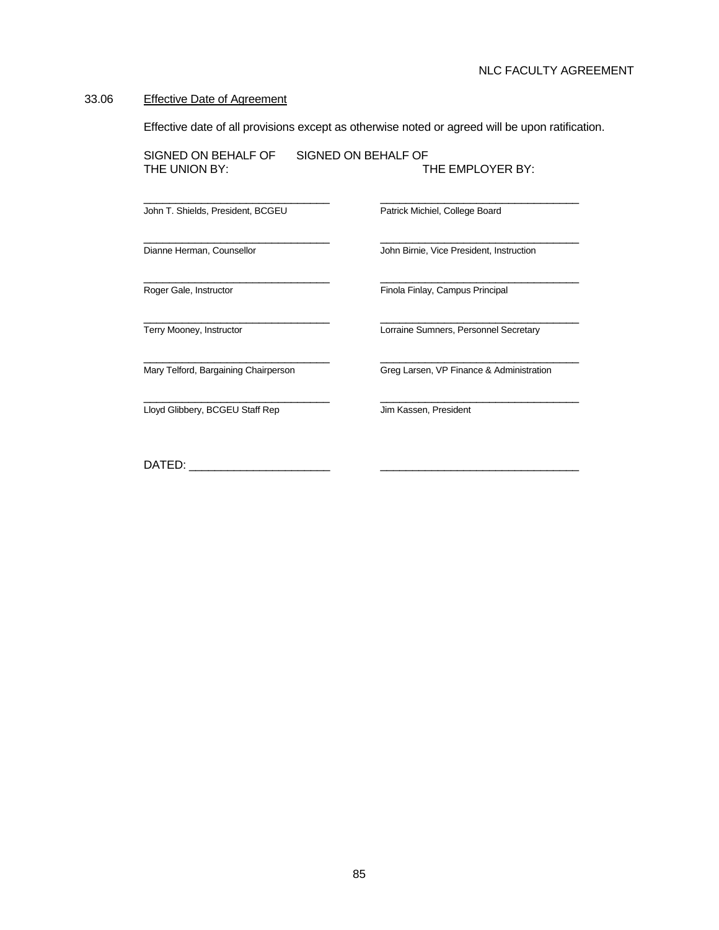#### 33.06 Effective Date of Agreement

Effective date of all provisions except as otherwise noted or agreed will be upon ratification.

SIGNED ON BEHALF OF SIGNED ON BEHALF OF<br>THE UNION BY: THE EMPLOYER BY:

 $\frac{1}{2}$  ,  $\frac{1}{2}$  ,  $\frac{1}{2}$  ,  $\frac{1}{2}$  ,  $\frac{1}{2}$  ,  $\frac{1}{2}$  ,  $\frac{1}{2}$  ,  $\frac{1}{2}$  ,  $\frac{1}{2}$  ,  $\frac{1}{2}$  ,  $\frac{1}{2}$  ,  $\frac{1}{2}$  ,  $\frac{1}{2}$  ,  $\frac{1}{2}$  ,  $\frac{1}{2}$  ,  $\frac{1}{2}$  ,  $\frac{1}{2}$  ,  $\frac{1}{2}$  ,  $\frac{1$ 

 $\frac{1}{2}$  ,  $\frac{1}{2}$  ,  $\frac{1}{2}$  ,  $\frac{1}{2}$  ,  $\frac{1}{2}$  ,  $\frac{1}{2}$  ,  $\frac{1}{2}$  ,  $\frac{1}{2}$  ,  $\frac{1}{2}$  ,  $\frac{1}{2}$  ,  $\frac{1}{2}$  ,  $\frac{1}{2}$  ,  $\frac{1}{2}$  ,  $\frac{1}{2}$  ,  $\frac{1}{2}$  ,  $\frac{1}{2}$  ,  $\frac{1}{2}$  ,  $\frac{1}{2}$  ,  $\frac{1$ 

 $\frac{1}{2}$  ,  $\frac{1}{2}$  ,  $\frac{1}{2}$  ,  $\frac{1}{2}$  ,  $\frac{1}{2}$  ,  $\frac{1}{2}$  ,  $\frac{1}{2}$  ,  $\frac{1}{2}$  ,  $\frac{1}{2}$  ,  $\frac{1}{2}$  ,  $\frac{1}{2}$  ,  $\frac{1}{2}$  ,  $\frac{1}{2}$  ,  $\frac{1}{2}$  ,  $\frac{1}{2}$  ,  $\frac{1}{2}$  ,  $\frac{1}{2}$  ,  $\frac{1}{2}$  ,  $\frac{1$ 

John T. Shields, President, BCGEU Patrick Michiel, College Board

Dianne Herman, Counsellor **John Birnie, Vice President, Instruction** 

Roger Gale, Instructor **Finola Finlay, Campus Principal** 

 $\frac{1}{2}$  ,  $\frac{1}{2}$  ,  $\frac{1}{2}$  ,  $\frac{1}{2}$  ,  $\frac{1}{2}$  ,  $\frac{1}{2}$  ,  $\frac{1}{2}$  ,  $\frac{1}{2}$  ,  $\frac{1}{2}$  ,  $\frac{1}{2}$  ,  $\frac{1}{2}$  ,  $\frac{1}{2}$  ,  $\frac{1}{2}$  ,  $\frac{1}{2}$  ,  $\frac{1}{2}$  ,  $\frac{1}{2}$  ,  $\frac{1}{2}$  ,  $\frac{1}{2}$  ,  $\frac{1$ **Lloyd Glibbery, BCGEU Staff Rep Jim Kassen, President** 

 $\frac{1}{2}$  ,  $\frac{1}{2}$  ,  $\frac{1}{2}$  ,  $\frac{1}{2}$  ,  $\frac{1}{2}$  ,  $\frac{1}{2}$  ,  $\frac{1}{2}$  ,  $\frac{1}{2}$  ,  $\frac{1}{2}$  ,  $\frac{1}{2}$  ,  $\frac{1}{2}$  ,  $\frac{1}{2}$  ,  $\frac{1}{2}$  ,  $\frac{1}{2}$  ,  $\frac{1}{2}$  ,  $\frac{1}{2}$  ,  $\frac{1}{2}$  ,  $\frac{1}{2}$  ,  $\frac{1$ 

Terry Mooney, Instructor **Lorraine Sumners, Personnel Secretary** 

 $\frac{1}{2}$  ,  $\frac{1}{2}$  ,  $\frac{1}{2}$  ,  $\frac{1}{2}$  ,  $\frac{1}{2}$  ,  $\frac{1}{2}$  ,  $\frac{1}{2}$  ,  $\frac{1}{2}$  ,  $\frac{1}{2}$  ,  $\frac{1}{2}$  ,  $\frac{1}{2}$  ,  $\frac{1}{2}$  ,  $\frac{1}{2}$  ,  $\frac{1}{2}$  ,  $\frac{1}{2}$  ,  $\frac{1}{2}$  ,  $\frac{1}{2}$  ,  $\frac{1}{2}$  ,  $\frac{1$ Mary Telford, Bargaining Chairperson Greg Larsen, VP Finance & Administration

DATED: \_\_\_\_\_\_\_\_\_\_\_\_\_\_\_\_\_\_\_\_\_\_ \_\_\_\_\_\_\_\_\_\_\_\_\_\_\_\_\_\_\_\_\_\_\_\_\_\_\_\_\_\_\_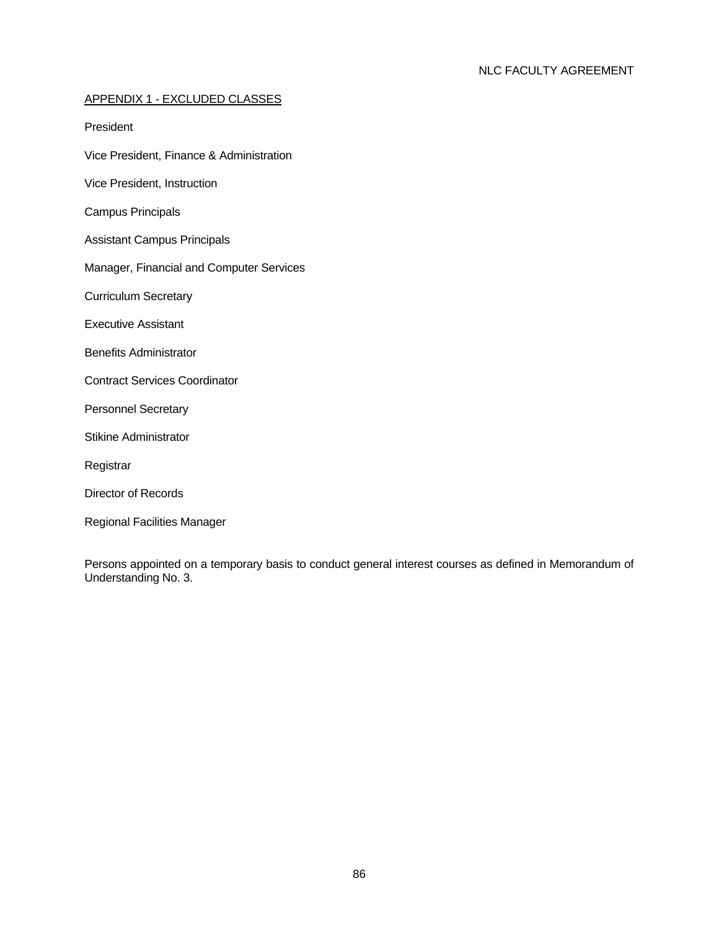# APPENDIX 1 - EXCLUDED CLASSES

President

- Vice President, Finance & Administration
- Vice President, Instruction
- Campus Principals
- Assistant Campus Principals
- Manager, Financial and Computer Services
- Curriculum Secretary
- Executive Assistant
- Benefits Administrator
- Contract Services Coordinator
- Personnel Secretary
- Stikine Administrator
- Registrar
- Director of Records
- Regional Facilities Manager

Persons appointed on a temporary basis to conduct general interest courses as defined in Memorandum of Understanding No. 3.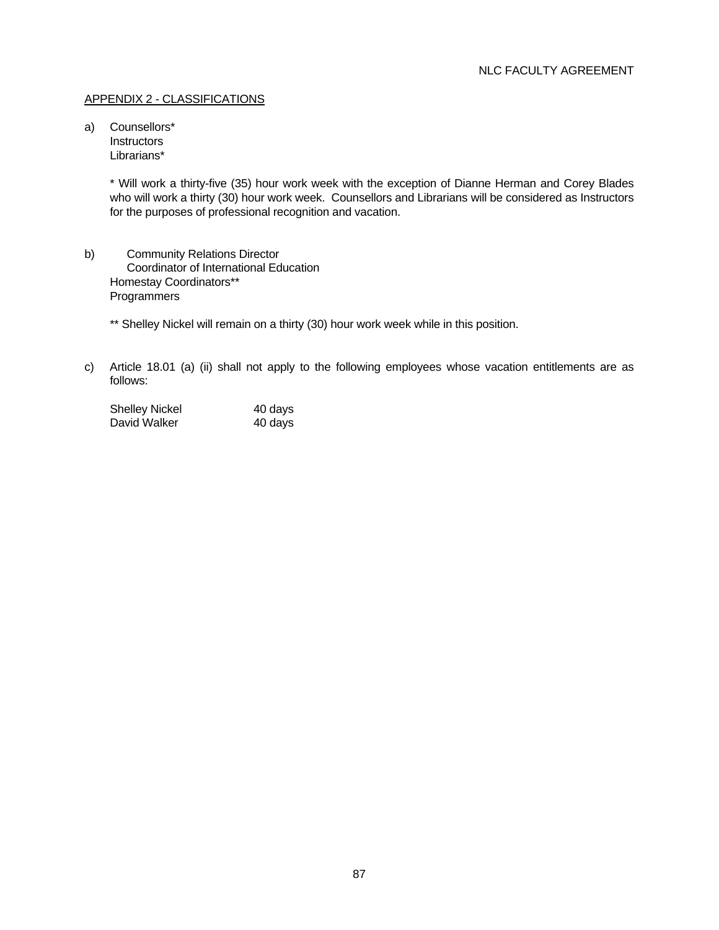## APPENDIX 2 - CLASSIFICATIONS

a) Counsellors\* **Instructors** Librarians\*

> \* Will work a thirty-five (35) hour work week with the exception of Dianne Herman and Corey Blades who will work a thirty (30) hour work week. Counsellors and Librarians will be considered as Instructors for the purposes of professional recognition and vacation.

b) Community Relations Director Coordinator of International Education Homestay Coordinators\*\* **Programmers** 

\*\* Shelley Nickel will remain on a thirty (30) hour work week while in this position.

c) Article 18.01 (a) (ii) shall not apply to the following employees whose vacation entitlements are as follows:

| <b>Shelley Nickel</b> | 40 days |
|-----------------------|---------|
| David Walker          | 40 days |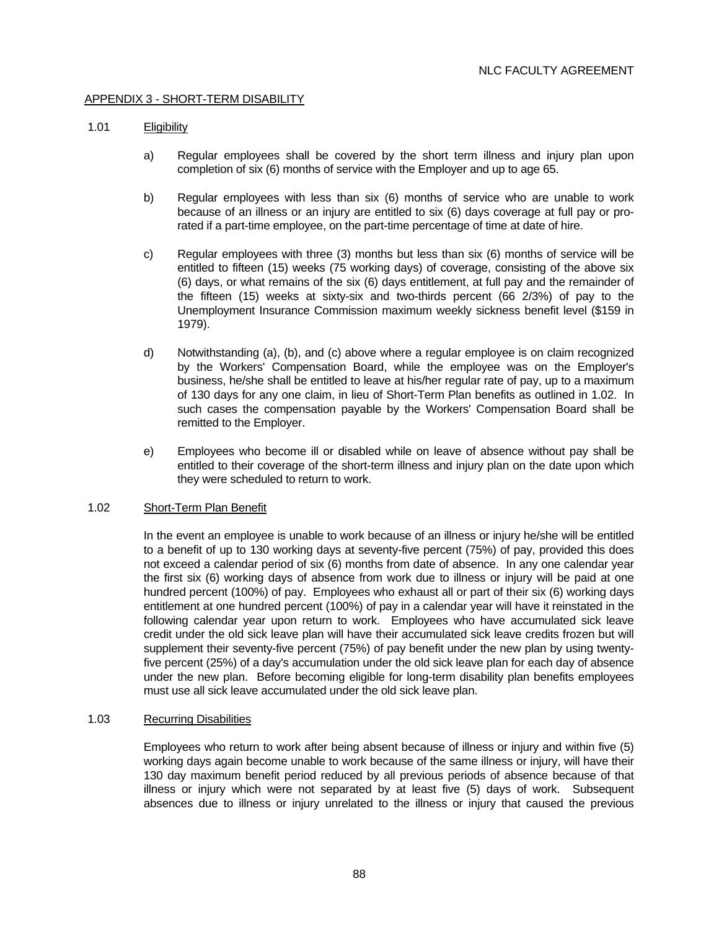## APPENDIX 3 - SHORT-TERM DISABILITY

### 1.01 Eligibility

- a) Regular employees shall be covered by the short term illness and injury plan upon completion of six (6) months of service with the Employer and up to age 65.
- b) Regular employees with less than six (6) months of service who are unable to work because of an illness or an injury are entitled to six (6) days coverage at full pay or prorated if a part-time employee, on the part-time percentage of time at date of hire.
- c) Regular employees with three (3) months but less than six (6) months of service will be entitled to fifteen (15) weeks (75 working days) of coverage, consisting of the above six (6) days, or what remains of the six (6) days entitlement, at full pay and the remainder of the fifteen (15) weeks at sixty-six and two-thirds percent (66 2/3%) of pay to the Unemployment Insurance Commission maximum weekly sickness benefit level (\$159 in 1979).
- d) Notwithstanding (a), (b), and (c) above where a regular employee is on claim recognized by the Workers' Compensation Board, while the employee was on the Employer's business, he/she shall be entitled to leave at his/her regular rate of pay, up to a maximum of 130 days for any one claim, in lieu of Short-Term Plan benefits as outlined in 1.02. In such cases the compensation payable by the Workers' Compensation Board shall be remitted to the Employer.
- e) Employees who become ill or disabled while on leave of absence without pay shall be entitled to their coverage of the short-term illness and injury plan on the date upon which they were scheduled to return to work.

### 1.02 Short-Term Plan Benefit

 In the event an employee is unable to work because of an illness or injury he/she will be entitled to a benefit of up to 130 working days at seventy-five percent (75%) of pay, provided this does not exceed a calendar period of six (6) months from date of absence. In any one calendar year the first six (6) working days of absence from work due to illness or injury will be paid at one hundred percent (100%) of pay. Employees who exhaust all or part of their six (6) working days entitlement at one hundred percent (100%) of pay in a calendar year will have it reinstated in the following calendar year upon return to work. Employees who have accumulated sick leave credit under the old sick leave plan will have their accumulated sick leave credits frozen but will supplement their seventy-five percent (75%) of pay benefit under the new plan by using twentyfive percent (25%) of a day's accumulation under the old sick leave plan for each day of absence under the new plan. Before becoming eligible for long-term disability plan benefits employees must use all sick leave accumulated under the old sick leave plan.

# 1.03 Recurring Disabilities

 Employees who return to work after being absent because of illness or injury and within five (5) working days again become unable to work because of the same illness or injury, will have their 130 day maximum benefit period reduced by all previous periods of absence because of that illness or injury which were not separated by at least five (5) days of work. Subsequent absences due to illness or injury unrelated to the illness or injury that caused the previous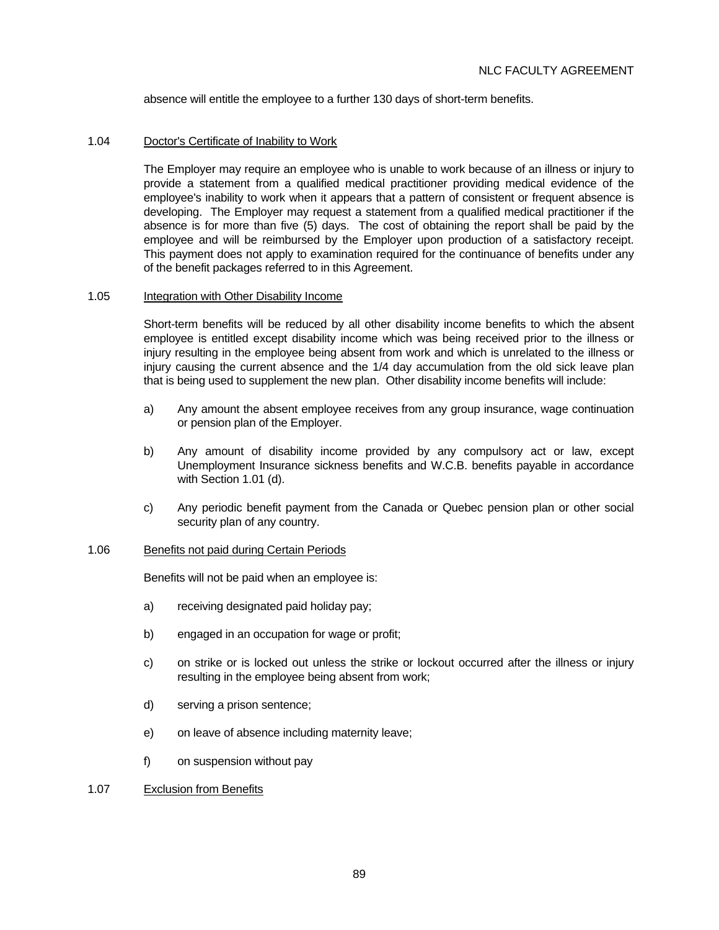absence will entitle the employee to a further 130 days of short-term benefits.

### 1.04 Doctor's Certificate of Inability to Work

 The Employer may require an employee who is unable to work because of an illness or injury to provide a statement from a qualified medical practitioner providing medical evidence of the employee's inability to work when it appears that a pattern of consistent or frequent absence is developing. The Employer may request a statement from a qualified medical practitioner if the absence is for more than five (5) days. The cost of obtaining the report shall be paid by the employee and will be reimbursed by the Employer upon production of a satisfactory receipt. This payment does not apply to examination required for the continuance of benefits under any of the benefit packages referred to in this Agreement.

### 1.05 Integration with Other Disability Income

 Short-term benefits will be reduced by all other disability income benefits to which the absent employee is entitled except disability income which was being received prior to the illness or injury resulting in the employee being absent from work and which is unrelated to the illness or injury causing the current absence and the 1/4 day accumulation from the old sick leave plan that is being used to supplement the new plan. Other disability income benefits will include:

- a) Any amount the absent employee receives from any group insurance, wage continuation or pension plan of the Employer.
- b) Any amount of disability income provided by any compulsory act or law, except Unemployment Insurance sickness benefits and W.C.B. benefits payable in accordance with Section 1.01 (d).
- c) Any periodic benefit payment from the Canada or Quebec pension plan or other social security plan of any country.

### 1.06 Benefits not paid during Certain Periods

Benefits will not be paid when an employee is:

- a) receiving designated paid holiday pay;
- b) engaged in an occupation for wage or profit;
- c) on strike or is locked out unless the strike or lockout occurred after the illness or injury resulting in the employee being absent from work;
- d) serving a prison sentence;
- e) on leave of absence including maternity leave;
- f) on suspension without pay

## 1.07 Exclusion from Benefits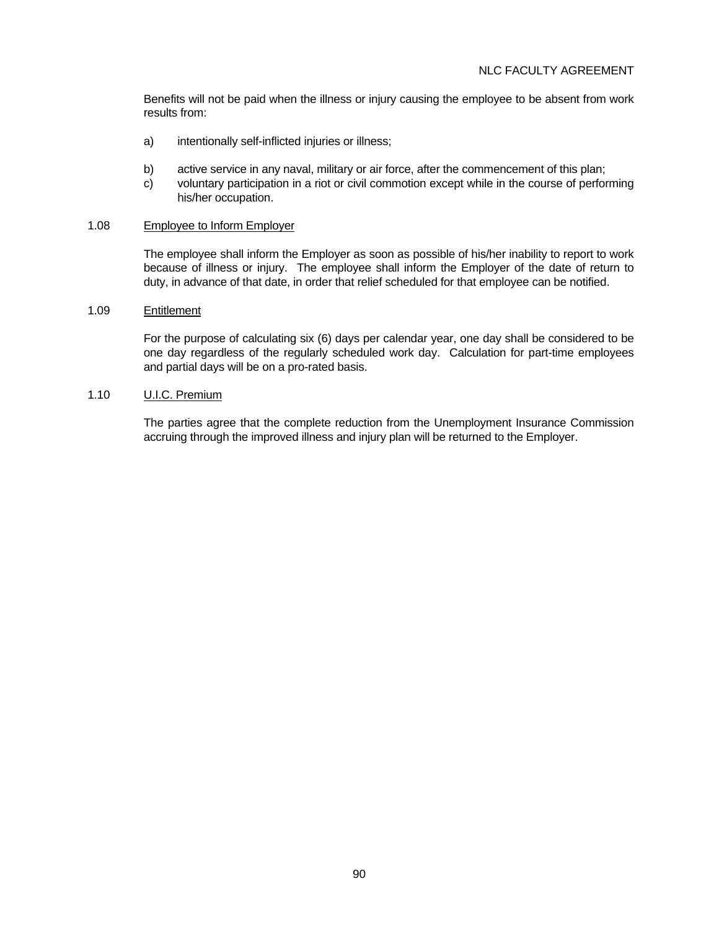Benefits will not be paid when the illness or injury causing the employee to be absent from work results from:

- a) intentionally self-inflicted injuries or illness;
- b) active service in any naval, military or air force, after the commencement of this plan;
- c) voluntary participation in a riot or civil commotion except while in the course of performing his/her occupation.

## 1.08 Employee to Inform Employer

 The employee shall inform the Employer as soon as possible of his/her inability to report to work because of illness or injury. The employee shall inform the Employer of the date of return to duty, in advance of that date, in order that relief scheduled for that employee can be notified.

## 1.09 Entitlement

 For the purpose of calculating six (6) days per calendar year, one day shall be considered to be one day regardless of the regularly scheduled work day. Calculation for part-time employees and partial days will be on a pro-rated basis.

## 1.10 U.I.C. Premium

 The parties agree that the complete reduction from the Unemployment Insurance Commission accruing through the improved illness and injury plan will be returned to the Employer.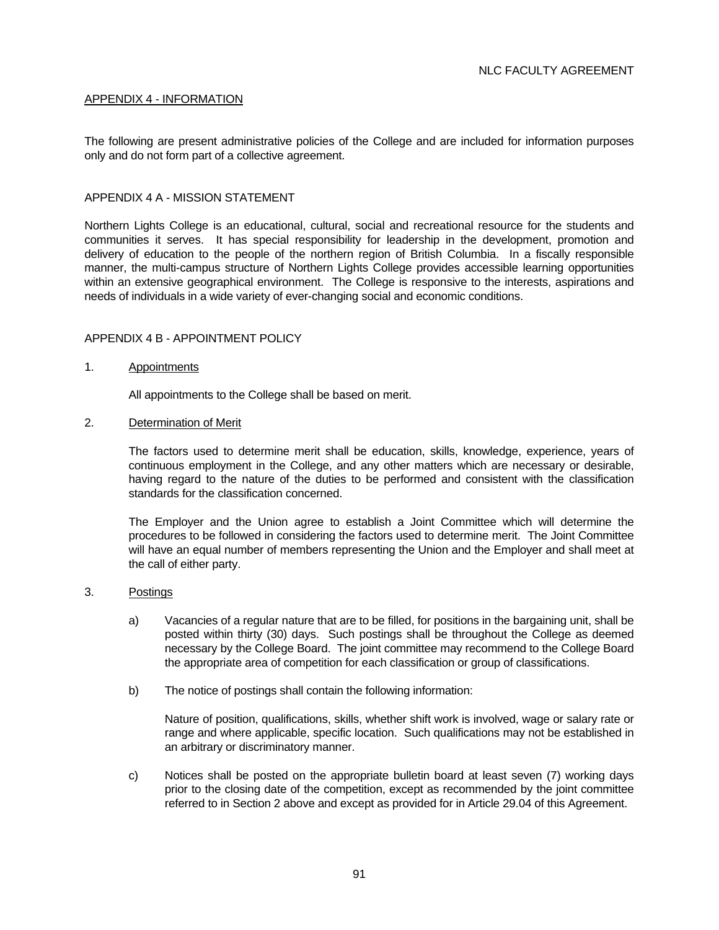## APPENDIX 4 - INFORMATION

The following are present administrative policies of the College and are included for information purposes only and do not form part of a collective agreement.

### APPENDIX 4 A - MISSION STATEMENT

Northern Lights College is an educational, cultural, social and recreational resource for the students and communities it serves. It has special responsibility for leadership in the development, promotion and delivery of education to the people of the northern region of British Columbia. In a fiscally responsible manner, the multi-campus structure of Northern Lights College provides accessible learning opportunities within an extensive geographical environment. The College is responsive to the interests, aspirations and needs of individuals in a wide variety of ever-changing social and economic conditions.

#### APPENDIX 4 B - APPOINTMENT POLICY

#### 1. Appointments

All appointments to the College shall be based on merit.

2. Determination of Merit

 The factors used to determine merit shall be education, skills, knowledge, experience, years of continuous employment in the College, and any other matters which are necessary or desirable, having regard to the nature of the duties to be performed and consistent with the classification standards for the classification concerned.

 The Employer and the Union agree to establish a Joint Committee which will determine the procedures to be followed in considering the factors used to determine merit. The Joint Committee will have an equal number of members representing the Union and the Employer and shall meet at the call of either party.

#### 3. Postings

- a) Vacancies of a regular nature that are to be filled, for positions in the bargaining unit, shall be posted within thirty (30) days. Such postings shall be throughout the College as deemed necessary by the College Board. The joint committee may recommend to the College Board the appropriate area of competition for each classification or group of classifications.
- b) The notice of postings shall contain the following information:

 Nature of position, qualifications, skills, whether shift work is involved, wage or salary rate or range and where applicable, specific location. Such qualifications may not be established in an arbitrary or discriminatory manner.

 c) Notices shall be posted on the appropriate bulletin board at least seven (7) working days prior to the closing date of the competition, except as recommended by the joint committee referred to in Section 2 above and except as provided for in Article 29.04 of this Agreement.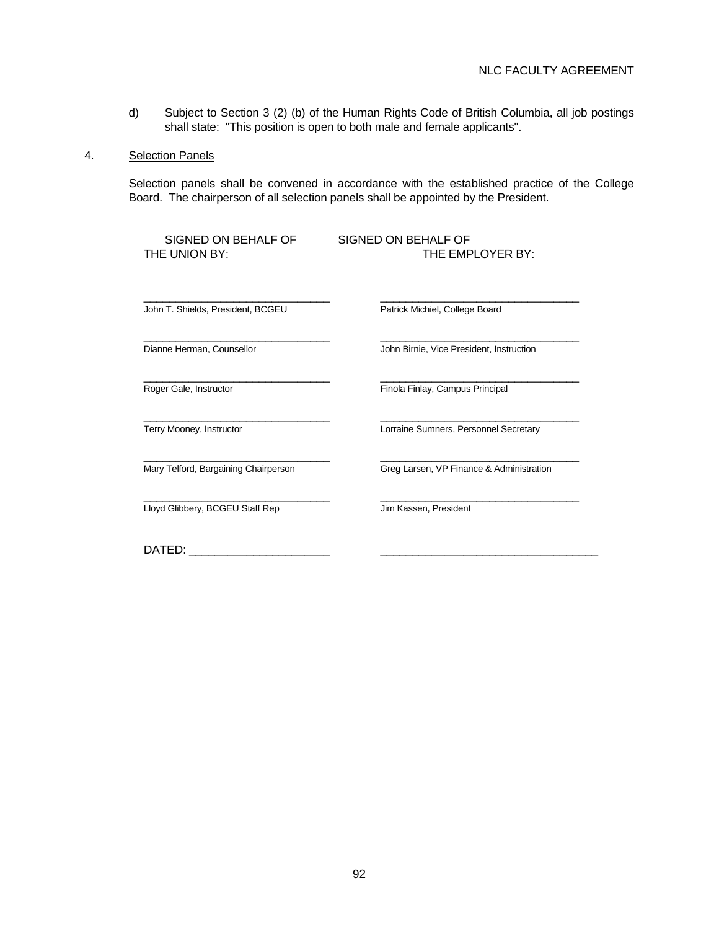d) Subject to Section 3 (2) (b) of the Human Rights Code of British Columbia, all job postings shall state: "This position is open to both male and female applicants".

### 4. Selection Panels

 Selection panels shall be convened in accordance with the established practice of the College Board. The chairperson of all selection panels shall be appointed by the President.

| SIGNED ON BEHALF OF<br>THE UNION BY: | SIGNED ON BEHALF OF<br>THE EMPLOYER BY:  |
|--------------------------------------|------------------------------------------|
| John T. Shields, President, BCGEU    | Patrick Michiel, College Board           |
| Dianne Herman, Counsellor            | John Birnie, Vice President, Instruction |
| Roger Gale, Instructor               | Finola Finlay, Campus Principal          |
| Terry Mooney, Instructor             | Lorraine Sumners, Personnel Secretary    |
| Mary Telford, Bargaining Chairperson | Greg Larsen, VP Finance & Administration |
| Lloyd Glibbery, BCGEU Staff Rep      | Jim Kassen, President                    |
| DATED:                               |                                          |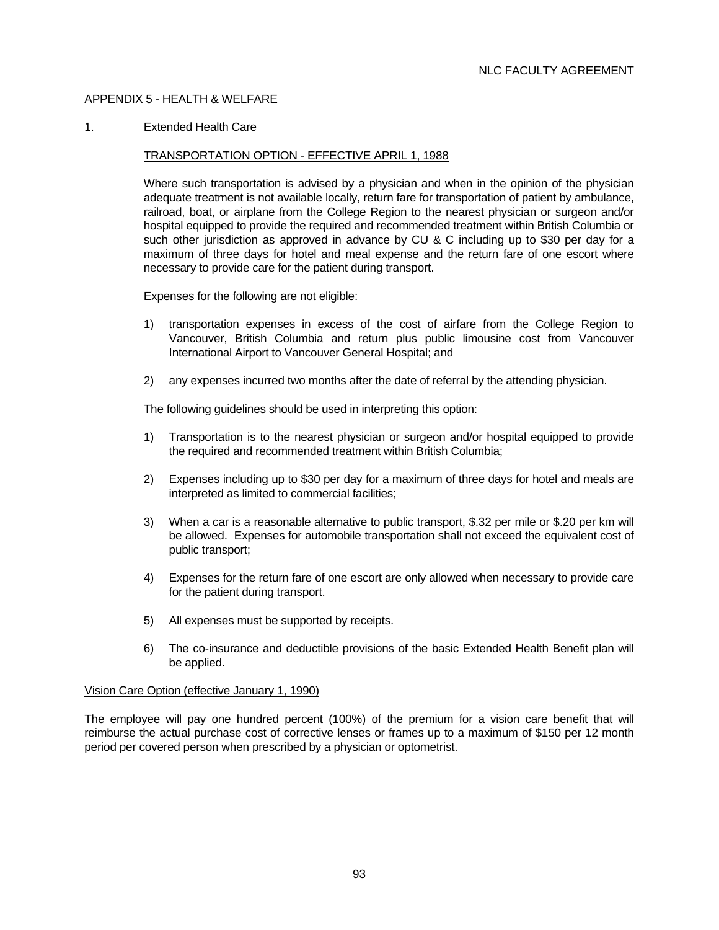## APPENDIX 5 - HEALTH & WELFARE

### 1. Extended Health Care

#### TRANSPORTATION OPTION - EFFECTIVE APRIL 1, 1988

 Where such transportation is advised by a physician and when in the opinion of the physician adequate treatment is not available locally, return fare for transportation of patient by ambulance, railroad, boat, or airplane from the College Region to the nearest physician or surgeon and/or hospital equipped to provide the required and recommended treatment within British Columbia or such other jurisdiction as approved in advance by CU & C including up to \$30 per day for a maximum of three days for hotel and meal expense and the return fare of one escort where necessary to provide care for the patient during transport.

Expenses for the following are not eligible:

- 1) transportation expenses in excess of the cost of airfare from the College Region to Vancouver, British Columbia and return plus public limousine cost from Vancouver International Airport to Vancouver General Hospital; and
- 2) any expenses incurred two months after the date of referral by the attending physician.

The following guidelines should be used in interpreting this option:

- 1) Transportation is to the nearest physician or surgeon and/or hospital equipped to provide the required and recommended treatment within British Columbia;
- 2) Expenses including up to \$30 per day for a maximum of three days for hotel and meals are interpreted as limited to commercial facilities;
- 3) When a car is a reasonable alternative to public transport, \$.32 per mile or \$.20 per km will be allowed. Expenses for automobile transportation shall not exceed the equivalent cost of public transport;
- 4) Expenses for the return fare of one escort are only allowed when necessary to provide care for the patient during transport.
- 5) All expenses must be supported by receipts.
- 6) The co-insurance and deductible provisions of the basic Extended Health Benefit plan will be applied.

### Vision Care Option (effective January 1, 1990)

The employee will pay one hundred percent (100%) of the premium for a vision care benefit that will reimburse the actual purchase cost of corrective lenses or frames up to a maximum of \$150 per 12 month period per covered person when prescribed by a physician or optometrist.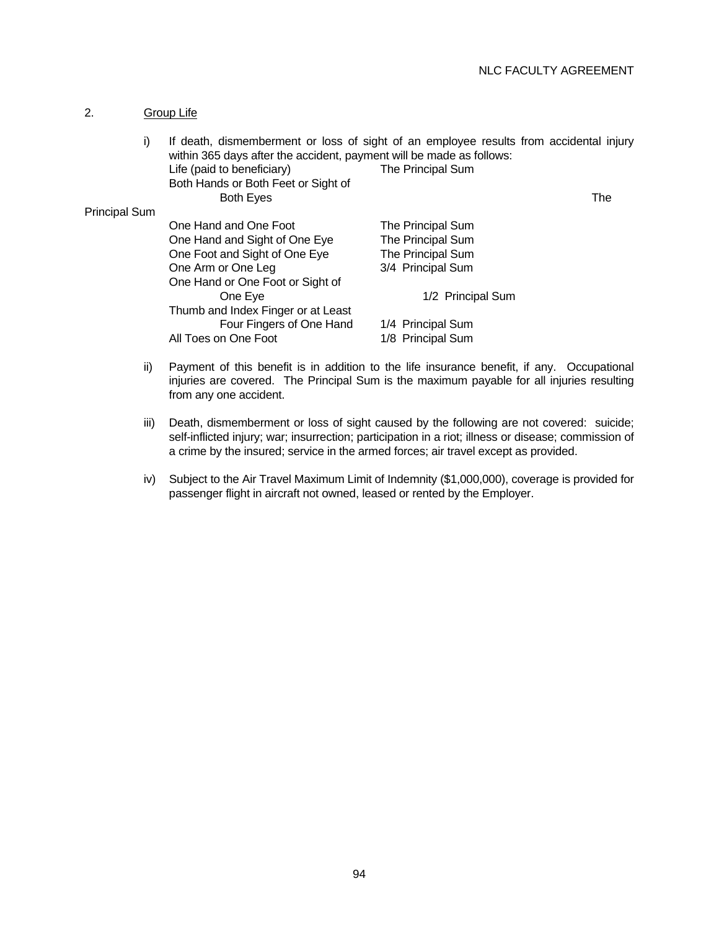# 2. Group Life

| i)            | If death, dismemberment or loss of sight of an employee results from accidental injury<br>within 365 days after the accident, payment will be made as follows: |                   |     |
|---------------|----------------------------------------------------------------------------------------------------------------------------------------------------------------|-------------------|-----|
|               | Life (paid to beneficiary)                                                                                                                                     | The Principal Sum |     |
|               | Both Hands or Both Feet or Sight of                                                                                                                            |                   |     |
|               | <b>Both Eyes</b>                                                                                                                                               |                   | The |
| Principal Sum |                                                                                                                                                                |                   |     |
|               | One Hand and One Foot                                                                                                                                          | The Principal Sum |     |
|               | One Hand and Sight of One Eye                                                                                                                                  | The Principal Sum |     |
|               | One Foot and Sight of One Eye                                                                                                                                  | The Principal Sum |     |
|               | One Arm or One Leg                                                                                                                                             | 3/4 Principal Sum |     |
|               | One Hand or One Foot or Sight of                                                                                                                               |                   |     |
|               | One Eye                                                                                                                                                        | 1/2 Principal Sum |     |
|               | Thumb and Index Finger or at Least                                                                                                                             |                   |     |
|               | Four Fingers of One Hand                                                                                                                                       | 1/4 Principal Sum |     |
|               | All Toes on One Foot                                                                                                                                           | 1/8 Principal Sum |     |
|               |                                                                                                                                                                |                   |     |

- ii) Payment of this benefit is in addition to the life insurance benefit, if any. Occupational injuries are covered. The Principal Sum is the maximum payable for all injuries resulting from any one accident.
- iii) Death, dismemberment or loss of sight caused by the following are not covered: suicide; self-inflicted injury; war; insurrection; participation in a riot; illness or disease; commission of a crime by the insured; service in the armed forces; air travel except as provided.
- iv) Subject to the Air Travel Maximum Limit of Indemnity (\$1,000,000), coverage is provided for passenger flight in aircraft not owned, leased or rented by the Employer.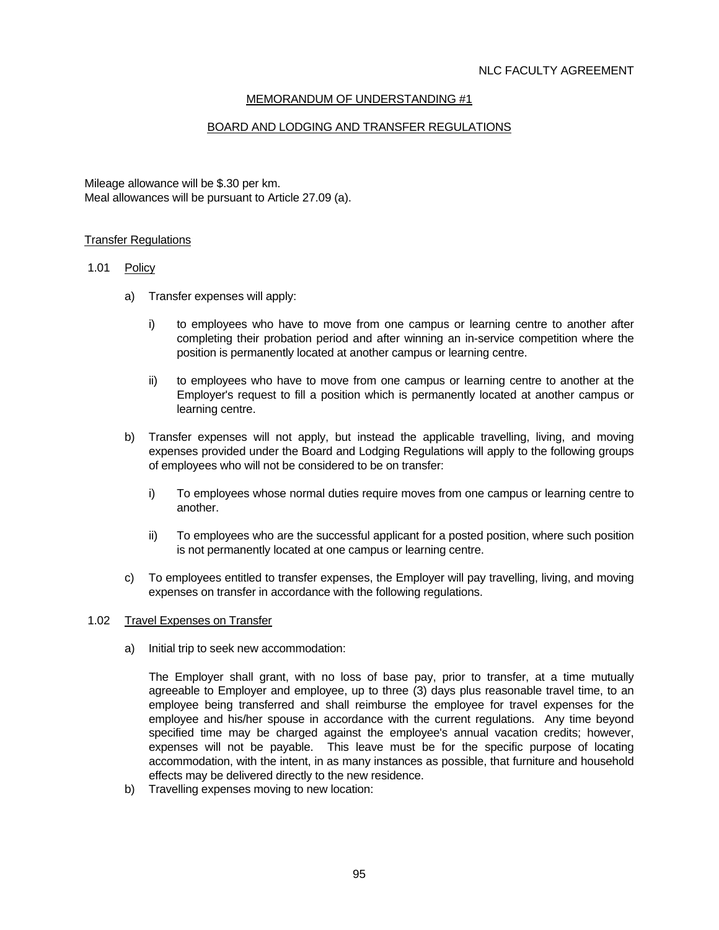# MEMORANDUM OF UNDERSTANDING #1

# BOARD AND LODGING AND TRANSFER REGULATIONS

Mileage allowance will be \$.30 per km. Meal allowances will be pursuant to Article 27.09 (a).

#### Transfer Regulations

#### 1.01 Policy

- a) Transfer expenses will apply:
	- i) to employees who have to move from one campus or learning centre to another after completing their probation period and after winning an in-service competition where the position is permanently located at another campus or learning centre.
	- ii) to employees who have to move from one campus or learning centre to another at the Employer's request to fill a position which is permanently located at another campus or learning centre.
- b) Transfer expenses will not apply, but instead the applicable travelling, living, and moving expenses provided under the Board and Lodging Regulations will apply to the following groups of employees who will not be considered to be on transfer:
	- i) To employees whose normal duties require moves from one campus or learning centre to another.
	- ii) To employees who are the successful applicant for a posted position, where such position is not permanently located at one campus or learning centre.
- c) To employees entitled to transfer expenses, the Employer will pay travelling, living, and moving expenses on transfer in accordance with the following regulations.

#### 1.02 Travel Expenses on Transfer

a) Initial trip to seek new accommodation:

 The Employer shall grant, with no loss of base pay, prior to transfer, at a time mutually agreeable to Employer and employee, up to three (3) days plus reasonable travel time, to an employee being transferred and shall reimburse the employee for travel expenses for the employee and his/her spouse in accordance with the current regulations. Any time beyond specified time may be charged against the employee's annual vacation credits; however, expenses will not be payable. This leave must be for the specific purpose of locating accommodation, with the intent, in as many instances as possible, that furniture and household effects may be delivered directly to the new residence.

b) Travelling expenses moving to new location: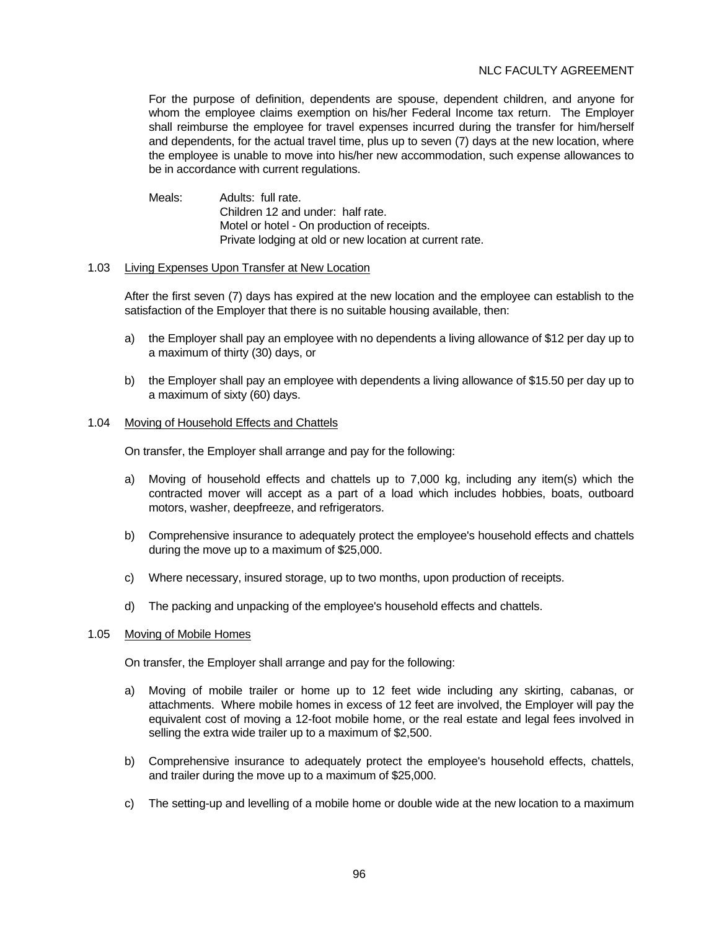# NLC FACULTY AGREEMENT

 For the purpose of definition, dependents are spouse, dependent children, and anyone for whom the employee claims exemption on his/her Federal Income tax return. The Employer shall reimburse the employee for travel expenses incurred during the transfer for him/herself and dependents, for the actual travel time, plus up to seven (7) days at the new location, where the employee is unable to move into his/her new accommodation, such expense allowances to be in accordance with current regulations.

Meals: Adults: full rate. Children 12 and under: half rate. Motel or hotel - On production of receipts. Private lodging at old or new location at current rate.

#### 1.03 Living Expenses Upon Transfer at New Location

 After the first seven (7) days has expired at the new location and the employee can establish to the satisfaction of the Employer that there is no suitable housing available, then:

- a) the Employer shall pay an employee with no dependents a living allowance of \$12 per day up to a maximum of thirty (30) days, or
- b) the Employer shall pay an employee with dependents a living allowance of \$15.50 per day up to a maximum of sixty (60) days.

#### 1.04 Moving of Household Effects and Chattels

On transfer, the Employer shall arrange and pay for the following:

- a) Moving of household effects and chattels up to 7,000 kg, including any item(s) which the contracted mover will accept as a part of a load which includes hobbies, boats, outboard motors, washer, deepfreeze, and refrigerators.
- b) Comprehensive insurance to adequately protect the employee's household effects and chattels during the move up to a maximum of \$25,000.
- c) Where necessary, insured storage, up to two months, upon production of receipts.
- d) The packing and unpacking of the employee's household effects and chattels.

#### 1.05 Moving of Mobile Homes

On transfer, the Employer shall arrange and pay for the following:

- a) Moving of mobile trailer or home up to 12 feet wide including any skirting, cabanas, or attachments. Where mobile homes in excess of 12 feet are involved, the Employer will pay the equivalent cost of moving a 12-foot mobile home, or the real estate and legal fees involved in selling the extra wide trailer up to a maximum of \$2,500.
- b) Comprehensive insurance to adequately protect the employee's household effects, chattels, and trailer during the move up to a maximum of \$25,000.
- c) The setting-up and levelling of a mobile home or double wide at the new location to a maximum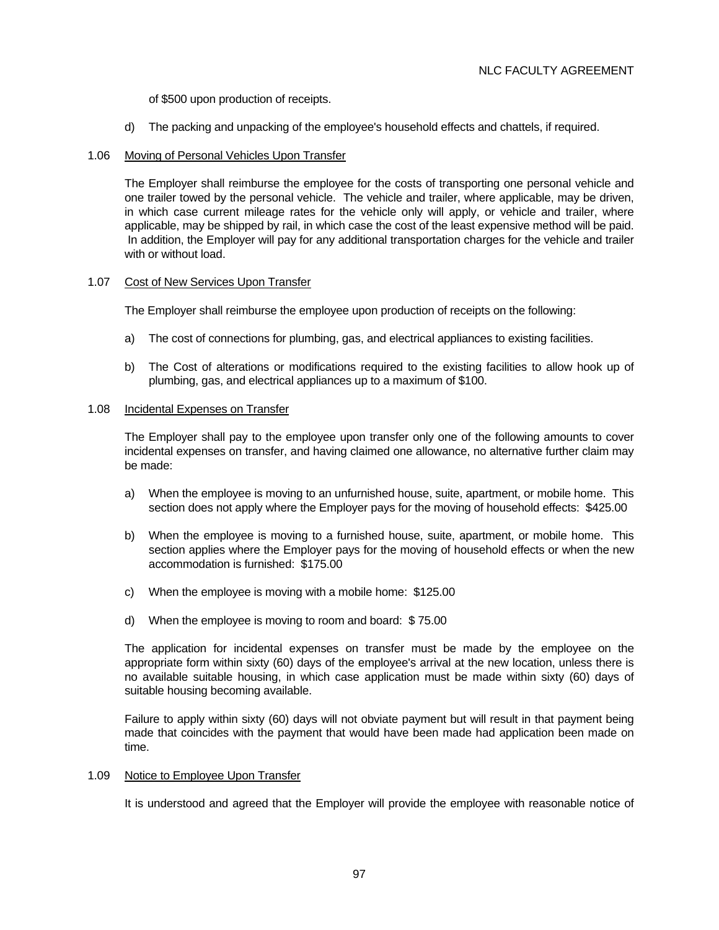of \$500 upon production of receipts.

d) The packing and unpacking of the employee's household effects and chattels, if required.

## 1.06 Moving of Personal Vehicles Upon Transfer

 The Employer shall reimburse the employee for the costs of transporting one personal vehicle and one trailer towed by the personal vehicle. The vehicle and trailer, where applicable, may be driven, in which case current mileage rates for the vehicle only will apply, or vehicle and trailer, where applicable, may be shipped by rail, in which case the cost of the least expensive method will be paid. In addition, the Employer will pay for any additional transportation charges for the vehicle and trailer with or without load.

## 1.07 Cost of New Services Upon Transfer

The Employer shall reimburse the employee upon production of receipts on the following:

- a) The cost of connections for plumbing, gas, and electrical appliances to existing facilities.
- b) The Cost of alterations or modifications required to the existing facilities to allow hook up of plumbing, gas, and electrical appliances up to a maximum of \$100.

### 1.08 Incidental Expenses on Transfer

 The Employer shall pay to the employee upon transfer only one of the following amounts to cover incidental expenses on transfer, and having claimed one allowance, no alternative further claim may be made:

- a) When the employee is moving to an unfurnished house, suite, apartment, or mobile home. This section does not apply where the Employer pays for the moving of household effects: \$425.00
- b) When the employee is moving to a furnished house, suite, apartment, or mobile home. This section applies where the Employer pays for the moving of household effects or when the new accommodation is furnished: \$175.00
- c) When the employee is moving with a mobile home: \$125.00
- d) When the employee is moving to room and board: \$ 75.00

 The application for incidental expenses on transfer must be made by the employee on the appropriate form within sixty (60) days of the employee's arrival at the new location, unless there is no available suitable housing, in which case application must be made within sixty (60) days of suitable housing becoming available.

 Failure to apply within sixty (60) days will not obviate payment but will result in that payment being made that coincides with the payment that would have been made had application been made on time.

### 1.09 Notice to Employee Upon Transfer

It is understood and agreed that the Employer will provide the employee with reasonable notice of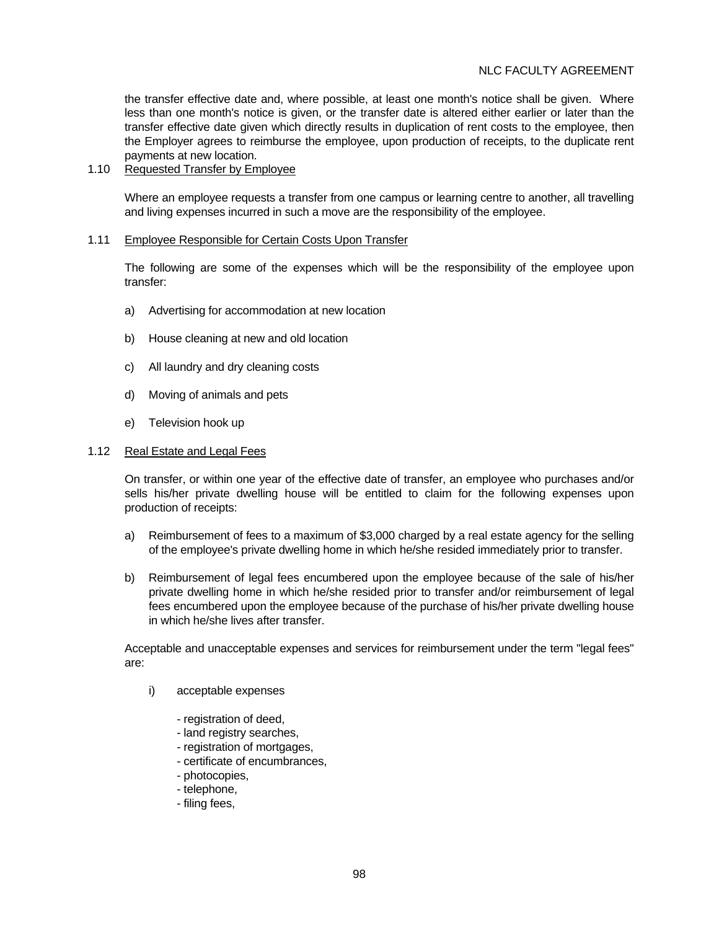# NLC FACULTY AGREEMENT

the transfer effective date and, where possible, at least one month's notice shall be given. Where less than one month's notice is given, or the transfer date is altered either earlier or later than the transfer effective date given which directly results in duplication of rent costs to the employee, then the Employer agrees to reimburse the employee, upon production of receipts, to the duplicate rent payments at new location.

## 1.10 Requested Transfer by Employee

 Where an employee requests a transfer from one campus or learning centre to another, all travelling and living expenses incurred in such a move are the responsibility of the employee.

#### 1.11 Employee Responsible for Certain Costs Upon Transfer

 The following are some of the expenses which will be the responsibility of the employee upon transfer:

- a) Advertising for accommodation at new location
- b) House cleaning at new and old location
- c) All laundry and dry cleaning costs
- d) Moving of animals and pets
- e) Television hook up

#### 1.12 Real Estate and Legal Fees

 On transfer, or within one year of the effective date of transfer, an employee who purchases and/or sells his/her private dwelling house will be entitled to claim for the following expenses upon production of receipts:

- a) Reimbursement of fees to a maximum of \$3,000 charged by a real estate agency for the selling of the employee's private dwelling home in which he/she resided immediately prior to transfer.
- b) Reimbursement of legal fees encumbered upon the employee because of the sale of his/her private dwelling home in which he/she resided prior to transfer and/or reimbursement of legal fees encumbered upon the employee because of the purchase of his/her private dwelling house in which he/she lives after transfer.

 Acceptable and unacceptable expenses and services for reimbursement under the term "legal fees" are:

- i) acceptable expenses
	- registration of deed,
	- land registry searches,
	- registration of mortgages,
	- certificate of encumbrances,
	- photocopies,
	- telephone,
	- filing fees,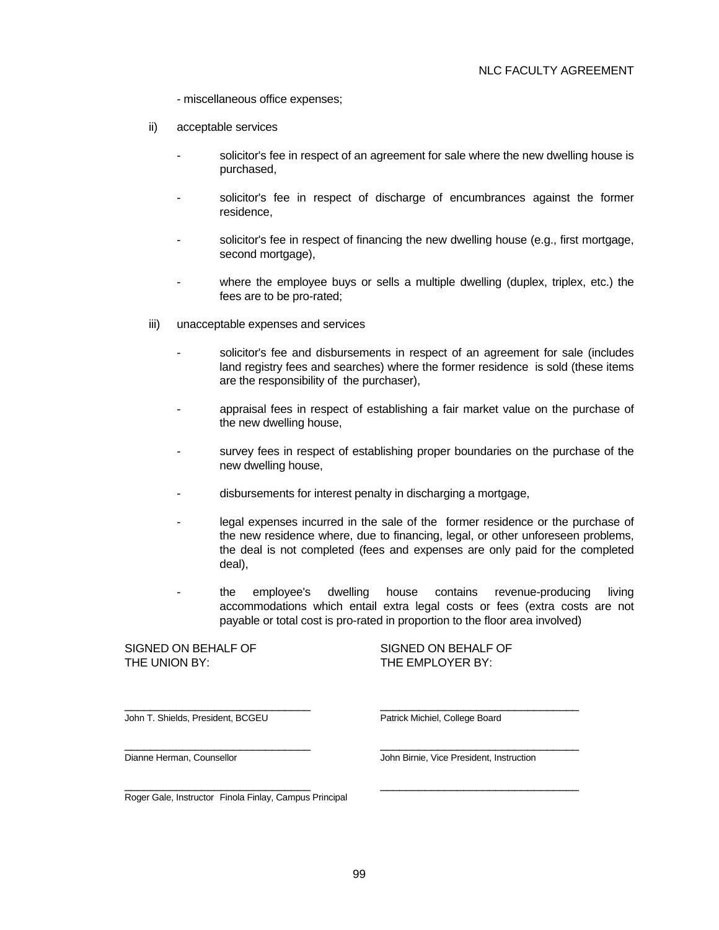- miscellaneous office expenses;

- ii) acceptable services
	- solicitor's fee in respect of an agreement for sale where the new dwelling house is purchased,
	- solicitor's fee in respect of discharge of encumbrances against the former residence,
	- solicitor's fee in respect of financing the new dwelling house (e.g., first mortgage, second mortgage),
	- where the employee buys or sells a multiple dwelling (duplex, triplex, etc.) the fees are to be pro-rated;
- iii) unacceptable expenses and services
	- solicitor's fee and disbursements in respect of an agreement for sale (includes land registry fees and searches) where the former residence is sold (these items are the responsibility of the purchaser),
	- appraisal fees in respect of establishing a fair market value on the purchase of the new dwelling house,
	- survey fees in respect of establishing proper boundaries on the purchase of the new dwelling house,
	- disbursements for interest penalty in discharging a mortgage,
	- legal expenses incurred in the sale of the former residence or the purchase of the new residence where, due to financing, legal, or other unforeseen problems, the deal is not completed (fees and expenses are only paid for the completed deal),
	- the employee's dwelling house contains revenue-producing living accommodations which entail extra legal costs or fees (extra costs are not payable or total cost is pro-rated in proportion to the floor area involved)

#### SIGNED ON BEHALF OF SIGNED ON BEHALF OF THE UNION BY: THE EMPLOYER BY:

John T. Shields, President, BCGEU Patrick Michiel, College Board

Dianne Herman, Counsellor John Birnie, Vice President, Instruction

Roger Gale, Instructor Finola Finlay, Campus Principal

 $\frac{1}{2}$  ,  $\frac{1}{2}$  ,  $\frac{1}{2}$  ,  $\frac{1}{2}$  ,  $\frac{1}{2}$  ,  $\frac{1}{2}$  ,  $\frac{1}{2}$  ,  $\frac{1}{2}$  ,  $\frac{1}{2}$  ,  $\frac{1}{2}$  ,  $\frac{1}{2}$  ,  $\frac{1}{2}$  ,  $\frac{1}{2}$  ,  $\frac{1}{2}$  ,  $\frac{1}{2}$  ,  $\frac{1}{2}$  ,  $\frac{1}{2}$  ,  $\frac{1}{2}$  ,  $\frac{1$ 

 $\frac{1}{2}$  ,  $\frac{1}{2}$  ,  $\frac{1}{2}$  ,  $\frac{1}{2}$  ,  $\frac{1}{2}$  ,  $\frac{1}{2}$  ,  $\frac{1}{2}$  ,  $\frac{1}{2}$  ,  $\frac{1}{2}$  ,  $\frac{1}{2}$  ,  $\frac{1}{2}$  ,  $\frac{1}{2}$  ,  $\frac{1}{2}$  ,  $\frac{1}{2}$  ,  $\frac{1}{2}$  ,  $\frac{1}{2}$  ,  $\frac{1}{2}$  ,  $\frac{1}{2}$  ,  $\frac{1$ 

 $\frac{1}{2}$  ,  $\frac{1}{2}$  ,  $\frac{1}{2}$  ,  $\frac{1}{2}$  ,  $\frac{1}{2}$  ,  $\frac{1}{2}$  ,  $\frac{1}{2}$  ,  $\frac{1}{2}$  ,  $\frac{1}{2}$  ,  $\frac{1}{2}$  ,  $\frac{1}{2}$  ,  $\frac{1}{2}$  ,  $\frac{1}{2}$  ,  $\frac{1}{2}$  ,  $\frac{1}{2}$  ,  $\frac{1}{2}$  ,  $\frac{1}{2}$  ,  $\frac{1}{2}$  ,  $\frac{1$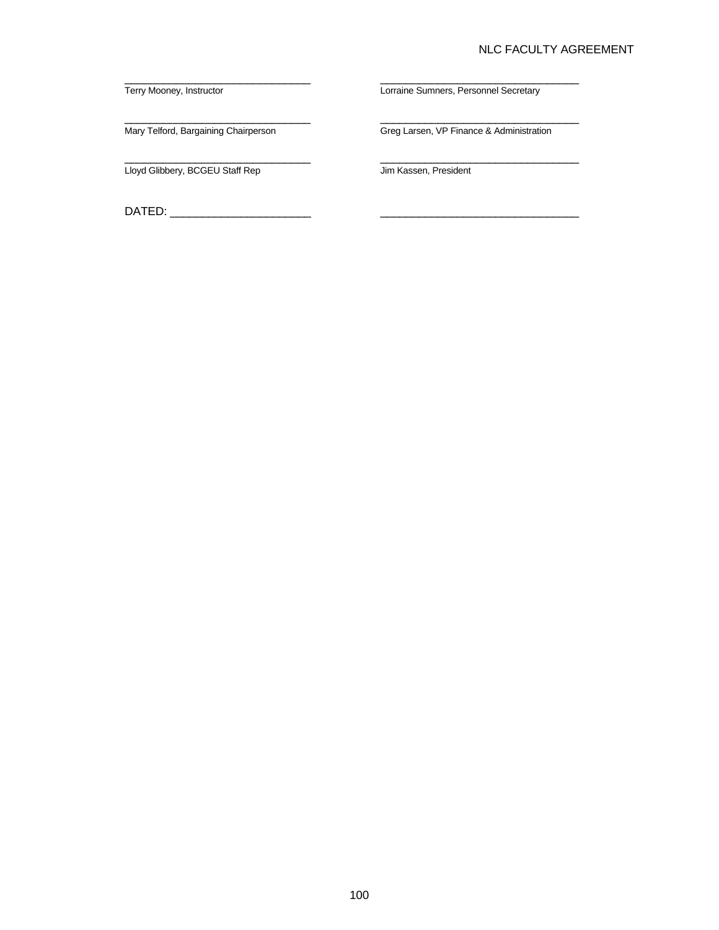## NLC FACULTY AGREEMENT

Lloyd Glibbery, BCGEU Staff Rep Jim Kassen, President

DATED: \_\_\_\_\_\_\_\_\_\_\_\_\_\_\_\_\_\_\_\_\_\_ \_\_\_\_\_\_\_\_\_\_\_\_\_\_\_\_\_\_\_\_\_\_\_\_\_\_\_\_\_\_\_

Terry Mooney, Instructor **Lorraine Sumners, Personnel Secretary** 

Mary Telford, Bargaining Chairperson Greg Larsen, VP Finance & Administration

 $\frac{1}{2}$  ,  $\frac{1}{2}$  ,  $\frac{1}{2}$  ,  $\frac{1}{2}$  ,  $\frac{1}{2}$  ,  $\frac{1}{2}$  ,  $\frac{1}{2}$  ,  $\frac{1}{2}$  ,  $\frac{1}{2}$  ,  $\frac{1}{2}$  ,  $\frac{1}{2}$  ,  $\frac{1}{2}$  ,  $\frac{1}{2}$  ,  $\frac{1}{2}$  ,  $\frac{1}{2}$  ,  $\frac{1}{2}$  ,  $\frac{1}{2}$  ,  $\frac{1}{2}$  ,  $\frac{1$ 

 $\frac{1}{2}$  ,  $\frac{1}{2}$  ,  $\frac{1}{2}$  ,  $\frac{1}{2}$  ,  $\frac{1}{2}$  ,  $\frac{1}{2}$  ,  $\frac{1}{2}$  ,  $\frac{1}{2}$  ,  $\frac{1}{2}$  ,  $\frac{1}{2}$  ,  $\frac{1}{2}$  ,  $\frac{1}{2}$  ,  $\frac{1}{2}$  ,  $\frac{1}{2}$  ,  $\frac{1}{2}$  ,  $\frac{1}{2}$  ,  $\frac{1}{2}$  ,  $\frac{1}{2}$  ,  $\frac{1$ 

 $\frac{1}{2}$  ,  $\frac{1}{2}$  ,  $\frac{1}{2}$  ,  $\frac{1}{2}$  ,  $\frac{1}{2}$  ,  $\frac{1}{2}$  ,  $\frac{1}{2}$  ,  $\frac{1}{2}$  ,  $\frac{1}{2}$  ,  $\frac{1}{2}$  ,  $\frac{1}{2}$  ,  $\frac{1}{2}$  ,  $\frac{1}{2}$  ,  $\frac{1}{2}$  ,  $\frac{1}{2}$  ,  $\frac{1}{2}$  ,  $\frac{1}{2}$  ,  $\frac{1}{2}$  ,  $\frac{1$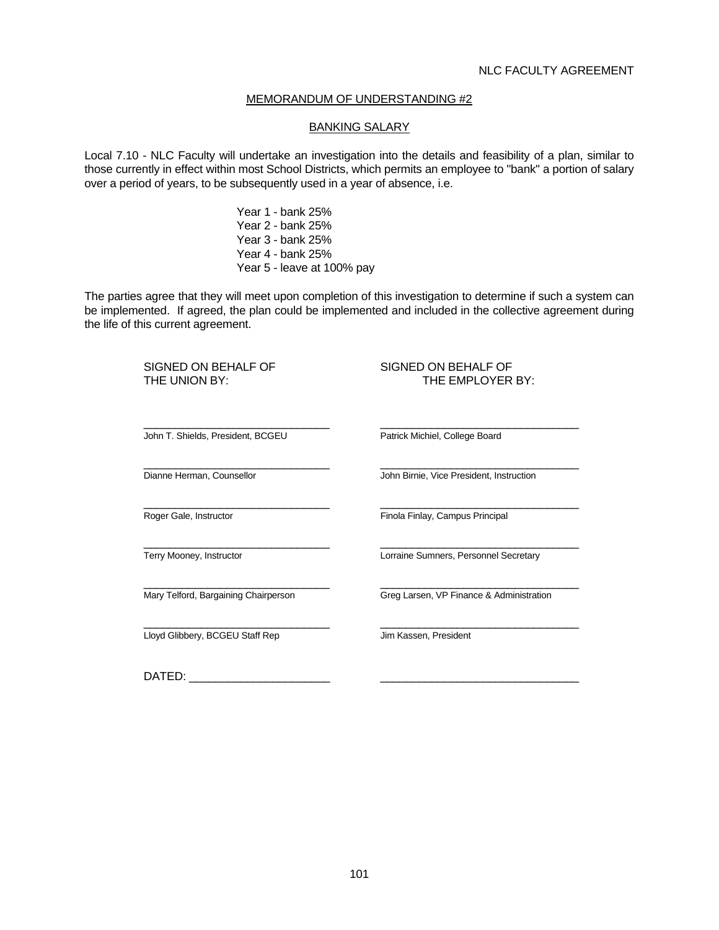#### BANKING SALARY

Local 7.10 - NLC Faculty will undertake an investigation into the details and feasibility of a plan, similar to those currently in effect within most School Districts, which permits an employee to "bank" a portion of salary over a period of years, to be subsequently used in a year of absence, i.e.

> Year 1 - bank 25% Year 2 - bank 25% Year 3 - bank 25% Year 4 - bank 25% Year 5 - leave at 100% pay

The parties agree that they will meet upon completion of this investigation to determine if such a system can be implemented. If agreed, the plan could be implemented and included in the collective agreement during the life of this current agreement.

SIGNED ON BEHALF OF SIGNED ON BEHALF OF THE UNION BY: THE EMPLOYER BY:  $\frac{1}{2}$  ,  $\frac{1}{2}$  ,  $\frac{1}{2}$  ,  $\frac{1}{2}$  ,  $\frac{1}{2}$  ,  $\frac{1}{2}$  ,  $\frac{1}{2}$  ,  $\frac{1}{2}$  ,  $\frac{1}{2}$  ,  $\frac{1}{2}$  ,  $\frac{1}{2}$  ,  $\frac{1}{2}$  ,  $\frac{1}{2}$  ,  $\frac{1}{2}$  ,  $\frac{1}{2}$  ,  $\frac{1}{2}$  ,  $\frac{1}{2}$  ,  $\frac{1}{2}$  ,  $\frac{1$  John T. Shields, President, BCGEU Patrick Michiel, College Board  $\frac{1}{2}$  ,  $\frac{1}{2}$  ,  $\frac{1}{2}$  ,  $\frac{1}{2}$  ,  $\frac{1}{2}$  ,  $\frac{1}{2}$  ,  $\frac{1}{2}$  ,  $\frac{1}{2}$  ,  $\frac{1}{2}$  ,  $\frac{1}{2}$  ,  $\frac{1}{2}$  ,  $\frac{1}{2}$  ,  $\frac{1}{2}$  ,  $\frac{1}{2}$  ,  $\frac{1}{2}$  ,  $\frac{1}{2}$  ,  $\frac{1}{2}$  ,  $\frac{1}{2}$  ,  $\frac{1$  Dianne Herman, Counsellor John Birnie, Vice President, Instruction  $\frac{1}{2}$  ,  $\frac{1}{2}$  ,  $\frac{1}{2}$  ,  $\frac{1}{2}$  ,  $\frac{1}{2}$  ,  $\frac{1}{2}$  ,  $\frac{1}{2}$  ,  $\frac{1}{2}$  ,  $\frac{1}{2}$  ,  $\frac{1}{2}$  ,  $\frac{1}{2}$  ,  $\frac{1}{2}$  ,  $\frac{1}{2}$  ,  $\frac{1}{2}$  ,  $\frac{1}{2}$  ,  $\frac{1}{2}$  ,  $\frac{1}{2}$  ,  $\frac{1}{2}$  ,  $\frac{1$ Roger Gale, Instructor **Findle** Findla Finlay, Campus Principal  $\frac{1}{2}$  ,  $\frac{1}{2}$  ,  $\frac{1}{2}$  ,  $\frac{1}{2}$  ,  $\frac{1}{2}$  ,  $\frac{1}{2}$  ,  $\frac{1}{2}$  ,  $\frac{1}{2}$  ,  $\frac{1}{2}$  ,  $\frac{1}{2}$  ,  $\frac{1}{2}$  ,  $\frac{1}{2}$  ,  $\frac{1}{2}$  ,  $\frac{1}{2}$  ,  $\frac{1}{2}$  ,  $\frac{1}{2}$  ,  $\frac{1}{2}$  ,  $\frac{1}{2}$  ,  $\frac{1$ Terry Mooney, Instructor **Lorraine Sumners**, Personnel Secretary  $\frac{1}{2}$  ,  $\frac{1}{2}$  ,  $\frac{1}{2}$  ,  $\frac{1}{2}$  ,  $\frac{1}{2}$  ,  $\frac{1}{2}$  ,  $\frac{1}{2}$  ,  $\frac{1}{2}$  ,  $\frac{1}{2}$  ,  $\frac{1}{2}$  ,  $\frac{1}{2}$  ,  $\frac{1}{2}$  ,  $\frac{1}{2}$  ,  $\frac{1}{2}$  ,  $\frac{1}{2}$  ,  $\frac{1}{2}$  ,  $\frac{1}{2}$  ,  $\frac{1}{2}$  ,  $\frac{1$ Mary Telford, Bargaining Chairperson Greg Larsen, VP Finance & Administration  $\frac{1}{\sqrt{2}}$  ,  $\frac{1}{\sqrt{2}}$  ,  $\frac{1}{\sqrt{2}}$  ,  $\frac{1}{\sqrt{2}}$  ,  $\frac{1}{\sqrt{2}}$  ,  $\frac{1}{\sqrt{2}}$  ,  $\frac{1}{\sqrt{2}}$  ,  $\frac{1}{\sqrt{2}}$  ,  $\frac{1}{\sqrt{2}}$  ,  $\frac{1}{\sqrt{2}}$  ,  $\frac{1}{\sqrt{2}}$  ,  $\frac{1}{\sqrt{2}}$  ,  $\frac{1}{\sqrt{2}}$  ,  $\frac{1}{\sqrt{2}}$  ,  $\frac{1}{\sqrt{2}}$ Lloyd Glibbery, BCGEU Staff Rep Jim Kassen, President

DATED: \_\_\_\_\_\_\_\_\_\_\_\_\_\_\_\_\_\_\_\_\_\_ \_\_\_\_\_\_\_\_\_\_\_\_\_\_\_\_\_\_\_\_\_\_\_\_\_\_\_\_\_\_\_

101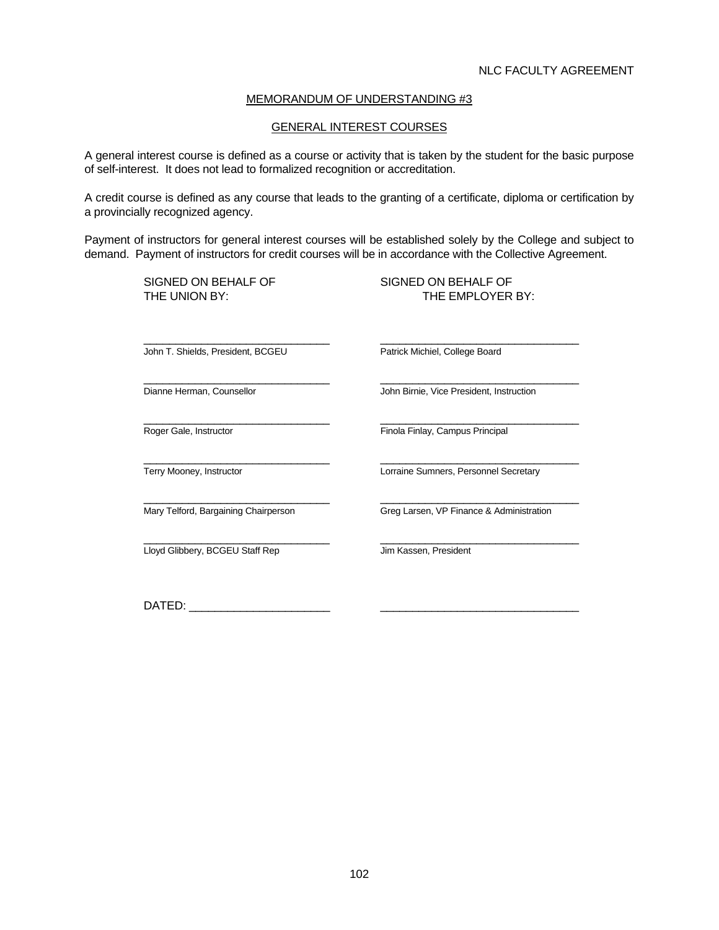#### GENERAL INTEREST COURSES

A general interest course is defined as a course or activity that is taken by the student for the basic purpose of self-interest. It does not lead to formalized recognition or accreditation.

A credit course is defined as any course that leads to the granting of a certificate, diploma or certification by a provincially recognized agency.

Payment of instructors for general interest courses will be established solely by the College and subject to demand. Payment of instructors for credit courses will be in accordance with the Collective Agreement.

 $\frac{1}{2}$  ,  $\frac{1}{2}$  ,  $\frac{1}{2}$  ,  $\frac{1}{2}$  ,  $\frac{1}{2}$  ,  $\frac{1}{2}$  ,  $\frac{1}{2}$  ,  $\frac{1}{2}$  ,  $\frac{1}{2}$  ,  $\frac{1}{2}$  ,  $\frac{1}{2}$  ,  $\frac{1}{2}$  ,  $\frac{1}{2}$  ,  $\frac{1}{2}$  ,  $\frac{1}{2}$  ,  $\frac{1}{2}$  ,  $\frac{1}{2}$  ,  $\frac{1}{2}$  ,  $\frac{1$ 

SIGNED ON BEHALF OF SIGNED ON BEHALF OF

THE UNION BY: THE EMPLOYER BY:

John T. Shields, President, BCGEU Patrick Michiel, College Board

 $\frac{1}{2}$  ,  $\frac{1}{2}$  ,  $\frac{1}{2}$  ,  $\frac{1}{2}$  ,  $\frac{1}{2}$  ,  $\frac{1}{2}$  ,  $\frac{1}{2}$  ,  $\frac{1}{2}$  ,  $\frac{1}{2}$  ,  $\frac{1}{2}$  ,  $\frac{1}{2}$  ,  $\frac{1}{2}$  ,  $\frac{1}{2}$  ,  $\frac{1}{2}$  ,  $\frac{1}{2}$  ,  $\frac{1}{2}$  ,  $\frac{1}{2}$  ,  $\frac{1}{2}$  ,  $\frac{1$ 

 $\frac{1}{\sqrt{2}}$  ,  $\frac{1}{\sqrt{2}}$  ,  $\frac{1}{\sqrt{2}}$  ,  $\frac{1}{\sqrt{2}}$  ,  $\frac{1}{\sqrt{2}}$  ,  $\frac{1}{\sqrt{2}}$  ,  $\frac{1}{\sqrt{2}}$  ,  $\frac{1}{\sqrt{2}}$  ,  $\frac{1}{\sqrt{2}}$  ,  $\frac{1}{\sqrt{2}}$  ,  $\frac{1}{\sqrt{2}}$  ,  $\frac{1}{\sqrt{2}}$  ,  $\frac{1}{\sqrt{2}}$  ,  $\frac{1}{\sqrt{2}}$  ,  $\frac{1}{\sqrt{2}}$ <u>Loyd Glibbery, BCGEU Staff Rep Jum Kassen, President</u>

 $\frac{1}{2}$  ,  $\frac{1}{2}$  ,  $\frac{1}{2}$  ,  $\frac{1}{2}$  ,  $\frac{1}{2}$  ,  $\frac{1}{2}$  ,  $\frac{1}{2}$  ,  $\frac{1}{2}$  ,  $\frac{1}{2}$  ,  $\frac{1}{2}$  ,  $\frac{1}{2}$  ,  $\frac{1}{2}$  ,  $\frac{1}{2}$  ,  $\frac{1}{2}$  ,  $\frac{1}{2}$  ,  $\frac{1}{2}$  ,  $\frac{1}{2}$  ,  $\frac{1}{2}$  ,  $\frac{1$ Dianne Herman, Counsellor John Birnie, Vice President, Instruction

 $\frac{1}{2}$  ,  $\frac{1}{2}$  ,  $\frac{1}{2}$  ,  $\frac{1}{2}$  ,  $\frac{1}{2}$  ,  $\frac{1}{2}$  ,  $\frac{1}{2}$  ,  $\frac{1}{2}$  ,  $\frac{1}{2}$  ,  $\frac{1}{2}$  ,  $\frac{1}{2}$  ,  $\frac{1}{2}$  ,  $\frac{1}{2}$  ,  $\frac{1}{2}$  ,  $\frac{1}{2}$  ,  $\frac{1}{2}$  ,  $\frac{1}{2}$  ,  $\frac{1}{2}$  ,  $\frac{1$ Roger Gale, Instructor **Finda Finlay, Campus Principal** 

 $\frac{1}{2}$  ,  $\frac{1}{2}$  ,  $\frac{1}{2}$  ,  $\frac{1}{2}$  ,  $\frac{1}{2}$  ,  $\frac{1}{2}$  ,  $\frac{1}{2}$  ,  $\frac{1}{2}$  ,  $\frac{1}{2}$  ,  $\frac{1}{2}$  ,  $\frac{1}{2}$  ,  $\frac{1}{2}$  ,  $\frac{1}{2}$  ,  $\frac{1}{2}$  ,  $\frac{1}{2}$  ,  $\frac{1}{2}$  ,  $\frac{1}{2}$  ,  $\frac{1}{2}$  ,  $\frac{1$ Terry Mooney, Instructor **Lorraine Sumners, Personnel Secretary** 

Mary Telford, Bargaining Chairperson Greg Larsen, VP Finance & Administration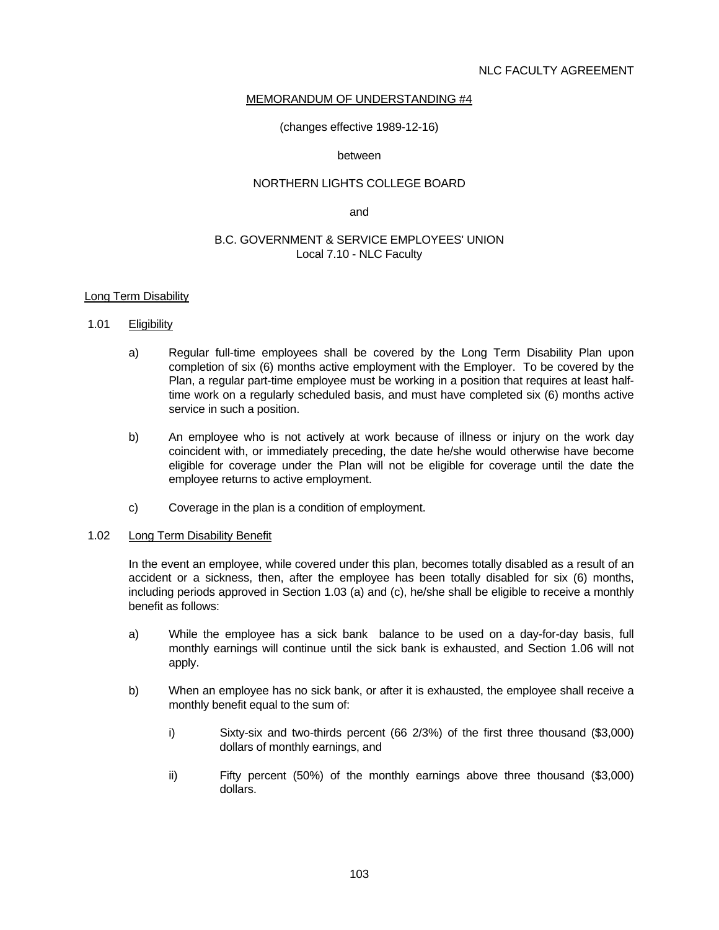(changes effective 1989-12-16)

#### between

#### NORTHERN LIGHTS COLLEGE BOARD

and the contract of the contract of the contract of the contract of the contract of the contract of the contract of the contract of the contract of the contract of the contract of the contract of the contract of the contra

#### B.C. GOVERNMENT & SERVICE EMPLOYEES' UNION Local 7.10 - NLC Faculty

#### Long Term Disability

#### 1.01 Eligibility

- a) Regular full-time employees shall be covered by the Long Term Disability Plan upon completion of six (6) months active employment with the Employer. To be covered by the Plan, a regular part-time employee must be working in a position that requires at least halftime work on a regularly scheduled basis, and must have completed six (6) months active service in such a position.
- b) An employee who is not actively at work because of illness or injury on the work day coincident with, or immediately preceding, the date he/she would otherwise have become eligible for coverage under the Plan will not be eligible for coverage until the date the employee returns to active employment.
- c) Coverage in the plan is a condition of employment.

#### 1.02 Long Term Disability Benefit

 In the event an employee, while covered under this plan, becomes totally disabled as a result of an accident or a sickness, then, after the employee has been totally disabled for six (6) months, including periods approved in Section 1.03 (a) and (c), he/she shall be eligible to receive a monthly benefit as follows:

- a) While the employee has a sick bank balance to be used on a day-for-day basis, full monthly earnings will continue until the sick bank is exhausted, and Section 1.06 will not apply.
- b) When an employee has no sick bank, or after it is exhausted, the employee shall receive a monthly benefit equal to the sum of:
	- i) Sixty-six and two-thirds percent (66 2/3%) of the first three thousand (\$3,000) dollars of monthly earnings, and
	- ii) Fifty percent (50%) of the monthly earnings above three thousand (\$3,000) dollars.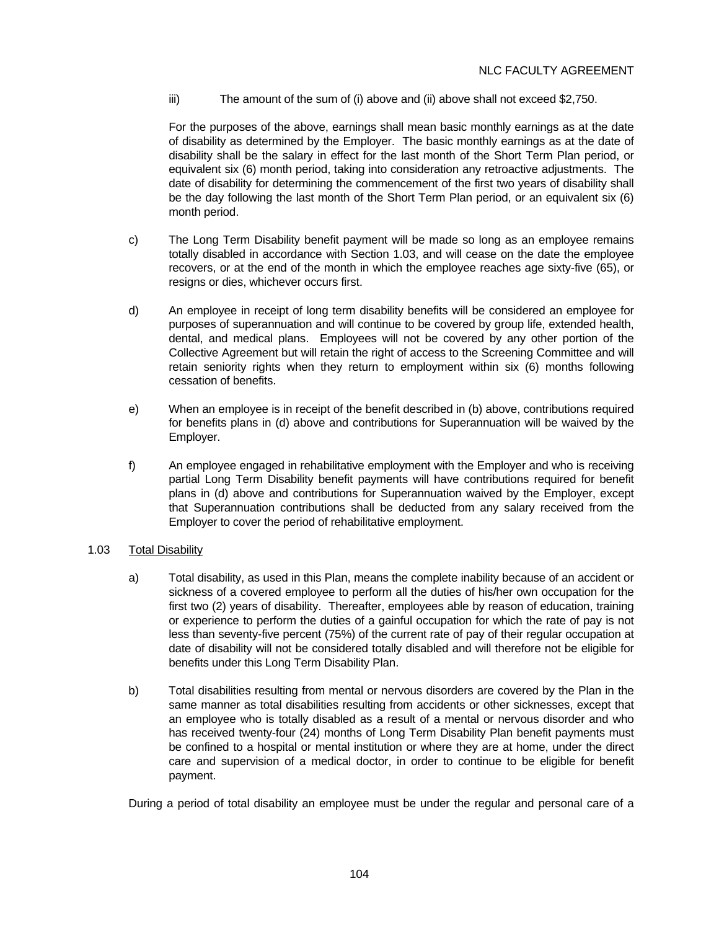iii) The amount of the sum of (i) above and (ii) above shall not exceed \$2,750.

 For the purposes of the above, earnings shall mean basic monthly earnings as at the date of disability as determined by the Employer. The basic monthly earnings as at the date of disability shall be the salary in effect for the last month of the Short Term Plan period, or equivalent six (6) month period, taking into consideration any retroactive adjustments. The date of disability for determining the commencement of the first two years of disability shall be the day following the last month of the Short Term Plan period, or an equivalent six (6) month period.

- c) The Long Term Disability benefit payment will be made so long as an employee remains totally disabled in accordance with Section 1.03, and will cease on the date the employee recovers, or at the end of the month in which the employee reaches age sixty-five (65), or resigns or dies, whichever occurs first.
- d) An employee in receipt of long term disability benefits will be considered an employee for purposes of superannuation and will continue to be covered by group life, extended health, dental, and medical plans. Employees will not be covered by any other portion of the Collective Agreement but will retain the right of access to the Screening Committee and will retain seniority rights when they return to employment within six (6) months following cessation of benefits.
- e) When an employee is in receipt of the benefit described in (b) above, contributions required for benefits plans in (d) above and contributions for Superannuation will be waived by the Employer.
- f) An employee engaged in rehabilitative employment with the Employer and who is receiving partial Long Term Disability benefit payments will have contributions required for benefit plans in (d) above and contributions for Superannuation waived by the Employer, except that Superannuation contributions shall be deducted from any salary received from the Employer to cover the period of rehabilitative employment.

## 1.03 Total Disability

- a) Total disability, as used in this Plan, means the complete inability because of an accident or sickness of a covered employee to perform all the duties of his/her own occupation for the first two (2) years of disability. Thereafter, employees able by reason of education, training or experience to perform the duties of a gainful occupation for which the rate of pay is not less than seventy-five percent (75%) of the current rate of pay of their regular occupation at date of disability will not be considered totally disabled and will therefore not be eligible for benefits under this Long Term Disability Plan.
- b) Total disabilities resulting from mental or nervous disorders are covered by the Plan in the same manner as total disabilities resulting from accidents or other sicknesses, except that an employee who is totally disabled as a result of a mental or nervous disorder and who has received twenty-four (24) months of Long Term Disability Plan benefit payments must be confined to a hospital or mental institution or where they are at home, under the direct care and supervision of a medical doctor, in order to continue to be eligible for benefit payment.

During a period of total disability an employee must be under the regular and personal care of a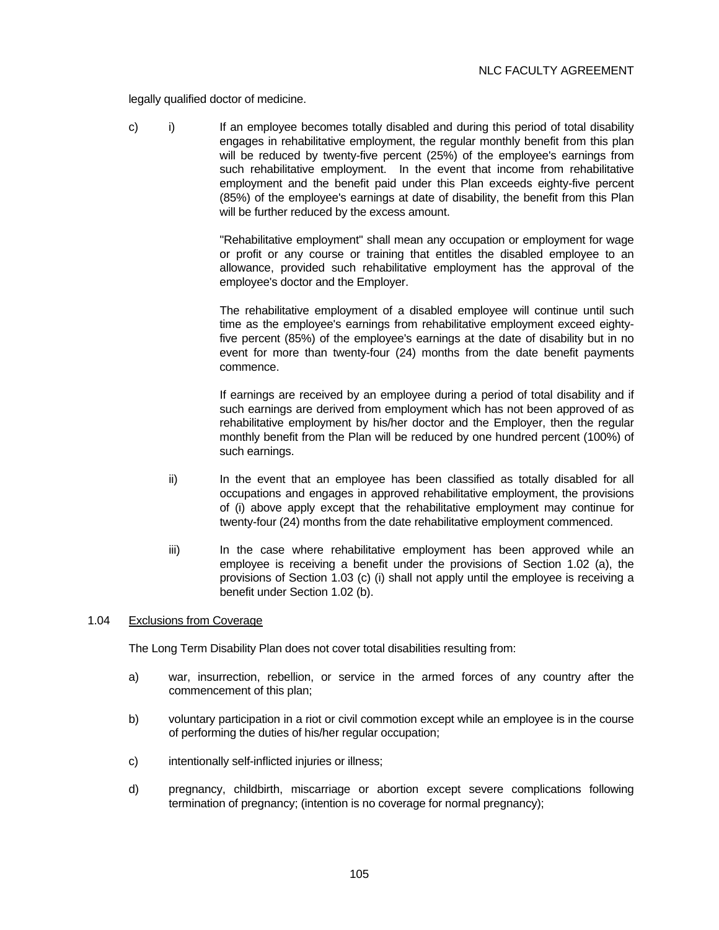legally qualified doctor of medicine.

 c) i) If an employee becomes totally disabled and during this period of total disability engages in rehabilitative employment, the regular monthly benefit from this plan will be reduced by twenty-five percent (25%) of the employee's earnings from such rehabilitative employment. In the event that income from rehabilitative employment and the benefit paid under this Plan exceeds eighty-five percent (85%) of the employee's earnings at date of disability, the benefit from this Plan will be further reduced by the excess amount.

> "Rehabilitative employment" shall mean any occupation or employment for wage or profit or any course or training that entitles the disabled employee to an allowance, provided such rehabilitative employment has the approval of the employee's doctor and the Employer.

> The rehabilitative employment of a disabled employee will continue until such time as the employee's earnings from rehabilitative employment exceed eightyfive percent (85%) of the employee's earnings at the date of disability but in no event for more than twenty-four (24) months from the date benefit payments commence.

> If earnings are received by an employee during a period of total disability and if such earnings are derived from employment which has not been approved of as rehabilitative employment by his/her doctor and the Employer, then the regular monthly benefit from the Plan will be reduced by one hundred percent (100%) of such earnings.

- ii) In the event that an employee has been classified as totally disabled for all occupations and engages in approved rehabilitative employment, the provisions of (i) above apply except that the rehabilitative employment may continue for twenty-four (24) months from the date rehabilitative employment commenced.
- iii) In the case where rehabilitative employment has been approved while an employee is receiving a benefit under the provisions of Section 1.02 (a), the provisions of Section 1.03 (c) (i) shall not apply until the employee is receiving a benefit under Section 1.02 (b).

#### 1.04 Exclusions from Coverage

The Long Term Disability Plan does not cover total disabilities resulting from:

- a) war, insurrection, rebellion, or service in the armed forces of any country after the commencement of this plan;
- b) voluntary participation in a riot or civil commotion except while an employee is in the course of performing the duties of his/her regular occupation;
- c) intentionally self-inflicted injuries or illness;
- d) pregnancy, childbirth, miscarriage or abortion except severe complications following termination of pregnancy; (intention is no coverage for normal pregnancy);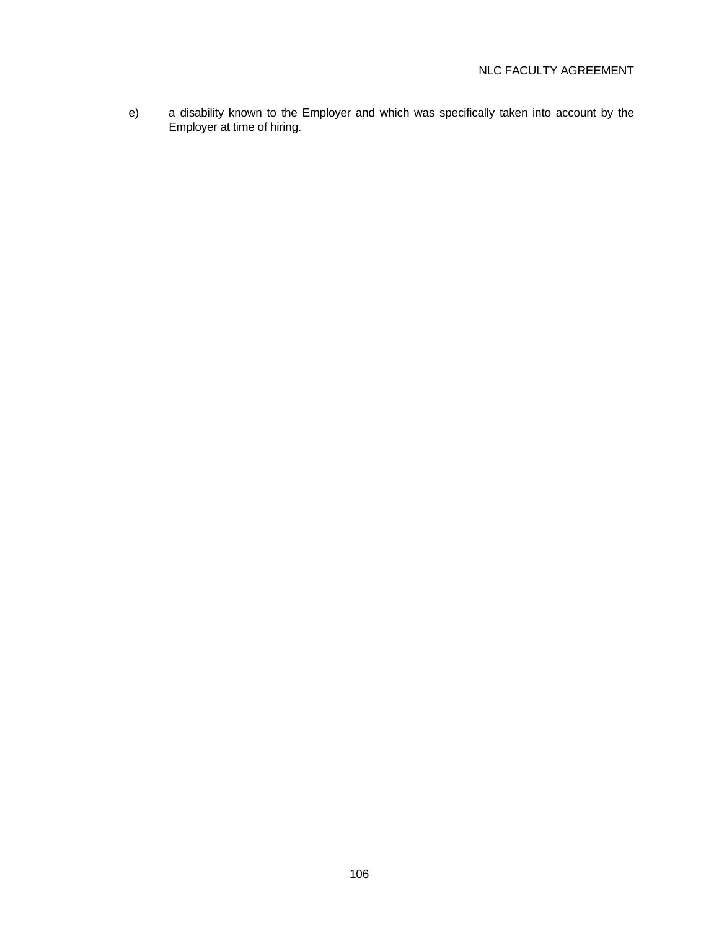e) a disability known to the Employer and which was specifically taken into account by the Employer at time of hiring.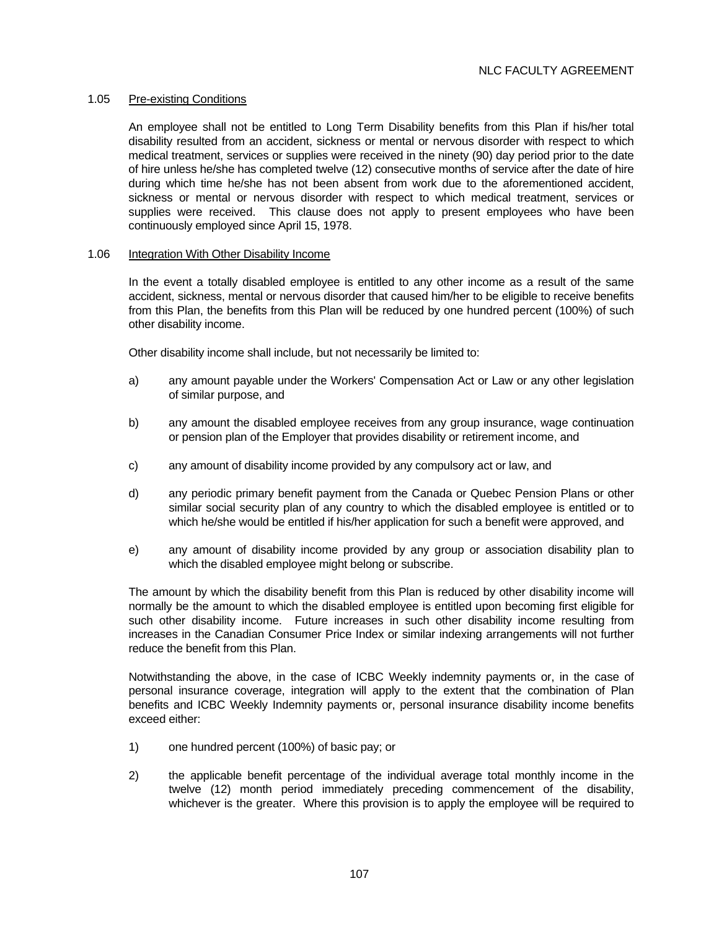#### 1.05 Pre-existing Conditions

 An employee shall not be entitled to Long Term Disability benefits from this Plan if his/her total disability resulted from an accident, sickness or mental or nervous disorder with respect to which medical treatment, services or supplies were received in the ninety (90) day period prior to the date of hire unless he/she has completed twelve (12) consecutive months of service after the date of hire during which time he/she has not been absent from work due to the aforementioned accident, sickness or mental or nervous disorder with respect to which medical treatment, services or supplies were received. This clause does not apply to present employees who have been continuously employed since April 15, 1978.

#### 1.06 Integration With Other Disability Income

 In the event a totally disabled employee is entitled to any other income as a result of the same accident, sickness, mental or nervous disorder that caused him/her to be eligible to receive benefits from this Plan, the benefits from this Plan will be reduced by one hundred percent (100%) of such other disability income.

Other disability income shall include, but not necessarily be limited to:

- a) any amount payable under the Workers' Compensation Act or Law or any other legislation of similar purpose, and
- b) any amount the disabled employee receives from any group insurance, wage continuation or pension plan of the Employer that provides disability or retirement income, and
- c) any amount of disability income provided by any compulsory act or law, and
- d) any periodic primary benefit payment from the Canada or Quebec Pension Plans or other similar social security plan of any country to which the disabled employee is entitled or to which he/she would be entitled if his/her application for such a benefit were approved, and
- e) any amount of disability income provided by any group or association disability plan to which the disabled employee might belong or subscribe.

 The amount by which the disability benefit from this Plan is reduced by other disability income will normally be the amount to which the disabled employee is entitled upon becoming first eligible for such other disability income. Future increases in such other disability income resulting from increases in the Canadian Consumer Price Index or similar indexing arrangements will not further reduce the benefit from this Plan.

 Notwithstanding the above, in the case of ICBC Weekly indemnity payments or, in the case of personal insurance coverage, integration will apply to the extent that the combination of Plan benefits and ICBC Weekly Indemnity payments or, personal insurance disability income benefits exceed either:

- 1) one hundred percent (100%) of basic pay; or
- 2) the applicable benefit percentage of the individual average total monthly income in the twelve (12) month period immediately preceding commencement of the disability, whichever is the greater. Where this provision is to apply the employee will be required to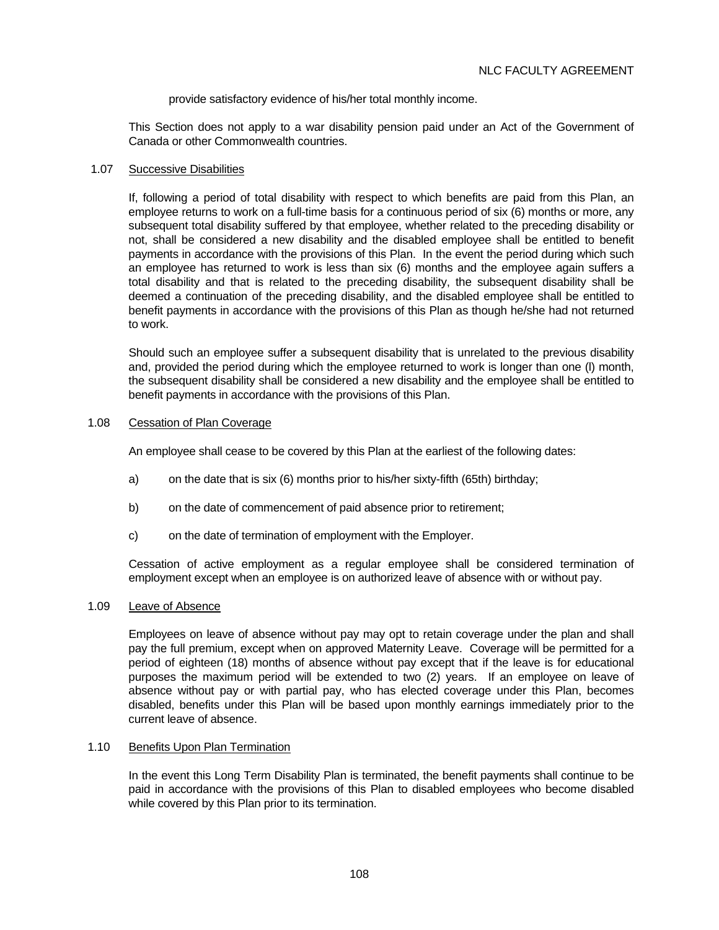provide satisfactory evidence of his/her total monthly income.

 This Section does not apply to a war disability pension paid under an Act of the Government of Canada or other Commonwealth countries.

#### 1.07 Successive Disabilities

 If, following a period of total disability with respect to which benefits are paid from this Plan, an employee returns to work on a full-time basis for a continuous period of six (6) months or more, any subsequent total disability suffered by that employee, whether related to the preceding disability or not, shall be considered a new disability and the disabled employee shall be entitled to benefit payments in accordance with the provisions of this Plan. In the event the period during which such an employee has returned to work is less than six (6) months and the employee again suffers a total disability and that is related to the preceding disability, the subsequent disability shall be deemed a continuation of the preceding disability, and the disabled employee shall be entitled to benefit payments in accordance with the provisions of this Plan as though he/she had not returned to work.

 Should such an employee suffer a subsequent disability that is unrelated to the previous disability and, provided the period during which the employee returned to work is longer than one (l) month, the subsequent disability shall be considered a new disability and the employee shall be entitled to benefit payments in accordance with the provisions of this Plan.

#### 1.08 Cessation of Plan Coverage

An employee shall cease to be covered by this Plan at the earliest of the following dates:

- a) on the date that is six (6) months prior to his/her sixty-fifth (65th) birthday;
- b) on the date of commencement of paid absence prior to retirement;
- c) on the date of termination of employment with the Employer.

 Cessation of active employment as a regular employee shall be considered termination of employment except when an employee is on authorized leave of absence with or without pay.

#### 1.09 Leave of Absence

 Employees on leave of absence without pay may opt to retain coverage under the plan and shall pay the full premium, except when on approved Maternity Leave. Coverage will be permitted for a period of eighteen (18) months of absence without pay except that if the leave is for educational purposes the maximum period will be extended to two (2) years. If an employee on leave of absence without pay or with partial pay, who has elected coverage under this Plan, becomes disabled, benefits under this Plan will be based upon monthly earnings immediately prior to the current leave of absence.

#### 1.10 Benefits Upon Plan Termination

 In the event this Long Term Disability Plan is terminated, the benefit payments shall continue to be paid in accordance with the provisions of this Plan to disabled employees who become disabled while covered by this Plan prior to its termination.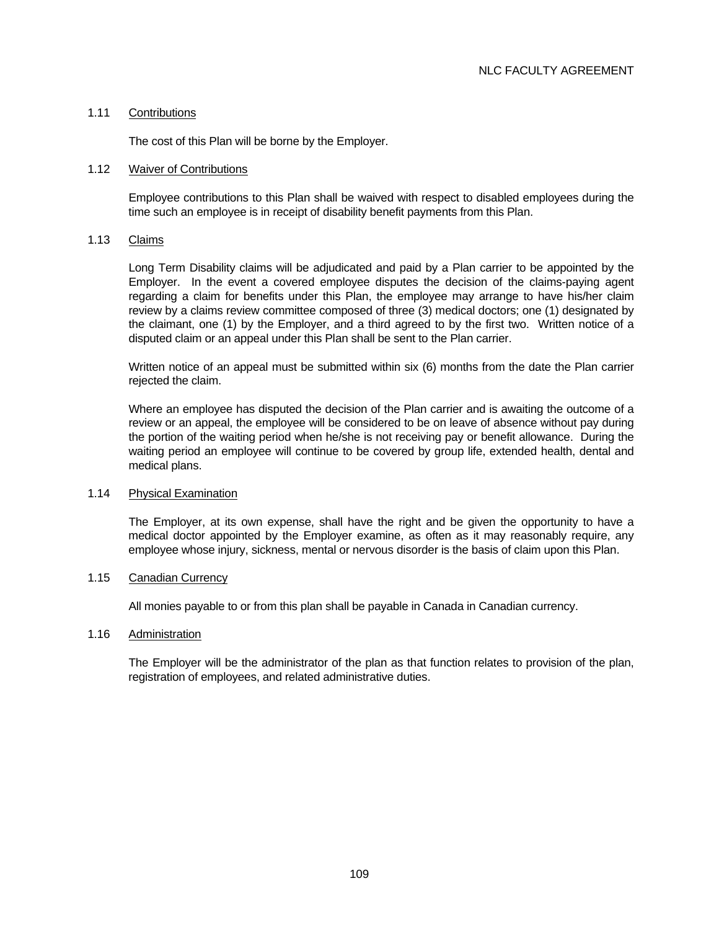#### 1.11 Contributions

The cost of this Plan will be borne by the Employer.

#### 1.12 Waiver of Contributions

 Employee contributions to this Plan shall be waived with respect to disabled employees during the time such an employee is in receipt of disability benefit payments from this Plan.

#### 1.13 Claims

 Long Term Disability claims will be adjudicated and paid by a Plan carrier to be appointed by the Employer. In the event a covered employee disputes the decision of the claims-paying agent regarding a claim for benefits under this Plan, the employee may arrange to have his/her claim review by a claims review committee composed of three (3) medical doctors; one (1) designated by the claimant, one (1) by the Employer, and a third agreed to by the first two. Written notice of a disputed claim or an appeal under this Plan shall be sent to the Plan carrier.

 Written notice of an appeal must be submitted within six (6) months from the date the Plan carrier rejected the claim.

 Where an employee has disputed the decision of the Plan carrier and is awaiting the outcome of a review or an appeal, the employee will be considered to be on leave of absence without pay during the portion of the waiting period when he/she is not receiving pay or benefit allowance. During the waiting period an employee will continue to be covered by group life, extended health, dental and medical plans.

#### 1.14 Physical Examination

 The Employer, at its own expense, shall have the right and be given the opportunity to have a medical doctor appointed by the Employer examine, as often as it may reasonably require, any employee whose injury, sickness, mental or nervous disorder is the basis of claim upon this Plan.

#### 1.15 Canadian Currency

All monies payable to or from this plan shall be payable in Canada in Canadian currency.

#### 1.16 Administration

 The Employer will be the administrator of the plan as that function relates to provision of the plan, registration of employees, and related administrative duties.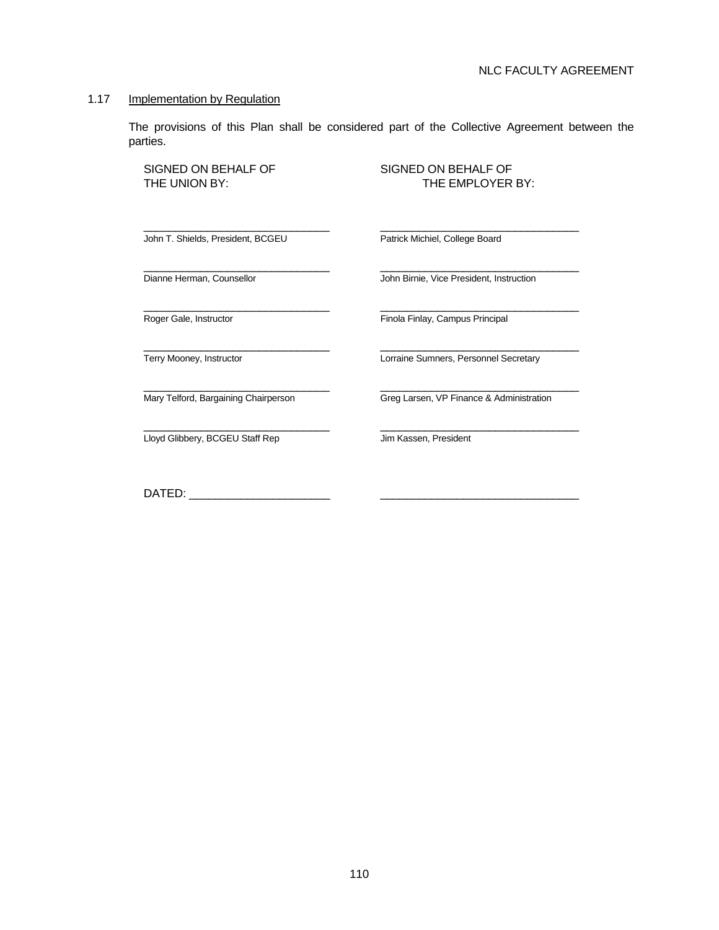#### 1.17 Implementation by Regulation

 The provisions of this Plan shall be considered part of the Collective Agreement between the parties.

 $\frac{1}{2}$  ,  $\frac{1}{2}$  ,  $\frac{1}{2}$  ,  $\frac{1}{2}$  ,  $\frac{1}{2}$  ,  $\frac{1}{2}$  ,  $\frac{1}{2}$  ,  $\frac{1}{2}$  ,  $\frac{1}{2}$  ,  $\frac{1}{2}$  ,  $\frac{1}{2}$  ,  $\frac{1}{2}$  ,  $\frac{1}{2}$  ,  $\frac{1}{2}$  ,  $\frac{1}{2}$  ,  $\frac{1}{2}$  ,  $\frac{1}{2}$  ,  $\frac{1}{2}$  ,  $\frac{1$ 

 $\frac{1}{2}$  ,  $\frac{1}{2}$  ,  $\frac{1}{2}$  ,  $\frac{1}{2}$  ,  $\frac{1}{2}$  ,  $\frac{1}{2}$  ,  $\frac{1}{2}$  ,  $\frac{1}{2}$  ,  $\frac{1}{2}$  ,  $\frac{1}{2}$  ,  $\frac{1}{2}$  ,  $\frac{1}{2}$  ,  $\frac{1}{2}$  ,  $\frac{1}{2}$  ,  $\frac{1}{2}$  ,  $\frac{1}{2}$  ,  $\frac{1}{2}$  ,  $\frac{1}{2}$  ,  $\frac{1$ 

SIGNED ON BEHALF OF SIGNED ON BEHALF OF

THE UNION BY: THE EMPLOYER BY:

John T. Shields, President, BCGEU Patrick Michiel, College Board

 $\frac{1}{2}$  ,  $\frac{1}{2}$  ,  $\frac{1}{2}$  ,  $\frac{1}{2}$  ,  $\frac{1}{2}$  ,  $\frac{1}{2}$  ,  $\frac{1}{2}$  ,  $\frac{1}{2}$  ,  $\frac{1}{2}$  ,  $\frac{1}{2}$  ,  $\frac{1}{2}$  ,  $\frac{1}{2}$  ,  $\frac{1}{2}$  ,  $\frac{1}{2}$  ,  $\frac{1}{2}$  ,  $\frac{1}{2}$  ,  $\frac{1}{2}$  ,  $\frac{1}{2}$  ,  $\frac{1$ 

 $\frac{1}{\sqrt{2}}$  ,  $\frac{1}{\sqrt{2}}$  ,  $\frac{1}{\sqrt{2}}$  ,  $\frac{1}{\sqrt{2}}$  ,  $\frac{1}{\sqrt{2}}$  ,  $\frac{1}{\sqrt{2}}$  ,  $\frac{1}{\sqrt{2}}$  ,  $\frac{1}{\sqrt{2}}$  ,  $\frac{1}{\sqrt{2}}$  ,  $\frac{1}{\sqrt{2}}$  ,  $\frac{1}{\sqrt{2}}$  ,  $\frac{1}{\sqrt{2}}$  ,  $\frac{1}{\sqrt{2}}$  ,  $\frac{1}{\sqrt{2}}$  ,  $\frac{1}{\sqrt{2}}$ Lloyd Glibbery, BCGEU Staff Rep Jim Kassen, President

Dianne Herman, Counsellor **John Birnie**, Vice President, Instruction

 $\frac{1}{2}$  ,  $\frac{1}{2}$  ,  $\frac{1}{2}$  ,  $\frac{1}{2}$  ,  $\frac{1}{2}$  ,  $\frac{1}{2}$  ,  $\frac{1}{2}$  ,  $\frac{1}{2}$  ,  $\frac{1}{2}$  ,  $\frac{1}{2}$  ,  $\frac{1}{2}$  ,  $\frac{1}{2}$  ,  $\frac{1}{2}$  ,  $\frac{1}{2}$  ,  $\frac{1}{2}$  ,  $\frac{1}{2}$  ,  $\frac{1}{2}$  ,  $\frac{1}{2}$  ,  $\frac{1$ Roger Gale, Instructor **Finda Finlay, Campus Principal** 

 $\frac{1}{2}$  ,  $\frac{1}{2}$  ,  $\frac{1}{2}$  ,  $\frac{1}{2}$  ,  $\frac{1}{2}$  ,  $\frac{1}{2}$  ,  $\frac{1}{2}$  ,  $\frac{1}{2}$  ,  $\frac{1}{2}$  ,  $\frac{1}{2}$  ,  $\frac{1}{2}$  ,  $\frac{1}{2}$  ,  $\frac{1}{2}$  ,  $\frac{1}{2}$  ,  $\frac{1}{2}$  ,  $\frac{1}{2}$  ,  $\frac{1}{2}$  ,  $\frac{1}{2}$  ,  $\frac{1$ Terry Mooney, Instructor **Lorraine Sumners, Personnel Secretary** 

Mary Telford, Bargaining Chairperson Greg Larsen, VP Finance & Administration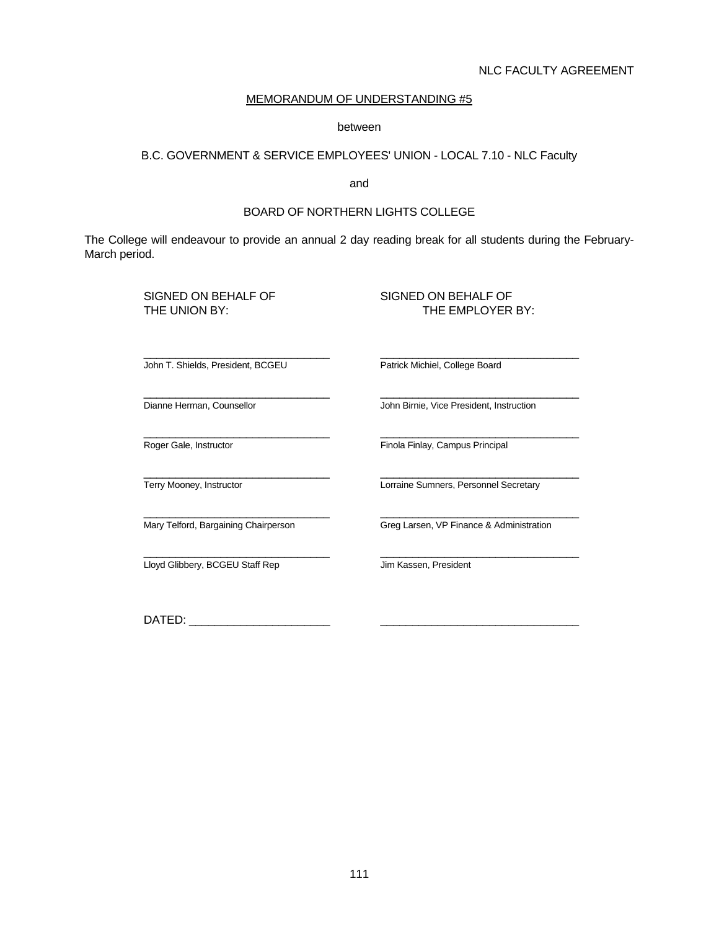## NLC FACULTY AGREEMENT

## MEMORANDUM OF UNDERSTANDING #5

#### between

## B.C. GOVERNMENT & SERVICE EMPLOYEES' UNION - LOCAL 7.10 - NLC Faculty

and the contract of the contract of the contract of the contract of the contract of the contract of the contract of the contract of the contract of the contract of the contract of the contract of the contract of the contra

#### BOARD OF NORTHERN LIGHTS COLLEGE

The College will endeavour to provide an annual 2 day reading break for all students during the February-March period.

 $\frac{1}{2}$  ,  $\frac{1}{2}$  ,  $\frac{1}{2}$  ,  $\frac{1}{2}$  ,  $\frac{1}{2}$  ,  $\frac{1}{2}$  ,  $\frac{1}{2}$  ,  $\frac{1}{2}$  ,  $\frac{1}{2}$  ,  $\frac{1}{2}$  ,  $\frac{1}{2}$  ,  $\frac{1}{2}$  ,  $\frac{1}{2}$  ,  $\frac{1}{2}$  ,  $\frac{1}{2}$  ,  $\frac{1}{2}$  ,  $\frac{1}{2}$  ,  $\frac{1}{2}$  ,  $\frac{1$ 

#### SIGNED ON BEHALF OF SIGNED ON BEHALF OF THE UNION BY: THE EMPLOYER BY:

John T. Shields, President, BCGEU Patrick Michiel, College Board

 $\frac{1}{2}$  ,  $\frac{1}{2}$  ,  $\frac{1}{2}$  ,  $\frac{1}{2}$  ,  $\frac{1}{2}$  ,  $\frac{1}{2}$  ,  $\frac{1}{2}$  ,  $\frac{1}{2}$  ,  $\frac{1}{2}$  ,  $\frac{1}{2}$  ,  $\frac{1}{2}$  ,  $\frac{1}{2}$  ,  $\frac{1}{2}$  ,  $\frac{1}{2}$  ,  $\frac{1}{2}$  ,  $\frac{1}{2}$  ,  $\frac{1}{2}$  ,  $\frac{1}{2}$  ,  $\frac{1$ 

 $\frac{1}{\sqrt{2}}$  ,  $\frac{1}{\sqrt{2}}$  ,  $\frac{1}{\sqrt{2}}$  ,  $\frac{1}{\sqrt{2}}$  ,  $\frac{1}{\sqrt{2}}$  ,  $\frac{1}{\sqrt{2}}$  ,  $\frac{1}{\sqrt{2}}$  ,  $\frac{1}{\sqrt{2}}$  ,  $\frac{1}{\sqrt{2}}$  ,  $\frac{1}{\sqrt{2}}$  ,  $\frac{1}{\sqrt{2}}$  ,  $\frac{1}{\sqrt{2}}$  ,  $\frac{1}{\sqrt{2}}$  ,  $\frac{1}{\sqrt{2}}$  ,  $\frac{1}{\sqrt{2}}$ <u>Loyd Glibbery, BCGEU Staff Rep Jum Kassen, President</u>

 $\frac{1}{2}$  ,  $\frac{1}{2}$  ,  $\frac{1}{2}$  ,  $\frac{1}{2}$  ,  $\frac{1}{2}$  ,  $\frac{1}{2}$  ,  $\frac{1}{2}$  ,  $\frac{1}{2}$  ,  $\frac{1}{2}$  ,  $\frac{1}{2}$  ,  $\frac{1}{2}$  ,  $\frac{1}{2}$  ,  $\frac{1}{2}$  ,  $\frac{1}{2}$  ,  $\frac{1}{2}$  ,  $\frac{1}{2}$  ,  $\frac{1}{2}$  ,  $\frac{1}{2}$  ,  $\frac{1$ Dianne Herman, Counsellor **John Birnie, Vice President, Instruction** 

 $\frac{1}{2}$  ,  $\frac{1}{2}$  ,  $\frac{1}{2}$  ,  $\frac{1}{2}$  ,  $\frac{1}{2}$  ,  $\frac{1}{2}$  ,  $\frac{1}{2}$  ,  $\frac{1}{2}$  ,  $\frac{1}{2}$  ,  $\frac{1}{2}$  ,  $\frac{1}{2}$  ,  $\frac{1}{2}$  ,  $\frac{1}{2}$  ,  $\frac{1}{2}$  ,  $\frac{1}{2}$  ,  $\frac{1}{2}$  ,  $\frac{1}{2}$  ,  $\frac{1}{2}$  ,  $\frac{1$ Roger Gale, Instructor **Finda Finlay, Campus Principal** 

 $\frac{1}{2}$  ,  $\frac{1}{2}$  ,  $\frac{1}{2}$  ,  $\frac{1}{2}$  ,  $\frac{1}{2}$  ,  $\frac{1}{2}$  ,  $\frac{1}{2}$  ,  $\frac{1}{2}$  ,  $\frac{1}{2}$  ,  $\frac{1}{2}$  ,  $\frac{1}{2}$  ,  $\frac{1}{2}$  ,  $\frac{1}{2}$  ,  $\frac{1}{2}$  ,  $\frac{1}{2}$  ,  $\frac{1}{2}$  ,  $\frac{1}{2}$  ,  $\frac{1}{2}$  ,  $\frac{1$ Terry Mooney, Instructor **Lorraine Sumners**, Personnel Secretary

Mary Telford, Bargaining Chairperson Greg Larsen, VP Finance & Administration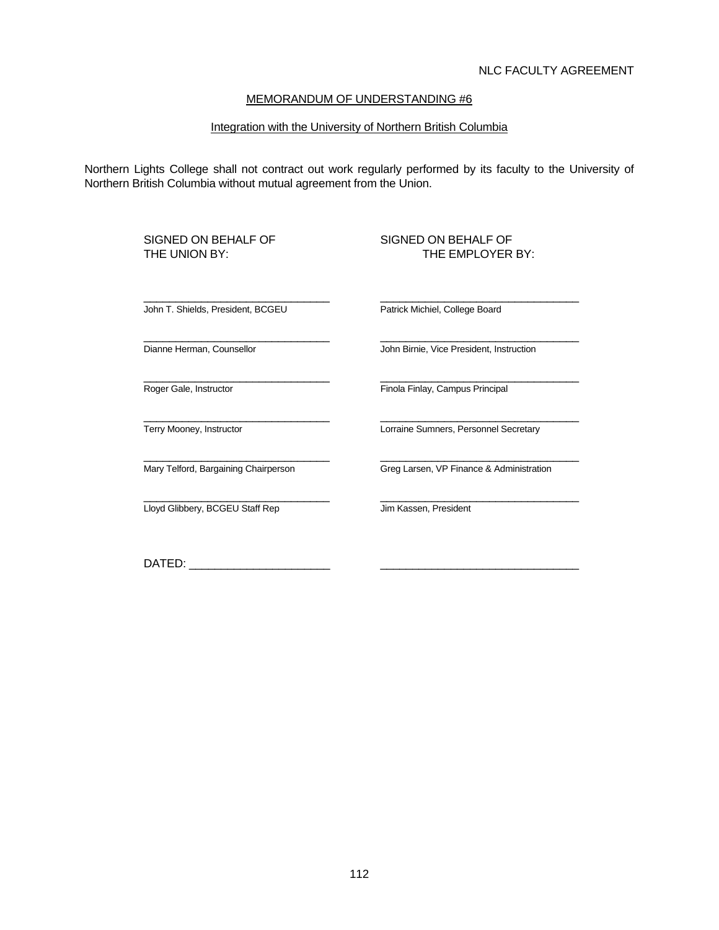#### Integration with the University of Northern British Columbia

Northern Lights College shall not contract out work regularly performed by its faculty to the University of Northern British Columbia without mutual agreement from the Union.

SIGNED ON BEHALF OF SIGNED ON BEHALF OF THE UNION BY:

# THE EMPLOYER BY:

John T. Shields, President, BCGEU Patrick Michiel, College Board

 $\frac{1}{2}$  ,  $\frac{1}{2}$  ,  $\frac{1}{2}$  ,  $\frac{1}{2}$  ,  $\frac{1}{2}$  ,  $\frac{1}{2}$  ,  $\frac{1}{2}$  ,  $\frac{1}{2}$  ,  $\frac{1}{2}$  ,  $\frac{1}{2}$  ,  $\frac{1}{2}$  ,  $\frac{1}{2}$  ,  $\frac{1}{2}$  ,  $\frac{1}{2}$  ,  $\frac{1}{2}$  ,  $\frac{1}{2}$  ,  $\frac{1}{2}$  ,  $\frac{1}{2}$  ,  $\frac{1$ 

 $\frac{1}{2}$  ,  $\frac{1}{2}$  ,  $\frac{1}{2}$  ,  $\frac{1}{2}$  ,  $\frac{1}{2}$  ,  $\frac{1}{2}$  ,  $\frac{1}{2}$  ,  $\frac{1}{2}$  ,  $\frac{1}{2}$  ,  $\frac{1}{2}$  ,  $\frac{1}{2}$  ,  $\frac{1}{2}$  ,  $\frac{1}{2}$  ,  $\frac{1}{2}$  ,  $\frac{1}{2}$  ,  $\frac{1}{2}$  ,  $\frac{1}{2}$  ,  $\frac{1}{2}$  ,  $\frac{1$ 

Dianne Herman, Counsellor **John Birnie**, Vice President, Instruction

 $\frac{1}{2}$  ,  $\frac{1}{2}$  ,  $\frac{1}{2}$  ,  $\frac{1}{2}$  ,  $\frac{1}{2}$  ,  $\frac{1}{2}$  ,  $\frac{1}{2}$  ,  $\frac{1}{2}$  ,  $\frac{1}{2}$  ,  $\frac{1}{2}$  ,  $\frac{1}{2}$  ,  $\frac{1}{2}$  ,  $\frac{1}{2}$  ,  $\frac{1}{2}$  ,  $\frac{1}{2}$  ,  $\frac{1}{2}$  ,  $\frac{1}{2}$  ,  $\frac{1}{2}$  ,  $\frac{1$ Roger Gale, Instructor **Finda Finlay, Campus Principal** 

 $\frac{1}{2}$  ,  $\frac{1}{2}$  ,  $\frac{1}{2}$  ,  $\frac{1}{2}$  ,  $\frac{1}{2}$  ,  $\frac{1}{2}$  ,  $\frac{1}{2}$  ,  $\frac{1}{2}$  ,  $\frac{1}{2}$  ,  $\frac{1}{2}$  ,  $\frac{1}{2}$  ,  $\frac{1}{2}$  ,  $\frac{1}{2}$  ,  $\frac{1}{2}$  ,  $\frac{1}{2}$  ,  $\frac{1}{2}$  ,  $\frac{1}{2}$  ,  $\frac{1}{2}$  ,  $\frac{1$ Terry Mooney, Instructor **Lorraine Sumners**, Personnel Secretary

 $\frac{1}{\sqrt{2}}$  ,  $\frac{1}{\sqrt{2}}$  ,  $\frac{1}{\sqrt{2}}$  ,  $\frac{1}{\sqrt{2}}$  ,  $\frac{1}{\sqrt{2}}$  ,  $\frac{1}{\sqrt{2}}$  ,  $\frac{1}{\sqrt{2}}$  ,  $\frac{1}{\sqrt{2}}$  ,  $\frac{1}{\sqrt{2}}$  ,  $\frac{1}{\sqrt{2}}$  ,  $\frac{1}{\sqrt{2}}$  ,  $\frac{1}{\sqrt{2}}$  ,  $\frac{1}{\sqrt{2}}$  ,  $\frac{1}{\sqrt{2}}$  ,  $\frac{1}{\sqrt{2}}$ <u>Loyd Glibbery, BCGEU Staff Rep Jum Kassen, President</u>

 $\frac{1}{2}$  ,  $\frac{1}{2}$  ,  $\frac{1}{2}$  ,  $\frac{1}{2}$  ,  $\frac{1}{2}$  ,  $\frac{1}{2}$  ,  $\frac{1}{2}$  ,  $\frac{1}{2}$  ,  $\frac{1}{2}$  ,  $\frac{1}{2}$  ,  $\frac{1}{2}$  ,  $\frac{1}{2}$  ,  $\frac{1}{2}$  ,  $\frac{1}{2}$  ,  $\frac{1}{2}$  ,  $\frac{1}{2}$  ,  $\frac{1}{2}$  ,  $\frac{1}{2}$  ,  $\frac{1$ Mary Telford, Bargaining Chairperson Greg Larsen, VP Finance & Administration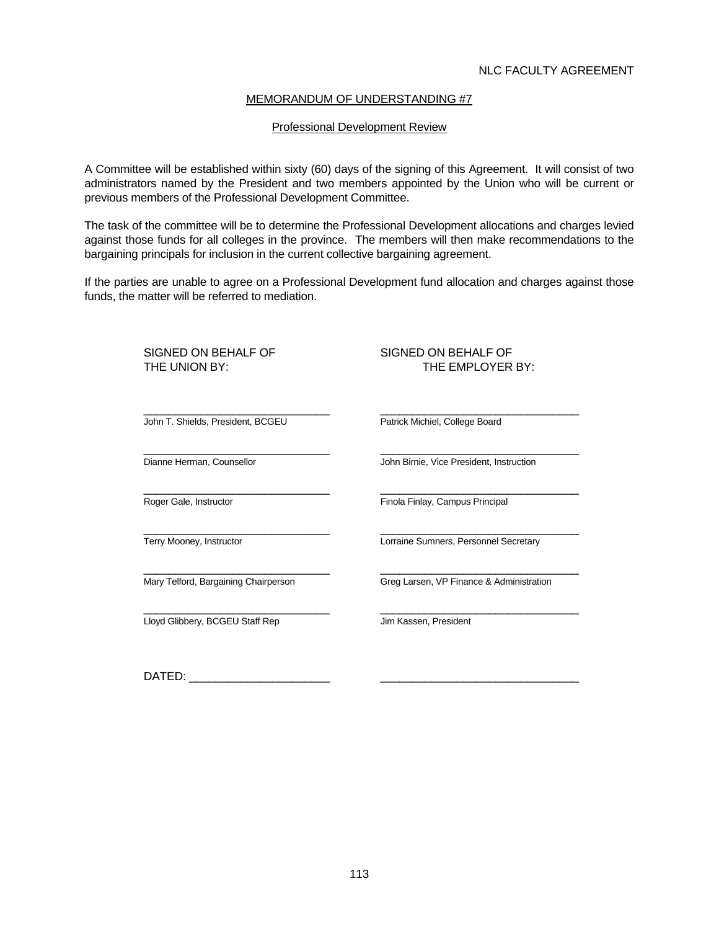#### Professional Development Review

A Committee will be established within sixty (60) days of the signing of this Agreement. It will consist of two administrators named by the President and two members appointed by the Union who will be current or previous members of the Professional Development Committee.

The task of the committee will be to determine the Professional Development allocations and charges levied against those funds for all colleges in the province. The members will then make recommendations to the bargaining principals for inclusion in the current collective bargaining agreement.

If the parties are unable to agree on a Professional Development fund allocation and charges against those funds, the matter will be referred to mediation.

| SIGNED ON BEHALF OF<br>THE UNION BY: | SIGNED ON BEHALF OF<br>THE EMPLOYER BY:  |
|--------------------------------------|------------------------------------------|
| John T. Shields, President, BCGEU    | Patrick Michiel, College Board           |
| Dianne Herman, Counsellor            | John Birnie, Vice President, Instruction |
| Roger Gale, Instructor               | Finola Finlay, Campus Principal          |
| Terry Mooney, Instructor             | Lorraine Sumners, Personnel Secretary    |
| Mary Telford, Bargaining Chairperson | Greg Larsen, VP Finance & Administration |
| Lloyd Glibbery, BCGEU Staff Rep      | Jim Kassen, President                    |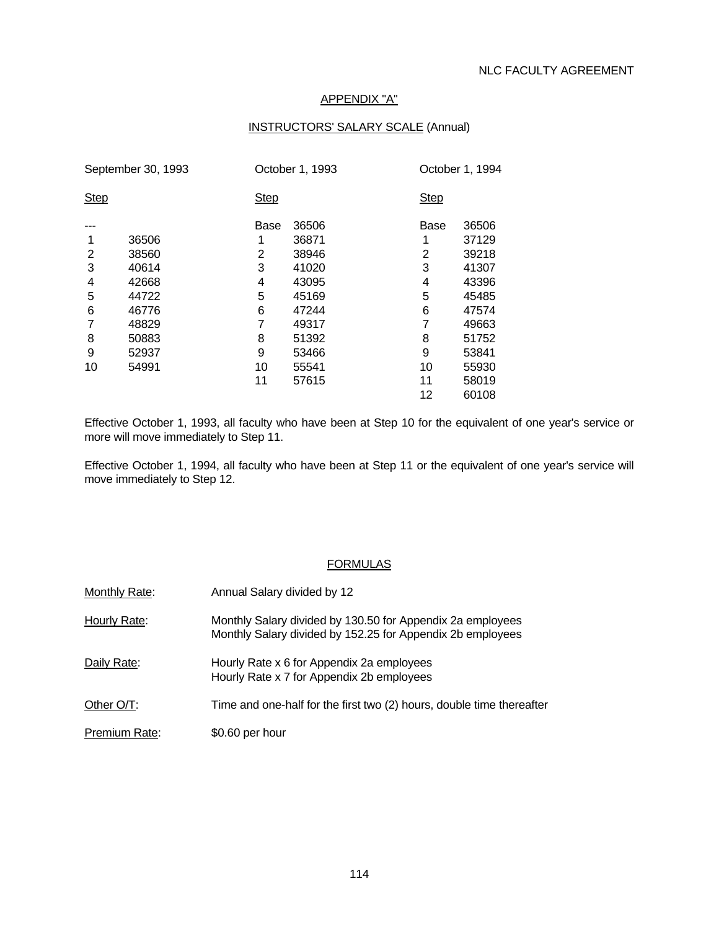#### APPENDIX "A"

#### INSTRUCTORS' SALARY SCALE (Annual)

| September 30, 1993 |       |             | October 1, 1993 |             | October 1, 1994 |  |
|--------------------|-------|-------------|-----------------|-------------|-----------------|--|
| <b>Step</b>        |       | <b>Step</b> |                 | <b>Step</b> |                 |  |
|                    |       | Base        | 36506           | Base        | 36506           |  |
|                    | 36506 |             | 36871           |             | 37129           |  |
| 2                  | 38560 | 2           | 38946           | 2           | 39218           |  |
| 3                  | 40614 | 3           | 41020           | 3           | 41307           |  |
| 4                  | 42668 | 4           | 43095           | 4           | 43396           |  |
| 5                  | 44722 | 5           | 45169           | 5           | 45485           |  |
| 6                  | 46776 | 6           | 47244           | 6           | 47574           |  |
| 7                  | 48829 | 7           | 49317           |             | 49663           |  |
| 8                  | 50883 | 8           | 51392           | 8           | 51752           |  |
| 9                  | 52937 | 9           | 53466           | 9           | 53841           |  |
| 10                 | 54991 | 10          | 55541           | 10          | 55930           |  |
|                    |       | 11          | 57615           | 11          | 58019           |  |
|                    |       |             |                 | 12          | 60108           |  |

Effective October 1, 1993, all faculty who have been at Step 10 for the equivalent of one year's service or more will move immediately to Step 11.

Effective October 1, 1994, all faculty who have been at Step 11 or the equivalent of one year's service will move immediately to Step 12.

#### FORMULAS

| Monthly Rate: | Annual Salary divided by 12                                                                                              |
|---------------|--------------------------------------------------------------------------------------------------------------------------|
| Hourly Rate:  | Monthly Salary divided by 130.50 for Appendix 2a employees<br>Monthly Salary divided by 152.25 for Appendix 2b employees |
| Daily Rate:   | Hourly Rate x 6 for Appendix 2a employees<br>Hourly Rate x 7 for Appendix 2b employees                                   |
| Other O/T:    | Time and one-half for the first two (2) hours, double time thereafter                                                    |
| Premium Rate: | \$0.60 per hour                                                                                                          |